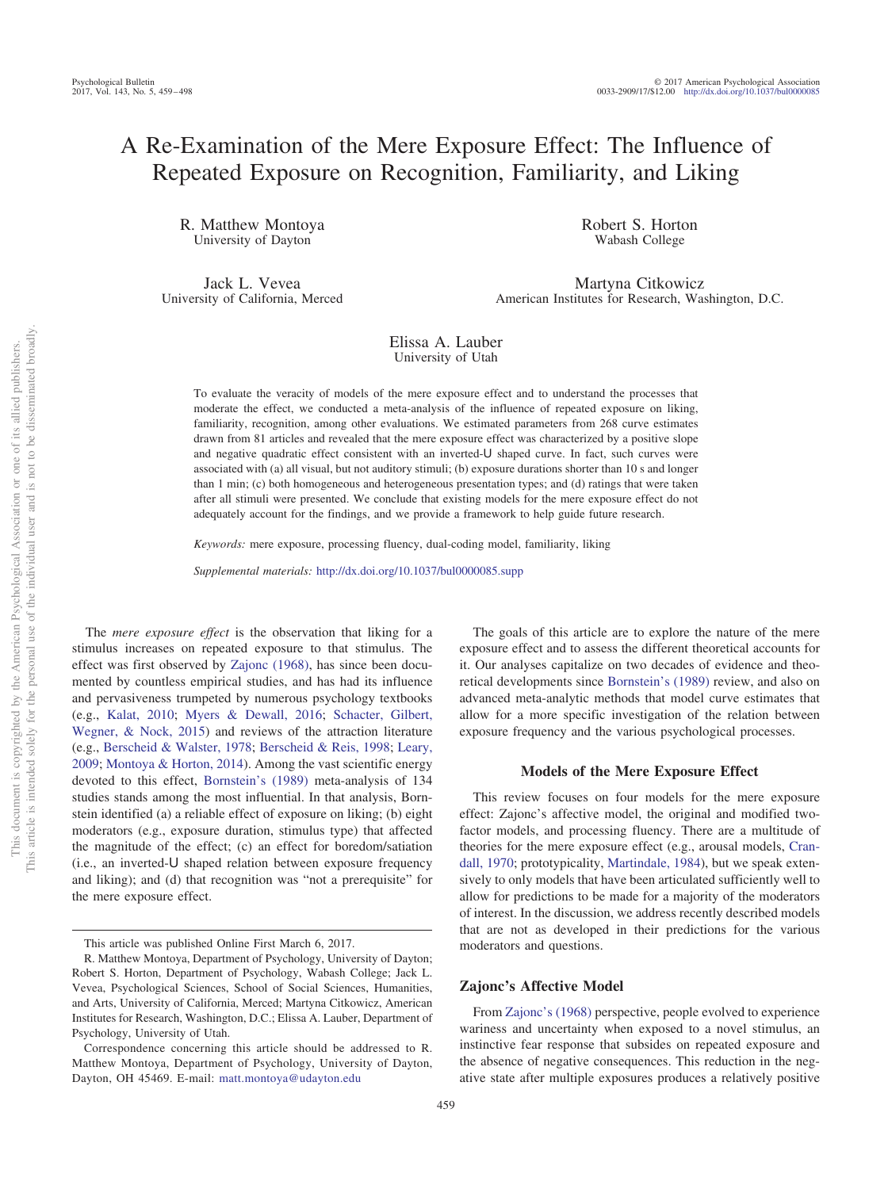## A Re-Examination of the Mere Exposure Effect: The Influence of Repeated Exposure on Recognition, Familiarity, and Liking

R. Matthew Montoya University of Dayton

Jack L. Vevea University of California, Merced Robert S. Horton Wabash College

Martyna Citkowicz American Institutes for Research, Washington, D.C.

Elissa A. Lauber University of Utah

To evaluate the veracity of models of the mere exposure effect and to understand the processes that moderate the effect, we conducted a meta-analysis of the influence of repeated exposure on liking, familiarity, recognition, among other evaluations. We estimated parameters from 268 curve estimates drawn from 81 articles and revealed that the mere exposure effect was characterized by a positive slope and negative quadratic effect consistent with an inverted-U shaped curve. In fact, such curves were associated with (a) all visual, but not auditory stimuli; (b) exposure durations shorter than 10 s and longer than 1 min; (c) both homogeneous and heterogeneous presentation types; and (d) ratings that were taken after all stimuli were presented. We conclude that existing models for the mere exposure effect do not adequately account for the findings, and we provide a framework to help guide future research.

*Keywords:* mere exposure, processing fluency, dual-coding model, familiarity, liking

*Supplemental materials:* http://dx.doi.org[/10.1037/bul0000085.supp](http://dx.doi.org/10.1037/bul0000085.supp)

The *mere exposure effect* is the observation that liking for a stimulus increases on repeated exposure to that stimulus. The effect was first observed by [Zajonc \(1968\),](#page-24-0) has since been documented by countless empirical studies, and has had its influence and pervasiveness trumpeted by numerous psychology textbooks (e.g., [Kalat, 2010;](#page-21-0) [Myers & Dewall, 2016;](#page-22-0) [Schacter, Gilbert,](#page-23-0) [Wegner, & Nock, 2015\)](#page-23-0) and reviews of the attraction literature (e.g., [Berscheid & Walster, 1978;](#page-18-0) [Berscheid & Reis, 1998;](#page-19-0) [Leary,](#page-21-1) [2009;](#page-21-1) [Montoya & Horton, 2014\)](#page-22-1). Among the vast scientific energy devoted to this effect, [Bornstein's \(1989\)](#page-19-1) meta-analysis of 134 studies stands among the most influential. In that analysis, Bornstein identified (a) a reliable effect of exposure on liking; (b) eight moderators (e.g., exposure duration, stimulus type) that affected the magnitude of the effect; (c) an effect for boredom/satiation (i.e., an inverted-U shaped relation between exposure frequency and liking); and (d) that recognition was "not a prerequisite" for the mere exposure effect.

The goals of this article are to explore the nature of the mere exposure effect and to assess the different theoretical accounts for it. Our analyses capitalize on two decades of evidence and theoretical developments since [Bornstein's \(1989\)](#page-19-1) review, and also on advanced meta-analytic methods that model curve estimates that allow for a more specific investigation of the relation between exposure frequency and the various psychological processes.

#### **Models of the Mere Exposure Effect**

This review focuses on four models for the mere exposure effect: Zajonc's affective model, the original and modified twofactor models, and processing fluency. There are a multitude of theories for the mere exposure effect (e.g., arousal models, [Cran](#page-19-2)[dall, 1970;](#page-19-2) prototypicality, [Martindale, 1984\)](#page-21-2), but we speak extensively to only models that have been articulated sufficiently well to allow for predictions to be made for a majority of the moderators of interest. In the discussion, we address recently described models that are not as developed in their predictions for the various moderators and questions.

#### **Zajonc's Affective Model**

From [Zajonc's \(1968\)](#page-24-0) perspective, people evolved to experience wariness and uncertainty when exposed to a novel stimulus, an instinctive fear response that subsides on repeated exposure and the absence of negative consequences. This reduction in the negative state after multiple exposures produces a relatively positive

This article was published Online First March 6, 2017.

R. Matthew Montoya, Department of Psychology, University of Dayton; Robert S. Horton, Department of Psychology, Wabash College; Jack L. Vevea, Psychological Sciences, School of Social Sciences, Humanities, and Arts, University of California, Merced; Martyna Citkowicz, American Institutes for Research, Washington, D.C.; Elissa A. Lauber, Department of Psychology, University of Utah.

Correspondence concerning this article should be addressed to R. Matthew Montoya, Department of Psychology, University of Dayton, Dayton, OH 45469. E-mail: [matt.montoya@udayton.edu](mailto:matt.montoya@udayton.edu)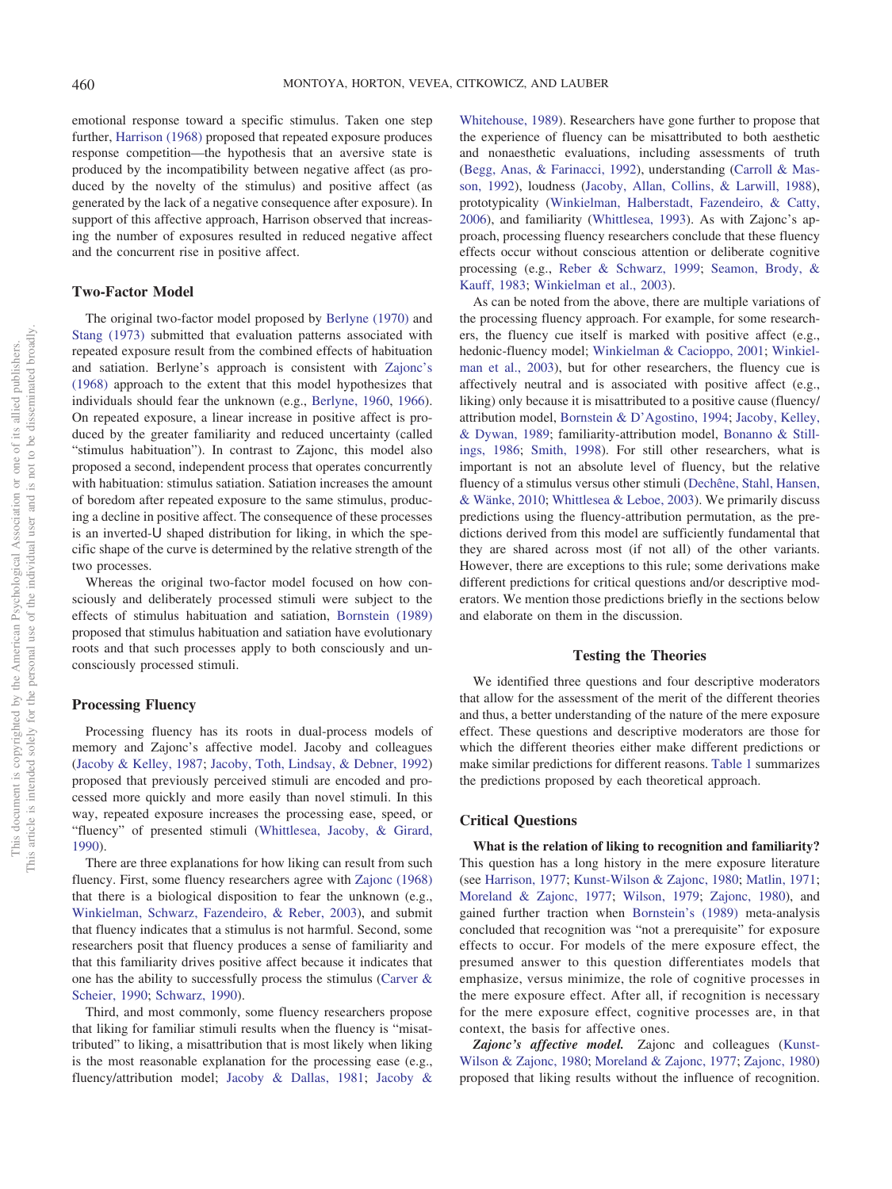emotional response toward a specific stimulus. Taken one step further, [Harrison \(1968\)](#page-20-0) proposed that repeated exposure produces response competition—the hypothesis that an aversive state is produced by the incompatibility between negative affect (as produced by the novelty of the stimulus) and positive affect (as generated by the lack of a negative consequence after exposure). In support of this affective approach, Harrison observed that increasing the number of exposures resulted in reduced negative affect and the concurrent rise in positive affect.

#### **Two-Factor Model**

The original two-factor model proposed by [Berlyne \(1970\)](#page-18-1) and [Stang \(1973\)](#page-23-1) submitted that evaluation patterns associated with repeated exposure result from the combined effects of habituation and satiation. Berlyne's approach is consistent with [Zajonc's](#page-24-0) [\(1968\)](#page-24-0) approach to the extent that this model hypothesizes that individuals should fear the unknown (e.g., [Berlyne, 1960,](#page-18-2) [1966\)](#page-18-3). On repeated exposure, a linear increase in positive affect is produced by the greater familiarity and reduced uncertainty (called "stimulus habituation"). In contrast to Zajonc, this model also proposed a second, independent process that operates concurrently with habituation: stimulus satiation. Satiation increases the amount of boredom after repeated exposure to the same stimulus, producing a decline in positive affect. The consequence of these processes is an inverted-U shaped distribution for liking, in which the specific shape of the curve is determined by the relative strength of the two processes.

Whereas the original two-factor model focused on how consciously and deliberately processed stimuli were subject to the effects of stimulus habituation and satiation, [Bornstein \(1989\)](#page-19-1) proposed that stimulus habituation and satiation have evolutionary roots and that such processes apply to both consciously and unconsciously processed stimuli.

#### **Processing Fluency**

Processing fluency has its roots in dual-process models of memory and Zajonc's affective model. Jacoby and colleagues [\(Jacoby & Kelley, 1987;](#page-21-3) [Jacoby, Toth, Lindsay, & Debner, 1992\)](#page-21-4) proposed that previously perceived stimuli are encoded and processed more quickly and more easily than novel stimuli. In this way, repeated exposure increases the processing ease, speed, or "fluency" of presented stimuli [\(Whittlesea, Jacoby, & Girard,](#page-24-1) [1990\)](#page-24-1).

There are three explanations for how liking can result from such fluency. First, some fluency researchers agree with [Zajonc \(1968\)](#page-24-0) that there is a biological disposition to fear the unknown (e.g., [Winkielman, Schwarz, Fazendeiro, & Reber, 2003\)](#page-24-2), and submit that fluency indicates that a stimulus is not harmful. Second, some researchers posit that fluency produces a sense of familiarity and that this familiarity drives positive affect because it indicates that one has the ability to successfully process the stimulus [\(Carver &](#page-19-3) [Scheier, 1990;](#page-19-3) [Schwarz, 1990\)](#page-23-2).

Third, and most commonly, some fluency researchers propose that liking for familiar stimuli results when the fluency is "misattributed" to liking, a misattribution that is most likely when liking is the most reasonable explanation for the processing ease (e.g., fluency/attribution model; [Jacoby & Dallas, 1981;](#page-21-5) [Jacoby &](#page-21-6)

[Whitehouse, 1989\)](#page-21-6). Researchers have gone further to propose that the experience of fluency can be misattributed to both aesthetic and nonaesthetic evaluations, including assessments of truth [\(Begg, Anas, & Farinacci, 1992\)](#page-18-4), understanding [\(Carroll & Mas](#page-19-4)[son, 1992\)](#page-19-4), loudness [\(Jacoby, Allan, Collins, & Larwill, 1988\)](#page-21-7), prototypicality [\(Winkielman, Halberstadt, Fazendeiro, & Catty,](#page-24-3) [2006\)](#page-24-3), and familiarity [\(Whittlesea, 1993\)](#page-24-4). As with Zajonc's approach, processing fluency researchers conclude that these fluency effects occur without conscious attention or deliberate cognitive processing (e.g., [Reber & Schwarz, 1999;](#page-22-2) [Seamon, Brody, &](#page-23-3) [Kauff, 1983;](#page-23-3) [Winkielman et al., 2003\)](#page-24-2).

As can be noted from the above, there are multiple variations of the processing fluency approach. For example, for some researchers, the fluency cue itself is marked with positive affect (e.g., hedonic-fluency model; [Winkielman & Cacioppo, 2001;](#page-24-5) [Winkiel](#page-24-2)[man et al., 2003\)](#page-24-2), but for other researchers, the fluency cue is affectively neutral and is associated with positive affect (e.g., liking) only because it is misattributed to a positive cause (fluency/ attribution model, [Bornstein & D'Agostino, 1994;](#page-19-5) [Jacoby, Kelley,](#page-21-8) [& Dywan, 1989;](#page-21-8) familiarity-attribution model, [Bonanno & Still](#page-19-6)[ings, 1986;](#page-19-6) [Smith, 1998\)](#page-23-4). For still other researchers, what is important is not an absolute level of fluency, but the relative fluency of a stimulus versus other stimuli [\(Dechêne, Stahl, Hansen,](#page-19-7) [& Wänke, 2010;](#page-19-7) [Whittlesea & Leboe, 2003\)](#page-24-6). We primarily discuss predictions using the fluency-attribution permutation, as the predictions derived from this model are sufficiently fundamental that they are shared across most (if not all) of the other variants. However, there are exceptions to this rule; some derivations make different predictions for critical questions and/or descriptive moderators. We mention those predictions briefly in the sections below and elaborate on them in the discussion.

#### **Testing the Theories**

We identified three questions and four descriptive moderators that allow for the assessment of the merit of the different theories and thus, a better understanding of the nature of the mere exposure effect. These questions and descriptive moderators are those for which the different theories either make different predictions or make similar predictions for different reasons. [Table 1](#page-2-0) summarizes the predictions proposed by each theoretical approach.

#### **Critical Questions**

**What is the relation of liking to recognition and familiarity?** This question has a long history in the mere exposure literature (see [Harrison, 1977;](#page-20-1) [Kunst-Wilson & Zajonc, 1980;](#page-21-9) [Matlin, 1971;](#page-21-10) [Moreland & Zajonc, 1977;](#page-22-3) [Wilson, 1979;](#page-24-7) [Zajonc, 1980\)](#page-24-8), and gained further traction when [Bornstein's \(1989\)](#page-19-1) meta-analysis concluded that recognition was "not a prerequisite" for exposure effects to occur. For models of the mere exposure effect, the presumed answer to this question differentiates models that emphasize, versus minimize, the role of cognitive processes in the mere exposure effect. After all, if recognition is necessary for the mere exposure effect, cognitive processes are, in that context, the basis for affective ones.

*Zajonc's affective model.* Zajonc and colleagues [\(Kunst-](#page-21-9)[Wilson & Zajonc, 1980;](#page-21-9) [Moreland & Zajonc, 1977;](#page-22-3) [Zajonc, 1980\)](#page-24-8) proposed that liking results without the influence of recognition.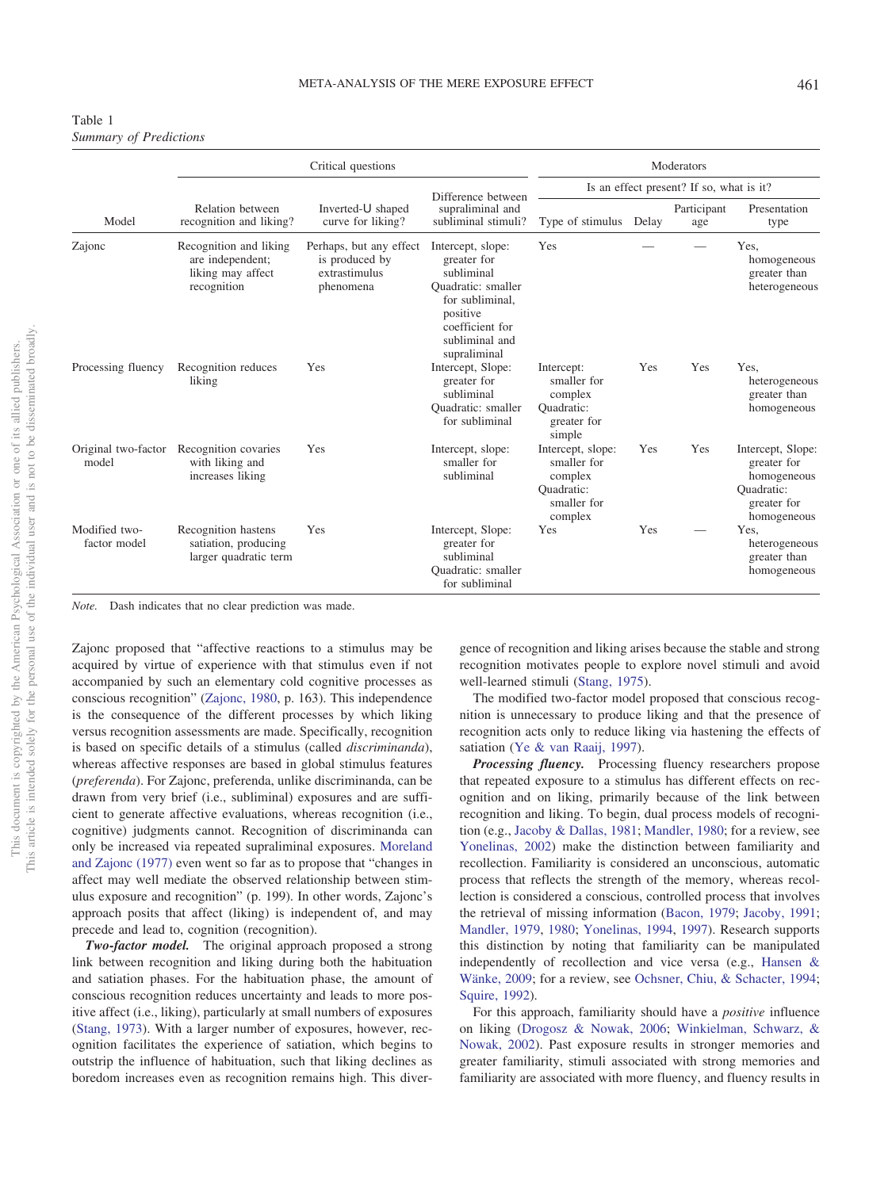<span id="page-2-0"></span>

| Table 1 |                        |
|---------|------------------------|
|         | Summary of Predictions |

|                               |                                                                                | Critical questions                                                      |                                                                                                                                                          |                                                                                     |       | Moderators                               |                                                                                             |
|-------------------------------|--------------------------------------------------------------------------------|-------------------------------------------------------------------------|----------------------------------------------------------------------------------------------------------------------------------------------------------|-------------------------------------------------------------------------------------|-------|------------------------------------------|---------------------------------------------------------------------------------------------|
|                               |                                                                                |                                                                         | Difference between                                                                                                                                       |                                                                                     |       | Is an effect present? If so, what is it? |                                                                                             |
| Model                         | Relation between<br>recognition and liking?                                    | Inverted-U shaped<br>curve for liking?                                  | supraliminal and<br>subliminal stimuli?                                                                                                                  | Type of stimulus                                                                    | Delay | Participant<br>age                       | Presentation<br>type                                                                        |
| Zajonc                        | Recognition and liking<br>are independent;<br>liking may affect<br>recognition | Perhaps, but any effect<br>is produced by<br>extrastimulus<br>phenomena | Intercept, slope:<br>greater for<br>subliminal<br>Quadratic: smaller<br>for subliminal,<br>positive<br>coefficient for<br>subliminal and<br>supraliminal | Yes                                                                                 |       |                                          | Yes,<br>homogeneous<br>greater than<br>heterogeneous                                        |
| Processing fluency            | Recognition reduces<br>liking                                                  | Yes                                                                     | Intercept, Slope:<br>greater for<br>subliminal<br>Quadratic: smaller<br>for subliminal                                                                   | Intercept:<br>smaller for<br>complex<br>Quadratic:<br>greater for<br>simple         | Yes   | Yes                                      | Yes.<br>heterogeneous<br>greater than<br>homogeneous                                        |
| Original two-factor<br>model  | Recognition covaries<br>with liking and<br>increases liking                    | Yes                                                                     | Intercept, slope:<br>smaller for<br>subliminal                                                                                                           | Intercept, slope:<br>smaller for<br>complex<br>Quadratic:<br>smaller for<br>complex | Yes   | Yes                                      | Intercept, Slope:<br>greater for<br>homogeneous<br>Quadratic:<br>greater for<br>homogeneous |
| Modified two-<br>factor model | Recognition hastens<br>satiation, producing<br>larger quadratic term           | Yes                                                                     | Intercept, Slope:<br>greater for<br>subliminal<br>Quadratic: smaller<br>for subliminal                                                                   | Yes                                                                                 | Yes   |                                          | Yes.<br>heterogeneous<br>greater than<br>homogeneous                                        |

*Note.* Dash indicates that no clear prediction was made.

Zajonc proposed that "affective reactions to a stimulus may be acquired by virtue of experience with that stimulus even if not accompanied by such an elementary cold cognitive processes as conscious recognition" [\(Zajonc, 1980,](#page-24-8) p. 163). This independence is the consequence of the different processes by which liking versus recognition assessments are made. Specifically, recognition is based on specific details of a stimulus (called *discriminanda*), whereas affective responses are based in global stimulus features (*preferenda*). For Zajonc, preferenda, unlike discriminanda, can be drawn from very brief (i.e., subliminal) exposures and are sufficient to generate affective evaluations, whereas recognition (i.e., cognitive) judgments cannot. Recognition of discriminanda can only be increased via repeated supraliminal exposures. [Moreland](#page-22-3) [and Zajonc \(1977\)](#page-22-3) even went so far as to propose that "changes in affect may well mediate the observed relationship between stimulus exposure and recognition" (p. 199). In other words, Zajonc's approach posits that affect (liking) is independent of, and may precede and lead to, cognition (recognition).

*Two-factor model.* The original approach proposed a strong link between recognition and liking during both the habituation and satiation phases. For the habituation phase, the amount of conscious recognition reduces uncertainty and leads to more positive affect (i.e., liking), particularly at small numbers of exposures [\(Stang, 1973\)](#page-23-1). With a larger number of exposures, however, recognition facilitates the experience of satiation, which begins to outstrip the influence of habituation, such that liking declines as boredom increases even as recognition remains high. This divergence of recognition and liking arises because the stable and strong recognition motivates people to explore novel stimuli and avoid well-learned stimuli [\(Stang, 1975\)](#page-23-5).

The modified two-factor model proposed that conscious recognition is unnecessary to produce liking and that the presence of recognition acts only to reduce liking via hastening the effects of satiation [\(Ye & van Raaij, 1997\)](#page-24-9).

*Processing fluency.* Processing fluency researchers propose that repeated exposure to a stimulus has different effects on recognition and on liking, primarily because of the link between recognition and liking. To begin, dual process models of recognition (e.g., [Jacoby & Dallas, 1981;](#page-21-5) [Mandler, 1980;](#page-21-11) for a review, see [Yonelinas, 2002\)](#page-24-10) make the distinction between familiarity and recollection. Familiarity is considered an unconscious, automatic process that reflects the strength of the memory, whereas recollection is considered a conscious, controlled process that involves the retrieval of missing information [\(Bacon, 1979;](#page-18-5) [Jacoby, 1991;](#page-20-2) [Mandler, 1979,](#page-21-12) [1980;](#page-21-11) [Yonelinas, 1994,](#page-24-11) [1997\)](#page-24-12). Research supports this distinction by noting that familiarity can be manipulated independently of recollection and vice versa (e.g., [Hansen &](#page-20-3) [Wänke, 2009;](#page-20-3) for a review, see [Ochsner, Chiu, & Schacter, 1994;](#page-22-4) [Squire, 1992\)](#page-23-6).

For this approach, familiarity should have a *positive* influence on liking [\(Drogosz & Nowak, 2006;](#page-19-8) [Winkielman, Schwarz, &](#page-24-13) [Nowak, 2002\)](#page-24-13). Past exposure results in stronger memories and greater familiarity, stimuli associated with strong memories and familiarity are associated with more fluency, and fluency results in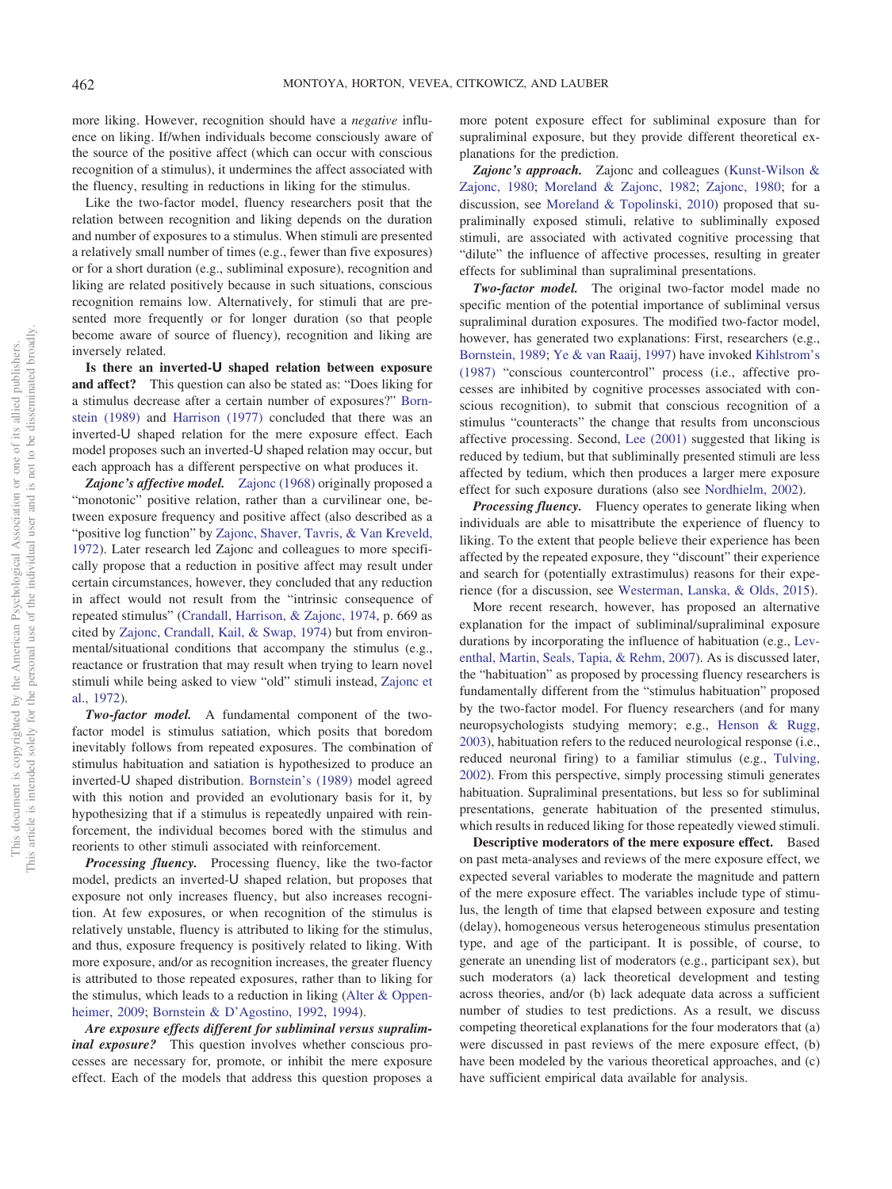more liking. However, recognition should have a *negative* influence on liking. If/when individuals become consciously aware of the source of the positive affect (which can occur with conscious recognition of a stimulus), it undermines the affect associated with the fluency, resulting in reductions in liking for the stimulus.

Like the two-factor model, fluency researchers posit that the relation between recognition and liking depends on the duration and number of exposures to a stimulus. When stimuli are presented a relatively small number of times (e.g., fewer than five exposures) or for a short duration (e.g., subliminal exposure), recognition and liking are related positively because in such situations, conscious recognition remains low. Alternatively, for stimuli that are presented more frequently or for longer duration (so that people become aware of source of fluency), recognition and liking are inversely related.

**Is there an inverted-U shaped relation between exposure and affect?** This question can also be stated as: "Does liking for a stimulus decrease after a certain number of exposures?" [Born](#page-19-1)[stein \(1989\)](#page-19-1) and [Harrison \(1977\)](#page-20-1) concluded that there was an inverted-U shaped relation for the mere exposure effect. Each model proposes such an inverted-U shaped relation may occur, but each approach has a different perspective on what produces it.

Zajonc's affective model. [Zajonc \(1968\)](#page-24-0) originally proposed a "monotonic" positive relation, rather than a curvilinear one, between exposure frequency and positive affect (also described as a "positive log function" by [Zajonc, Shaver, Tavris, & Van Kreveld,](#page-24-14) [1972\)](#page-24-14). Later research led Zajonc and colleagues to more specifically propose that a reduction in positive affect may result under certain circumstances, however, they concluded that any reduction in affect would not result from the "intrinsic consequence of repeated stimulus" [\(Crandall, Harrison, & Zajonc, 1974,](#page-19-9) p. 669 as cited by [Zajonc, Crandall, Kail, & Swap, 1974\)](#page-24-15) but from environmental/situational conditions that accompany the stimulus (e.g., reactance or frustration that may result when trying to learn novel stimuli while being asked to view "old" stimuli instead, [Zajonc et](#page-24-14) [al., 1972\)](#page-24-14).

*Two-factor model.* A fundamental component of the twofactor model is stimulus satiation, which posits that boredom inevitably follows from repeated exposures. The combination of stimulus habituation and satiation is hypothesized to produce an inverted-U shaped distribution. [Bornstein's \(1989\)](#page-19-1) model agreed with this notion and provided an evolutionary basis for it, by hypothesizing that if a stimulus is repeatedly unpaired with reinforcement, the individual becomes bored with the stimulus and reorients to other stimuli associated with reinforcement.

*Processing fluency.* Processing fluency, like the two-factor model, predicts an inverted-U shaped relation, but proposes that exposure not only increases fluency, but also increases recognition. At few exposures, or when recognition of the stimulus is relatively unstable, fluency is attributed to liking for the stimulus, and thus, exposure frequency is positively related to liking. With more exposure, and/or as recognition increases, the greater fluency is attributed to those repeated exposures, rather than to liking for the stimulus, which leads to a reduction in liking [\(Alter & Oppen](#page-18-6)[heimer, 2009;](#page-18-6) [Bornstein & D'Agostino, 1992,](#page-19-10) [1994\)](#page-19-5).

*Are exposure effects different for subliminal versus supraliminal exposure?* This question involves whether conscious processes are necessary for, promote, or inhibit the mere exposure effect. Each of the models that address this question proposes a

more potent exposure effect for subliminal exposure than for supraliminal exposure, but they provide different theoretical explanations for the prediction.

*Zajonc's approach.* Zajonc and colleagues [\(Kunst-Wilson &](#page-21-9) [Zajonc, 1980;](#page-21-9) [Moreland & Zajonc, 1982;](#page-22-5) [Zajonc, 1980;](#page-24-8) for a discussion, see [Moreland & Topolinski, 2010\)](#page-22-6) proposed that supraliminally exposed stimuli, relative to subliminally exposed stimuli, are associated with activated cognitive processing that "dilute" the influence of affective processes, resulting in greater effects for subliminal than supraliminal presentations.

*Two-factor model.* The original two-factor model made no specific mention of the potential importance of subliminal versus supraliminal duration exposures. The modified two-factor model, however, has generated two explanations: First, researchers (e.g., [Bornstein, 1989;](#page-19-1) [Ye & van Raaij, 1997\)](#page-24-9) have invoked [Kihlstrom's](#page-21-13) [\(1987\)](#page-21-13) "conscious countercontrol" process (i.e., affective processes are inhibited by cognitive processes associated with conscious recognition), to submit that conscious recognition of a stimulus "counteracts" the change that results from unconscious affective processing. Second, [Lee \(2001\)](#page-21-14) suggested that liking is reduced by tedium, but that subliminally presented stimuli are less affected by tedium, which then produces a larger mere exposure effect for such exposure durations (also see [Nordhielm, 2002\)](#page-22-7).

*Processing fluency.* Fluency operates to generate liking when individuals are able to misattribute the experience of fluency to liking. To the extent that people believe their experience has been affected by the repeated exposure, they "discount" their experience and search for (potentially extrastimulus) reasons for their experience (for a discussion, see [Westerman, Lanska, & Olds, 2015\)](#page-24-16).

More recent research, however, has proposed an alternative explanation for the impact of subliminal/supraliminal exposure durations by incorporating the influence of habituation (e.g., [Lev](#page-21-15)[enthal, Martin, Seals, Tapia, & Rehm, 2007\)](#page-21-15). As is discussed later, the "habituation" as proposed by processing fluency researchers is fundamentally different from the "stimulus habituation" proposed by the two-factor model. For fluency researchers (and for many neuropsychologists studying memory; e.g., [Henson & Rugg,](#page-20-4) [2003\)](#page-20-4), habituation refers to the reduced neurological response (i.e., reduced neuronal firing) to a familiar stimulus (e.g., [Tulving,](#page-23-7) [2002\)](#page-23-7). From this perspective, simply processing stimuli generates habituation. Supraliminal presentations, but less so for subliminal presentations, generate habituation of the presented stimulus, which results in reduced liking for those repeatedly viewed stimuli.

**Descriptive moderators of the mere exposure effect.** Based on past meta-analyses and reviews of the mere exposure effect, we expected several variables to moderate the magnitude and pattern of the mere exposure effect. The variables include type of stimulus, the length of time that elapsed between exposure and testing (delay), homogeneous versus heterogeneous stimulus presentation type, and age of the participant. It is possible, of course, to generate an unending list of moderators (e.g., participant sex), but such moderators (a) lack theoretical development and testing across theories, and/or (b) lack adequate data across a sufficient number of studies to test predictions. As a result, we discuss competing theoretical explanations for the four moderators that (a) were discussed in past reviews of the mere exposure effect, (b) have been modeled by the various theoretical approaches, and (c) have sufficient empirical data available for analysis.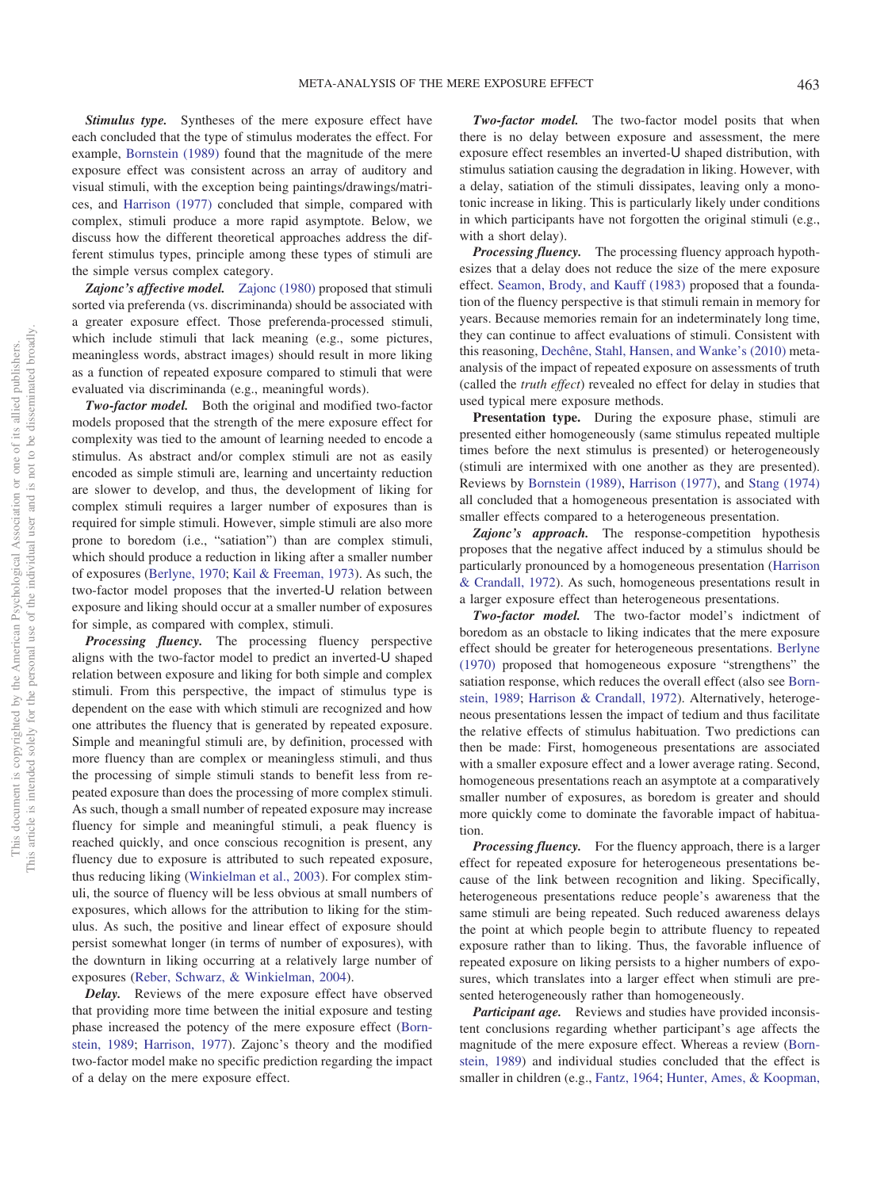exposure effect was consistent across an array of auditory and visual stimuli, with the exception being paintings/drawings/matrices, and [Harrison \(1977\)](#page-20-1) concluded that simple, compared with complex, stimuli produce a more rapid asymptote. Below, we discuss how the different theoretical approaches address the different stimulus types, principle among these types of stimuli are the simple versus complex category.

Zajonc's affective model. [Zajonc \(1980\)](#page-24-8) proposed that stimuli sorted via preferenda (vs. discriminanda) should be associated with a greater exposure effect. Those preferenda-processed stimuli, which include stimuli that lack meaning (e.g., some pictures, meaningless words, abstract images) should result in more liking as a function of repeated exposure compared to stimuli that were evaluated via discriminanda (e.g., meaningful words).

*Two-factor model.* Both the original and modified two-factor models proposed that the strength of the mere exposure effect for complexity was tied to the amount of learning needed to encode a stimulus. As abstract and/or complex stimuli are not as easily encoded as simple stimuli are, learning and uncertainty reduction are slower to develop, and thus, the development of liking for complex stimuli requires a larger number of exposures than is required for simple stimuli. However, simple stimuli are also more prone to boredom (i.e., "satiation") than are complex stimuli, which should produce a reduction in liking after a smaller number of exposures [\(Berlyne, 1970;](#page-18-1) [Kail & Freeman, 1973\)](#page-21-16). As such, the two-factor model proposes that the inverted-U relation between exposure and liking should occur at a smaller number of exposures for simple, as compared with complex, stimuli.

*Processing fluency.* The processing fluency perspective aligns with the two-factor model to predict an inverted-U shaped relation between exposure and liking for both simple and complex stimuli. From this perspective, the impact of stimulus type is dependent on the ease with which stimuli are recognized and how one attributes the fluency that is generated by repeated exposure. Simple and meaningful stimuli are, by definition, processed with more fluency than are complex or meaningless stimuli, and thus the processing of simple stimuli stands to benefit less from repeated exposure than does the processing of more complex stimuli. As such, though a small number of repeated exposure may increase fluency for simple and meaningful stimuli, a peak fluency is reached quickly, and once conscious recognition is present, any fluency due to exposure is attributed to such repeated exposure, thus reducing liking [\(Winkielman et al., 2003\)](#page-24-2). For complex stimuli, the source of fluency will be less obvious at small numbers of exposures, which allows for the attribution to liking for the stimulus. As such, the positive and linear effect of exposure should persist somewhat longer (in terms of number of exposures), with the downturn in liking occurring at a relatively large number of exposures [\(Reber, Schwarz, & Winkielman, 2004\)](#page-22-8).

*Delay.* Reviews of the mere exposure effect have observed that providing more time between the initial exposure and testing phase increased the potency of the mere exposure effect [\(Born](#page-19-1)[stein, 1989;](#page-19-1) [Harrison, 1977\)](#page-20-1). Zajonc's theory and the modified two-factor model make no specific prediction regarding the impact of a delay on the mere exposure effect.

*Two-factor model.* The two-factor model posits that when there is no delay between exposure and assessment, the mere exposure effect resembles an inverted-U shaped distribution, with stimulus satiation causing the degradation in liking. However, with a delay, satiation of the stimuli dissipates, leaving only a monotonic increase in liking. This is particularly likely under conditions in which participants have not forgotten the original stimuli (e.g., with a short delay).

*Processing fluency.* The processing fluency approach hypothesizes that a delay does not reduce the size of the mere exposure effect. [Seamon, Brody, and Kauff \(1983\)](#page-23-3) proposed that a foundation of the fluency perspective is that stimuli remain in memory for years. Because memories remain for an indeterminately long time, they can continue to affect evaluations of stimuli. Consistent with this reasoning, [Dechêne, Stahl, Hansen, and Wanke's \(2010\)](#page-19-7) metaanalysis of the impact of repeated exposure on assessments of truth (called the *truth effect*) revealed no effect for delay in studies that used typical mere exposure methods.

**Presentation type.** During the exposure phase, stimuli are presented either homogeneously (same stimulus repeated multiple times before the next stimulus is presented) or heterogeneously (stimuli are intermixed with one another as they are presented). Reviews by [Bornstein \(1989\),](#page-19-1) [Harrison \(1977\),](#page-20-1) and [Stang \(1974\)](#page-23-8) all concluded that a homogeneous presentation is associated with smaller effects compared to a heterogeneous presentation.

Zajonc's approach. The response-competition hypothesis proposes that the negative affect induced by a stimulus should be particularly pronounced by a homogeneous presentation [\(Harrison](#page-20-5) [& Crandall, 1972\)](#page-20-5). As such, homogeneous presentations result in a larger exposure effect than heterogeneous presentations.

*Two-factor model.* The two-factor model's indictment of boredom as an obstacle to liking indicates that the mere exposure effect should be greater for heterogeneous presentations. [Berlyne](#page-18-1) [\(1970\)](#page-18-1) proposed that homogeneous exposure "strengthens" the satiation response, which reduces the overall effect (also see [Born](#page-19-1)[stein, 1989;](#page-19-1) [Harrison & Crandall, 1972\)](#page-20-5). Alternatively, heterogeneous presentations lessen the impact of tedium and thus facilitate the relative effects of stimulus habituation. Two predictions can then be made: First, homogeneous presentations are associated with a smaller exposure effect and a lower average rating. Second, homogeneous presentations reach an asymptote at a comparatively smaller number of exposures, as boredom is greater and should more quickly come to dominate the favorable impact of habituation.

*Processing fluency.* For the fluency approach, there is a larger effect for repeated exposure for heterogeneous presentations because of the link between recognition and liking. Specifically, heterogeneous presentations reduce people's awareness that the same stimuli are being repeated. Such reduced awareness delays the point at which people begin to attribute fluency to repeated exposure rather than to liking. Thus, the favorable influence of repeated exposure on liking persists to a higher numbers of exposures, which translates into a larger effect when stimuli are presented heterogeneously rather than homogeneously.

*Participant age.* Reviews and studies have provided inconsistent conclusions regarding whether participant's age affects the magnitude of the mere exposure effect. Whereas a review [\(Born](#page-19-1)[stein, 1989\)](#page-19-1) and individual studies concluded that the effect is smaller in children (e.g., [Fantz, 1964;](#page-20-6) [Hunter, Ames, & Koopman,](#page-20-7)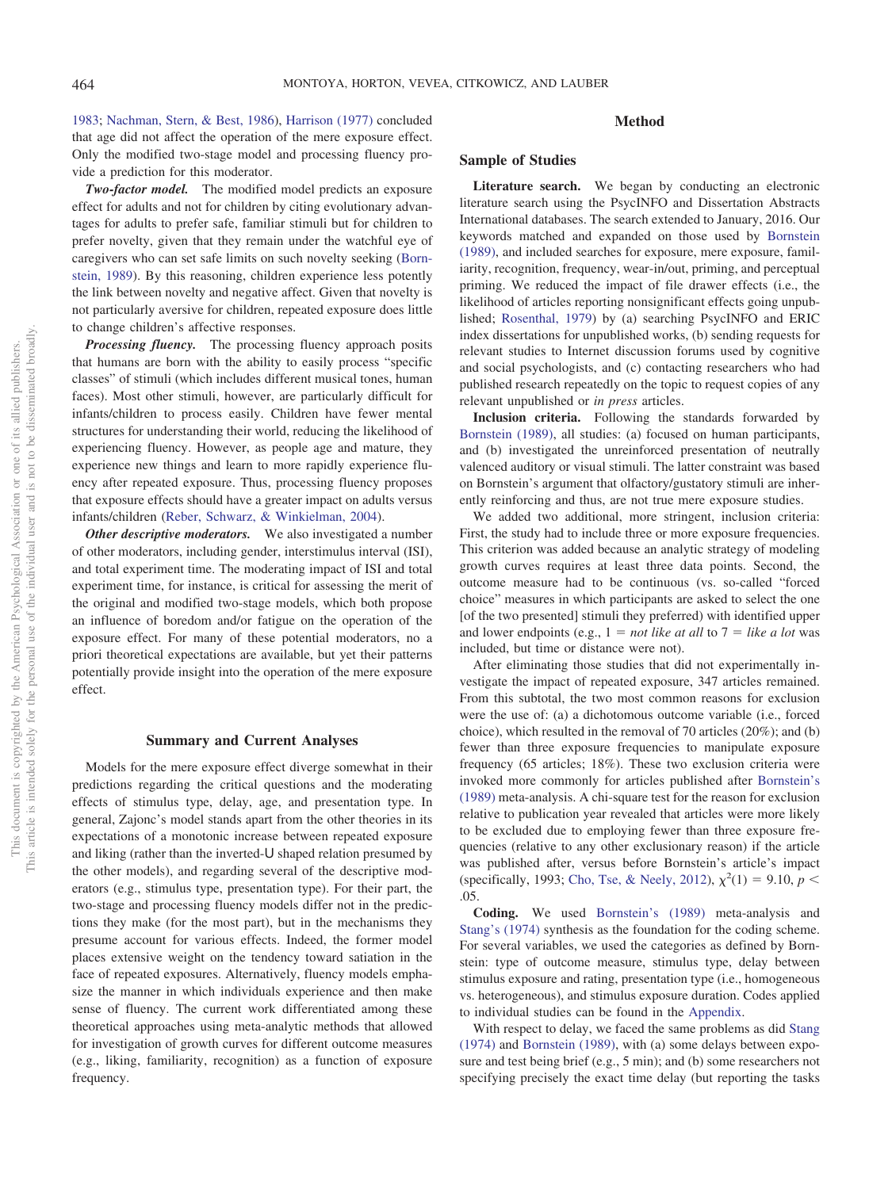[1983;](#page-20-7) [Nachman, Stern, & Best, 1986\)](#page-22-9), [Harrison \(1977\)](#page-20-1) concluded that age did not affect the operation of the mere exposure effect. Only the modified two-stage model and processing fluency provide a prediction for this moderator.

*Two-factor model.* The modified model predicts an exposure effect for adults and not for children by citing evolutionary advantages for adults to prefer safe, familiar stimuli but for children to prefer novelty, given that they remain under the watchful eye of caregivers who can set safe limits on such novelty seeking [\(Born](#page-19-1)[stein, 1989\)](#page-19-1). By this reasoning, children experience less potently the link between novelty and negative affect. Given that novelty is not particularly aversive for children, repeated exposure does little to change children's affective responses.

*Processing fluency*. The processing fluency approach posits that humans are born with the ability to easily process "specific classes" of stimuli (which includes different musical tones, human faces). Most other stimuli, however, are particularly difficult for infants/children to process easily. Children have fewer mental structures for understanding their world, reducing the likelihood of experiencing fluency. However, as people age and mature, they experience new things and learn to more rapidly experience fluency after repeated exposure. Thus, processing fluency proposes that exposure effects should have a greater impact on adults versus infants/children [\(Reber, Schwarz, & Winkielman, 2004\)](#page-22-8).

*Other descriptive moderators.* We also investigated a number of other moderators, including gender, interstimulus interval (ISI), and total experiment time. The moderating impact of ISI and total experiment time, for instance, is critical for assessing the merit of the original and modified two-stage models, which both propose an influence of boredom and/or fatigue on the operation of the exposure effect. For many of these potential moderators, no a priori theoretical expectations are available, but yet their patterns potentially provide insight into the operation of the mere exposure effect.

#### **Summary and Current Analyses**

Models for the mere exposure effect diverge somewhat in their predictions regarding the critical questions and the moderating effects of stimulus type, delay, age, and presentation type. In general, Zajonc's model stands apart from the other theories in its expectations of a monotonic increase between repeated exposure and liking (rather than the inverted-U shaped relation presumed by the other models), and regarding several of the descriptive moderators (e.g., stimulus type, presentation type). For their part, the two-stage and processing fluency models differ not in the predictions they make (for the most part), but in the mechanisms they presume account for various effects. Indeed, the former model places extensive weight on the tendency toward satiation in the face of repeated exposures. Alternatively, fluency models emphasize the manner in which individuals experience and then make sense of fluency. The current work differentiated among these theoretical approaches using meta-analytic methods that allowed for investigation of growth curves for different outcome measures (e.g., liking, familiarity, recognition) as a function of exposure frequency.

#### **Method**

#### **Sample of Studies**

Literature search. We began by conducting an electronic literature search using the PsycINFO and Dissertation Abstracts International databases. The search extended to January, 2016. Our keywords matched and expanded on those used by [Bornstein](#page-19-1) [\(1989\),](#page-19-1) and included searches for exposure, mere exposure, familiarity, recognition, frequency, wear-in/out, priming, and perceptual priming. We reduced the impact of file drawer effects (i.e., the likelihood of articles reporting nonsignificant effects going unpublished; [Rosenthal, 1979\)](#page-23-9) by (a) searching PsycINFO and ERIC index dissertations for unpublished works, (b) sending requests for relevant studies to Internet discussion forums used by cognitive and social psychologists, and (c) contacting researchers who had published research repeatedly on the topic to request copies of any relevant unpublished or *in press* articles.

**Inclusion criteria.** Following the standards forwarded by [Bornstein \(1989\),](#page-19-1) all studies: (a) focused on human participants, and (b) investigated the unreinforced presentation of neutrally valenced auditory or visual stimuli. The latter constraint was based on Bornstein's argument that olfactory/gustatory stimuli are inherently reinforcing and thus, are not true mere exposure studies.

We added two additional, more stringent, inclusion criteria: First, the study had to include three or more exposure frequencies. This criterion was added because an analytic strategy of modeling growth curves requires at least three data points. Second, the outcome measure had to be continuous (vs. so-called "forced choice" measures in which participants are asked to select the one [of the two presented] stimuli they preferred) with identified upper and lower endpoints (e.g.,  $1 = not$  *like at all* to  $7 = like$  *a lot* was included, but time or distance were not).

After eliminating those studies that did not experimentally investigate the impact of repeated exposure, 347 articles remained. From this subtotal, the two most common reasons for exclusion were the use of: (a) a dichotomous outcome variable (i.e., forced choice), which resulted in the removal of 70 articles (20%); and (b) fewer than three exposure frequencies to manipulate exposure frequency (65 articles; 18%). These two exclusion criteria were invoked more commonly for articles published after [Bornstein's](#page-19-1) [\(1989\)](#page-19-1) meta-analysis. A chi-square test for the reason for exclusion relative to publication year revealed that articles were more likely to be excluded due to employing fewer than three exposure frequencies (relative to any other exclusionary reason) if the article was published after, versus before Bornstein's article's impact (specifically, 1993; [Cho, Tse, & Neely, 2012\)](#page-19-11),  $\chi^2(1) = 9.10$ ,  $p <$ .05.

**Coding.** We used [Bornstein's \(1989\)](#page-19-1) meta-analysis and [Stang's \(1974\)](#page-23-8) synthesis as the foundation for the coding scheme. For several variables, we used the categories as defined by Bornstein: type of outcome measure, stimulus type, delay between stimulus exposure and rating, presentation type (i.e., homogeneous vs. heterogeneous), and stimulus exposure duration. Codes applied to individual studies can be found in the [Appendix.](#page-25-0)

With respect to delay, we faced the same problems as did [Stang](#page-23-8) [\(1974\)](#page-23-8) and [Bornstein \(1989\),](#page-19-1) with (a) some delays between exposure and test being brief (e.g., 5 min); and (b) some researchers not specifying precisely the exact time delay (but reporting the tasks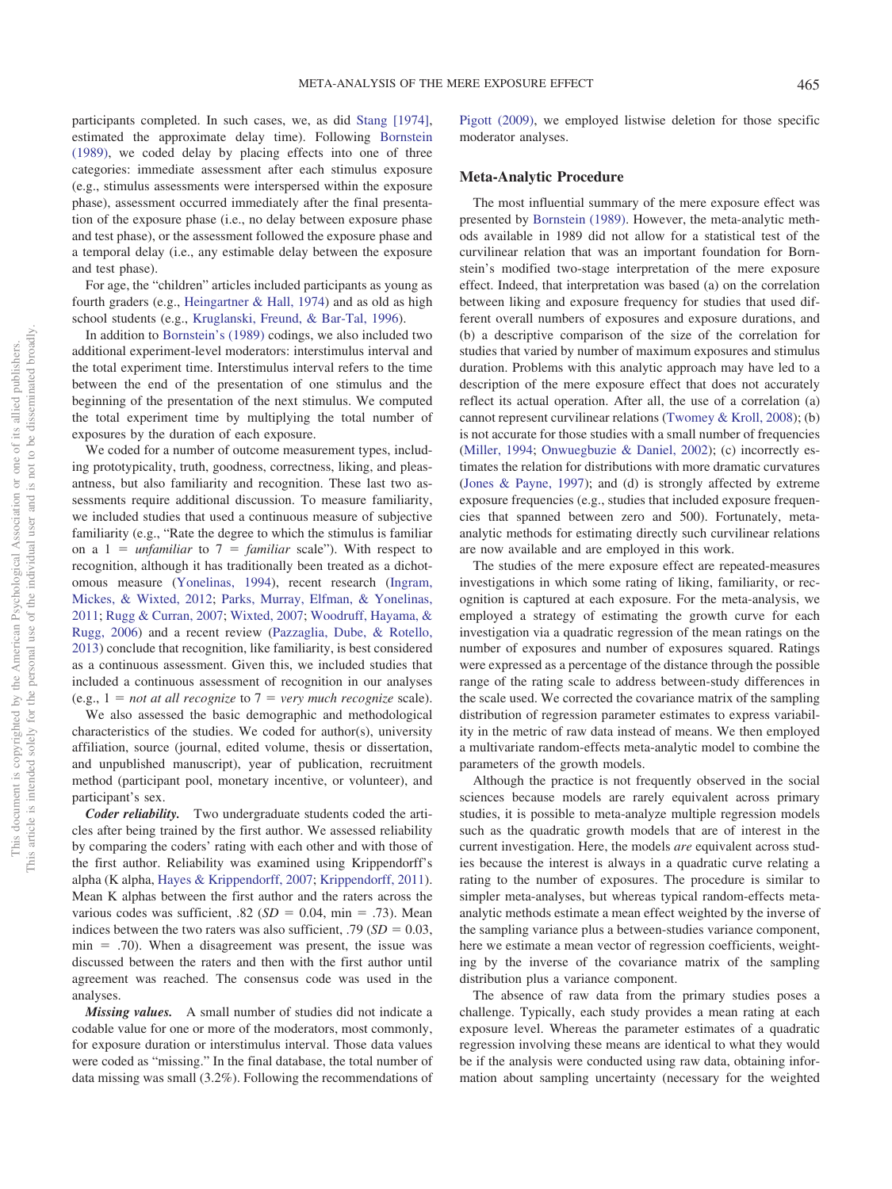participants completed. In such cases, we, as did [Stang \[1974\],](#page-23-8) estimated the approximate delay time). Following [Bornstein](#page-19-1) [\(1989\),](#page-19-1) we coded delay by placing effects into one of three categories: immediate assessment after each stimulus exposure (e.g., stimulus assessments were interspersed within the exposure phase), assessment occurred immediately after the final presentation of the exposure phase (i.e., no delay between exposure phase and test phase), or the assessment followed the exposure phase and a temporal delay (i.e., any estimable delay between the exposure and test phase).

For age, the "children" articles included participants as young as fourth graders (e.g., [Heingartner & Hall, 1974\)](#page-20-8) and as old as high school students (e.g., [Kruglanski, Freund, & Bar-Tal, 1996\)](#page-21-17).

In addition to [Bornstein's \(1989\)](#page-19-1) codings, we also included two additional experiment-level moderators: interstimulus interval and the total experiment time. Interstimulus interval refers to the time between the end of the presentation of one stimulus and the beginning of the presentation of the next stimulus. We computed the total experiment time by multiplying the total number of exposures by the duration of each exposure.

We coded for a number of outcome measurement types, including prototypicality, truth, goodness, correctness, liking, and pleasantness, but also familiarity and recognition. These last two assessments require additional discussion. To measure familiarity, we included studies that used a continuous measure of subjective familiarity (e.g., "Rate the degree to which the stimulus is familiar on a  $1 = \text{unfamiliar}$  to  $7 = \text{familiar scale}$ . With respect to recognition, although it has traditionally been treated as a dichotomous measure [\(Yonelinas, 1994\)](#page-24-11), recent research [\(Ingram,](#page-20-9) [Mickes, & Wixted, 2012;](#page-20-9) [Parks, Murray, Elfman, & Yonelinas,](#page-22-10) [2011;](#page-22-10) [Rugg & Curran, 2007;](#page-23-10) [Wixted, 2007;](#page-24-17) [Woodruff, Hayama, &](#page-24-18) [Rugg, 2006\)](#page-24-18) and a recent review [\(Pazzaglia, Dube, & Rotello,](#page-22-11) [2013\)](#page-22-11) conclude that recognition, like familiarity, is best considered as a continuous assessment. Given this, we included studies that included a continuous assessment of recognition in our analyses  $(e.g., 1 = not at all recognize to 7 = very much recognize scale).$ 

We also assessed the basic demographic and methodological characteristics of the studies. We coded for author(s), university affiliation, source (journal, edited volume, thesis or dissertation, and unpublished manuscript), year of publication, recruitment method (participant pool, monetary incentive, or volunteer), and participant's sex.

*Coder reliability.* Two undergraduate students coded the articles after being trained by the first author. We assessed reliability by comparing the coders' rating with each other and with those of the first author. Reliability was examined using Krippendorff's alpha (K alpha, [Hayes & Krippendorff, 2007;](#page-20-10) [Krippendorff, 2011\)](#page-21-18). Mean K alphas between the first author and the raters across the various codes was sufficient,  $.82$  ( $SD = 0.04$ , min = .73). Mean indices between the two raters was also sufficient, .79  $(SD = 0.03,$  $min = .70$ ). When a disagreement was present, the issue was discussed between the raters and then with the first author until agreement was reached. The consensus code was used in the analyses.

*Missing values.* A small number of studies did not indicate a codable value for one or more of the moderators, most commonly, for exposure duration or interstimulus interval. Those data values were coded as "missing." In the final database, the total number of data missing was small (3.2%). Following the recommendations of

[Pigott \(2009\),](#page-22-12) we employed listwise deletion for those specific moderator analyses.

#### **Meta-Analytic Procedure**

The most influential summary of the mere exposure effect was presented by [Bornstein \(1989\).](#page-19-1) However, the meta-analytic methods available in 1989 did not allow for a statistical test of the curvilinear relation that was an important foundation for Bornstein's modified two-stage interpretation of the mere exposure effect. Indeed, that interpretation was based (a) on the correlation between liking and exposure frequency for studies that used different overall numbers of exposures and exposure durations, and (b) a descriptive comparison of the size of the correlation for studies that varied by number of maximum exposures and stimulus duration. Problems with this analytic approach may have led to a description of the mere exposure effect that does not accurately reflect its actual operation. After all, the use of a correlation (a) cannot represent curvilinear relations [\(Twomey & Kroll, 2008\)](#page-23-11); (b) is not accurate for those studies with a small number of frequencies [\(Miller, 1994;](#page-22-13) [Onwuegbuzie & Daniel, 2002\)](#page-22-14); (c) incorrectly estimates the relation for distributions with more dramatic curvatures [\(Jones & Payne, 1997\)](#page-21-19); and (d) is strongly affected by extreme exposure frequencies (e.g., studies that included exposure frequencies that spanned between zero and 500). Fortunately, metaanalytic methods for estimating directly such curvilinear relations are now available and are employed in this work.

The studies of the mere exposure effect are repeated-measures investigations in which some rating of liking, familiarity, or recognition is captured at each exposure. For the meta-analysis, we employed a strategy of estimating the growth curve for each investigation via a quadratic regression of the mean ratings on the number of exposures and number of exposures squared. Ratings were expressed as a percentage of the distance through the possible range of the rating scale to address between-study differences in the scale used. We corrected the covariance matrix of the sampling distribution of regression parameter estimates to express variability in the metric of raw data instead of means. We then employed a multivariate random-effects meta-analytic model to combine the parameters of the growth models.

Although the practice is not frequently observed in the social sciences because models are rarely equivalent across primary studies, it is possible to meta-analyze multiple regression models such as the quadratic growth models that are of interest in the current investigation. Here, the models *are* equivalent across studies because the interest is always in a quadratic curve relating a rating to the number of exposures. The procedure is similar to simpler meta-analyses, but whereas typical random-effects metaanalytic methods estimate a mean effect weighted by the inverse of the sampling variance plus a between-studies variance component, here we estimate a mean vector of regression coefficients, weighting by the inverse of the covariance matrix of the sampling distribution plus a variance component.

The absence of raw data from the primary studies poses a challenge. Typically, each study provides a mean rating at each exposure level. Whereas the parameter estimates of a quadratic regression involving these means are identical to what they would be if the analysis were conducted using raw data, obtaining information about sampling uncertainty (necessary for the weighted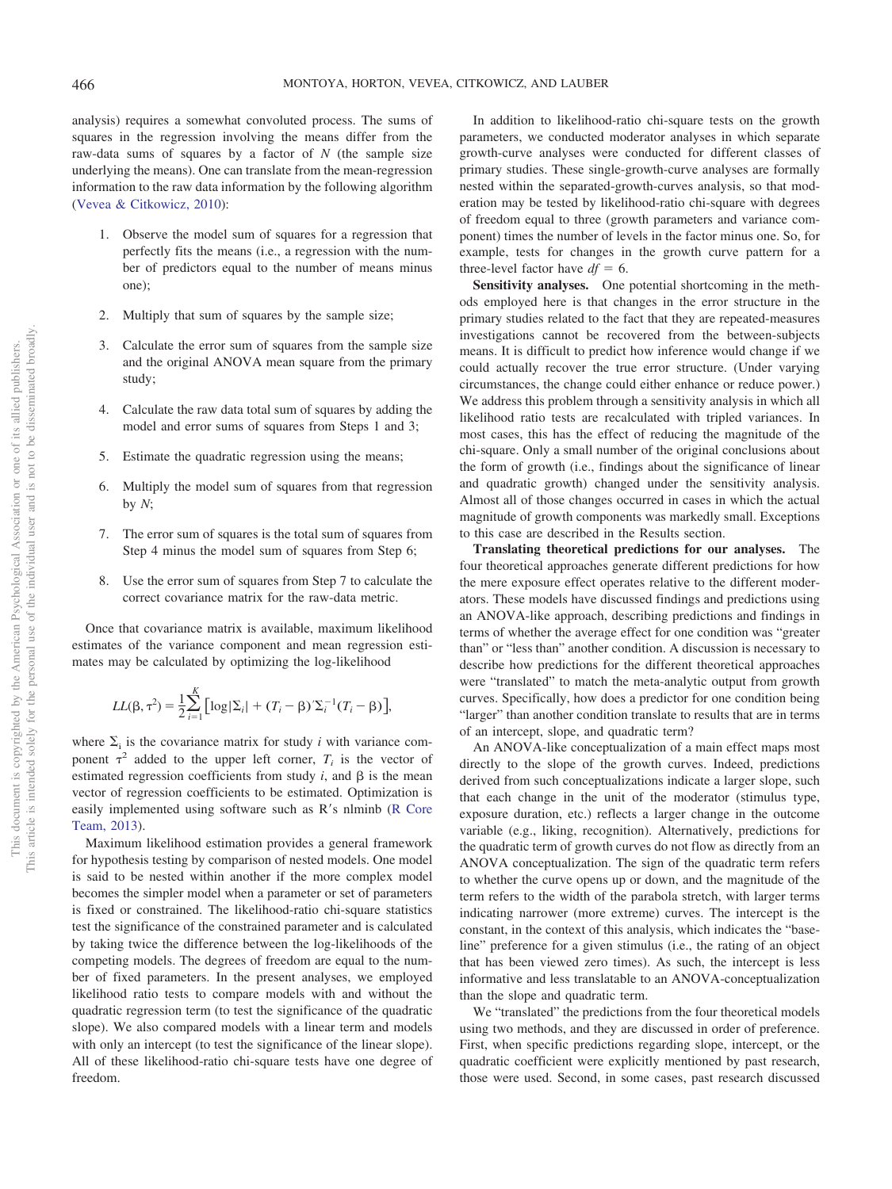analysis) requires a somewhat convoluted process. The sums of squares in the regression involving the means differ from the raw-data sums of squares by a factor of *N* (the sample size underlying the means). One can translate from the mean-regression information to the raw data information by the following algorithm [\(Vevea & Citkowicz, 2010\)](#page-23-12):

- 1. Observe the model sum of squares for a regression that perfectly fits the means (i.e., a regression with the number of predictors equal to the number of means minus one);
- 2. Multiply that sum of squares by the sample size;
- 3. Calculate the error sum of squares from the sample size and the original ANOVA mean square from the primary study;
- 4. Calculate the raw data total sum of squares by adding the model and error sums of squares from Steps 1 and 3;
- 5. Estimate the quadratic regression using the means;
- 6. Multiply the model sum of squares from that regression by *N*;
- 7. The error sum of squares is the total sum of squares from Step 4 minus the model sum of squares from Step 6;
- 8. Use the error sum of squares from Step 7 to calculate the correct covariance matrix for the raw-data metric.

Once that covariance matrix is available, maximum likelihood estimates of the variance component and mean regression estimates may be calculated by optimizing the log-likelihood

$$
LL(\beta, \tau^2) = \frac{1}{2} \sum_{i=1}^{K} \left[ \log |\Sigma_i| + (T_i - \beta)' \Sigma_i^{-1} (T_i - \beta) \right],
$$

where  $\Sigma_i$  is the covariance matrix for study *i* with variance component  $\tau^2$  added to the upper left corner,  $T_i$  is the vector of estimated regression coefficients from study  $i$ , and  $\beta$  is the mean vector of regression coefficients to be estimated. Optimization is easily implemented using software such as R's nlminb [\(R Core](#page-22-15) [Team, 2013\)](#page-22-15).

Maximum likelihood estimation provides a general framework for hypothesis testing by comparison of nested models. One model is said to be nested within another if the more complex model becomes the simpler model when a parameter or set of parameters is fixed or constrained. The likelihood-ratio chi-square statistics test the significance of the constrained parameter and is calculated by taking twice the difference between the log-likelihoods of the competing models. The degrees of freedom are equal to the number of fixed parameters. In the present analyses, we employed likelihood ratio tests to compare models with and without the quadratic regression term (to test the significance of the quadratic slope). We also compared models with a linear term and models with only an intercept (to test the significance of the linear slope). All of these likelihood-ratio chi-square tests have one degree of freedom.

In addition to likelihood-ratio chi-square tests on the growth parameters, we conducted moderator analyses in which separate growth-curve analyses were conducted for different classes of primary studies. These single-growth-curve analyses are formally nested within the separated-growth-curves analysis, so that moderation may be tested by likelihood-ratio chi-square with degrees of freedom equal to three (growth parameters and variance component) times the number of levels in the factor minus one. So, for example, tests for changes in the growth curve pattern for a three-level factor have  $df = 6$ .

**Sensitivity analyses.** One potential shortcoming in the methods employed here is that changes in the error structure in the primary studies related to the fact that they are repeated-measures investigations cannot be recovered from the between-subjects means. It is difficult to predict how inference would change if we could actually recover the true error structure. (Under varying circumstances, the change could either enhance or reduce power.) We address this problem through a sensitivity analysis in which all likelihood ratio tests are recalculated with tripled variances. In most cases, this has the effect of reducing the magnitude of the chi-square. Only a small number of the original conclusions about the form of growth (i.e., findings about the significance of linear and quadratic growth) changed under the sensitivity analysis. Almost all of those changes occurred in cases in which the actual magnitude of growth components was markedly small. Exceptions to this case are described in the Results section.

**Translating theoretical predictions for our analyses.** The four theoretical approaches generate different predictions for how the mere exposure effect operates relative to the different moderators. These models have discussed findings and predictions using an ANOVA-like approach, describing predictions and findings in terms of whether the average effect for one condition was "greater than" or "less than" another condition. A discussion is necessary to describe how predictions for the different theoretical approaches were "translated" to match the meta-analytic output from growth curves. Specifically, how does a predictor for one condition being "larger" than another condition translate to results that are in terms of an intercept, slope, and quadratic term?

An ANOVA-like conceptualization of a main effect maps most directly to the slope of the growth curves. Indeed, predictions derived from such conceptualizations indicate a larger slope, such that each change in the unit of the moderator (stimulus type, exposure duration, etc.) reflects a larger change in the outcome variable (e.g., liking, recognition). Alternatively, predictions for the quadratic term of growth curves do not flow as directly from an ANOVA conceptualization. The sign of the quadratic term refers to whether the curve opens up or down, and the magnitude of the term refers to the width of the parabola stretch, with larger terms indicating narrower (more extreme) curves. The intercept is the constant, in the context of this analysis, which indicates the "baseline" preference for a given stimulus (i.e., the rating of an object that has been viewed zero times). As such, the intercept is less informative and less translatable to an ANOVA-conceptualization than the slope and quadratic term.

We "translated" the predictions from the four theoretical models using two methods, and they are discussed in order of preference. First, when specific predictions regarding slope, intercept, or the quadratic coefficient were explicitly mentioned by past research, those were used. Second, in some cases, past research discussed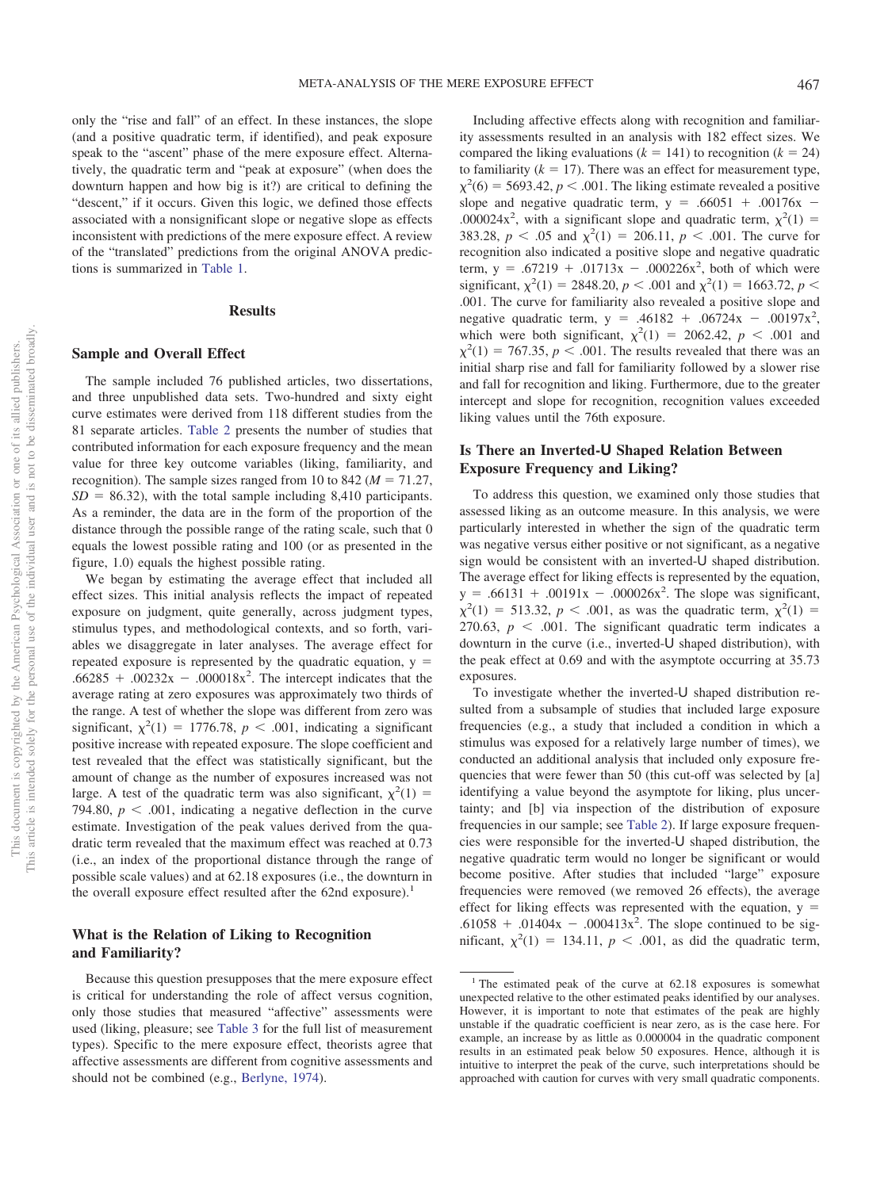only the "rise and fall" of an effect. In these instances, the slope (and a positive quadratic term, if identified), and peak exposure speak to the "ascent" phase of the mere exposure effect. Alternatively, the quadratic term and "peak at exposure" (when does the downturn happen and how big is it?) are critical to defining the "descent," if it occurs. Given this logic, we defined those effects associated with a nonsignificant slope or negative slope as effects inconsistent with predictions of the mere exposure effect. A review of the "translated" predictions from the original ANOVA predictions is summarized in [Table 1.](#page-2-0)

#### **Results**

## **Sample and Overall Effect**

The sample included 76 published articles, two dissertations, and three unpublished data sets. Two-hundred and sixty eight curve estimates were derived from 118 different studies from the 81 separate articles. [Table 2](#page-9-0) presents the number of studies that contributed information for each exposure frequency and the mean value for three key outcome variables (liking, familiarity, and recognition). The sample sizes ranged from 10 to 842 ( $M = 71.27$ ,  $SD = 86.32$ , with the total sample including 8,410 participants. As a reminder, the data are in the form of the proportion of the distance through the possible range of the rating scale, such that 0 equals the lowest possible rating and 100 (or as presented in the figure, 1.0) equals the highest possible rating.

We began by estimating the average effect that included all effect sizes. This initial analysis reflects the impact of repeated exposure on judgment, quite generally, across judgment types, stimulus types, and methodological contexts, and so forth, variables we disaggregate in later analyses. The average effect for repeated exposure is represented by the quadratic equation,  $y =$  $.66285 + .00232x - .000018x^2$ . The intercept indicates that the average rating at zero exposures was approximately two thirds of the range. A test of whether the slope was different from zero was significant,  $\chi^2(1) = 1776.78$ ,  $p < .001$ , indicating a significant positive increase with repeated exposure. The slope coefficient and test revealed that the effect was statistically significant, but the amount of change as the number of exposures increased was not large. A test of the quadratic term was also significant,  $\chi^2(1) =$ 794.80,  $p < .001$ , indicating a negative deflection in the curve estimate. Investigation of the peak values derived from the quadratic term revealed that the maximum effect was reached at 0.73 (i.e., an index of the proportional distance through the range of possible scale values) and at 62.18 exposures (i.e., the downturn in the overall exposure effect resulted after the 62nd exposure).<sup>1</sup>

## **What is the Relation of Liking to Recognition and Familiarity?**

Including affective effects along with recognition and familiarity assessments resulted in an analysis with 182 effect sizes. We compared the liking evaluations  $(k = 141)$  to recognition  $(k = 24)$ to familiarity  $(k = 17)$ . There was an effect for measurement type,  $\chi^2(6) = 5693.42, p < .001$ . The liking estimate revealed a positive slope and negative quadratic term,  $y = .66051 + .00176x$  -.000024x<sup>2</sup>, with a significant slope and quadratic term,  $\chi^2(1)$  = 383.28,  $p < .05$  and  $\chi^2(1) = 206.11$ ,  $p < .001$ . The curve for recognition also indicated a positive slope and negative quadratic term,  $y = .67219 + .01713x - .000226x^2$ , both of which were significant,  $\chi^2(1) = 2848.20$ ,  $p < .001$  and  $\chi^2(1) = 1663.72$ ,  $p <$ .001. The curve for familiarity also revealed a positive slope and negative quadratic term,  $y = .46182 + .06724x - .00197x^2$ , which were both significant,  $\chi^2(1) = 2062.42$ ,  $p < .001$  and  $\chi^2(1) = 767.35, p < .001$ . The results revealed that there was an initial sharp rise and fall for familiarity followed by a slower rise and fall for recognition and liking. Furthermore, due to the greater intercept and slope for recognition, recognition values exceeded liking values until the 76th exposure.

#### **Is There an Inverted-U Shaped Relation Between Exposure Frequency and Liking?**

To address this question, we examined only those studies that assessed liking as an outcome measure. In this analysis, we were particularly interested in whether the sign of the quadratic term was negative versus either positive or not significant, as a negative sign would be consistent with an inverted-U shaped distribution. The average effect for liking effects is represented by the equation,  $y = .66131 + .00191x - .000026x^2$ . The slope was significant,  $\chi^2(1) = 513.32, p < .001$ , as was the quadratic term,  $\chi^2(1) =$ 270.63,  $p < .001$ . The significant quadratic term indicates a downturn in the curve (i.e., inverted-U shaped distribution), with the peak effect at 0.69 and with the asymptote occurring at 35.73 exposures.

To investigate whether the inverted-U shaped distribution resulted from a subsample of studies that included large exposure frequencies (e.g., a study that included a condition in which a stimulus was exposed for a relatively large number of times), we conducted an additional analysis that included only exposure frequencies that were fewer than 50 (this cut-off was selected by [a] identifying a value beyond the asymptote for liking, plus uncertainty; and [b] via inspection of the distribution of exposure frequencies in our sample; see [Table 2\)](#page-9-0). If large exposure frequencies were responsible for the inverted-U shaped distribution, the negative quadratic term would no longer be significant or would become positive. After studies that included "large" exposure frequencies were removed (we removed 26 effects), the average effect for liking effects was represented with the equation,  $y =$  $.61058 + .01404x - .000413x^2$ . The slope continued to be significant,  $\chi^2(1) = 134.11$ ,  $p < .001$ , as did the quadratic term,

Because this question presupposes that the mere exposure effect is critical for understanding the role of affect versus cognition, only those studies that measured "affective" assessments were used (liking, pleasure; see [Table 3](#page-10-0) for the full list of measurement types). Specific to the mere exposure effect, theorists agree that affective assessments are different from cognitive assessments and should not be combined (e.g., [Berlyne, 1974\)](#page-18-7).

<sup>&</sup>lt;sup>1</sup> The estimated peak of the curve at 62.18 exposures is somewhat unexpected relative to the other estimated peaks identified by our analyses. However, it is important to note that estimates of the peak are highly unstable if the quadratic coefficient is near zero, as is the case here. For example, an increase by as little as 0.000004 in the quadratic component results in an estimated peak below 50 exposures. Hence, although it is intuitive to interpret the peak of the curve, such interpretations should be approached with caution for curves with very small quadratic components.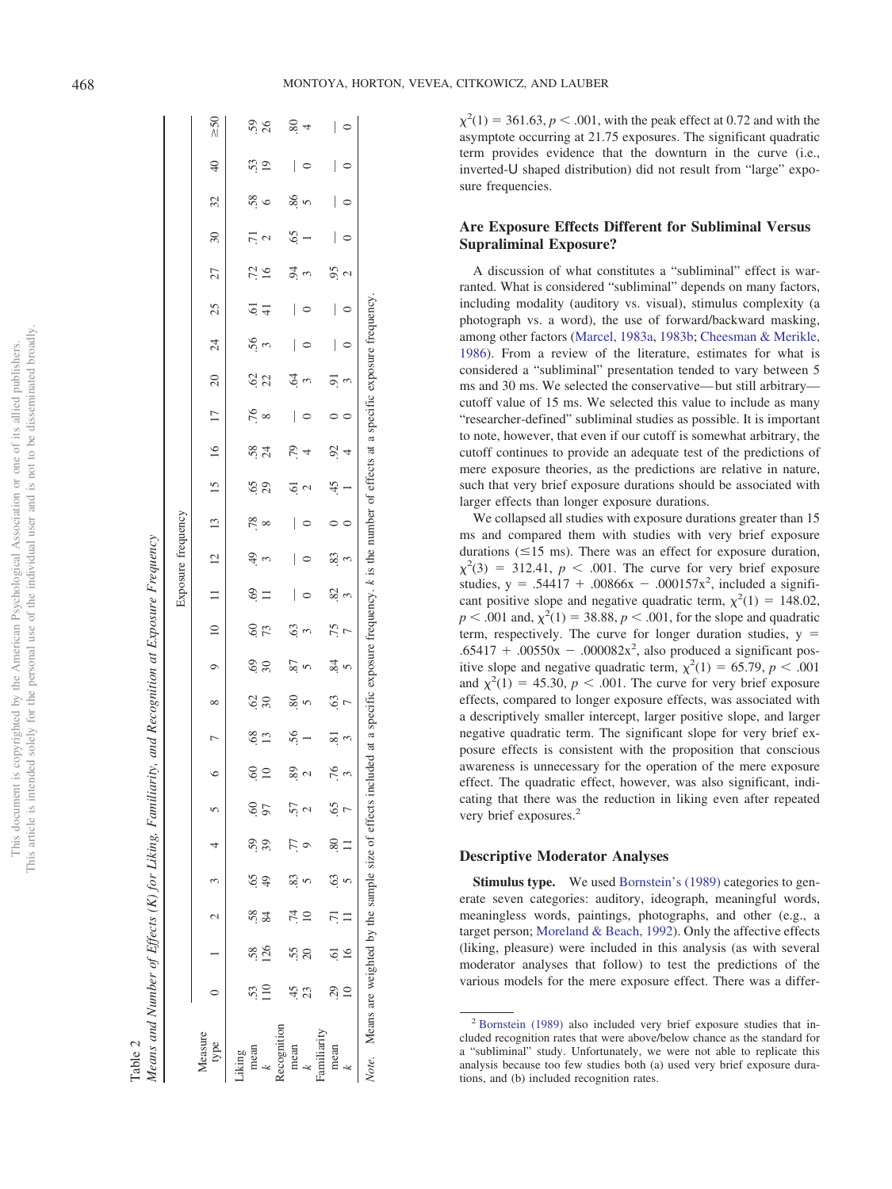<span id="page-9-0"></span>

|   | ↘<br>t |  |
|---|--------|--|
| ١ | ole    |  |

|           | I                                       |
|-----------|-----------------------------------------|
|           | א היינוח הניצו לו ההו<br>the mother in  |
|           |                                         |
|           |                                         |
|           | , unu 1                                 |
|           | <b>The contract of the contract</b>     |
|           | $\frac{1}{2}$<br>$\sim 12.1$            |
|           | $\sim$ $\sim$ $\sim$<br>י<br>י          |
|           | Ì                                       |
|           |                                         |
|           | <b>Mariana da como</b>                  |
|           | .<br>با                                 |
| l<br>Fala | moning and the<br>ていこ<br>Mean<br>l<br>l |

|                 |                                                        |                 |            |                 |                 |         |                 |                |                               |                     |                 | Exposure frequency |                |                                  |           |               |                 |                |              |                |           |                  |            |             |                          |
|-----------------|--------------------------------------------------------|-----------------|------------|-----------------|-----------------|---------|-----------------|----------------|-------------------------------|---------------------|-----------------|--------------------|----------------|----------------------------------|-----------|---------------|-----------------|----------------|--------------|----------------|-----------|------------------|------------|-------------|--------------------------|
| Measure<br>type |                                                        |                 |            |                 |                 |         |                 | ٢              | ∞                             | $\circ$             | $\approx$       |                    | $\overline{c}$ | $\frac{13}{2}$                   | 15        | $\frac{6}{1}$ | $\overline{17}$ | 20             | 24           | 25             | 27        | 30               | 32         | $rac{4}{5}$ | $\geq 50$                |
| mean<br>kmg     | 53.                                                    | 58.             | .58        | $\widetilde{9}$ |                 | $\odot$ |                 | $89$ .         |                               |                     |                 | 69.                | ĢÞ.            |                                  |           |               |                 |                |              | $\overline{6}$ |           | $\overline{.71}$ | $\ddot{S}$ |             |                          |
|                 | $\Xi$                                                  | 126             | 84         | $\overline{6}$  | 59              | 50      | $\frac{60}{10}$ | $\mathbf{13}$  | $\mathfrak{S}$ $\mathfrak{S}$ | $\frac{6}{30}$      | $\frac{67}{73}$ | Ξ                  | 3              | $\frac{8}{8}$                    | 65        | 58<br>24      | $\frac{8}{9}$   | 62             | $rac{56}{3}$ | $\frac{1}{4}$  | $72$ 16   | 2                | $\circ$    | $53$<br>19  | $\frac{59}{26}$          |
| Recognition     |                                                        |                 |            |                 |                 |         |                 |                |                               |                     |                 |                    |                |                                  |           |               |                 |                |              |                |           |                  |            |             |                          |
| mean            |                                                        | $\frac{55}{20}$ |            | 83              | $\overline{17}$ | 57      | 89.             | 56             | 80                            | 87                  | $\frac{3}{3}$   | I                  | I              | I                                | Ģ         | .79           | $\mid$          | $\ddot{6}$     | $\mid$       | $\mid$         | $\dot{6}$ | $\widetilde{9}$  | 86.        | $\mid$      | .80                      |
|                 | $45$<br>23                                             |                 | <u>다 다</u> |                 |                 |         |                 |                | 5                             | 5                   |                 | 0                  |                |                                  | 2         | 4             |                 | 3              |              |                |           |                  |            | 0           | 4                        |
|                 |                                                        |                 |            |                 |                 |         |                 |                |                               |                     |                 |                    |                |                                  |           |               |                 |                |              |                |           |                  |            |             |                          |
| mean            | 29                                                     | $\ddot{\circ}$  |            | 63              | 80              | 65      | .76             | $\overline{8}$ | $\ddot{\circ}$                | $\ddot{\mathrm{s}}$ | .75             | 82                 | 83.            |                                  | $\dot{5}$ | $\mathcal{S}$ |                 | $\overline{5}$ | I            | I              | 95        | I                | I          | I           | $\overline{\phantom{a}}$ |
|                 | $\overline{10}$                                        | $\overline{16}$ |            |                 |                 |         |                 | 3              | Γ                             | $\sigma$            | $\overline{C}$  | 3                  | 3              |                                  |           | 4             |                 | 3              |              |                | 2         | 0                | $\circ$    | $\circ$     | $\circ$                  |
| Vote.           | Means are weighted by the sample size of effects inclu |                 |            |                 |                 |         | ded at          | t a speci      |                               |                     |                 |                    |                | he number of effects at a speci- |           |               |                 |                |              |                |           |                  |            |             |                          |

 $\chi^2(1) = 361.63, p < .001$ , with the peak effect at 0.72 and with the asymptote occurring at 21.75 exposures. The significant quadratic term provides evidence that the downturn in the curve (i.e., inverted-U shaped distribution) did not result from "large" exposure frequencies.

## **Are Exposure Effects Different for Subliminal Versus Supraliminal Exposure?**

A discussion of what constitutes a "subliminal" effect is warranted. What is considered "subliminal" depends on many factors, including modality (auditory vs. visual), stimulus complexity (a photograph vs. a word), the use of forward/backward masking, among other factors [\(Marcel, 1983a,](#page-21-20) [1983b;](#page-21-21) [Cheesman & Merikle,](#page-19-12) [1986\)](#page-19-12). From a review of the literature, estimates for what is considered a "subliminal" presentation tended to vary between 5 ms and 30 ms. We selected the conservative— but still arbitrary cutoff value of 15 ms. We selected this value to include as many "researcher-defined" subliminal studies as possible. It is important to note, however, that even if our cutoff is somewhat arbitrary, the cutoff continues to provide an adequate test of the predictions of mere exposure theories, as the predictions are relative in nature, such that very brief exposure durations should be associated with larger effects than longer exposure durations.

We collapsed all studies with exposure durations greater than 15 ms and compared them with studies with very brief exposure durations  $(\leq 15 \text{ ms})$ . There was an effect for exposure duration,  $\chi^2(3)$  = 312.41,  $p < .001$ . The curve for very brief exposure studies,  $y = .54417 + .00866x - .000157x^2$ , included a significant positive slope and negative quadratic term,  $\chi^2(1) = 148.02$ ,  $p < .001$  and,  $\chi^2(1) = 38.88, p < .001$ , for the slope and quadratic term, respectively. The curve for longer duration studies,  $y =$  $.65417 + .00550x - .000082x^2$ , also produced a significant positive slope and negative quadratic term,  $\chi^2(1) = 65.79$ ,  $p < .001$ and  $\chi^2(1) = 45.30, p < .001$ . The curve for very brief exposure effects, compared to longer exposure effects, was associated with a descriptively smaller intercept, larger positive slope, and larger negative quadratic term. The significant slope for very brief exposure effects is consistent with the proposition that conscious awareness is unnecessary for the operation of the mere exposure effect. The quadratic effect, however, was also significant, indicating that there was the reduction in liking even after repeated very brief exposures.<sup>2</sup>

#### **Descriptive Moderator Analyses**

**Stimulus type.** We used [Bornstein's \(1989\)](#page-19-1) categories to generate seven categories: auditory, ideograph, meaningful words, meaningless words, paintings, photographs, and other (e.g., a target person; [Moreland & Beach, 1992\)](#page-22-16). Only the affective effects (liking, pleasure) were included in this analysis (as with several moderator analyses that follow) to test the predictions of the various models for the mere exposure effect. There was a differ-

<sup>2</sup> [Bornstein \(1989\)](#page-19-1) also included very brief exposure studies that included recognition rates that were above/below chance as the standard for a "subliminal" study. Unfortunately, we were not able to replicate this analysis because too few studies both (a) used very brief exposure durations, and (b) included recognition rates.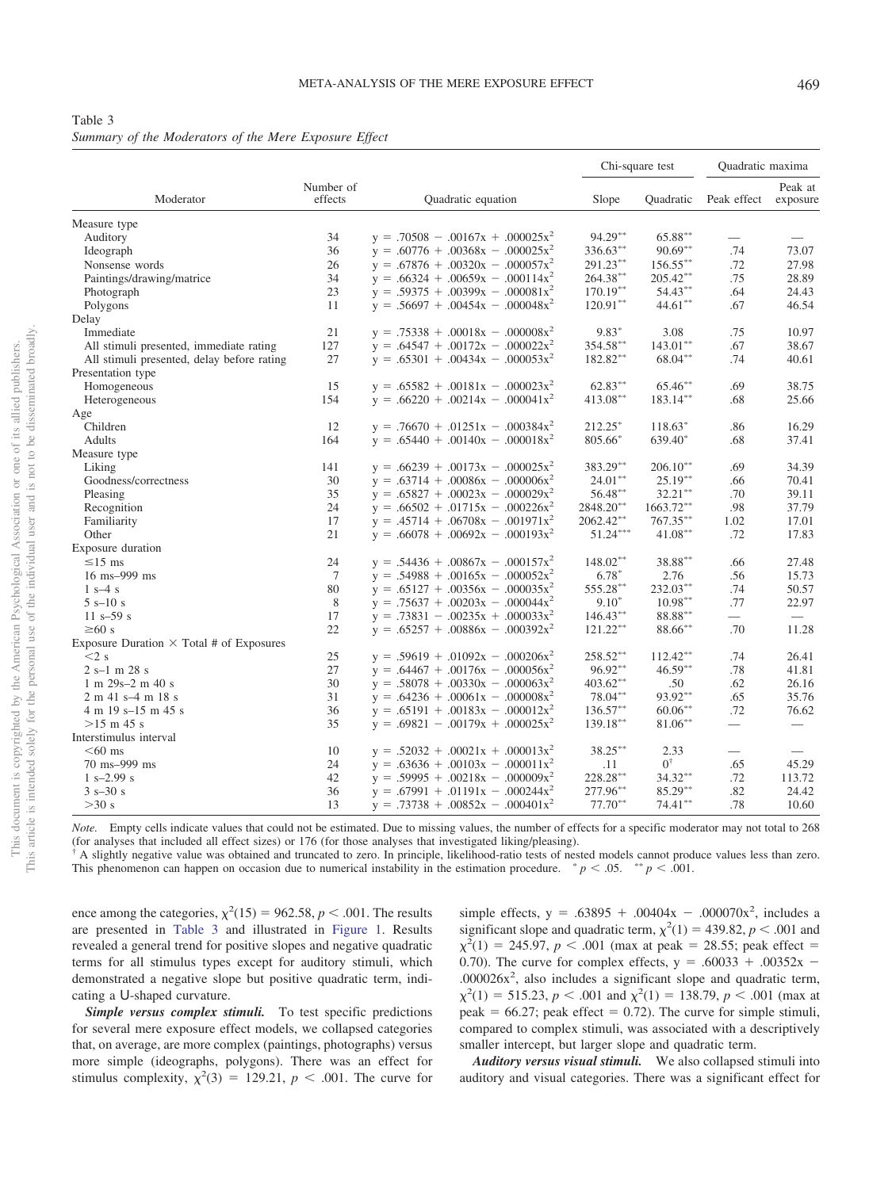<span id="page-10-0"></span>Table 3 *Summary of the Moderators of the Mere Exposure Effect*

|                                                 |                      |                                     |             | Chi-square test | Quadratic maxima |                     |
|-------------------------------------------------|----------------------|-------------------------------------|-------------|-----------------|------------------|---------------------|
| Moderator                                       | Number of<br>effects | Quadratic equation                  | Slope       | Quadratic       | Peak effect      | Peak at<br>exposure |
| Measure type                                    |                      |                                     |             |                 |                  |                     |
| Auditory                                        | 34                   | $y = .70508 - .00167x + .000025x^2$ | 94.29**     | 65.88**         |                  |                     |
| Ideograph                                       | 36                   | $y = .60776 + .00368x - .000025x^2$ | 336.63**    | $90.69**$       | .74              | 73.07               |
| Nonsense words                                  | 26                   | $y = .67876 + .00320x - .000057x^2$ | 291.23**    | $156.55***$     | .72              | 27.98               |
| Paintings/drawing/matrice                       | 34                   | $y = .66324 + .00659x - .000114x^2$ | 264.38**    | $205.42**$      | .75              | 28.89               |
| Photograph                                      | 23                   | $y = .59375 + .00399x - .000081x^2$ | $170.19**$  | 54.43**         | .64              | 24.43               |
| Polygons                                        | 11                   | $y = .56697 + .00454x - .000048x^2$ | $120.91***$ | $44.61***$      | .67              | 46.54               |
| Delay                                           |                      |                                     |             |                 |                  |                     |
| Immediate                                       | 21                   | $y = .75338 + .00018x - .000008x^2$ | $9.83*$     | 3.08            | .75              | 10.97               |
| All stimuli presented, immediate rating         | 127                  | $y = .64547 + .00172x - .000022x^2$ | 354.58**    | $143.01**$      | .67              | 38.67               |
| All stimuli presented, delay before rating      | 27                   | $y = .65301 + .00434x - .000053x^2$ | 182.82**    | 68.04**         | .74              | 40.61               |
| Presentation type                               |                      |                                     |             |                 |                  |                     |
| Homogeneous                                     | 15                   | $y = .65582 + .00181x - .000023x^2$ | 62.83**     | 65.46**         | .69              | 38.75               |
| Heterogeneous                                   | 154                  | $y = .66220 + .00214x - .000041x^2$ | 413.08**    | 183.14**        | .68              | 25.66               |
| Age                                             |                      |                                     |             |                 |                  |                     |
| Children                                        | 12                   | $y = .76670 + .01251x - .000384x^2$ | 212.25*     | $118.63*$       | .86              | 16.29               |
| Adults                                          | 164                  | $y = .65440 + .00140x - .000018x^2$ | 805.66*     | 639.40*         | .68              | 37.41               |
| Measure type                                    |                      |                                     |             |                 |                  |                     |
| Liking                                          | 141                  | $y = .66239 + .00173x - .000025x^2$ | 383.29**    | $206.10**$      | .69              | 34.39               |
| Goodness/correctness                            | 30                   | $y = .63714 + .00086x - .000006x^2$ | $24.01***$  | $25.19**$       | .66              | 70.41               |
| Pleasing                                        | 35                   | $y = .65827 + .00023x - .000029x^2$ | 56.48**     | $32.21***$      | .70              | 39.11               |
| Recognition                                     | 24                   | $y = .66502 + .01715x - .000226x^2$ | 2848.20**   | 1663.72**       | .98              | 37.79               |
| Familiarity                                     | 17                   | $y = .45714 + .06708x - .001971x^2$ | 2062.42**   | 767.35**        | 1.02             | 17.01               |
| Other                                           | 21                   | $y = .66078 + .00692x - .000193x^2$ | $51.24***$  | 41.08**         | .72              | 17.83               |
| Exposure duration                               |                      |                                     |             |                 |                  |                     |
| $\leq$ 15 ms                                    | 24                   | $y = .54436 + .00867x - .000157x^2$ | 148.02**    | 38.88**         | .66              | 27.48               |
| 16 ms-999 ms                                    | 7                    | $y = .54988 + .00165x - .000052x^2$ | 6.78*       | 2.76            | .56              | 15.73               |
| $1 s-4 s$                                       | 80                   | $y = .65127 + .00356x - .000035x^2$ | 555.28**    | 232.03**        | .74              | 50.57               |
| $5 s-10 s$                                      | 8                    | $y = .75637 + .00203x - .000044x^2$ | $9.10*$     | $10.98**$       | .77              | 22.97               |
| $11 s - 59 s$                                   | 17                   | $y = .73831 - .00235x + .000033x^2$ | $146.43**$  | 88.88**         |                  |                     |
| $\geq 60$ s                                     | 22                   | $y = .65257 + .00886x - .000392x^2$ | $121.22**$  | 88.66**         | .70              | 11.28               |
| Exposure Duration $\times$ Total # of Exposures |                      |                                     |             |                 |                  |                     |
| $<$ 2 s                                         | 25                   | $y = .59619 + .01092x - .000206x^2$ | 258.52**    | $112.42**$      | .74              | 26.41               |
| $2 s-1 m 28 s$                                  | 27                   | $y = .64467 + .00176x - .000056x^2$ | 96.92**     | 46.59**         | .78              | 41.81               |
| $1 m 29s - 2 m 40 s$                            | 30                   | $y = .58078 + .00330x - .000063x^2$ | $403.62**$  | .50             | .62              | 26.16               |
| $2 m 41 s - 4 m 18 s$                           | 31                   | $y = .64236 + .00061x - .000008x^2$ | 78.04**     | 93.92**         | .65              | 35.76               |
| 4 m 19 s-15 m 45 s                              | 36                   | $y = .65191 + .00183x - .000012x^2$ | $136.57**$  | $60.06**$       | .72              | 76.62               |
| $>15$ m 45 s                                    | 35                   | $y = .69821 - .00179x + .000025x^2$ | 139.18**    | 81.06**         |                  |                     |
| Interstimulus interval                          |                      |                                     |             |                 |                  |                     |
| $< 60$ ms                                       | 10                   | $y = .52032 + .00021x + .000013x^2$ | 38.25**     | 2.33            |                  |                     |
| 70 ms-999 ms                                    | 24                   | $y = .63636 + .00103x - .000011x^2$ | .11         | $0^{\dagger}$   | .65              | 45.29               |
| $1 s - 2.99 s$                                  | 42                   | $y = .59995 + .00218x - .000009x^2$ | 228.28**    | 34.32**         | .72              | 113.72              |
| $3s-30s$                                        | 36                   | $y = .67991 + .01191x - .000244x^2$ | 277.96**    | 85.29**         | .82              | 24.42               |
| $>30$ s                                         | 13                   | $y = .73738 + .00852x - .000401x^2$ | $77.70**$   | 74.41**         | .78              | 10.60               |

*Note.* Empty cells indicate values that could not be estimated. Due to missing values, the number of effects for a specific moderator may not total to 268 (for analyses that included all effect sizes) or 176 (for those analyses that investigated liking/pleasing).

† A slightly negative value was obtained and truncated to zero. In principle, likelihood-ratio tests of nested models cannot produce values less than zero. This phenomenon can happen on occasion due to numerical instability in the estimation procedure.  $p < .05$ .  $\rightarrow p < .001$ .

ence among the categories,  $\chi^2(15) = 962.58$ ,  $p < .001$ . The results are presented in [Table 3](#page-10-0) and illustrated in [Figure 1.](#page-11-0) Results revealed a general trend for positive slopes and negative quadratic terms for all stimulus types except for auditory stimuli, which demonstrated a negative slope but positive quadratic term, indicating a U-shaped curvature.

*Simple versus complex stimuli.* To test specific predictions for several mere exposure effect models, we collapsed categories that, on average, are more complex (paintings, photographs) versus more simple (ideographs, polygons). There was an effect for stimulus complexity,  $\chi^2(3) = 129.21$ ,  $p < .001$ . The curve for

simple effects,  $y = .63895 + .00404x - .000070x^2$ , includes a significant slope and quadratic term,  $\chi^2(1) = 439.82$ ,  $p < .001$  and  $\chi^2(1) = 245.97, p < .001$  (max at peak = 28.55; peak effect = 0.70). The curve for complex effects,  $y = .60033 + .00352x$  – .000026x2 , also includes a significant slope and quadratic term,  $\chi^2(1) = 515.23, p < .001$  and  $\chi^2(1) = 138.79, p < .001$  (max at  $peak = 66.27$ ; peak effect = 0.72). The curve for simple stimuli, compared to complex stimuli, was associated with a descriptively smaller intercept, but larger slope and quadratic term.

*Auditory versus visual stimuli.* We also collapsed stimuli into auditory and visual categories. There was a significant effect for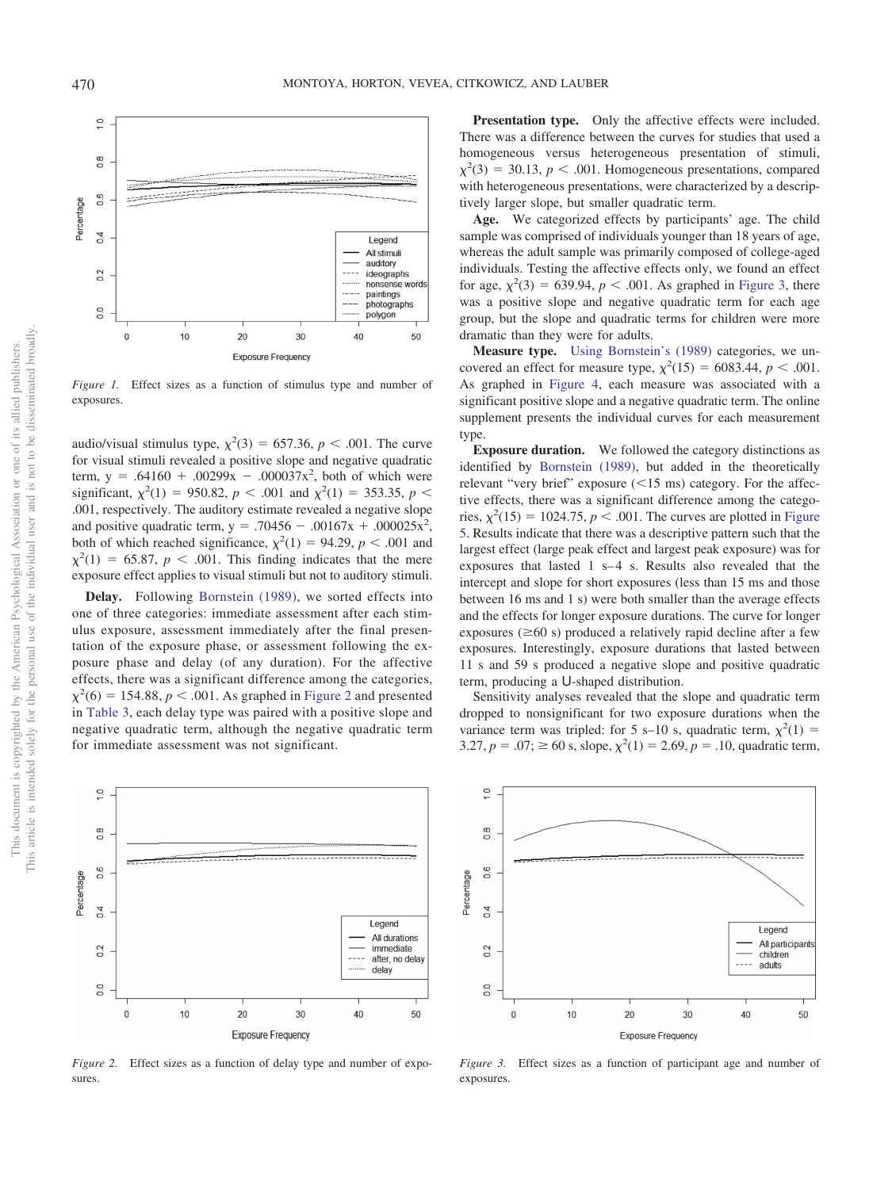

<span id="page-11-0"></span>*Figure 1.* Effect sizes as a function of stimulus type and number of exposures.

audio/visual stimulus type,  $\chi^2(3) = 657.36$ ,  $p < .001$ . The curve for visual stimuli revealed a positive slope and negative quadratic term,  $y = .64160 + .00299x - .000037x^2$ , both of which were significant,  $\chi^2(1) = 950.82$ ,  $p < .001$  and  $\chi^2(1) = 353.35$ ,  $p <$ .001, respectively. The auditory estimate revealed a negative slope and positive quadratic term,  $y = .70456 - .00167x + .000025x^2$ , both of which reached significance,  $\chi^2(1) = 94.29$ ,  $p < .001$  and  $\chi^2(1) = 65.87, p < .001$ . This finding indicates that the mere exposure effect applies to visual stimuli but not to auditory stimuli.

**Delay.** Following [Bornstein \(1989\),](#page-19-1) we sorted effects into one of three categories: immediate assessment after each stimulus exposure, assessment immediately after the final presentation of the exposure phase, or assessment following the exposure phase and delay (of any duration). For the affective effects, there was a significant difference among the categories,  $\chi^2(6) = 154.88, p < .001$ . As graphed in [Figure 2](#page-11-1) and presented in [Table 3,](#page-10-0) each delay type was paired with a positive slope and negative quadratic term, although the negative quadratic term for immediate assessment was not significant.



<span id="page-11-1"></span>*Figure 2.* Effect sizes as a function of delay type and number of exposures.

**Presentation type.** Only the affective effects were included. There was a difference between the curves for studies that used a homogeneous versus heterogeneous presentation of stimuli,  $\chi^2(3) = 30.13$ ,  $p < .001$ . Homogeneous presentations, compared with heterogeneous presentations, were characterized by a descriptively larger slope, but smaller quadratic term.

**Age.** We categorized effects by participants' age. The child sample was comprised of individuals younger than 18 years of age, whereas the adult sample was primarily composed of college-aged individuals. Testing the affective effects only, we found an effect for age,  $\chi^2(3) = 639.94$ ,  $p < .001$ . As graphed in [Figure 3,](#page-11-2) there was a positive slope and negative quadratic term for each age group, but the slope and quadratic terms for children were more dramatic than they were for adults.

**Measure type.** [Using Bornstein's \(1989\)](#page-19-1) categories, we uncovered an effect for measure type,  $\chi^2(15) = 6083.44$ ,  $p < .001$ . As graphed in [Figure 4,](#page-12-0) each measure was associated with a significant positive slope and a negative quadratic term. The online supplement presents the individual curves for each measurement type.

**Exposure duration.** We followed the category distinctions as identified by [Bornstein \(1989\),](#page-19-1) but added in the theoretically relevant "very brief" exposure  $(<15 \text{ ms})$  category. For the affective effects, there was a significant difference among the categories,  $\chi^2(15) = 1024.75$ ,  $p < .001$ . The curves are plotted in [Figure](#page-12-1) [5.](#page-12-1) Results indicate that there was a descriptive pattern such that the largest effect (large peak effect and largest peak exposure) was for exposures that lasted  $1$  s-4 s. Results also revealed that the intercept and slope for short exposures (less than 15 ms and those between 16 ms and 1 s) were both smaller than the average effects and the effects for longer exposure durations. The curve for longer exposures ( 60 s) produced a relatively rapid decline after a few exposures. Interestingly, exposure durations that lasted between 11 s and 59 s produced a negative slope and positive quadratic term, producing a U-shaped distribution.

Sensitivity analyses revealed that the slope and quadratic term dropped to nonsignificant for two exposure durations when the variance term was tripled: for 5 s-10 s, quadratic term,  $\chi^2(1)$  = 3.27,  $p = .07$ ;  $\ge 60$  s, slope,  $\chi^2(1) = 2.69$ ,  $p = .10$ , quadratic term,



<span id="page-11-2"></span>*Figure 3.* Effect sizes as a function of participant age and number of exposures.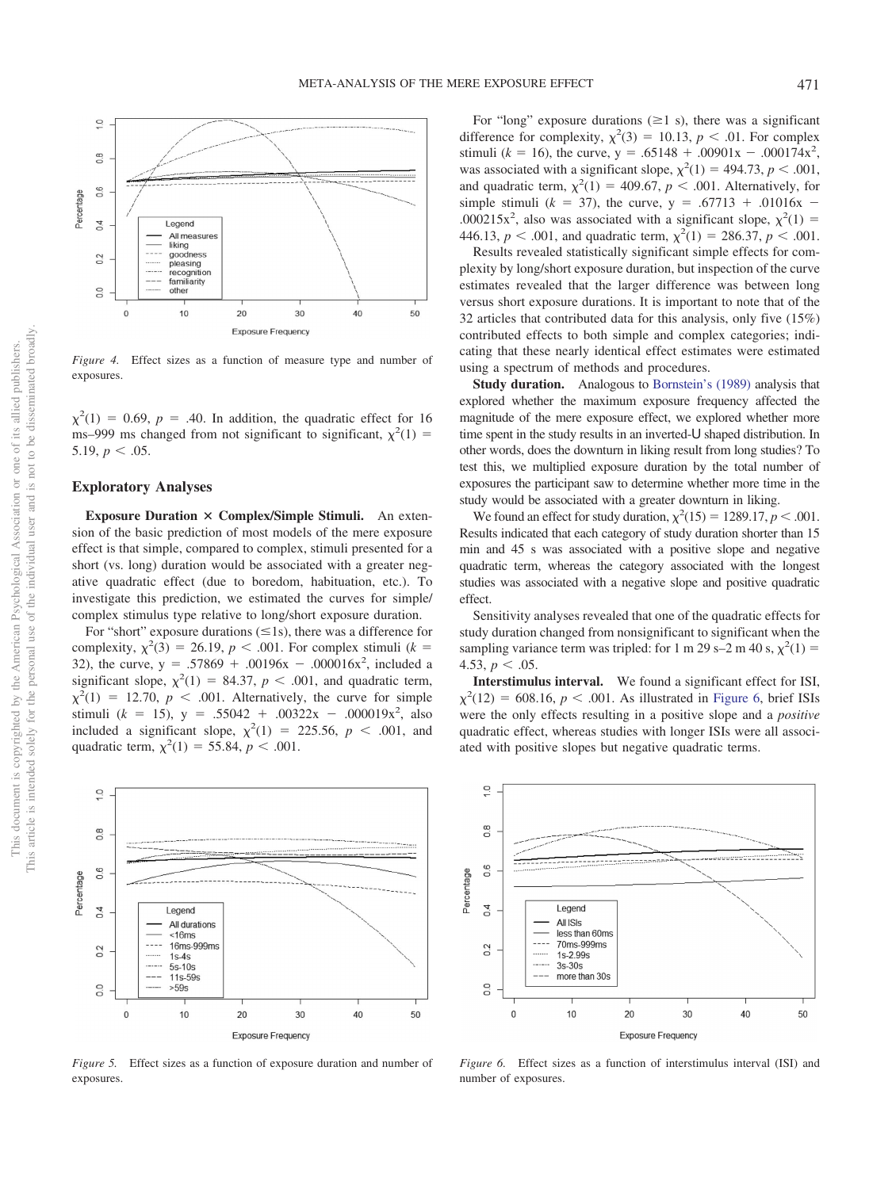

<span id="page-12-0"></span>*Figure 4.* Effect sizes as a function of measure type and number of exposures.

 $\chi^2(1) = 0.69$ ,  $p = .40$ . In addition, the quadratic effect for 16 ms–999 ms changed from not significant to significant,  $\chi^2(1)$  = 5.19,  $p < .05$ .

#### **Exploratory Analyses**

**Exposure Duration × Complex/Simple Stimuli.** An extension of the basic prediction of most models of the mere exposure effect is that simple, compared to complex, stimuli presented for a short (vs. long) duration would be associated with a greater negative quadratic effect (due to boredom, habituation, etc.). To investigate this prediction, we estimated the curves for simple/ complex stimulus type relative to long/short exposure duration.

For "short" exposure durations  $(\leq 1s)$ , there was a difference for complexity,  $\chi^2(3) = 26.19$ ,  $p < .001$ . For complex stimuli ( $k =$ 32), the curve,  $y = .57869 + .00196x - .000016x^2$ , included a significant slope,  $\chi^2(1) = 84.37$ ,  $p < .001$ , and quadratic term,  $\chi^2(1)$  = 12.70, *p* < .001. Alternatively, the curve for simple stimuli ( $k = 15$ ), y = .55042 + .00322x - .000019x<sup>2</sup>, also included a significant slope,  $\chi^2(1) = 225.56$ ,  $p < .001$ , and quadratic term,  $\chi^2(1) = 55.84$ ,  $p < .001$ .



<span id="page-12-1"></span>*Figure 5.* Effect sizes as a function of exposure duration and number of exposures.

For "long" exposure durations  $(\geq 1 \text{ s})$ , there was a significant difference for complexity,  $\chi^2(3) = 10.13$ ,  $p < .01$ . For complex stimuli ( $k = 16$ ), the curve, y = .65148 + .00901x - .000174x<sup>2</sup>, was associated with a significant slope,  $\chi^2(1) = 494.73$ ,  $p < .001$ , and quadratic term,  $\chi^2(1) = 409.67$ ,  $p < .001$ . Alternatively, for simple stimuli ( $k = 37$ ), the curve,  $y = .67713 + .01016x -$ .000215x<sup>2</sup>, also was associated with a significant slope,  $\chi^2(1)$  = 446.13,  $p < .001$ , and quadratic term,  $\chi^2(1) = 286.37$ ,  $p < .001$ .

Results revealed statistically significant simple effects for complexity by long/short exposure duration, but inspection of the curve estimates revealed that the larger difference was between long versus short exposure durations. It is important to note that of the 32 articles that contributed data for this analysis, only five (15%) contributed effects to both simple and complex categories; indicating that these nearly identical effect estimates were estimated using a spectrum of methods and procedures.

**Study duration.** Analogous to [Bornstein's \(1989\)](#page-19-1) analysis that explored whether the maximum exposure frequency affected the magnitude of the mere exposure effect, we explored whether more time spent in the study results in an inverted-U shaped distribution. In other words, does the downturn in liking result from long studies? To test this, we multiplied exposure duration by the total number of exposures the participant saw to determine whether more time in the study would be associated with a greater downturn in liking.

We found an effect for study duration,  $\chi^2(15) = 1289.17$ ,  $p < .001$ . Results indicated that each category of study duration shorter than 15 min and 45 s was associated with a positive slope and negative quadratic term, whereas the category associated with the longest studies was associated with a negative slope and positive quadratic effect.

Sensitivity analyses revealed that one of the quadratic effects for study duration changed from nonsignificant to significant when the sampling variance term was tripled: for 1 m 29 s–2 m 40 s,  $\chi^2(1)$  = 4.53,  $p < .05$ .

**Interstimulus interval.** We found a significant effect for ISI,  $\chi^2(12) = 608.16$ ,  $p < .001$ . As illustrated in [Figure 6,](#page-12-2) brief ISIs were the only effects resulting in a positive slope and a *positive* quadratic effect, whereas studies with longer ISIs were all associated with positive slopes but negative quadratic terms.



<span id="page-12-2"></span>*Figure 6.* Effect sizes as a function of interstimulus interval (ISI) and number of exposures.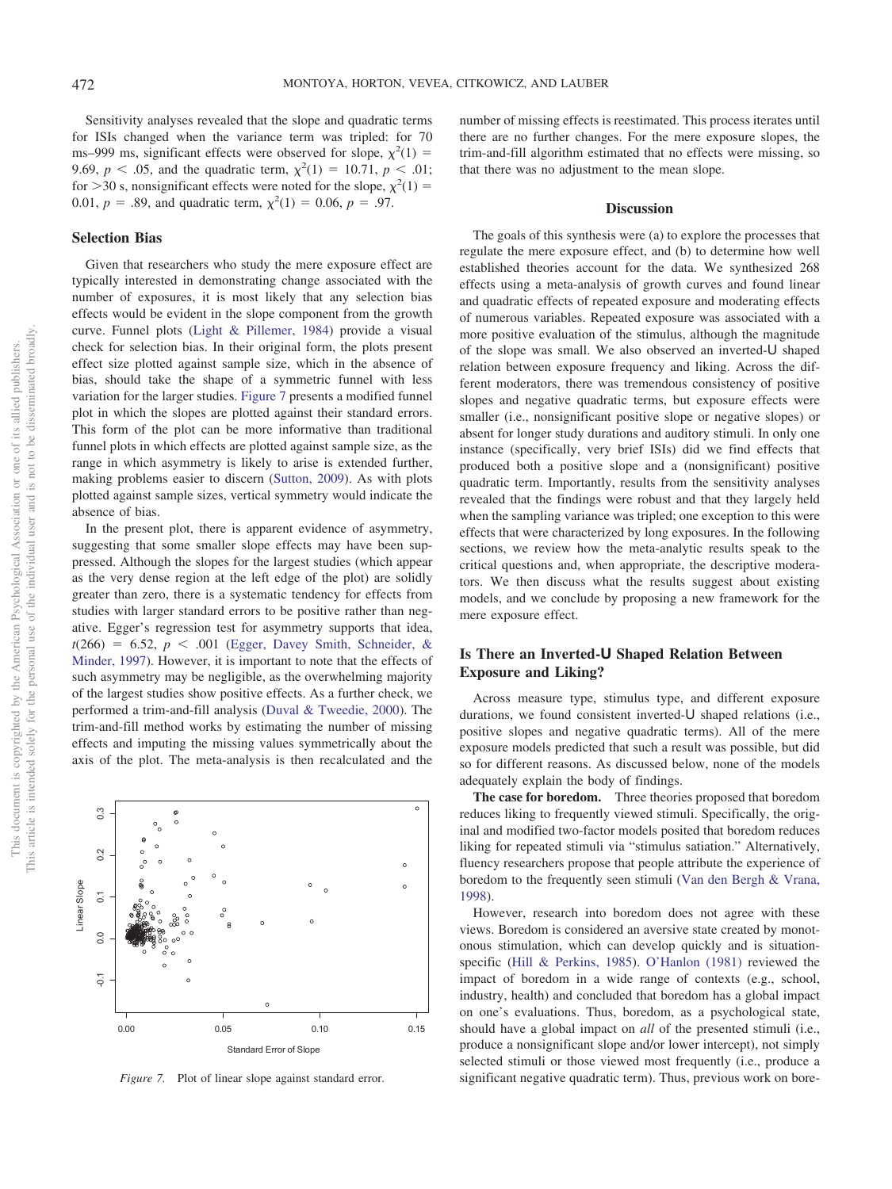Sensitivity analyses revealed that the slope and quadratic terms for ISIs changed when the variance term was tripled: for 70 ms–999 ms, significant effects were observed for slope,  $\chi^2(1)$  = 9.69,  $p < .05$ , and the quadratic term,  $\chi^2(1) = 10.71$ ,  $p < .01$ ; for >30 s, nonsignificant effects were noted for the slope,  $\chi^2(1)$  = 0.01,  $p = .89$ , and quadratic term,  $\chi^2(1) = 0.06$ ,  $p = .97$ .

#### **Selection Bias**

Given that researchers who study the mere exposure effect are typically interested in demonstrating change associated with the number of exposures, it is most likely that any selection bias effects would be evident in the slope component from the growth curve. Funnel plots [\(Light & Pillemer, 1984\)](#page-21-22) provide a visual check for selection bias. In their original form, the plots present effect size plotted against sample size, which in the absence of bias, should take the shape of a symmetric funnel with less variation for the larger studies. [Figure 7](#page-13-0) presents a modified funnel plot in which the slopes are plotted against their standard errors. This form of the plot can be more informative than traditional funnel plots in which effects are plotted against sample size, as the range in which asymmetry is likely to arise is extended further, making problems easier to discern [\(Sutton, 2009\)](#page-23-13). As with plots plotted against sample sizes, vertical symmetry would indicate the absence of bias.

In the present plot, there is apparent evidence of asymmetry, suggesting that some smaller slope effects may have been suppressed. Although the slopes for the largest studies (which appear as the very dense region at the left edge of the plot) are solidly greater than zero, there is a systematic tendency for effects from studies with larger standard errors to be positive rather than negative. Egger's regression test for asymmetry supports that idea,  $t(266) = 6.52$ ,  $p < .001$  [\(Egger, Davey Smith, Schneider, &](#page-19-13) [Minder, 1997\)](#page-19-13). However, it is important to note that the effects of such asymmetry may be negligible, as the overwhelming majority of the largest studies show positive effects. As a further check, we performed a trim-and-fill analysis [\(Duval & Tweedie, 2000\)](#page-19-14). The trim-and-fill method works by estimating the number of missing effects and imputing the missing values symmetrically about the axis of the plot. The meta-analysis is then recalculated and the



<span id="page-13-0"></span>*Figure 7.* Plot of linear slope against standard error.

number of missing effects is reestimated. This process iterates until there are no further changes. For the mere exposure slopes, the trim-and-fill algorithm estimated that no effects were missing, so that there was no adjustment to the mean slope.

#### **Discussion**

The goals of this synthesis were (a) to explore the processes that regulate the mere exposure effect, and (b) to determine how well established theories account for the data. We synthesized 268 effects using a meta-analysis of growth curves and found linear and quadratic effects of repeated exposure and moderating effects of numerous variables. Repeated exposure was associated with a more positive evaluation of the stimulus, although the magnitude of the slope was small. We also observed an inverted-U shaped relation between exposure frequency and liking. Across the different moderators, there was tremendous consistency of positive slopes and negative quadratic terms, but exposure effects were smaller (i.e., nonsignificant positive slope or negative slopes) or absent for longer study durations and auditory stimuli. In only one instance (specifically, very brief ISIs) did we find effects that produced both a positive slope and a (nonsignificant) positive quadratic term. Importantly, results from the sensitivity analyses revealed that the findings were robust and that they largely held when the sampling variance was tripled; one exception to this were effects that were characterized by long exposures. In the following sections, we review how the meta-analytic results speak to the critical questions and, when appropriate, the descriptive moderators. We then discuss what the results suggest about existing models, and we conclude by proposing a new framework for the mere exposure effect.

## **Is There an Inverted-U Shaped Relation Between Exposure and Liking?**

Across measure type, stimulus type, and different exposure durations, we found consistent inverted-U shaped relations (i.e., positive slopes and negative quadratic terms). All of the mere exposure models predicted that such a result was possible, but did so for different reasons. As discussed below, none of the models adequately explain the body of findings.

**The case for boredom.** Three theories proposed that boredom reduces liking to frequently viewed stimuli. Specifically, the original and modified two-factor models posited that boredom reduces liking for repeated stimuli via "stimulus satiation." Alternatively, fluency researchers propose that people attribute the experience of boredom to the frequently seen stimuli [\(Van den Bergh & Vrana,](#page-23-14) [1998\)](#page-23-14).

However, research into boredom does not agree with these views. Boredom is considered an aversive state created by monotonous stimulation, which can develop quickly and is situationspecific [\(Hill & Perkins, 1985\)](#page-20-11). [O'Hanlon \(1981\)](#page-22-17) reviewed the impact of boredom in a wide range of contexts (e.g., school, industry, health) and concluded that boredom has a global impact on one's evaluations. Thus, boredom, as a psychological state, should have a global impact on *all* of the presented stimuli (i.e., produce a nonsignificant slope and/or lower intercept), not simply selected stimuli or those viewed most frequently (i.e., produce a significant negative quadratic term). Thus, previous work on bore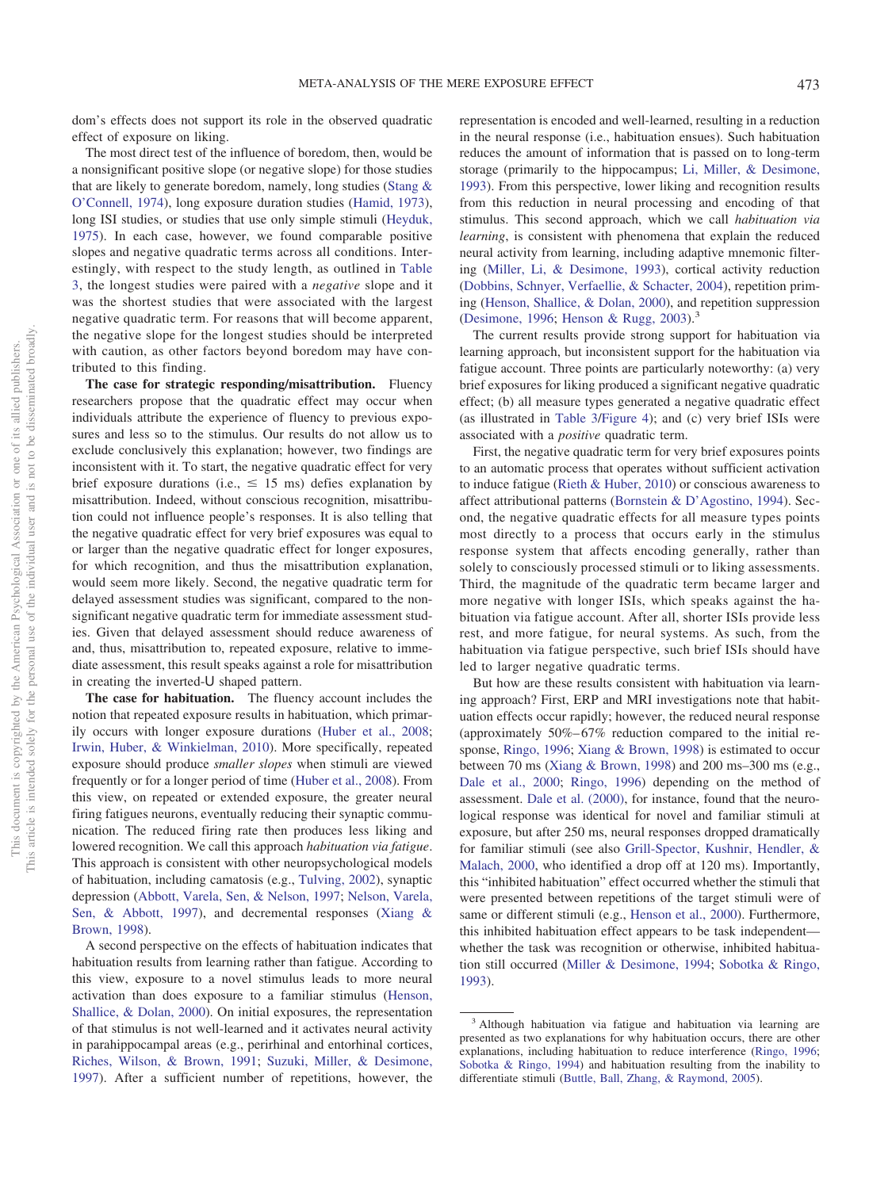dom's effects does not support its role in the observed quadratic effect of exposure on liking.

The most direct test of the influence of boredom, then, would be a nonsignificant positive slope (or negative slope) for those studies that are likely to generate boredom, namely, long studies [\(Stang &](#page-23-15) [O'Connell, 1974\)](#page-23-15), long exposure duration studies [\(Hamid, 1973\)](#page-20-12), long ISI studies, or studies that use only simple stimuli [\(Heyduk,](#page-20-13) [1975\)](#page-20-13). In each case, however, we found comparable positive slopes and negative quadratic terms across all conditions. Interestingly, with respect to the study length, as outlined in [Table](#page-10-0) [3,](#page-10-0) the longest studies were paired with a *negative* slope and it was the shortest studies that were associated with the largest negative quadratic term. For reasons that will become apparent, the negative slope for the longest studies should be interpreted with caution, as other factors beyond boredom may have contributed to this finding.

**The case for strategic responding/misattribution.** Fluency researchers propose that the quadratic effect may occur when individuals attribute the experience of fluency to previous exposures and less so to the stimulus. Our results do not allow us to exclude conclusively this explanation; however, two findings are inconsistent with it. To start, the negative quadratic effect for very brief exposure durations (i.e.,  $\leq 15$  ms) defies explanation by misattribution. Indeed, without conscious recognition, misattribution could not influence people's responses. It is also telling that the negative quadratic effect for very brief exposures was equal to or larger than the negative quadratic effect for longer exposures, for which recognition, and thus the misattribution explanation, would seem more likely. Second, the negative quadratic term for delayed assessment studies was significant, compared to the nonsignificant negative quadratic term for immediate assessment studies. Given that delayed assessment should reduce awareness of and, thus, misattribution to, repeated exposure, relative to immediate assessment, this result speaks against a role for misattribution in creating the inverted-U shaped pattern.

**The case for habituation.** The fluency account includes the notion that repeated exposure results in habituation, which primarily occurs with longer exposure durations [\(Huber et al., 2008;](#page-20-14) [Irwin, Huber, & Winkielman, 2010\)](#page-20-15). More specifically, repeated exposure should produce *smaller slopes* when stimuli are viewed frequently or for a longer period of time [\(Huber et al., 2008\)](#page-20-14). From this view, on repeated or extended exposure, the greater neural firing fatigues neurons, eventually reducing their synaptic communication. The reduced firing rate then produces less liking and lowered recognition. We call this approach *habituation via fatigue*. This approach is consistent with other neuropsychological models of habituation, including camatosis (e.g., [Tulving, 2002\)](#page-23-7), synaptic depression [\(Abbott, Varela, Sen, & Nelson, 1997;](#page-18-8) [Nelson, Varela,](#page-22-18) [Sen, & Abbott, 1997\)](#page-22-18), and decremental responses [\(Xiang &](#page-24-19) [Brown, 1998\)](#page-24-19).

A second perspective on the effects of habituation indicates that habituation results from learning rather than fatigue. According to this view, exposure to a novel stimulus leads to more neural activation than does exposure to a familiar stimulus [\(Henson,](#page-20-16) [Shallice, & Dolan, 2000\)](#page-20-16). On initial exposures, the representation of that stimulus is not well-learned and it activates neural activity in parahippocampal areas (e.g., perirhinal and entorhinal cortices, [Riches, Wilson, & Brown, 1991;](#page-22-19) [Suzuki, Miller, & Desimone,](#page-23-16) [1997\)](#page-23-16). After a sufficient number of repetitions, however, the representation is encoded and well-learned, resulting in a reduction in the neural response (i.e., habituation ensues). Such habituation reduces the amount of information that is passed on to long-term storage (primarily to the hippocampus; [Li, Miller, & Desimone,](#page-21-23) [1993\)](#page-21-23). From this perspective, lower liking and recognition results from this reduction in neural processing and encoding of that stimulus. This second approach, which we call *habituation via learning*, is consistent with phenomena that explain the reduced neural activity from learning, including adaptive mnemonic filtering [\(Miller, Li, & Desimone, 1993\)](#page-22-20), cortical activity reduction [\(Dobbins, Schnyer, Verfaellie, & Schacter, 2004\)](#page-19-15), repetition priming [\(Henson, Shallice, & Dolan, 2000\)](#page-20-16), and repetition suppression [\(Desimone, 1996;](#page-19-16) [Henson & Rugg, 2003\)](#page-20-4).<sup>3</sup>

The current results provide strong support for habituation via learning approach, but inconsistent support for the habituation via fatigue account. Three points are particularly noteworthy: (a) very brief exposures for liking produced a significant negative quadratic effect; (b) all measure types generated a negative quadratic effect (as illustrated in [Table 3/](#page-10-0)[Figure 4\)](#page-12-0); and (c) very brief ISIs were associated with a *positive* quadratic term.

First, the negative quadratic term for very brief exposures points to an automatic process that operates without sufficient activation to induce fatigue [\(Rieth & Huber, 2010\)](#page-22-21) or conscious awareness to affect attributional patterns [\(Bornstein & D'Agostino, 1994\)](#page-19-5). Second, the negative quadratic effects for all measure types points most directly to a process that occurs early in the stimulus response system that affects encoding generally, rather than solely to consciously processed stimuli or to liking assessments. Third, the magnitude of the quadratic term became larger and more negative with longer ISIs, which speaks against the habituation via fatigue account. After all, shorter ISIs provide less rest, and more fatigue, for neural systems. As such, from the habituation via fatigue perspective, such brief ISIs should have led to larger negative quadratic terms.

But how are these results consistent with habituation via learning approach? First, ERP and MRI investigations note that habituation effects occur rapidly; however, the reduced neural response (approximately 50%– 67% reduction compared to the initial response, [Ringo, 1996;](#page-22-22) [Xiang & Brown, 1998\)](#page-24-19) is estimated to occur between 70 ms [\(Xiang & Brown, 1998\)](#page-24-19) and 200 ms–300 ms (e.g., [Dale et al., 2000;](#page-19-17) [Ringo, 1996\)](#page-22-22) depending on the method of assessment. [Dale et al. \(2000\),](#page-19-17) for instance, found that the neurological response was identical for novel and familiar stimuli at exposure, but after 250 ms, neural responses dropped dramatically for familiar stimuli (see also [Grill-Spector, Kushnir, Hendler, &](#page-20-17) [Malach, 2000,](#page-20-17) who identified a drop off at 120 ms). Importantly, this "inhibited habituation" effect occurred whether the stimuli that were presented between repetitions of the target stimuli were of same or different stimuli (e.g., [Henson et al., 2000\)](#page-20-16). Furthermore, this inhibited habituation effect appears to be task independent whether the task was recognition or otherwise, inhibited habituation still occurred [\(Miller & Desimone, 1994;](#page-22-23) [Sobotka & Ringo,](#page-23-17) [1993\)](#page-23-17).

<sup>&</sup>lt;sup>3</sup> Although habituation via fatigue and habituation via learning are presented as two explanations for why habituation occurs, there are other explanations, including habituation to reduce interference [\(Ringo, 1996;](#page-22-22) [Sobotka & Ringo, 1994\)](#page-23-18) and habituation resulting from the inability to differentiate stimuli [\(Buttle, Ball, Zhang, & Raymond, 2005\)](#page-19-18).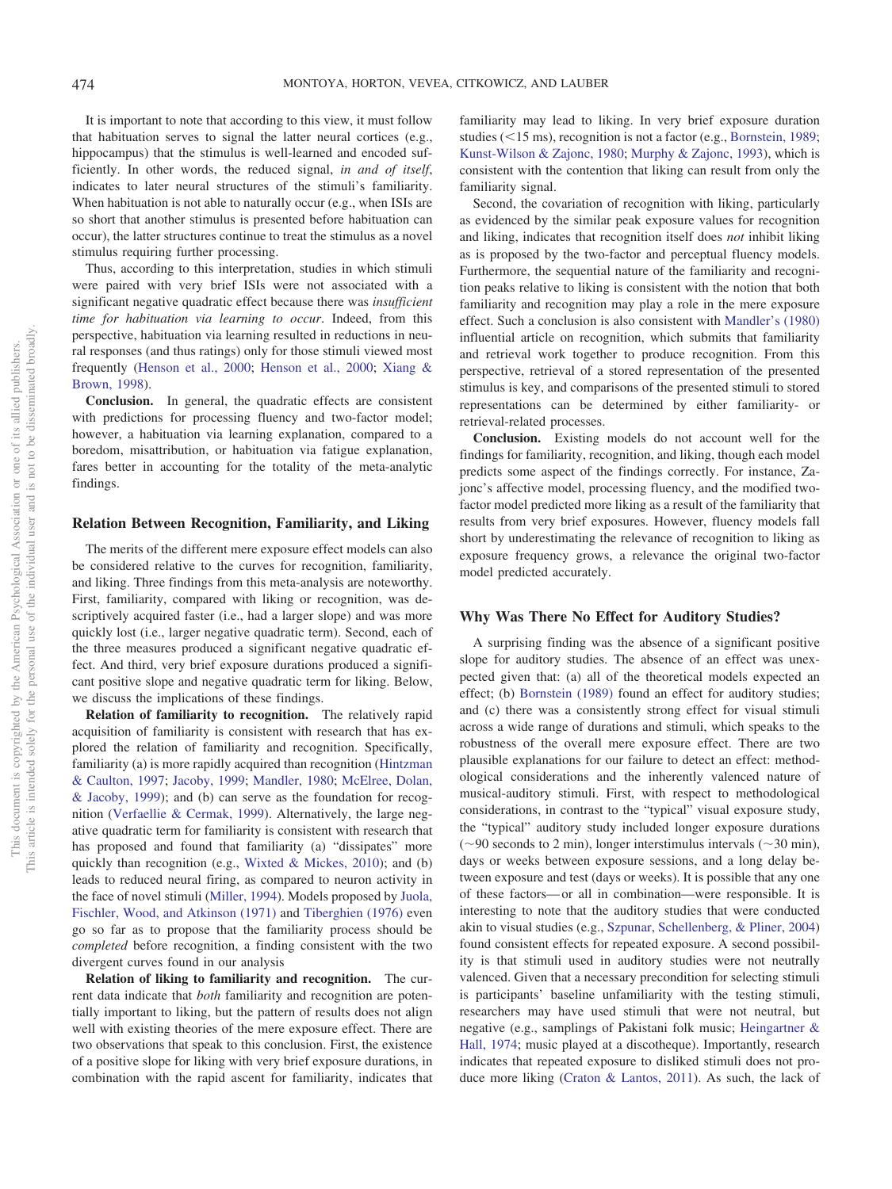It is important to note that according to this view, it must follow that habituation serves to signal the latter neural cortices (e.g., hippocampus) that the stimulus is well-learned and encoded sufficiently. In other words, the reduced signal, *in and of itself*, indicates to later neural structures of the stimuli's familiarity. When habituation is not able to naturally occur (e.g., when ISIs are so short that another stimulus is presented before habituation can occur), the latter structures continue to treat the stimulus as a novel stimulus requiring further processing.

Thus, according to this interpretation, studies in which stimuli were paired with very brief ISIs were not associated with a significant negative quadratic effect because there was *insufficient time for habituation via learning to occur*. Indeed, from this perspective, habituation via learning resulted in reductions in neural responses (and thus ratings) only for those stimuli viewed most frequently [\(Henson et al., 2000;](#page-20-16) [Henson et al., 2000;](#page-20-18) [Xiang &](#page-24-19) [Brown, 1998\)](#page-24-19).

**Conclusion.** In general, the quadratic effects are consistent with predictions for processing fluency and two-factor model; however, a habituation via learning explanation, compared to a boredom, misattribution, or habituation via fatigue explanation, fares better in accounting for the totality of the meta-analytic findings.

#### **Relation Between Recognition, Familiarity, and Liking**

The merits of the different mere exposure effect models can also be considered relative to the curves for recognition, familiarity, and liking. Three findings from this meta-analysis are noteworthy. First, familiarity, compared with liking or recognition, was descriptively acquired faster (i.e., had a larger slope) and was more quickly lost (i.e., larger negative quadratic term). Second, each of the three measures produced a significant negative quadratic effect. And third, very brief exposure durations produced a significant positive slope and negative quadratic term for liking. Below, we discuss the implications of these findings.

**Relation of familiarity to recognition.** The relatively rapid acquisition of familiarity is consistent with research that has explored the relation of familiarity and recognition. Specifically, familiarity (a) is more rapidly acquired than recognition [\(Hintzman](#page-20-19) [& Caulton, 1997;](#page-20-19) [Jacoby, 1999;](#page-21-24) [Mandler, 1980;](#page-21-11) [McElree, Dolan,](#page-22-24) [& Jacoby, 1999\)](#page-22-24); and (b) can serve as the foundation for recognition [\(Verfaellie & Cermak, 1999\)](#page-23-19). Alternatively, the large negative quadratic term for familiarity is consistent with research that has proposed and found that familiarity (a) "dissipates" more quickly than recognition (e.g., [Wixted & Mickes, 2010\)](#page-24-20); and (b) leads to reduced neural firing, as compared to neuron activity in the face of novel stimuli [\(Miller, 1994\)](#page-22-13). Models proposed by [Juola,](#page-21-25) [Fischler, Wood, and Atkinson \(1971\)](#page-21-25) and [Tiberghien \(1976\)](#page-23-20) even go so far as to propose that the familiarity process should be *completed* before recognition, a finding consistent with the two divergent curves found in our analysis

**Relation of liking to familiarity and recognition.** The current data indicate that *both* familiarity and recognition are potentially important to liking, but the pattern of results does not align well with existing theories of the mere exposure effect. There are two observations that speak to this conclusion. First, the existence of a positive slope for liking with very brief exposure durations, in combination with the rapid ascent for familiarity, indicates that familiarity may lead to liking. In very brief exposure duration studies  $(< 15$  ms), recognition is not a factor (e.g., [Bornstein, 1989;](#page-19-1) [Kunst-Wilson & Zajonc, 1980;](#page-21-9) [Murphy & Zajonc, 1993\)](#page-22-25), which is consistent with the contention that liking can result from only the familiarity signal.

Second, the covariation of recognition with liking, particularly as evidenced by the similar peak exposure values for recognition and liking, indicates that recognition itself does *not* inhibit liking as is proposed by the two-factor and perceptual fluency models. Furthermore, the sequential nature of the familiarity and recognition peaks relative to liking is consistent with the notion that both familiarity and recognition may play a role in the mere exposure effect. Such a conclusion is also consistent with [Mandler's \(1980\)](#page-21-11) influential article on recognition, which submits that familiarity and retrieval work together to produce recognition. From this perspective, retrieval of a stored representation of the presented stimulus is key, and comparisons of the presented stimuli to stored representations can be determined by either familiarity- or retrieval-related processes.

**Conclusion.** Existing models do not account well for the findings for familiarity, recognition, and liking, though each model predicts some aspect of the findings correctly. For instance, Zajonc's affective model, processing fluency, and the modified twofactor model predicted more liking as a result of the familiarity that results from very brief exposures. However, fluency models fall short by underestimating the relevance of recognition to liking as exposure frequency grows, a relevance the original two-factor model predicted accurately.

#### **Why Was There No Effect for Auditory Studies?**

A surprising finding was the absence of a significant positive slope for auditory studies. The absence of an effect was unexpected given that: (a) all of the theoretical models expected an effect; (b) [Bornstein \(1989\)](#page-19-1) found an effect for auditory studies; and (c) there was a consistently strong effect for visual stimuli across a wide range of durations and stimuli, which speaks to the robustness of the overall mere exposure effect. There are two plausible explanations for our failure to detect an effect: methodological considerations and the inherently valenced nature of musical-auditory stimuli. First, with respect to methodological considerations, in contrast to the "typical" visual exposure study, the "typical" auditory study included longer exposure durations  $(\sim 90$  seconds to 2 min), longer interstimulus intervals ( $\sim 30$  min), days or weeks between exposure sessions, and a long delay between exposure and test (days or weeks). It is possible that any one of these factors— or all in combination—were responsible. It is interesting to note that the auditory studies that were conducted akin to visual studies (e.g., [Szpunar, Schellenberg, & Pliner, 2004\)](#page-23-21) found consistent effects for repeated exposure. A second possibility is that stimuli used in auditory studies were not neutrally valenced. Given that a necessary precondition for selecting stimuli is participants' baseline unfamiliarity with the testing stimuli, researchers may have used stimuli that were not neutral, but negative (e.g., samplings of Pakistani folk music; [Heingartner &](#page-20-8) [Hall, 1974;](#page-20-8) music played at a discotheque). Importantly, research indicates that repeated exposure to disliked stimuli does not produce more liking [\(Craton & Lantos, 2011\)](#page-19-19). As such, the lack of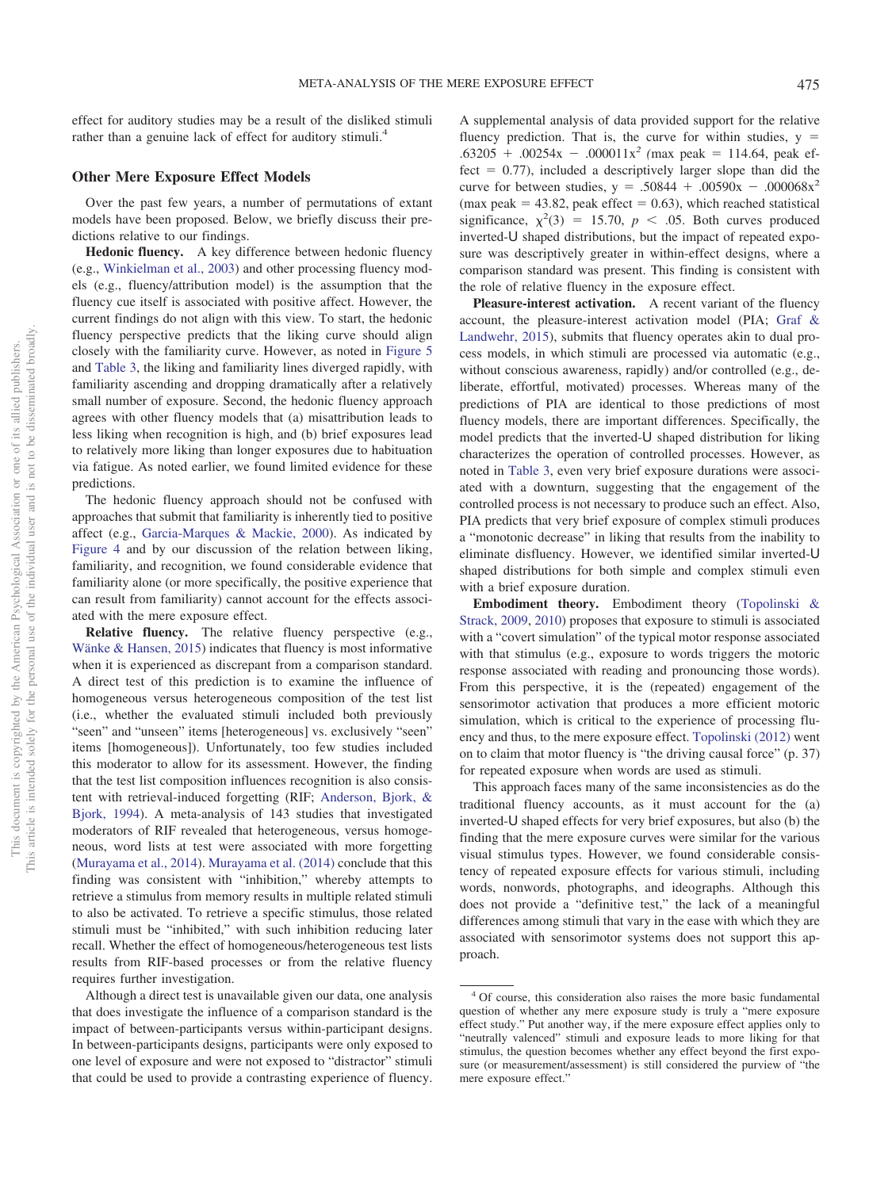effect for auditory studies may be a result of the disliked stimuli rather than a genuine lack of effect for auditory stimuli.<sup>4</sup>

#### **Other Mere Exposure Effect Models**

Over the past few years, a number of permutations of extant models have been proposed. Below, we briefly discuss their predictions relative to our findings.

**Hedonic fluency.** A key difference between hedonic fluency (e.g., [Winkielman et al., 2003\)](#page-24-2) and other processing fluency models (e.g., fluency/attribution model) is the assumption that the fluency cue itself is associated with positive affect. However, the current findings do not align with this view. To start, the hedonic fluency perspective predicts that the liking curve should align closely with the familiarity curve. However, as noted in [Figure 5](#page-12-1) and [Table 3,](#page-10-0) the liking and familiarity lines diverged rapidly, with familiarity ascending and dropping dramatically after a relatively small number of exposure. Second, the hedonic fluency approach agrees with other fluency models that (a) misattribution leads to less liking when recognition is high, and (b) brief exposures lead to relatively more liking than longer exposures due to habituation via fatigue. As noted earlier, we found limited evidence for these predictions.

The hedonic fluency approach should not be confused with approaches that submit that familiarity is inherently tied to positive affect (e.g., [Garcia-Marques & Mackie, 2000\)](#page-20-20). As indicated by [Figure 4](#page-12-0) and by our discussion of the relation between liking, familiarity, and recognition, we found considerable evidence that familiarity alone (or more specifically, the positive experience that can result from familiarity) cannot account for the effects associated with the mere exposure effect.

**Relative fluency.** The relative fluency perspective (e.g., [Wänke & Hansen, 2015\)](#page-24-21) indicates that fluency is most informative when it is experienced as discrepant from a comparison standard. A direct test of this prediction is to examine the influence of homogeneous versus heterogeneous composition of the test list (i.e., whether the evaluated stimuli included both previously "seen" and "unseen" items [heterogeneous] vs. exclusively "seen" items [homogeneous]). Unfortunately, too few studies included this moderator to allow for its assessment. However, the finding that the test list composition influences recognition is also consistent with retrieval-induced forgetting (RIF; [Anderson, Bjork, &](#page-18-9) [Bjork, 1994\)](#page-18-9). A meta-analysis of 143 studies that investigated moderators of RIF revealed that heterogeneous, versus homogeneous, word lists at test were associated with more forgetting [\(Murayama et al., 2014\)](#page-22-26). [Murayama et al. \(2014\)](#page-22-26) conclude that this finding was consistent with "inhibition," whereby attempts to retrieve a stimulus from memory results in multiple related stimuli to also be activated. To retrieve a specific stimulus, those related stimuli must be "inhibited," with such inhibition reducing later recall. Whether the effect of homogeneous/heterogeneous test lists results from RIF-based processes or from the relative fluency requires further investigation.

Although a direct test is unavailable given our data, one analysis that does investigate the influence of a comparison standard is the impact of between-participants versus within-participant designs. In between-participants designs, participants were only exposed to one level of exposure and were not exposed to "distractor" stimuli that could be used to provide a contrasting experience of fluency.

A supplemental analysis of data provided support for the relative fluency prediction. That is, the curve for within studies,  $y =$  $.63205 + .00254x - .000011x^2$  *(max peak = 114.64, peak ef* $fect = 0.77$ , included a descriptively larger slope than did the curve for between studies,  $y = .50844 + .00590x - .000068x^2$  $(max peak = 43.82$ , peak effect = 0.63), which reached statistical significance,  $\chi^2(3) = 15.70$ ,  $p < .05$ . Both curves produced inverted-U shaped distributions, but the impact of repeated exposure was descriptively greater in within-effect designs, where a comparison standard was present. This finding is consistent with the role of relative fluency in the exposure effect.

**Pleasure-interest activation.** A recent variant of the fluency account, the pleasure-interest activation model (PIA; [Graf &](#page-20-21) [Landwehr, 2015\)](#page-20-21), submits that fluency operates akin to dual process models, in which stimuli are processed via automatic (e.g., without conscious awareness, rapidly) and/or controlled (e.g., deliberate, effortful, motivated) processes. Whereas many of the predictions of PIA are identical to those predictions of most fluency models, there are important differences. Specifically, the model predicts that the inverted-U shaped distribution for liking characterizes the operation of controlled processes. However, as noted in [Table 3,](#page-10-0) even very brief exposure durations were associated with a downturn, suggesting that the engagement of the controlled process is not necessary to produce such an effect. Also, PIA predicts that very brief exposure of complex stimuli produces a "monotonic decrease" in liking that results from the inability to eliminate disfluency. However, we identified similar inverted-U shaped distributions for both simple and complex stimuli even with a brief exposure duration.

**Embodiment theory.** Embodiment theory [\(Topolinski &](#page-23-22) [Strack, 2009,](#page-23-22) [2010\)](#page-23-23) proposes that exposure to stimuli is associated with a "covert simulation" of the typical motor response associated with that stimulus (e.g., exposure to words triggers the motoric response associated with reading and pronouncing those words). From this perspective, it is the (repeated) engagement of the sensorimotor activation that produces a more efficient motoric simulation, which is critical to the experience of processing fluency and thus, to the mere exposure effect. [Topolinski \(2012\)](#page-23-24) went on to claim that motor fluency is "the driving causal force" (p. 37) for repeated exposure when words are used as stimuli.

This approach faces many of the same inconsistencies as do the traditional fluency accounts, as it must account for the (a) inverted-U shaped effects for very brief exposures, but also (b) the finding that the mere exposure curves were similar for the various visual stimulus types. However, we found considerable consistency of repeated exposure effects for various stimuli, including words, nonwords, photographs, and ideographs. Although this does not provide a "definitive test," the lack of a meaningful differences among stimuli that vary in the ease with which they are associated with sensorimotor systems does not support this approach.

<sup>4</sup> Of course, this consideration also raises the more basic fundamental question of whether any mere exposure study is truly a "mere exposure effect study." Put another way, if the mere exposure effect applies only to "neutrally valenced" stimuli and exposure leads to more liking for that stimulus, the question becomes whether any effect beyond the first exposure (or measurement/assessment) is still considered the purview of "the mere exposure effect."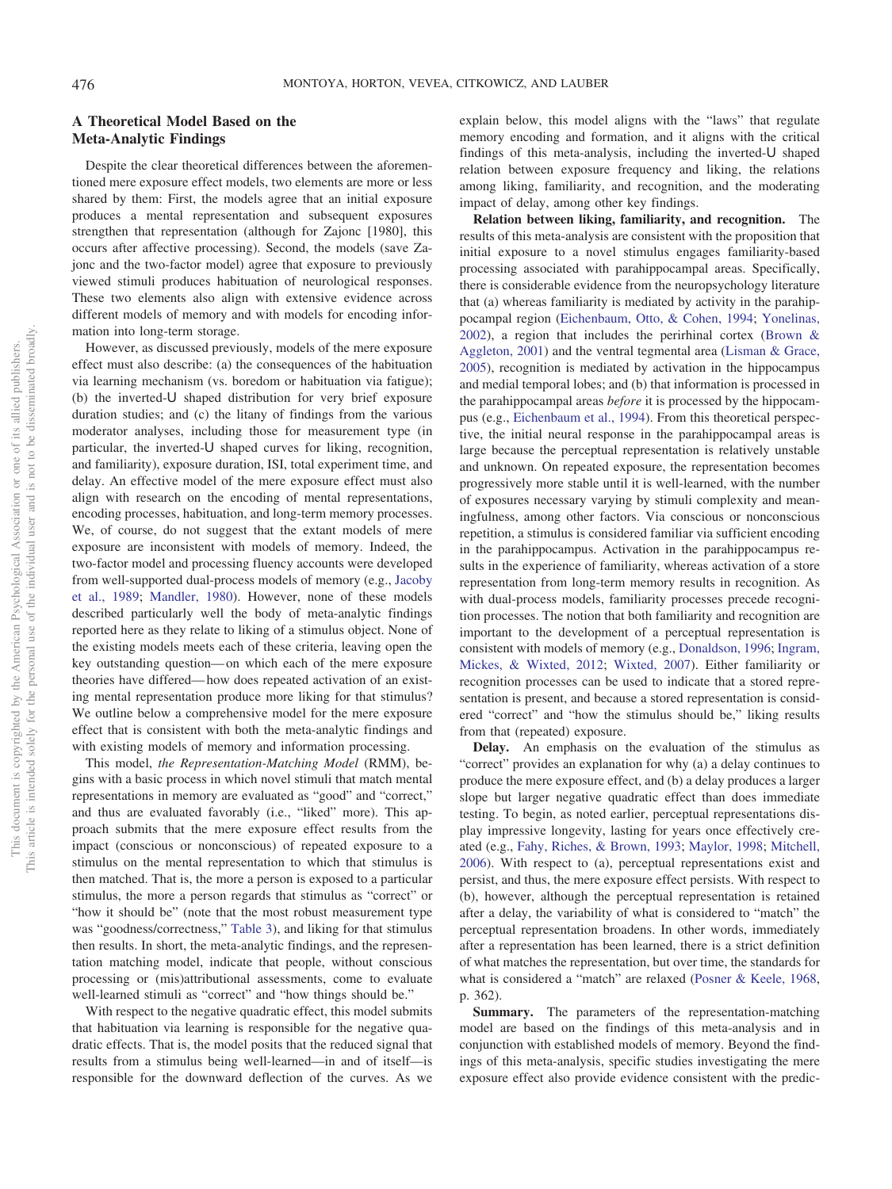## **A Theoretical Model Based on the Meta-Analytic Findings**

Despite the clear theoretical differences between the aforementioned mere exposure effect models, two elements are more or less shared by them: First, the models agree that an initial exposure produces a mental representation and subsequent exposures strengthen that representation (although for Zajonc [1980], this occurs after affective processing). Second, the models (save Zajonc and the two-factor model) agree that exposure to previously viewed stimuli produces habituation of neurological responses. These two elements also align with extensive evidence across different models of memory and with models for encoding information into long-term storage.

However, as discussed previously, models of the mere exposure effect must also describe: (a) the consequences of the habituation via learning mechanism (vs. boredom or habituation via fatigue); (b) the inverted-U shaped distribution for very brief exposure duration studies; and (c) the litany of findings from the various moderator analyses, including those for measurement type (in particular, the inverted-U shaped curves for liking, recognition, and familiarity), exposure duration, ISI, total experiment time, and delay. An effective model of the mere exposure effect must also align with research on the encoding of mental representations, encoding processes, habituation, and long-term memory processes. We, of course, do not suggest that the extant models of mere exposure are inconsistent with models of memory. Indeed, the two-factor model and processing fluency accounts were developed from well-supported dual-process models of memory (e.g., [Jacoby](#page-21-8) [et al., 1989;](#page-21-8) [Mandler, 1980\)](#page-21-11). However, none of these models described particularly well the body of meta-analytic findings reported here as they relate to liking of a stimulus object. None of the existing models meets each of these criteria, leaving open the key outstanding question— on which each of the mere exposure theories have differed— how does repeated activation of an existing mental representation produce more liking for that stimulus? We outline below a comprehensive model for the mere exposure effect that is consistent with both the meta-analytic findings and with existing models of memory and information processing.

This model, *the Representation-Matching Model* (RMM), begins with a basic process in which novel stimuli that match mental representations in memory are evaluated as "good" and "correct," and thus are evaluated favorably (i.e., "liked" more). This approach submits that the mere exposure effect results from the impact (conscious or nonconscious) of repeated exposure to a stimulus on the mental representation to which that stimulus is then matched. That is, the more a person is exposed to a particular stimulus, the more a person regards that stimulus as "correct" or "how it should be" (note that the most robust measurement type was "goodness/correctness," [Table 3\)](#page-10-0), and liking for that stimulus then results. In short, the meta-analytic findings, and the representation matching model, indicate that people, without conscious processing or (mis)attributional assessments, come to evaluate well-learned stimuli as "correct" and "how things should be."

With respect to the negative quadratic effect, this model submits that habituation via learning is responsible for the negative quadratic effects. That is, the model posits that the reduced signal that results from a stimulus being well-learned—in and of itself—is responsible for the downward deflection of the curves. As we

explain below, this model aligns with the "laws" that regulate memory encoding and formation, and it aligns with the critical findings of this meta-analysis, including the inverted-U shaped relation between exposure frequency and liking, the relations among liking, familiarity, and recognition, and the moderating impact of delay, among other key findings.

**Relation between liking, familiarity, and recognition.** The results of this meta-analysis are consistent with the proposition that initial exposure to a novel stimulus engages familiarity-based processing associated with parahippocampal areas. Specifically, there is considerable evidence from the neuropsychology literature that (a) whereas familiarity is mediated by activity in the parahippocampal region [\(Eichenbaum, Otto, & Cohen, 1994;](#page-20-22) [Yonelinas,](#page-24-10) [2002\)](#page-24-10), a region that includes the perirhinal cortex [\(Brown &](#page-19-20) [Aggleton, 2001\)](#page-19-20) and the ventral tegmental area [\(Lisman & Grace,](#page-21-26) [2005\)](#page-21-26), recognition is mediated by activation in the hippocampus and medial temporal lobes; and (b) that information is processed in the parahippocampal areas *before* it is processed by the hippocampus (e.g., [Eichenbaum et al., 1994\)](#page-20-22). From this theoretical perspective, the initial neural response in the parahippocampal areas is large because the perceptual representation is relatively unstable and unknown. On repeated exposure, the representation becomes progressively more stable until it is well-learned, with the number of exposures necessary varying by stimuli complexity and meaningfulness, among other factors. Via conscious or nonconscious repetition, a stimulus is considered familiar via sufficient encoding in the parahippocampus. Activation in the parahippocampus results in the experience of familiarity, whereas activation of a store representation from long-term memory results in recognition. As with dual-process models, familiarity processes precede recognition processes. The notion that both familiarity and recognition are important to the development of a perceptual representation is consistent with models of memory (e.g., [Donaldson, 1996;](#page-19-21) [Ingram,](#page-20-9) [Mickes, & Wixted, 2012;](#page-20-9) [Wixted, 2007\)](#page-24-17). Either familiarity or recognition processes can be used to indicate that a stored representation is present, and because a stored representation is considered "correct" and "how the stimulus should be," liking results from that (repeated) exposure.

**Delay.** An emphasis on the evaluation of the stimulus as "correct" provides an explanation for why (a) a delay continues to produce the mere exposure effect, and (b) a delay produces a larger slope but larger negative quadratic effect than does immediate testing. To begin, as noted earlier, perceptual representations display impressive longevity, lasting for years once effectively created (e.g., [Fahy, Riches, & Brown, 1993;](#page-20-23) [Maylor, 1998;](#page-22-27) [Mitchell,](#page-22-28) [2006\)](#page-22-28). With respect to (a), perceptual representations exist and persist, and thus, the mere exposure effect persists. With respect to (b), however, although the perceptual representation is retained after a delay, the variability of what is considered to "match" the perceptual representation broadens. In other words, immediately after a representation has been learned, there is a strict definition of what matches the representation, but over time, the standards for what is considered a "match" are relaxed [\(Posner & Keele, 1968,](#page-22-29) p. 362).

**Summary.** The parameters of the representation-matching model are based on the findings of this meta-analysis and in conjunction with established models of memory. Beyond the findings of this meta-analysis, specific studies investigating the mere exposure effect also provide evidence consistent with the predic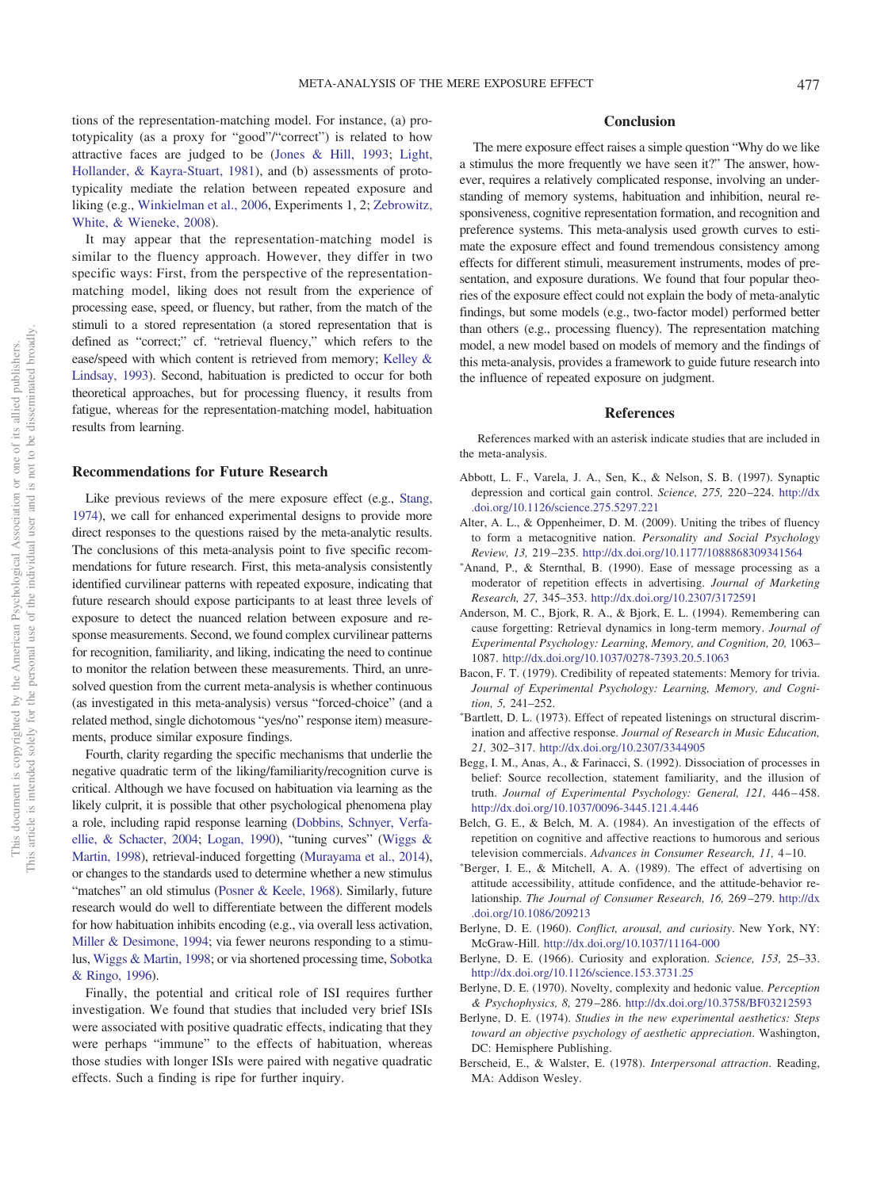tions of the representation-matching model. For instance, (a) prototypicality (as a proxy for "good"/"correct") is related to how attractive faces are judged to be [\(Jones & Hill, 1993;](#page-21-27) [Light,](#page-21-28) [Hollander, & Kayra-Stuart, 1981\)](#page-21-28), and (b) assessments of prototypicality mediate the relation between repeated exposure and liking (e.g., [Winkielman et al., 2006,](#page-24-3) Experiments 1, 2; [Zebrowitz,](#page-24-22) [White, & Wieneke, 2008\)](#page-24-22).

It may appear that the representation-matching model is similar to the fluency approach. However, they differ in two specific ways: First, from the perspective of the representationmatching model, liking does not result from the experience of processing ease, speed, or fluency, but rather, from the match of the stimuli to a stored representation (a stored representation that is defined as "correct;" cf. "retrieval fluency," which refers to the ease/speed with which content is retrieved from memory; [Kelley &](#page-21-29) [Lindsay, 1993\)](#page-21-29). Second, habituation is predicted to occur for both theoretical approaches, but for processing fluency, it results from fatigue, whereas for the representation-matching model, habituation results from learning.

#### **Recommendations for Future Research**

Like previous reviews of the mere exposure effect (e.g., [Stang,](#page-23-8) [1974\)](#page-23-8), we call for enhanced experimental designs to provide more direct responses to the questions raised by the meta-analytic results. The conclusions of this meta-analysis point to five specific recommendations for future research. First, this meta-analysis consistently identified curvilinear patterns with repeated exposure, indicating that future research should expose participants to at least three levels of exposure to detect the nuanced relation between exposure and response measurements. Second, we found complex curvilinear patterns for recognition, familiarity, and liking, indicating the need to continue to monitor the relation between these measurements. Third, an unresolved question from the current meta-analysis is whether continuous (as investigated in this meta-analysis) versus "forced-choice" (and a related method, single dichotomous "yes/no" response item) measurements, produce similar exposure findings.

Fourth, clarity regarding the specific mechanisms that underlie the negative quadratic term of the liking/familiarity/recognition curve is critical. Although we have focused on habituation via learning as the likely culprit, it is possible that other psychological phenomena play a role, including rapid response learning [\(Dobbins, Schnyer, Verfa](#page-19-15)[ellie, & Schacter, 2004;](#page-19-15) [Logan, 1990\)](#page-21-30), "tuning curves" [\(Wiggs &](#page-24-23) [Martin, 1998\)](#page-24-23), retrieval-induced forgetting [\(Murayama et al., 2014\)](#page-22-26), or changes to the standards used to determine whether a new stimulus "matches" an old stimulus [\(Posner & Keele, 1968\)](#page-22-29). Similarly, future research would do well to differentiate between the different models for how habituation inhibits encoding (e.g., via overall less activation, [Miller & Desimone, 1994;](#page-22-23) via fewer neurons responding to a stimulus, [Wiggs & Martin, 1998;](#page-24-23) or via shortened processing time, [Sobotka](#page-23-25) [& Ringo, 1996\)](#page-23-25).

Finally, the potential and critical role of ISI requires further investigation. We found that studies that included very brief ISIs were associated with positive quadratic effects, indicating that they were perhaps "immune" to the effects of habituation, whereas those studies with longer ISIs were paired with negative quadratic effects. Such a finding is ripe for further inquiry.

#### **Conclusion**

The mere exposure effect raises a simple question "Why do we like a stimulus the more frequently we have seen it?" The answer, however, requires a relatively complicated response, involving an understanding of memory systems, habituation and inhibition, neural responsiveness, cognitive representation formation, and recognition and preference systems. This meta-analysis used growth curves to estimate the exposure effect and found tremendous consistency among effects for different stimuli, measurement instruments, modes of presentation, and exposure durations. We found that four popular theories of the exposure effect could not explain the body of meta-analytic findings, but some models (e.g., two-factor model) performed better than others (e.g., processing fluency). The representation matching model, a new model based on models of memory and the findings of this meta-analysis, provides a framework to guide future research into the influence of repeated exposure on judgment.

#### **References**

References marked with an asterisk indicate studies that are included in the meta-analysis.

- <span id="page-18-8"></span>Abbott, L. F., Varela, J. A., Sen, K., & Nelson, S. B. (1997). Synaptic depression and cortical gain control. *Science, 275,* 220 –224. [http://dx](http://dx.doi.org/10.1126/science.275.5297.221) [.doi.org/10.1126/science.275.5297.221](http://dx.doi.org/10.1126/science.275.5297.221)
- <span id="page-18-6"></span>Alter, A. L., & Oppenheimer, D. M. (2009). Uniting the tribes of fluency to form a metacognitive nation. *Personality and Social Psychology Review, 13,* 219 –235. <http://dx.doi.org/10.1177/1088868309341564>
- <span id="page-18-10"></span>\*Anand, P., & Sternthal, B. (1990). Ease of message processing as a moderator of repetition effects in advertising. *Journal of Marketing Research, 27,* 345–353. <http://dx.doi.org/10.2307/3172591>
- <span id="page-18-9"></span>Anderson, M. C., Bjork, R. A., & Bjork, E. L. (1994). Remembering can cause forgetting: Retrieval dynamics in long-term memory. *Journal of Experimental Psychology: Learning, Memory, and Cognition, 20,* 1063– 1087. <http://dx.doi.org/10.1037/0278-7393.20.5.1063>
- <span id="page-18-5"></span>Bacon, F. T. (1979). Credibility of repeated statements: Memory for trivia. *Journal of Experimental Psychology: Learning, Memory, and Cognition, 5,* 241–252.
- <span id="page-18-11"></span>- Bartlett, D. L. (1973). Effect of repeated listenings on structural discrimination and affective response. *Journal of Research in Music Education, 21,* 302–317. <http://dx.doi.org/10.2307/3344905>
- <span id="page-18-4"></span>Begg, I. M., Anas, A., & Farinacci, S. (1992). Dissociation of processes in belief: Source recollection, statement familiarity, and the illusion of truth. *Journal of Experimental Psychology: General, 121,* 446 – 458. <http://dx.doi.org/10.1037/0096-3445.121.4.446>
- <span id="page-18-12"></span>Belch, G. E., & Belch, M. A. (1984). An investigation of the effects of repetition on cognitive and affective reactions to humorous and serious television commercials. *Advances in Consumer Research, 11,* 4 –10.
- <span id="page-18-13"></span>- Berger, I. E., & Mitchell, A. A. (1989). The effect of advertising on attitude accessibility, attitude confidence, and the attitude-behavior relationship. *The Journal of Consumer Research, 16,* 269 –279. [http://dx](http://dx.doi.org/10.1086/209213) [.doi.org/10.1086/209213](http://dx.doi.org/10.1086/209213)
- <span id="page-18-2"></span>Berlyne, D. E. (1960). *Conflict, arousal, and curiosity*. New York, NY: McGraw-Hill. <http://dx.doi.org/10.1037/11164-000>
- <span id="page-18-3"></span>Berlyne, D. E. (1966). Curiosity and exploration. *Science, 153,* 25–33. <http://dx.doi.org/10.1126/science.153.3731.25>
- <span id="page-18-1"></span>Berlyne, D. E. (1970). Novelty, complexity and hedonic value. *Perception & Psychophysics, 8,* 279 –286. <http://dx.doi.org/10.3758/BF03212593>
- <span id="page-18-7"></span>Berlyne, D. E. (1974). *Studies in the new experimental aesthetics: Steps toward an objective psychology of aesthetic appreciation*. Washington, DC: Hemisphere Publishing.
- <span id="page-18-0"></span>Berscheid, E., & Walster, E. (1978). *Interpersonal attraction*. Reading, MA: Addison Wesley.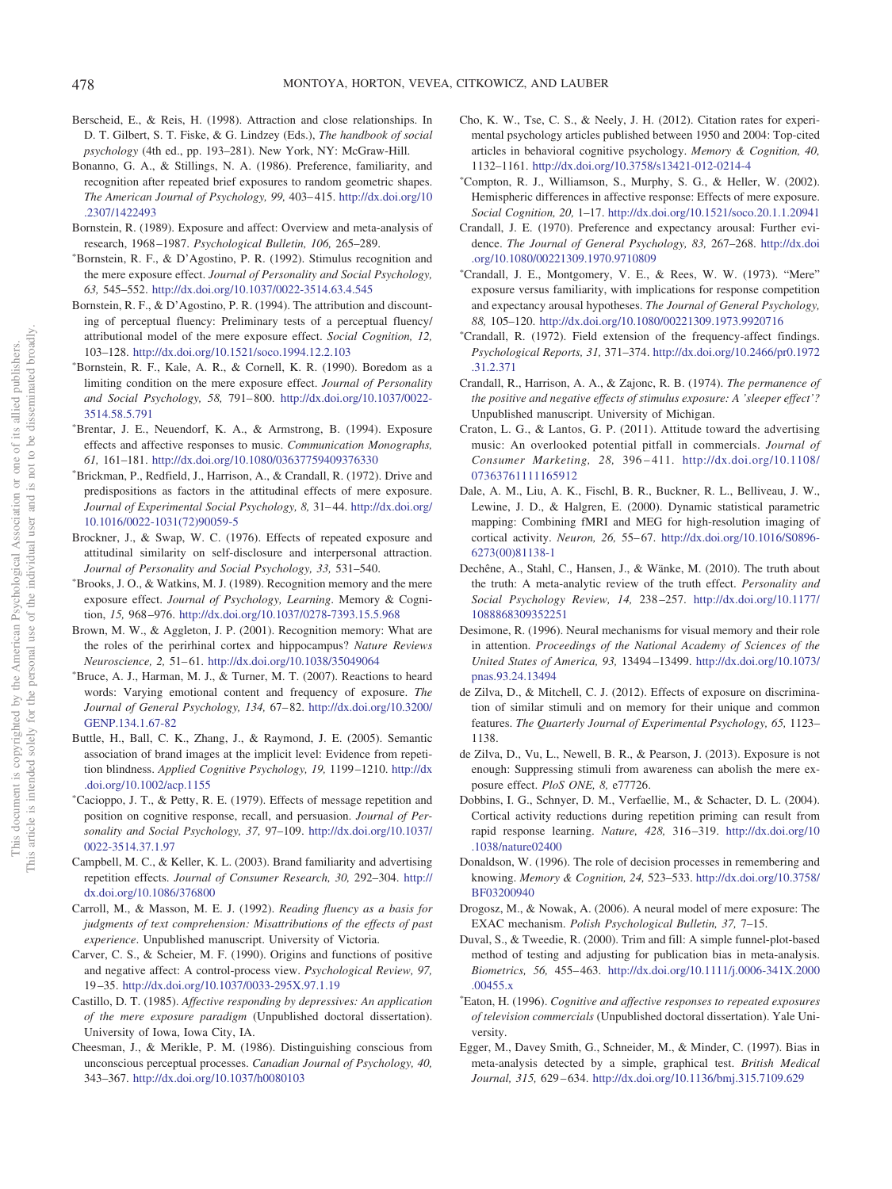- <span id="page-19-0"></span>Berscheid, E., & Reis, H. (1998). Attraction and close relationships. In D. T. Gilbert, S. T. Fiske, & G. Lindzey (Eds.), *The handbook of social psychology* (4th ed., pp. 193–281). New York, NY: McGraw-Hill.
- <span id="page-19-6"></span>Bonanno, G. A., & Stillings, N. A. (1986). Preference, familiarity, and recognition after repeated brief exposures to random geometric shapes. *The American Journal of Psychology, 99,* 403– 415. [http://dx.doi.org/10](http://dx.doi.org/10.2307/1422493) [.2307/1422493](http://dx.doi.org/10.2307/1422493)
- <span id="page-19-1"></span>Bornstein, R. (1989). Exposure and affect: Overview and meta-analysis of research, 1968 –1987. *Psychological Bulletin, 106,* 265–289.
- <span id="page-19-10"></span>- Bornstein, R. F., & D'Agostino, P. R. (1992). Stimulus recognition and the mere exposure effect. *Journal of Personality and Social Psychology, 63,* 545–552. <http://dx.doi.org/10.1037/0022-3514.63.4.545>
- <span id="page-19-5"></span>Bornstein, R. F., & D'Agostino, P. R. (1994). The attribution and discounting of perceptual fluency: Preliminary tests of a perceptual fluency/ attributional model of the mere exposure effect. *Social Cognition, 12,* 103–128. <http://dx.doi.org/10.1521/soco.1994.12.2.103>
- <span id="page-19-22"></span>- Bornstein, R. F., Kale, A. R., & Cornell, K. R. (1990). Boredom as a limiting condition on the mere exposure effect. *Journal of Personality and Social Psychology, 58,* 791– 800. [http://dx.doi.org/10.1037/0022-](http://dx.doi.org/10.1037/0022-3514.58.5.791) [3514.58.5.791](http://dx.doi.org/10.1037/0022-3514.58.5.791)
- <span id="page-19-23"></span>- Brentar, J. E., Neuendorf, K. A., & Armstrong, B. (1994). Exposure effects and affective responses to music. *Communication Monographs, 61,* 161–181. <http://dx.doi.org/10.1080/03637759409376330>
- <span id="page-19-24"></span>- Brickman, P., Redfield, J., Harrison, A., & Crandall, R. (1972). Drive and predispositions as factors in the attitudinal effects of mere exposure. *Journal of Experimental Social Psychology, 8,* 31– 44. [http://dx.doi.org/](http://dx.doi.org/10.1016/0022-1031%2872%2990059-5) [10.1016/0022-1031\(72\)90059-5](http://dx.doi.org/10.1016/0022-1031%2872%2990059-5)
- <span id="page-19-25"></span>Brockner, J., & Swap, W. C. (1976). Effects of repeated exposure and attitudinal similarity on self-disclosure and interpersonal attraction. *Journal of Personality and Social Psychology, 33,* 531–540.
- <span id="page-19-26"></span>- Brooks, J. O., & Watkins, M. J. (1989). Recognition memory and the mere exposure effect. *Journal of Psychology, Learning*. Memory & Cognition, *15,* 968 –976. <http://dx.doi.org/10.1037/0278-7393.15.5.968>
- <span id="page-19-20"></span>Brown, M. W., & Aggleton, J. P. (2001). Recognition memory: What are the roles of the perirhinal cortex and hippocampus? *Nature Reviews Neuroscience, 2,* 51– 61. <http://dx.doi.org/10.1038/35049064>
- <span id="page-19-27"></span>- Bruce, A. J., Harman, M. J., & Turner, M. T. (2007). Reactions to heard words: Varying emotional content and frequency of exposure. *The Journal of General Psychology, 134,* 67– 82. [http://dx.doi.org/10.3200/](http://dx.doi.org/10.3200/GENP.134.1.67-82) [GENP.134.1.67-82](http://dx.doi.org/10.3200/GENP.134.1.67-82)
- <span id="page-19-18"></span>Buttle, H., Ball, C. K., Zhang, J., & Raymond, J. E. (2005). Semantic association of brand images at the implicit level: Evidence from repetition blindness. *Applied Cognitive Psychology, 19,* 1199 –1210. [http://dx](http://dx.doi.org/10.1002/acp.1155) [.doi.org/10.1002/acp.1155](http://dx.doi.org/10.1002/acp.1155)
- <span id="page-19-28"></span>- Cacioppo, J. T., & Petty, R. E. (1979). Effects of message repetition and position on cognitive response, recall, and persuasion. *Journal of Personality and Social Psychology, 37,* 97–109. [http://dx.doi.org/10.1037/](http://dx.doi.org/10.1037/0022-3514.37.1.97) [0022-3514.37.1.97](http://dx.doi.org/10.1037/0022-3514.37.1.97)
- <span id="page-19-29"></span>Campbell, M. C., & Keller, K. L. (2003). Brand familiarity and advertising repetition effects. *Journal of Consumer Research, 30,* 292–304. [http://](http://dx.doi.org/10.1086/376800) [dx.doi.org/10.1086/376800](http://dx.doi.org/10.1086/376800)
- <span id="page-19-4"></span>Carroll, M., & Masson, M. E. J. (1992). *Reading fluency as a basis for judgments of text comprehension: Misattributions of the effects of past experience*. Unpublished manuscript. University of Victoria.
- <span id="page-19-3"></span>Carver, C. S., & Scheier, M. F. (1990). Origins and functions of positive and negative affect: A control-process view. *Psychological Review, 97,* 19 –35. <http://dx.doi.org/10.1037/0033-295X.97.1.19>
- <span id="page-19-30"></span>Castillo, D. T. (1985). *Affective responding by depressives: An application of the mere exposure paradigm* (Unpublished doctoral dissertation). University of Iowa, Iowa City, IA.
- <span id="page-19-12"></span>Cheesman, J., & Merikle, P. M. (1986). Distinguishing conscious from unconscious perceptual processes. *Canadian Journal of Psychology, 40,* 343–367. <http://dx.doi.org/10.1037/h0080103>
- <span id="page-19-11"></span>Cho, K. W., Tse, C. S., & Neely, J. H. (2012). Citation rates for experimental psychology articles published between 1950 and 2004: Top-cited articles in behavioral cognitive psychology. *Memory & Cognition, 40,* 1132–1161. <http://dx.doi.org/10.3758/s13421-012-0214-4>
- <span id="page-19-31"></span>- Compton, R. J., Williamson, S., Murphy, S. G., & Heller, W. (2002). Hemispheric differences in affective response: Effects of mere exposure. *Social Cognition, 20,* 1–17. <http://dx.doi.org/10.1521/soco.20.1.1.20941>
- <span id="page-19-2"></span>Crandall, J. E. (1970). Preference and expectancy arousal: Further evidence. *The Journal of General Psychology, 83,* 267–268. [http://dx.doi](http://dx.doi.org/10.1080/00221309.1970.9710809) [.org/10.1080/00221309.1970.9710809](http://dx.doi.org/10.1080/00221309.1970.9710809)
- <span id="page-19-33"></span>- Crandall, J. E., Montgomery, V. E., & Rees, W. W. (1973). "Mere" exposure versus familiarity, with implications for response competition and expectancy arousal hypotheses. *The Journal of General Psychology, 88,* 105–120. <http://dx.doi.org/10.1080/00221309.1973.9920716>
- <span id="page-19-32"></span>- Crandall, R. (1972). Field extension of the frequency-affect findings. *Psychological Reports, 31,* 371–374. [http://dx.doi.org/10.2466/pr0.1972](http://dx.doi.org/10.2466/pr0.1972.31.2.371) [.31.2.371](http://dx.doi.org/10.2466/pr0.1972.31.2.371)
- <span id="page-19-9"></span>Crandall, R., Harrison, A. A., & Zajonc, R. B. (1974). *The permanence of the positive and negative effects of stimulus exposure: A 'sleeper effect'?* Unpublished manuscript. University of Michigan.
- <span id="page-19-19"></span>Craton, L. G., & Lantos, G. P. (2011). Attitude toward the advertising music: An overlooked potential pitfall in commercials. *Journal of Consumer Marketing, 28,* 396 – 411. [http://dx.doi.org/10.1108/](http://dx.doi.org/10.1108/07363761111165912) [07363761111165912](http://dx.doi.org/10.1108/07363761111165912)
- <span id="page-19-17"></span>Dale, A. M., Liu, A. K., Fischl, B. R., Buckner, R. L., Belliveau, J. W., Lewine, J. D., & Halgren, E. (2000). Dynamic statistical parametric mapping: Combining fMRI and MEG for high-resolution imaging of cortical activity. *Neuron, 26,* 55– 67. [http://dx.doi.org/10.1016/S0896-](http://dx.doi.org/10.1016/S0896-6273%2800%2981138-1) [6273\(00\)81138-1](http://dx.doi.org/10.1016/S0896-6273%2800%2981138-1)
- <span id="page-19-7"></span>Dechêne, A., Stahl, C., Hansen, J., & Wänke, M. (2010). The truth about the truth: A meta-analytic review of the truth effect. *Personality and Social Psychology Review, 14,* 238 –257. [http://dx.doi.org/10.1177/](http://dx.doi.org/10.1177/1088868309352251) [1088868309352251](http://dx.doi.org/10.1177/1088868309352251)
- <span id="page-19-16"></span>Desimone, R. (1996). Neural mechanisms for visual memory and their role in attention. *Proceedings of the National Academy of Sciences of the United States of America, 93,* 13494 –13499. [http://dx.doi.org/10.1073/](http://dx.doi.org/10.1073/pnas.93.24.13494) [pnas.93.24.13494](http://dx.doi.org/10.1073/pnas.93.24.13494)
- <span id="page-19-34"></span>de Zilva, D., & Mitchell, C. J. (2012). Effects of exposure on discrimination of similar stimuli and on memory for their unique and common features. *The Quarterly Journal of Experimental Psychology, 65,* 1123– 1138.
- <span id="page-19-35"></span>de Zilva, D., Vu, L., Newell, B. R., & Pearson, J. (2013). Exposure is not enough: Suppressing stimuli from awareness can abolish the mere exposure effect. *PloS ONE, 8,* e77726.
- <span id="page-19-15"></span>Dobbins, I. G., Schnyer, D. M., Verfaellie, M., & Schacter, D. L. (2004). Cortical activity reductions during repetition priming can result from rapid response learning. *Nature, 428,* 316 –319. [http://dx.doi.org/10](http://dx.doi.org/10.1038/nature02400) [.1038/nature02400](http://dx.doi.org/10.1038/nature02400)
- <span id="page-19-21"></span>Donaldson, W. (1996). The role of decision processes in remembering and knowing. *Memory & Cognition, 24,* 523–533. [http://dx.doi.org/10.3758/](http://dx.doi.org/10.3758/BF03200940) [BF03200940](http://dx.doi.org/10.3758/BF03200940)
- <span id="page-19-8"></span>Drogosz, M., & Nowak, A. (2006). A neural model of mere exposure: The EXAC mechanism. *Polish Psychological Bulletin, 37,* 7–15.
- <span id="page-19-14"></span>Duval, S., & Tweedie, R. (2000). Trim and fill: A simple funnel-plot-based method of testing and adjusting for publication bias in meta-analysis. *Biometrics, 56,* 455– 463. [http://dx.doi.org/10.1111/j.0006-341X.2000](http://dx.doi.org/10.1111/j.0006-341X.2000.00455.x) [.00455.x](http://dx.doi.org/10.1111/j.0006-341X.2000.00455.x)
- <span id="page-19-36"></span>- Eaton, H. (1996). *Cognitive and affective responses to repeated exposures of television commercials* (Unpublished doctoral dissertation). Yale University.
- <span id="page-19-13"></span>Egger, M., Davey Smith, G., Schneider, M., & Minder, C. (1997). Bias in meta-analysis detected by a simple, graphical test. *British Medical Journal, 315,* 629 – 634. <http://dx.doi.org/10.1136/bmj.315.7109.629>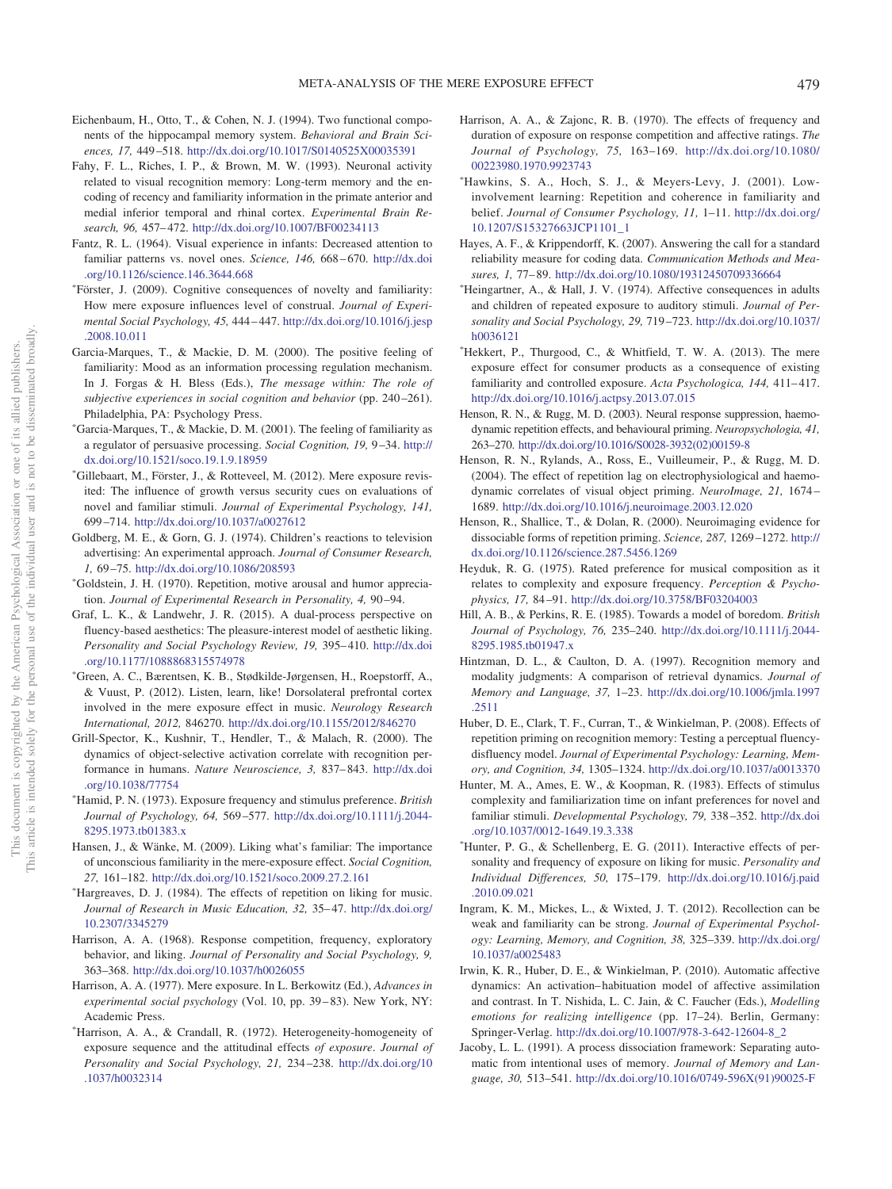- <span id="page-20-22"></span>Eichenbaum, H., Otto, T., & Cohen, N. J. (1994). Two functional components of the hippocampal memory system. *Behavioral and Brain Sciences, 17,* 449 –518. <http://dx.doi.org/10.1017/S0140525X00035391>
- <span id="page-20-23"></span>Fahy, F. L., Riches, I. P., & Brown, M. W. (1993). Neuronal activity related to visual recognition memory: Long-term memory and the encoding of recency and familiarity information in the primate anterior and medial inferior temporal and rhinal cortex. *Experimental Brain Research, 96,* 457– 472. <http://dx.doi.org/10.1007/BF00234113>
- <span id="page-20-6"></span>Fantz, R. L. (1964). Visual experience in infants: Decreased attention to familiar patterns vs. novel ones. *Science, 146,* 668 – 670. [http://dx.doi](http://dx.doi.org/10.1126/science.146.3644.668) [.org/10.1126/science.146.3644.668](http://dx.doi.org/10.1126/science.146.3644.668)
- <span id="page-20-24"></span>- Förster, J. (2009). Cognitive consequences of novelty and familiarity: How mere exposure influences level of construal. *Journal of Experimental Social Psychology, 45,* 444 – 447. [http://dx.doi.org/10.1016/j.jesp](http://dx.doi.org/10.1016/j.jesp.2008.10.011) [.2008.10.011](http://dx.doi.org/10.1016/j.jesp.2008.10.011)
- <span id="page-20-20"></span>Garcia-Marques, T., & Mackie, D. M. (2000). The positive feeling of familiarity: Mood as an information processing regulation mechanism. In J. Forgas & H. Bless (Eds.), *The message within: The role of subjective experiences in social cognition and behavior* (pp. 240–261). Philadelphia, PA: Psychology Press.
- <span id="page-20-25"></span>- Garcia-Marques, T., & Mackie, D. M. (2001). The feeling of familiarity as a regulator of persuasive processing. *Social Cognition, 19,* 9 –34. [http://](http://dx.doi.org/10.1521/soco.19.1.9.18959) [dx.doi.org/10.1521/soco.19.1.9.18959](http://dx.doi.org/10.1521/soco.19.1.9.18959)
- <span id="page-20-26"></span>- Gillebaart, M., Förster, J., & Rotteveel, M. (2012). Mere exposure revisited: The influence of growth versus security cues on evaluations of novel and familiar stimuli. *Journal of Experimental Psychology, 141,* 699 –714. <http://dx.doi.org/10.1037/a0027612>
- <span id="page-20-27"></span>Goldberg, M. E., & Gorn, G. J. (1974). Children's reactions to television advertising: An experimental approach. *Journal of Consumer Research, 1,* 69 –75. <http://dx.doi.org/10.1086/208593>
- <span id="page-20-28"></span>- Goldstein, J. H. (1970). Repetition, motive arousal and humor appreciation. *Journal of Experimental Research in Personality, 4,* 90 –94.
- <span id="page-20-21"></span>Graf, L. K., & Landwehr, J. R. (2015). A dual-process perspective on fluency-based aesthetics: The pleasure-interest model of aesthetic liking. *Personality and Social Psychology Review, 19,* 395– 410. [http://dx.doi](http://dx.doi.org/10.1177/1088868315574978) [.org/10.1177/1088868315574978](http://dx.doi.org/10.1177/1088868315574978)
- <span id="page-20-29"></span>- Green, A. C., Bærentsen, K. B., Stødkilde-Jørgensen, H., Roepstorff, A., & Vuust, P. (2012). Listen, learn, like! Dorsolateral prefrontal cortex involved in the mere exposure effect in music. *Neurology Research International, 2012,* 846270. <http://dx.doi.org/10.1155/2012/846270>
- <span id="page-20-17"></span>Grill-Spector, K., Kushnir, T., Hendler, T., & Malach, R. (2000). The dynamics of object-selective activation correlate with recognition performance in humans. *Nature Neuroscience, 3,* 837– 843. [http://dx.doi](http://dx.doi.org/10.1038/77754) [.org/10.1038/77754](http://dx.doi.org/10.1038/77754)
- <span id="page-20-12"></span>- Hamid, P. N. (1973). Exposure frequency and stimulus preference. *British Journal of Psychology, 64,* 569 –577. [http://dx.doi.org/10.1111/j.2044-](http://dx.doi.org/10.1111/j.2044-8295.1973.tb01383.x) [8295.1973.tb01383.x](http://dx.doi.org/10.1111/j.2044-8295.1973.tb01383.x)
- <span id="page-20-3"></span>Hansen, J., & Wänke, M. (2009). Liking what's familiar: The importance of unconscious familiarity in the mere-exposure effect. *Social Cognition, 27,* 161–182. <http://dx.doi.org/10.1521/soco.2009.27.2.161>
- <span id="page-20-30"></span>- Hargreaves, D. J. (1984). The effects of repetition on liking for music. Journal of Research in Music Education, 32, 35-47. [http://dx.doi.org/](http://dx.doi.org/10.2307/3345279) [10.2307/3345279](http://dx.doi.org/10.2307/3345279)
- <span id="page-20-0"></span>Harrison, A. A. (1968). Response competition, frequency, exploratory behavior, and liking. *Journal of Personality and Social Psychology, 9,* 363–368. <http://dx.doi.org/10.1037/h0026055>
- <span id="page-20-1"></span>Harrison, A. A. (1977). Mere exposure. In L. Berkowitz (Ed.), *Advances in experimental social psychology* (Vol. 10, pp. 39 – 83). New York, NY: Academic Press.
- <span id="page-20-5"></span>- Harrison, A. A., & Crandall, R. (1972). Heterogeneity-homogeneity of exposure sequence and the attitudinal effects *of exposure*. *Journal of Personality and Social Psychology, 21,* 234 –238. [http://dx.doi.org/10](http://dx.doi.org/10.1037/h0032314) [.1037/h0032314](http://dx.doi.org/10.1037/h0032314)
- <span id="page-20-31"></span>Harrison, A. A., & Zajonc, R. B. (1970). The effects of frequency and duration of exposure on response competition and affective ratings. *The Journal of Psychology, 75,* 163–169. [http://dx.doi.org/10.1080/](http://dx.doi.org/10.1080/00223980.1970.9923743) [00223980.1970.9923743](http://dx.doi.org/10.1080/00223980.1970.9923743)
- <span id="page-20-32"></span>- Hawkins, S. A., Hoch, S. J., & Meyers-Levy, J. (2001). Lowinvolvement learning: Repetition and coherence in familiarity and belief. *Journal of Consumer Psychology, 11,* 1–11. [http://dx.doi.org/](http://dx.doi.org/10.1207/S15327663JCP1101_1) [10.1207/S15327663JCP1101\\_1](http://dx.doi.org/10.1207/S15327663JCP1101_1)
- <span id="page-20-10"></span>Hayes, A. F., & Krippendorff, K. (2007). Answering the call for a standard reliability measure for coding data. *Communication Methods and Measures, 1,* 77– 89. <http://dx.doi.org/10.1080/19312450709336664>
- <span id="page-20-8"></span>\*Heingartner, A., & Hall, J. V. (1974). Affective consequences in adults and children of repeated exposure to auditory stimuli. *Journal of Personality and Social Psychology, 29,* 719 –723. [http://dx.doi.org/10.1037/](http://dx.doi.org/10.1037/h0036121) [h0036121](http://dx.doi.org/10.1037/h0036121)
- <span id="page-20-33"></span>- Hekkert, P., Thurgood, C., & Whitfield, T. W. A. (2013). The mere exposure effect for consumer products as a consequence of existing familiarity and controlled exposure. Acta Psychologica, 144, 411-417. <http://dx.doi.org/10.1016/j.actpsy.2013.07.015>
- <span id="page-20-4"></span>Henson, R. N., & Rugg, M. D. (2003). Neural response suppression, haemodynamic repetition effects, and behavioural priming. *Neuropsychologia, 41,* 263–270. [http://dx.doi.org/10.1016/S0028-3932\(02\)00159-8](http://dx.doi.org/10.1016/S0028-3932%2802%2900159-8)
- <span id="page-20-18"></span>Henson, R. N., Rylands, A., Ross, E., Vuilleumeir, P., & Rugg, M. D. (2004). The effect of repetition lag on electrophysiological and haemodynamic correlates of visual object priming. *NeuroImage, 21,* 1674 – 1689. <http://dx.doi.org/10.1016/j.neuroimage.2003.12.020>
- <span id="page-20-16"></span>Henson, R., Shallice, T., & Dolan, R. (2000). Neuroimaging evidence for dissociable forms of repetition priming. *Science, 287,* 1269 –1272. [http://](http://dx.doi.org/10.1126/science.287.5456.1269) [dx.doi.org/10.1126/science.287.5456.1269](http://dx.doi.org/10.1126/science.287.5456.1269)
- <span id="page-20-13"></span>Heyduk, R. G. (1975). Rated preference for musical composition as it relates to complexity and exposure frequency. *Perception & Psychophysics, 17,* 84 –91. <http://dx.doi.org/10.3758/BF03204003>
- <span id="page-20-11"></span>Hill, A. B., & Perkins, R. E. (1985). Towards a model of boredom. *British Journal of Psychology, 76,* 235–240. [http://dx.doi.org/10.1111/j.2044-](http://dx.doi.org/10.1111/j.2044-8295.1985.tb01947.x) [8295.1985.tb01947.x](http://dx.doi.org/10.1111/j.2044-8295.1985.tb01947.x)
- <span id="page-20-19"></span>Hintzman, D. L., & Caulton, D. A. (1997). Recognition memory and modality judgments: A comparison of retrieval dynamics. *Journal of Memory and Language, 37,* 1–23. [http://dx.doi.org/10.1006/jmla.1997](http://dx.doi.org/10.1006/jmla.1997.2511) [.2511](http://dx.doi.org/10.1006/jmla.1997.2511)
- <span id="page-20-14"></span>Huber, D. E., Clark, T. F., Curran, T., & Winkielman, P. (2008). Effects of repetition priming on recognition memory: Testing a perceptual fluencydisfluency model. *Journal of Experimental Psychology: Learning, Memory, and Cognition, 34,* 1305–1324. <http://dx.doi.org/10.1037/a0013370>
- <span id="page-20-7"></span>Hunter, M. A., Ames, E. W., & Koopman, R. (1983). Effects of stimulus complexity and familiarization time on infant preferences for novel and familiar stimuli. *Developmental Psychology, 79,* 338 –352. [http://dx.doi](http://dx.doi.org/10.1037/0012-1649.19.3.338) [.org/10.1037/0012-1649.19.3.338](http://dx.doi.org/10.1037/0012-1649.19.3.338)
- <span id="page-20-34"></span>- Hunter, P. G., & Schellenberg, E. G. (2011). Interactive effects of personality and frequency of exposure on liking for music. *Personality and Individual Differences, 50,* 175–179. [http://dx.doi.org/10.1016/j.paid](http://dx.doi.org/10.1016/j.paid.2010.09.021) [.2010.09.021](http://dx.doi.org/10.1016/j.paid.2010.09.021)
- <span id="page-20-9"></span>Ingram, K. M., Mickes, L., & Wixted, J. T. (2012). Recollection can be weak and familiarity can be strong. *Journal of Experimental Psychology: Learning, Memory, and Cognition, 38,* 325–339. [http://dx.doi.org/](http://dx.doi.org/10.1037/a0025483) [10.1037/a0025483](http://dx.doi.org/10.1037/a0025483)
- <span id="page-20-15"></span>Irwin, K. R., Huber, D. E., & Winkielman, P. (2010). Automatic affective dynamics: An activation– habituation model of affective assimilation and contrast. In T. Nishida, L. C. Jain, & C. Faucher (Eds.), *Modelling emotions for realizing intelligence* (pp. 17–24). Berlin, Germany: Springer-Verlag. [http://dx.doi.org/10.1007/978-3-642-12604-8\\_2](http://dx.doi.org/10.1007/978-3-642-12604-8_2)
- <span id="page-20-2"></span>Jacoby, L. L. (1991). A process dissociation framework: Separating automatic from intentional uses of memory. *Journal of Memory and Language, 30,* 513–541. [http://dx.doi.org/10.1016/0749-596X\(91\)90025-F](http://dx.doi.org/10.1016/0749-596X%2891%2990025-F)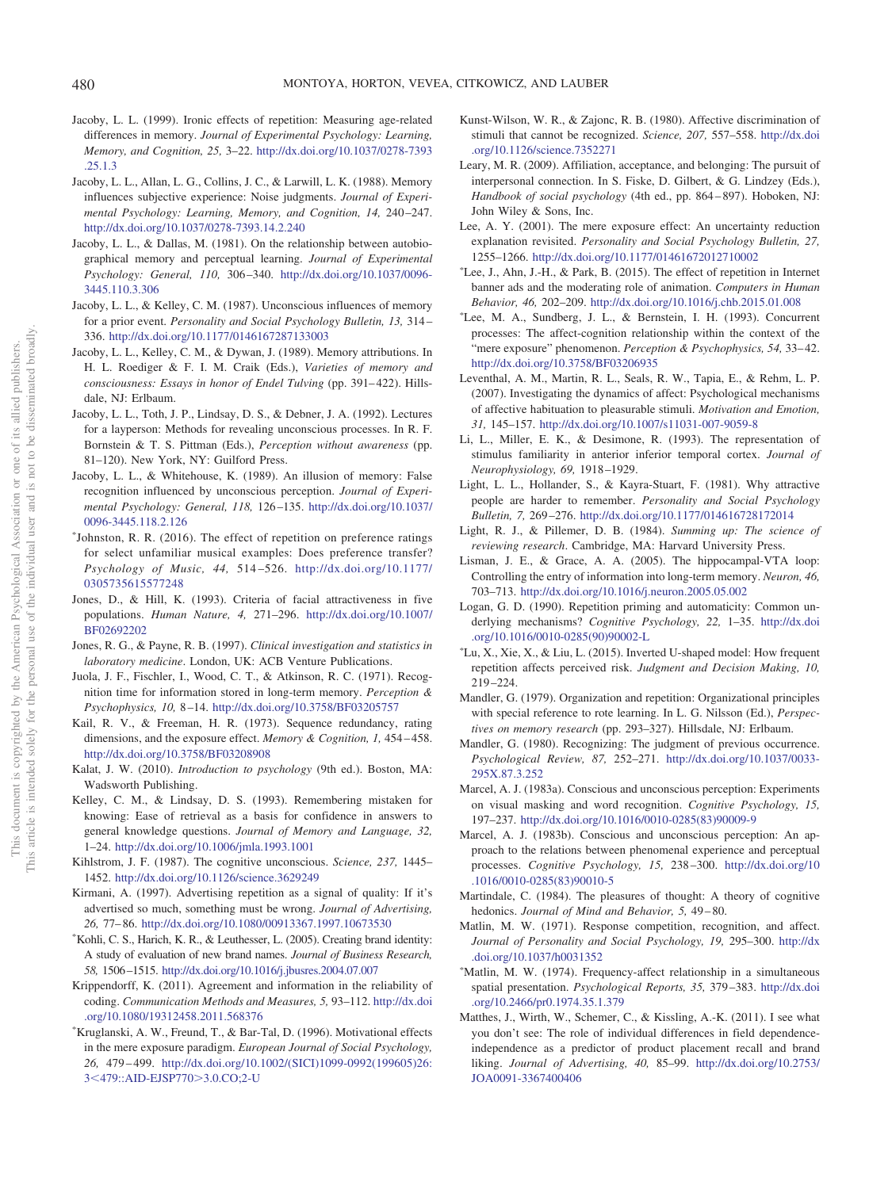- <span id="page-21-24"></span>Jacoby, L. L. (1999). Ironic effects of repetition: Measuring age-related differences in memory. *Journal of Experimental Psychology: Learning, Memory, and Cognition, 25,* 3–22. [http://dx.doi.org/10.1037/0278-7393](http://dx.doi.org/10.1037/0278-7393.25.1.3) [.25.1.3](http://dx.doi.org/10.1037/0278-7393.25.1.3)
- <span id="page-21-7"></span>Jacoby, L. L., Allan, L. G., Collins, J. C., & Larwill, L. K. (1988). Memory influences subjective experience: Noise judgments. *Journal of Experimental Psychology: Learning, Memory, and Cognition, 14,* 240 –247. <http://dx.doi.org/10.1037/0278-7393.14.2.240>
- <span id="page-21-5"></span>Jacoby, L. L., & Dallas, M. (1981). On the relationship between autobiographical memory and perceptual learning. *Journal of Experimental Psychology: General, 110,* 306 –340. [http://dx.doi.org/10.1037/0096-](http://dx.doi.org/10.1037/0096-3445.110.3.306) [3445.110.3.306](http://dx.doi.org/10.1037/0096-3445.110.3.306)
- <span id="page-21-3"></span>Jacoby, L. L., & Kelley, C. M. (1987). Unconscious influences of memory for a prior event. *Personality and Social Psychology Bulletin, 13,* 314 – 336. <http://dx.doi.org/10.1177/0146167287133003>
- <span id="page-21-8"></span>Jacoby, L. L., Kelley, C. M., & Dywan, J. (1989). Memory attributions. In H. L. Roediger & F. I. M. Craik (Eds.), *Varieties of memory and consciousness: Essays in honor of Endel Tulving* (pp. 391– 422). Hillsdale, NJ: Erlbaum.
- <span id="page-21-4"></span>Jacoby, L. L., Toth, J. P., Lindsay, D. S., & Debner, J. A. (1992). Lectures for a layperson: Methods for revealing unconscious processes. In R. F. Bornstein & T. S. Pittman (Eds.), *Perception without awareness* (pp. 81–120). New York, NY: Guilford Press.
- <span id="page-21-6"></span>Jacoby, L. L., & Whitehouse, K. (1989). An illusion of memory: False recognition influenced by unconscious perception. *Journal of Experimental Psychology: General, 118,* 126 –135. [http://dx.doi.org/10.1037/](http://dx.doi.org/10.1037/0096-3445.118.2.126) [0096-3445.118.2.126](http://dx.doi.org/10.1037/0096-3445.118.2.126)
- <span id="page-21-31"></span>- Johnston, R. R. (2016). The effect of repetition on preference ratings for select unfamiliar musical examples: Does preference transfer? *Psychology of Music, 44,* 514 –526. [http://dx.doi.org/10.1177/](http://dx.doi.org/10.1177/0305735615577248) [0305735615577248](http://dx.doi.org/10.1177/0305735615577248)
- <span id="page-21-27"></span>Jones, D., & Hill, K. (1993). Criteria of facial attractiveness in five populations. *Human Nature, 4,* 271–296. [http://dx.doi.org/10.1007/](http://dx.doi.org/10.1007/BF02692202) [BF02692202](http://dx.doi.org/10.1007/BF02692202)
- <span id="page-21-19"></span>Jones, R. G., & Payne, R. B. (1997). *Clinical investigation and statistics in laboratory medicine*. London, UK: ACB Venture Publications.
- <span id="page-21-25"></span>Juola, J. F., Fischler, I., Wood, C. T., & Atkinson, R. C. (1971). Recognition time for information stored in long-term memory. *Perception & Psychophysics, 10,* 8 –14. <http://dx.doi.org/10.3758/BF03205757>
- <span id="page-21-16"></span>Kail, R. V., & Freeman, H. R. (1973). Sequence redundancy, rating dimensions, and the exposure effect. *Memory & Cognition, 1,* 454 – 458. <http://dx.doi.org/10.3758/BF03208908>
- <span id="page-21-0"></span>Kalat, J. W. (2010). *Introduction to psychology* (9th ed.). Boston, MA: Wadsworth Publishing.
- <span id="page-21-29"></span>Kelley, C. M., & Lindsay, D. S. (1993). Remembering mistaken for knowing: Ease of retrieval as a basis for confidence in answers to general knowledge questions. *Journal of Memory and Language, 32,* 1–24. <http://dx.doi.org/10.1006/jmla.1993.1001>
- <span id="page-21-13"></span>Kihlstrom, J. F. (1987). The cognitive unconscious. *Science, 237,* 1445– 1452. <http://dx.doi.org/10.1126/science.3629249>
- <span id="page-21-32"></span>Kirmani, A. (1997). Advertising repetition as a signal of quality: If it's advertised so much, something must be wrong. *Journal of Advertising, 26,* 77– 86. <http://dx.doi.org/10.1080/00913367.1997.10673530>
- <span id="page-21-33"></span>- Kohli, C. S., Harich, K. R., & Leuthesser, L. (2005). Creating brand identity: A study of evaluation of new brand names. *Journal of Business Research, 58,* 1506 –1515. <http://dx.doi.org/10.1016/j.jbusres.2004.07.007>
- <span id="page-21-18"></span>Krippendorff, K. (2011). Agreement and information in the reliability of coding. *Communication Methods and Measures, 5,* 93–112. [http://dx.doi](http://dx.doi.org/10.1080/19312458.2011.568376) [.org/10.1080/19312458.2011.568376](http://dx.doi.org/10.1080/19312458.2011.568376)
- <span id="page-21-17"></span>- Kruglanski, A. W., Freund, T., & Bar-Tal, D. (1996). Motivational effects in the mere exposure paradigm. *European Journal of Social Psychology, 26,* 479 – 499. [http://dx.doi.org/10.1002/\(SICI\)1099-0992\(199605\)26:](http://dx.doi.org/10.1002/%28SICI%291099-0992%28199605%2926:3%3C479::AID-EJSP770%3E3.0.CO;2-U) 3<[479::AID-EJSP770](http://dx.doi.org/10.1002/%28SICI%291099-0992%28199605%2926:3%3C479::AID-EJSP770%3E3.0.CO;2-U)>3.0.CO;2-U
- <span id="page-21-9"></span>Kunst-Wilson, W. R., & Zajonc, R. B. (1980). Affective discrimination of stimuli that cannot be recognized. *Science, 207,* 557–558. [http://dx.doi](http://dx.doi.org/10.1126/science.7352271) [.org/10.1126/science.7352271](http://dx.doi.org/10.1126/science.7352271)
- <span id="page-21-1"></span>Leary, M. R. (2009). Affiliation, acceptance, and belonging: The pursuit of interpersonal connection. In S. Fiske, D. Gilbert, & G. Lindzey (Eds.), *Handbook of social psychology* (4th ed., pp. 864 – 897). Hoboken, NJ: John Wiley & Sons, Inc.
- <span id="page-21-14"></span>Lee, A. Y. (2001). The mere exposure effect: An uncertainty reduction explanation revisited. *Personality and Social Psychology Bulletin, 27,* 1255–1266. <http://dx.doi.org/10.1177/01461672012710002>
- <span id="page-21-34"></span>- Lee, J., Ahn, J.-H., & Park, B. (2015). The effect of repetition in Internet banner ads and the moderating role of animation. *Computers in Human Behavior, 46,* 202–209. <http://dx.doi.org/10.1016/j.chb.2015.01.008>
- <span id="page-21-35"></span>- Lee, M. A., Sundberg, J. L., & Bernstein, I. H. (1993). Concurrent processes: The affect-cognition relationship within the context of the "mere exposure" phenomenon. Perception & Psychophysics, 54, 33-42. <http://dx.doi.org/10.3758/BF03206935>
- <span id="page-21-15"></span>Leventhal, A. M., Martin, R. L., Seals, R. W., Tapia, E., & Rehm, L. P. (2007). Investigating the dynamics of affect: Psychological mechanisms of affective habituation to pleasurable stimuli. *Motivation and Emotion, 31,* 145–157. <http://dx.doi.org/10.1007/s11031-007-9059-8>
- <span id="page-21-23"></span>Li, L., Miller, E. K., & Desimone, R. (1993). The representation of stimulus familiarity in anterior inferior temporal cortex. *Journal of Neurophysiology, 69,* 1918 –1929.
- <span id="page-21-28"></span>Light, L. L., Hollander, S., & Kayra-Stuart, F. (1981). Why attractive people are harder to remember. *Personality and Social Psychology Bulletin, 7,* 269 –276. <http://dx.doi.org/10.1177/014616728172014>
- <span id="page-21-22"></span>Light, R. J., & Pillemer, D. B. (1984). *Summing up: The science of reviewing research*. Cambridge, MA: Harvard University Press.
- <span id="page-21-26"></span>Lisman, J. E., & Grace, A. A. (2005). The hippocampal-VTA loop: Controlling the entry of information into long-term memory. *Neuron, 46,* 703–713. <http://dx.doi.org/10.1016/j.neuron.2005.05.002>
- <span id="page-21-30"></span>Logan, G. D. (1990). Repetition priming and automaticity: Common underlying mechanisms? *Cognitive Psychology, 22,* 1–35. [http://dx.doi](http://dx.doi.org/10.1016/0010-0285%2890%2990002-L) [.org/10.1016/0010-0285\(90\)90002-L](http://dx.doi.org/10.1016/0010-0285%2890%2990002-L)
- <span id="page-21-36"></span>- Lu, X., Xie, X., & Liu, L. (2015). Inverted U-shaped model: How frequent repetition affects perceived risk. *Judgment and Decision Making, 10,* 219 –224.
- <span id="page-21-12"></span>Mandler, G. (1979). Organization and repetition: Organizational principles with special reference to rote learning. In L. G. Nilsson (Ed.), *Perspectives on memory research* (pp. 293–327). Hillsdale, NJ: Erlbaum.
- <span id="page-21-11"></span>Mandler, G. (1980). Recognizing: The judgment of previous occurrence. *Psychological Review, 87,* 252–271. [http://dx.doi.org/10.1037/0033-](http://dx.doi.org/10.1037/0033-295X.87.3.252) [295X.87.3.252](http://dx.doi.org/10.1037/0033-295X.87.3.252)
- <span id="page-21-20"></span>Marcel, A. J. (1983a). Conscious and unconscious perception: Experiments on visual masking and word recognition. *Cognitive Psychology, 15,* 197–237. [http://dx.doi.org/10.1016/0010-0285\(83\)90009-9](http://dx.doi.org/10.1016/0010-0285%2883%2990009-9)
- <span id="page-21-21"></span>Marcel, A. J. (1983b). Conscious and unconscious perception: An approach to the relations between phenomenal experience and perceptual processes. *Cognitive Psychology, 15,* 238 –300. [http://dx.doi.org/10](http://dx.doi.org/10.1016/0010-0285%2883%2990010-5) [.1016/0010-0285\(83\)90010-5](http://dx.doi.org/10.1016/0010-0285%2883%2990010-5)
- <span id="page-21-2"></span>Martindale, C. (1984). The pleasures of thought: A theory of cognitive hedonics. *Journal of Mind and Behavior*, 5, 49-80.
- <span id="page-21-10"></span>Matlin, M. W. (1971). Response competition, recognition, and affect. *Journal of Personality and Social Psychology, 19,* 295–300. [http://dx](http://dx.doi.org/10.1037/h0031352) [.doi.org/10.1037/h0031352](http://dx.doi.org/10.1037/h0031352)
- <span id="page-21-37"></span>- Matlin, M. W. (1974). Frequency-affect relationship in a simultaneous spatial presentation. *Psychological Reports, 35,* 379 –383. [http://dx.doi](http://dx.doi.org/10.2466/pr0.1974.35.1.379) [.org/10.2466/pr0.1974.35.1.379](http://dx.doi.org/10.2466/pr0.1974.35.1.379)
- <span id="page-21-38"></span>Matthes, J., Wirth, W., Schemer, C., & Kissling, A.-K. (2011). I see what you don't see: The role of individual differences in field dependenceindependence as a predictor of product placement recall and brand liking. *Journal of Advertising, 40,* 85–99. [http://dx.doi.org/10.2753/](http://dx.doi.org/10.2753/JOA0091-3367400406) [JOA0091-3367400406](http://dx.doi.org/10.2753/JOA0091-3367400406)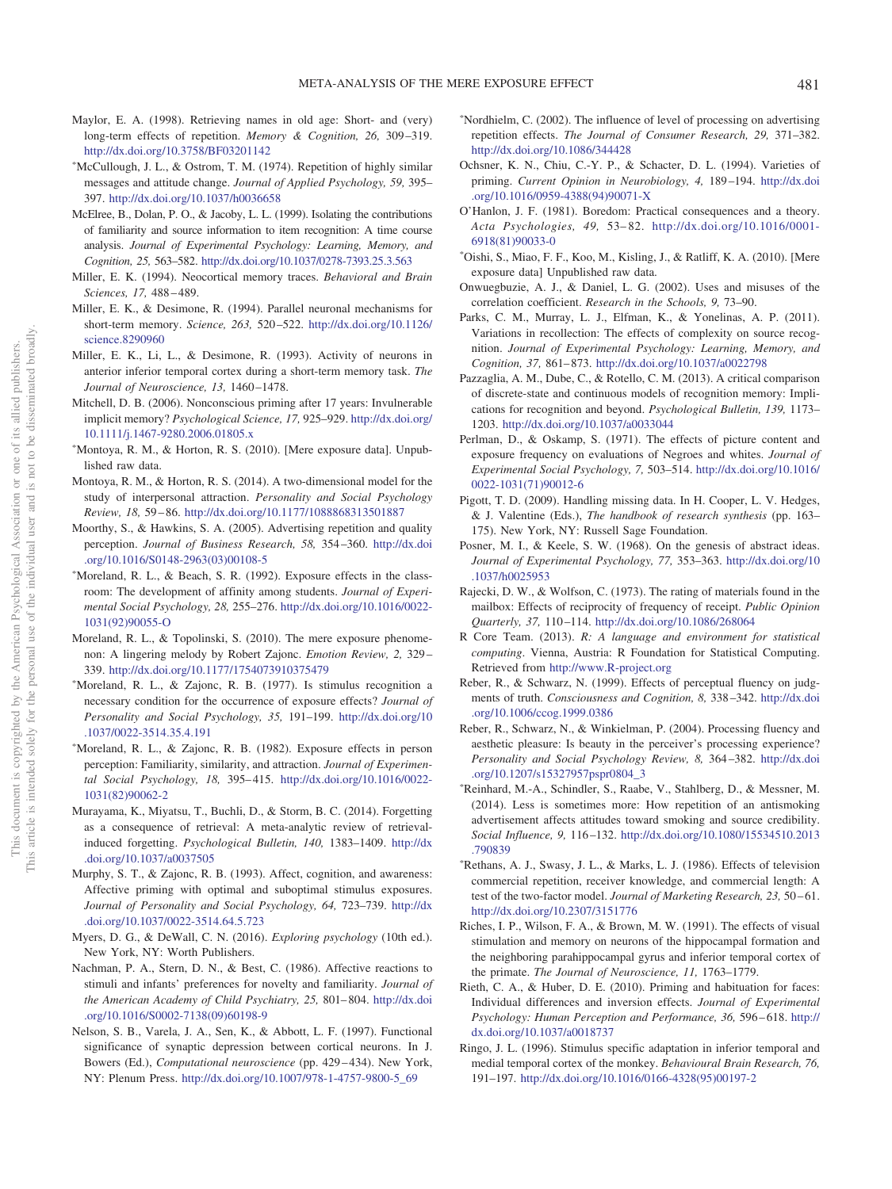- <span id="page-22-27"></span>Maylor, E. A. (1998). Retrieving names in old age: Short- and (very) long-term effects of repetition. *Memory & Cognition, 26,* 309 –319. <http://dx.doi.org/10.3758/BF03201142>
- <span id="page-22-30"></span>- McCullough, J. L., & Ostrom, T. M. (1974). Repetition of highly similar messages and attitude change. *Journal of Applied Psychology, 59,* 395– 397. <http://dx.doi.org/10.1037/h0036658>
- <span id="page-22-24"></span>McElree, B., Dolan, P. O., & Jacoby, L. L. (1999). Isolating the contributions of familiarity and source information to item recognition: A time course analysis. *Journal of Experimental Psychology: Learning, Memory, and Cognition, 25,* 563–582. <http://dx.doi.org/10.1037/0278-7393.25.3.563>
- <span id="page-22-13"></span>Miller, E. K. (1994). Neocortical memory traces. *Behavioral and Brain Sciences, 17,* 488 – 489.
- <span id="page-22-23"></span>Miller, E. K., & Desimone, R. (1994). Parallel neuronal mechanisms for short-term memory. *Science, 263,* 520 –522. [http://dx.doi.org/10.1126/](http://dx.doi.org/10.1126/science.8290960) [science.8290960](http://dx.doi.org/10.1126/science.8290960)
- <span id="page-22-20"></span>Miller, E. K., Li, L., & Desimone, R. (1993). Activity of neurons in anterior inferior temporal cortex during a short-term memory task. *The Journal of Neuroscience, 13,* 1460 –1478.
- <span id="page-22-28"></span>Mitchell, D. B. (2006). Nonconscious priming after 17 years: Invulnerable implicit memory? *Psychological Science, 17,* 925–929. [http://dx.doi.org/](http://dx.doi.org/10.1111/j.1467-9280.2006.01805.x) [10.1111/j.1467-9280.2006.01805.x](http://dx.doi.org/10.1111/j.1467-9280.2006.01805.x)
- <span id="page-22-31"></span>- Montoya, R. M., & Horton, R. S. (2010). [Mere exposure data]. Unpublished raw data.
- <span id="page-22-1"></span>Montoya, R. M., & Horton, R. S. (2014). A two-dimensional model for the study of interpersonal attraction. *Personality and Social Psychology Review, 18,* 59 – 86. <http://dx.doi.org/10.1177/1088868313501887>
- <span id="page-22-32"></span>Moorthy, S., & Hawkins, S. A. (2005). Advertising repetition and quality perception. *Journal of Business Research, 58,* 354 –360. [http://dx.doi](http://dx.doi.org/10.1016/S0148-2963%2803%2900108-5) [.org/10.1016/S0148-2963\(03\)00108-5](http://dx.doi.org/10.1016/S0148-2963%2803%2900108-5)
- <span id="page-22-16"></span>- Moreland, R. L., & Beach, S. R. (1992). Exposure effects in the classroom: The development of affinity among students. *Journal of Experimental Social Psychology, 28,* 255–276. [http://dx.doi.org/10.1016/0022-](http://dx.doi.org/10.1016/0022-1031%2892%2990055-O) [1031\(92\)90055-O](http://dx.doi.org/10.1016/0022-1031%2892%2990055-O)
- <span id="page-22-6"></span>Moreland, R. L., & Topolinski, S. (2010). The mere exposure phenomenon: A lingering melody by Robert Zajonc. *Emotion Review, 2,* 329 – 339. <http://dx.doi.org/10.1177/1754073910375479>
- <span id="page-22-3"></span>- Moreland, R. L., & Zajonc, R. B. (1977). Is stimulus recognition a necessary condition for the occurrence of exposure effects? *Journal of Personality and Social Psychology, 35,* 191–199. [http://dx.doi.org/10](http://dx.doi.org/10.1037/0022-3514.35.4.191) [.1037/0022-3514.35.4.191](http://dx.doi.org/10.1037/0022-3514.35.4.191)
- <span id="page-22-5"></span>- Moreland, R. L., & Zajonc, R. B. (1982). Exposure effects in person perception: Familiarity, similarity, and attraction. *Journal of Experimental Social Psychology, 18,* 395– 415. [http://dx.doi.org/10.1016/0022-](http://dx.doi.org/10.1016/0022-1031%2882%2990062-2) [1031\(82\)90062-2](http://dx.doi.org/10.1016/0022-1031%2882%2990062-2)
- <span id="page-22-26"></span>Murayama, K., Miyatsu, T., Buchli, D., & Storm, B. C. (2014). Forgetting as a consequence of retrieval: A meta-analytic review of retrievalinduced forgetting. *Psychological Bulletin, 140,* 1383–1409. [http://dx](http://dx.doi.org/10.1037/a0037505) [.doi.org/10.1037/a0037505](http://dx.doi.org/10.1037/a0037505)
- <span id="page-22-25"></span>Murphy, S. T., & Zajonc, R. B. (1993). Affect, cognition, and awareness: Affective priming with optimal and suboptimal stimulus exposures. *Journal of Personality and Social Psychology, 64,* 723–739. [http://dx](http://dx.doi.org/10.1037/0022-3514.64.5.723) [.doi.org/10.1037/0022-3514.64.5.723](http://dx.doi.org/10.1037/0022-3514.64.5.723)
- <span id="page-22-0"></span>Myers, D. G., & DeWall, C. N. (2016). *Exploring psychology* (10th ed.). New York, NY: Worth Publishers.
- <span id="page-22-9"></span>Nachman, P. A., Stern, D. N., & Best, C. (1986). Affective reactions to stimuli and infants' preferences for novelty and familiarity. *Journal of the American Academy of Child Psychiatry, 25,* 801– 804. [http://dx.doi](http://dx.doi.org/10.1016/S0002-7138%2809%2960198-9) [.org/10.1016/S0002-7138\(09\)60198-9](http://dx.doi.org/10.1016/S0002-7138%2809%2960198-9)
- <span id="page-22-18"></span>Nelson, S. B., Varela, J. A., Sen, K., & Abbott, L. F. (1997). Functional significance of synaptic depression between cortical neurons. In J. Bowers (Ed.), *Computational neuroscience* (pp. 429 – 434). New York, NY: Plenum Press. [http://dx.doi.org/10.1007/978-1-4757-9800-5\\_69](http://dx.doi.org/10.1007/978-1-4757-9800-5_69)
- <span id="page-22-7"></span>- Nordhielm, C. (2002). The influence of level of processing on advertising repetition effects. *The Journal of Consumer Research, 29,* 371–382. <http://dx.doi.org/10.1086/344428>
- <span id="page-22-4"></span>Ochsner, K. N., Chiu, C.-Y. P., & Schacter, D. L. (1994). Varieties of priming. *Current Opinion in Neurobiology, 4,* 189 –194. [http://dx.doi](http://dx.doi.org/10.1016/0959-4388%2894%2990071-X) [.org/10.1016/0959-4388\(94\)90071-X](http://dx.doi.org/10.1016/0959-4388%2894%2990071-X)
- <span id="page-22-17"></span>O'Hanlon, J. F. (1981). Boredom: Practical consequences and a theory. *Acta Psychologies, 49,* 53– 82. [http://dx.doi.org/10.1016/0001-](http://dx.doi.org/10.1016/0001-6918%2881%2990033-0) [6918\(81\)90033-0](http://dx.doi.org/10.1016/0001-6918%2881%2990033-0)
- <span id="page-22-33"></span>- Oishi, S., Miao, F. F., Koo, M., Kisling, J., & Ratliff, K. A. (2010). [Mere exposure data] Unpublished raw data.
- <span id="page-22-14"></span>Onwuegbuzie, A. J., & Daniel, L. G. (2002). Uses and misuses of the correlation coefficient. *Research in the Schools, 9,* 73–90.
- <span id="page-22-10"></span>Parks, C. M., Murray, L. J., Elfman, K., & Yonelinas, A. P. (2011). Variations in recollection: The effects of complexity on source recognition. *Journal of Experimental Psychology: Learning, Memory, and Cognition, 37,* 861– 873. <http://dx.doi.org/10.1037/a0022798>
- <span id="page-22-11"></span>Pazzaglia, A. M., Dube, C., & Rotello, C. M. (2013). A critical comparison of discrete-state and continuous models of recognition memory: Implications for recognition and beyond. *Psychological Bulletin, 139,* 1173– 1203. <http://dx.doi.org/10.1037/a0033044>
- <span id="page-22-34"></span>Perlman, D., & Oskamp, S. (1971). The effects of picture content and exposure frequency on evaluations of Negroes and whites. *Journal of Experimental Social Psychology, 7,* 503–514. [http://dx.doi.org/10.1016/](http://dx.doi.org/10.1016/0022-1031%2871%2990012-6) [0022-1031\(71\)90012-6](http://dx.doi.org/10.1016/0022-1031%2871%2990012-6)
- <span id="page-22-12"></span>Pigott, T. D. (2009). Handling missing data. In H. Cooper, L. V. Hedges, & J. Valentine (Eds.), *The handbook of research synthesis* (pp. 163– 175). New York, NY: Russell Sage Foundation.
- <span id="page-22-29"></span>Posner, M. I., & Keele, S. W. (1968). On the genesis of abstract ideas. *Journal of Experimental Psychology, 77,* 353–363. [http://dx.doi.org/10](http://dx.doi.org/10.1037/h0025953) [.1037/h0025953](http://dx.doi.org/10.1037/h0025953)
- <span id="page-22-35"></span>Rajecki, D. W., & Wolfson, C. (1973). The rating of materials found in the mailbox: Effects of reciprocity of frequency of receipt. *Public Opinion Quarterly, 37,* 110 –114. <http://dx.doi.org/10.1086/268064>
- <span id="page-22-15"></span>R Core Team. (2013). *R: A language and environment for statistical computing*. Vienna, Austria: R Foundation for Statistical Computing. Retrieved from <http://www.R-project.org>
- <span id="page-22-2"></span>Reber, R., & Schwarz, N. (1999). Effects of perceptual fluency on judgments of truth. *Consciousness and Cognition, 8,* 338 –342. [http://dx.doi](http://dx.doi.org/10.1006/ccog.1999.0386) [.org/10.1006/ccog.1999.0386](http://dx.doi.org/10.1006/ccog.1999.0386)
- <span id="page-22-8"></span>Reber, R., Schwarz, N., & Winkielman, P. (2004). Processing fluency and aesthetic pleasure: Is beauty in the perceiver's processing experience? *Personality and Social Psychology Review, 8,* 364 –382. [http://dx.doi](http://dx.doi.org/10.1207/s15327957pspr0804_3) [.org/10.1207/s15327957pspr0804\\_3](http://dx.doi.org/10.1207/s15327957pspr0804_3)
- <span id="page-22-36"></span>- Reinhard, M.-A., Schindler, S., Raabe, V., Stahlberg, D., & Messner, M. (2014). Less is sometimes more: How repetition of an antismoking advertisement affects attitudes toward smoking and source credibility. *Social Influence, 9,* 116 –132. [http://dx.doi.org/10.1080/15534510.2013](http://dx.doi.org/10.1080/15534510.2013.790839) [.790839](http://dx.doi.org/10.1080/15534510.2013.790839)
- <span id="page-22-37"></span>- Rethans, A. J., Swasy, J. L., & Marks, L. J. (1986). Effects of television commercial repetition, receiver knowledge, and commercial length: A test of the two-factor model. *Journal of Marketing Research*, 23, 50–61. <http://dx.doi.org/10.2307/3151776>
- <span id="page-22-19"></span>Riches, I. P., Wilson, F. A., & Brown, M. W. (1991). The effects of visual stimulation and memory on neurons of the hippocampal formation and the neighboring parahippocampal gyrus and inferior temporal cortex of the primate. *The Journal of Neuroscience, 11,* 1763–1779.
- <span id="page-22-21"></span>Rieth, C. A., & Huber, D. E. (2010). Priming and habituation for faces: Individual differences and inversion effects. *Journal of Experimental Psychology: Human Perception and Performance, 36,* 596 – 618. [http://](http://dx.doi.org/10.1037/a0018737) [dx.doi.org/10.1037/a0018737](http://dx.doi.org/10.1037/a0018737)
- <span id="page-22-22"></span>Ringo, J. L. (1996). Stimulus specific adaptation in inferior temporal and medial temporal cortex of the monkey. *Behavioural Brain Research, 76,* 191–197. [http://dx.doi.org/10.1016/0166-4328\(95\)00197-2](http://dx.doi.org/10.1016/0166-4328%2895%2900197-2)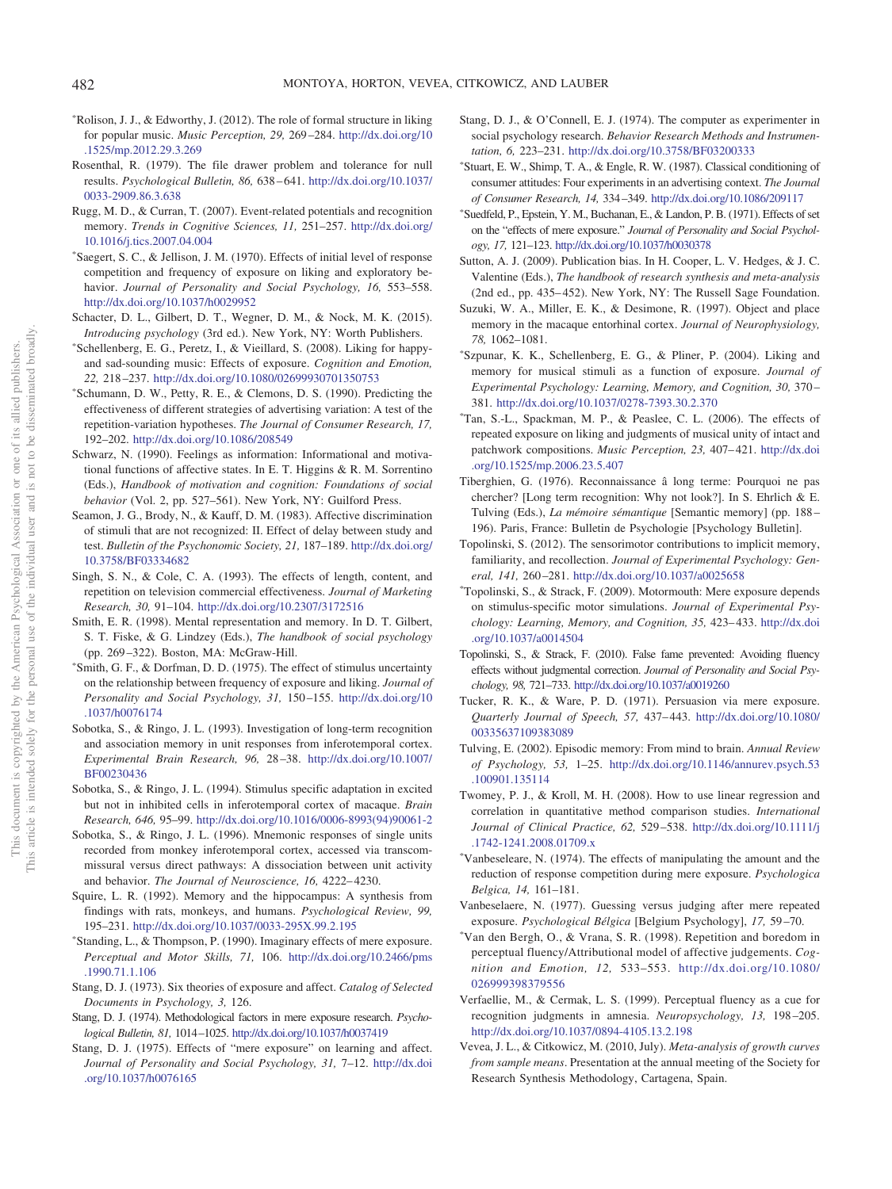- <span id="page-23-26"></span>-Rolison, J. J., & Edworthy, J. (2012). The role of formal structure in liking for popular music. *Music Perception, 29,* 269 –284. [http://dx.doi.org/10](http://dx.doi.org/10.1525/mp.2012.29.3.269) [.1525/mp.2012.29.3.269](http://dx.doi.org/10.1525/mp.2012.29.3.269)
- <span id="page-23-9"></span>Rosenthal, R. (1979). The file drawer problem and tolerance for null results. *Psychological Bulletin, 86,* 638 – 641. [http://dx.doi.org/10.1037/](http://dx.doi.org/10.1037/0033-2909.86.3.638) [0033-2909.86.3.638](http://dx.doi.org/10.1037/0033-2909.86.3.638)
- <span id="page-23-10"></span>Rugg, M. D., & Curran, T. (2007). Event-related potentials and recognition memory. *Trends in Cognitive Sciences, 11,* 251–257. [http://dx.doi.org/](http://dx.doi.org/10.1016/j.tics.2007.04.004) [10.1016/j.tics.2007.04.004](http://dx.doi.org/10.1016/j.tics.2007.04.004)
- <span id="page-23-27"></span>- Saegert, S. C., & Jellison, J. M. (1970). Effects of initial level of response competition and frequency of exposure on liking and exploratory behavior. *Journal of Personality and Social Psychology, 16,* 553–558. <http://dx.doi.org/10.1037/h0029952>
- <span id="page-23-0"></span>Schacter, D. L., Gilbert, D. T., Wegner, D. M., & Nock, M. K. (2015). *Introducing psychology* (3rd ed.). New York, NY: Worth Publishers.
- <span id="page-23-28"></span>\*Schellenberg, E. G., Peretz, I., & Vieillard, S. (2008). Liking for happyand sad-sounding music: Effects of exposure. *Cognition and Emotion, 22,* 218 –237. <http://dx.doi.org/10.1080/02699930701350753>
- <span id="page-23-29"></span>- Schumann, D. W., Petty, R. E., & Clemons, D. S. (1990). Predicting the effectiveness of different strategies of advertising variation: A test of the repetition-variation hypotheses. *The Journal of Consumer Research, 17,* 192–202. <http://dx.doi.org/10.1086/208549>
- <span id="page-23-2"></span>Schwarz, N. (1990). Feelings as information: Informational and motivational functions of affective states. In E. T. Higgins & R. M. Sorrentino (Eds.), *Handbook of motivation and cognition: Foundations of social behavior* (Vol. 2, pp. 527–561). New York, NY: Guilford Press.
- <span id="page-23-3"></span>Seamon, J. G., Brody, N., & Kauff, D. M. (1983). Affective discrimination of stimuli that are not recognized: II. Effect of delay between study and test. *Bulletin of the Psychonomic Society, 21,* 187–189. [http://dx.doi.org/](http://dx.doi.org/10.3758/BF03334682) [10.3758/BF03334682](http://dx.doi.org/10.3758/BF03334682)
- <span id="page-23-30"></span>Singh, S. N., & Cole, C. A. (1993). The effects of length, content, and repetition on television commercial effectiveness. *Journal of Marketing Research, 30,* 91–104. <http://dx.doi.org/10.2307/3172516>
- <span id="page-23-4"></span>Smith, E. R. (1998). Mental representation and memory. In D. T. Gilbert, S. T. Fiske, & G. Lindzey (Eds.), *The handbook of social psychology* (pp. 269 –322). Boston, MA: McGraw-Hill.
- <span id="page-23-31"></span>- Smith, G. F., & Dorfman, D. D. (1975). The effect of stimulus uncertainty on the relationship between frequency of exposure and liking. *Journal of Personality and Social Psychology, 31,* 150 –155. [http://dx.doi.org/10](http://dx.doi.org/10.1037/h0076174) [.1037/h0076174](http://dx.doi.org/10.1037/h0076174)
- <span id="page-23-17"></span>Sobotka, S., & Ringo, J. L. (1993). Investigation of long-term recognition and association memory in unit responses from inferotemporal cortex. *Experimental Brain Research, 96,* 28 –38. [http://dx.doi.org/10.1007/](http://dx.doi.org/10.1007/BF00230436) [BF00230436](http://dx.doi.org/10.1007/BF00230436)
- <span id="page-23-18"></span>Sobotka, S., & Ringo, J. L. (1994). Stimulus specific adaptation in excited but not in inhibited cells in inferotemporal cortex of macaque. *Brain Research, 646,* 95–99. [http://dx.doi.org/10.1016/0006-8993\(94\)90061-2](http://dx.doi.org/10.1016/0006-8993%2894%2990061-2)
- <span id="page-23-25"></span>Sobotka, S., & Ringo, J. L. (1996). Mnemonic responses of single units recorded from monkey inferotemporal cortex, accessed via transcommissural versus direct pathways: A dissociation between unit activity and behavior. *The Journal of Neuroscience*, 16, 4222–4230.
- <span id="page-23-6"></span>Squire, L. R. (1992). Memory and the hippocampus: A synthesis from findings with rats, monkeys, and humans. *Psychological Review, 99,* 195–231. <http://dx.doi.org/10.1037/0033-295X.99.2.195>
- <span id="page-23-32"></span>- Standing, L., & Thompson, P. (1990). Imaginary effects of mere exposure. *Perceptual and Motor Skills, 71,* 106. [http://dx.doi.org/10.2466/pms](http://dx.doi.org/10.2466/pms.1990.71.1.106) [.1990.71.1.106](http://dx.doi.org/10.2466/pms.1990.71.1.106)
- <span id="page-23-1"></span>Stang, D. J. (1973). Six theories of exposure and affect. *Catalog of Selected Documents in Psychology, 3,* 126.
- <span id="page-23-8"></span>Stang, D. J. (1974). Methodological factors in mere exposure research. *Psychological Bulletin, 81,* 1014–1025. <http://dx.doi.org/10.1037/h0037419>
- <span id="page-23-5"></span>Stang, D. J. (1975). Effects of "mere exposure" on learning and affect. *Journal of Personality and Social Psychology, 31,* 7–12. [http://dx.doi](http://dx.doi.org/10.1037/h0076165) [.org/10.1037/h0076165](http://dx.doi.org/10.1037/h0076165)
- <span id="page-23-15"></span>Stang, D. J., & O'Connell, E. J. (1974). The computer as experimenter in social psychology research. *Behavior Research Methods and Instrumentation, 6,* 223–231. <http://dx.doi.org/10.3758/BF03200333>
- <span id="page-23-33"></span>- Stuart, E. W., Shimp, T. A., & Engle, R. W. (1987). Classical conditioning of consumer attitudes: Four experiments in an advertising context. *The Journal of Consumer Research, 14,* 334 –349. <http://dx.doi.org/10.1086/209117>
- <span id="page-23-34"></span>- Suedfeld, P., Epstein, Y. M., Buchanan, E., & Landon, P. B. (1971). Effects of set on the "effects of mere exposure." *Journal of Personality and Social Psychology, 17,* 121–123. <http://dx.doi.org/10.1037/h0030378>
- <span id="page-23-13"></span>Sutton, A. J. (2009). Publication bias. In H. Cooper, L. V. Hedges, & J. C. Valentine (Eds.), *The handbook of research synthesis and meta-analysis* (2nd ed., pp. 435– 452). New York, NY: The Russell Sage Foundation.
- <span id="page-23-16"></span>Suzuki, W. A., Miller, E. K., & Desimone, R. (1997). Object and place memory in the macaque entorhinal cortex. *Journal of Neurophysiology, 78,* 1062–1081.
- <span id="page-23-21"></span>- Szpunar, K. K., Schellenberg, E. G., & Pliner, P. (2004). Liking and memory for musical stimuli as a function of exposure. *Journal of Experimental Psychology: Learning, Memory, and Cognition, 30,* 370 – 381. <http://dx.doi.org/10.1037/0278-7393.30.2.370>
- <span id="page-23-35"></span>- Tan, S.-L., Spackman, M. P., & Peaslee, C. L. (2006). The effects of repeated exposure on liking and judgments of musical unity of intact and patchwork compositions. *Music Perception, 23,* 407– 421. [http://dx.doi](http://dx.doi.org/10.1525/mp.2006.23.5.407) [.org/10.1525/mp.2006.23.5.407](http://dx.doi.org/10.1525/mp.2006.23.5.407)
- <span id="page-23-20"></span>Tiberghien, G. (1976). Reconnaissance â long terme: Pourquoi ne pas chercher? [Long term recognition: Why not look?]. In S. Ehrlich & E. Tulving (Eds.), *La mémoire sémantique* [Semantic memory] (pp. 188 – 196). Paris, France: Bulletin de Psychologie [Psychology Bulletin].
- <span id="page-23-24"></span>Topolinski, S. (2012). The sensorimotor contributions to implicit memory, familiarity, and recollection. *Journal of Experimental Psychology: General, 141,* 260 –281. <http://dx.doi.org/10.1037/a0025658>
- <span id="page-23-22"></span>- Topolinski, S., & Strack, F. (2009). Motormouth: Mere exposure depends on stimulus-specific motor simulations. *Journal of Experimental Psychology: Learning, Memory, and Cognition, 35,* 423– 433. [http://dx.doi](http://dx.doi.org/10.1037/a0014504) [.org/10.1037/a0014504](http://dx.doi.org/10.1037/a0014504)
- <span id="page-23-23"></span>Topolinski, S., & Strack, F. (2010). False fame prevented: Avoiding fluency effects without judgmental correction. *Journal of Personality and Social Psychology, 98,* 721–733. <http://dx.doi.org/10.1037/a0019260>
- <span id="page-23-36"></span>Tucker, R. K., & Ware, P. D. (1971). Persuasion via mere exposure. *Quarterly Journal of Speech, 57,* 437– 443. [http://dx.doi.org/10.1080/](http://dx.doi.org/10.1080/00335637109383089) [00335637109383089](http://dx.doi.org/10.1080/00335637109383089)
- <span id="page-23-7"></span>Tulving, E. (2002). Episodic memory: From mind to brain. *Annual Review of Psychology, 53,* 1–25. [http://dx.doi.org/10.1146/annurev.psych.53](http://dx.doi.org/10.1146/annurev.psych.53.100901.135114) [.100901.135114](http://dx.doi.org/10.1146/annurev.psych.53.100901.135114)
- <span id="page-23-11"></span>Twomey, P. J., & Kroll, M. H. (2008). How to use linear regression and correlation in quantitative method comparison studies. *International Journal of Clinical Practice, 62,* 529 –538. [http://dx.doi.org/10.1111/j](http://dx.doi.org/10.1111/j.1742-1241.2008.01709.x) [.1742-1241.2008.01709.x](http://dx.doi.org/10.1111/j.1742-1241.2008.01709.x)
- <span id="page-23-37"></span>- Vanbeseleare, N. (1974). The effects of manipulating the amount and the reduction of response competition during mere exposure. *Psychologica Belgica, 14,* 161–181.
- <span id="page-23-38"></span>Vanbeselaere, N. (1977). Guessing versus judging after mere repeated exposure. *Psychological Bélgica* [Belgium Psychology], *17,* 59 –70.
- <span id="page-23-14"></span>- Van den Bergh, O., & Vrana, S. R. (1998). Repetition and boredom in perceptual fluency/Attributional model of affective judgements. *Cognition and Emotion, 12,* 533–553. [http://dx.doi.org/10.1080/](http://dx.doi.org/10.1080/026999398379556) [026999398379556](http://dx.doi.org/10.1080/026999398379556)
- <span id="page-23-19"></span>Verfaellie, M., & Cermak, L. S. (1999). Perceptual fluency as a cue for recognition judgments in amnesia. *Neuropsychology, 13,* 198 –205. <http://dx.doi.org/10.1037/0894-4105.13.2.198>
- <span id="page-23-12"></span>Vevea, J. L., & Citkowicz, M. (2010, July). *Meta-analysis of growth curves from sample means*. Presentation at the annual meeting of the Society for Research Synthesis Methodology, Cartagena, Spain.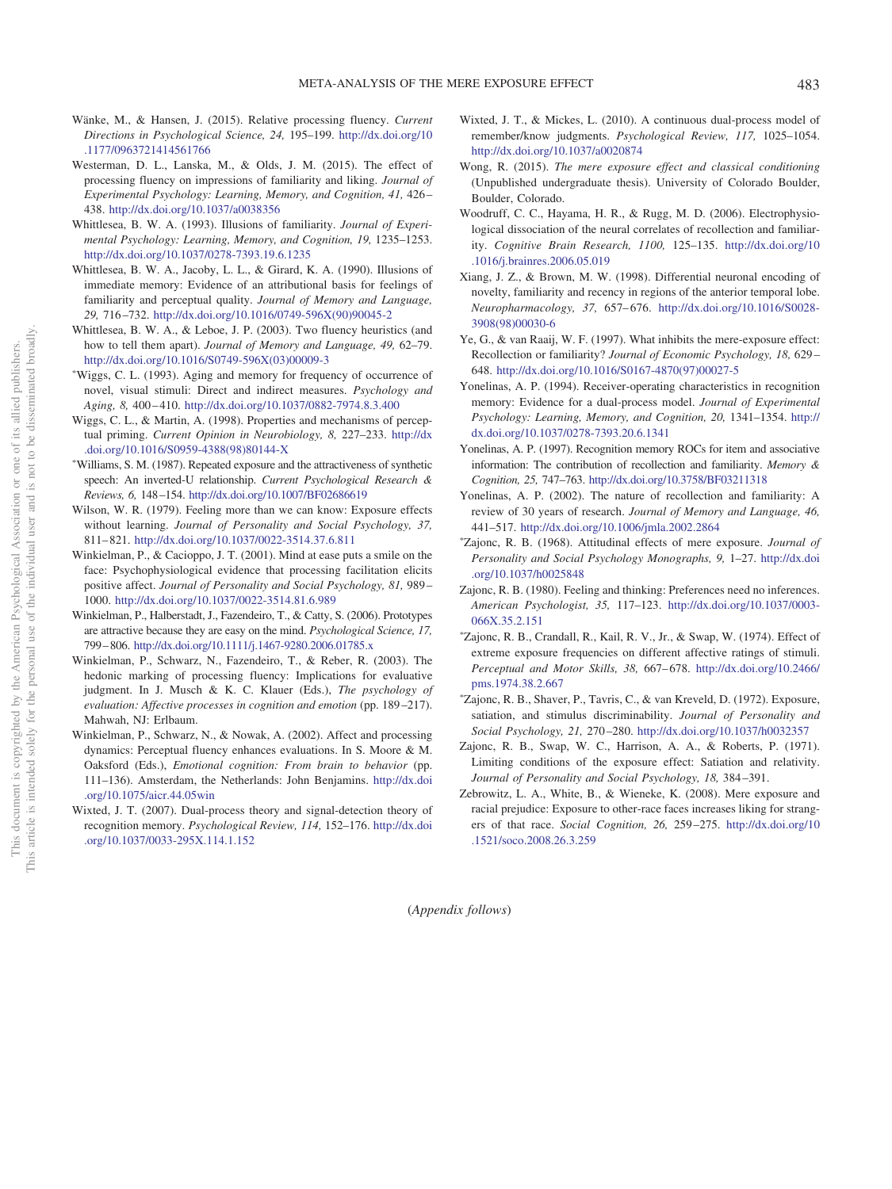- <span id="page-24-21"></span>Wänke, M., & Hansen, J. (2015). Relative processing fluency. *Current Directions in Psychological Science, 24,* 195–199. [http://dx.doi.org/10](http://dx.doi.org/10.1177/0963721414561766) [.1177/0963721414561766](http://dx.doi.org/10.1177/0963721414561766)
- <span id="page-24-16"></span>Westerman, D. L., Lanska, M., & Olds, J. M. (2015). The effect of processing fluency on impressions of familiarity and liking. *Journal of Experimental Psychology: Learning, Memory, and Cognition, 41,* 426 – 438. <http://dx.doi.org/10.1037/a0038356>
- <span id="page-24-4"></span>Whittlesea, B. W. A. (1993). Illusions of familiarity. *Journal of Experimental Psychology: Learning, Memory, and Cognition, 19,* 1235–1253. <http://dx.doi.org/10.1037/0278-7393.19.6.1235>
- <span id="page-24-1"></span>Whittlesea, B. W. A., Jacoby, L. L., & Girard, K. A. (1990). Illusions of immediate memory: Evidence of an attributional basis for feelings of familiarity and perceptual quality. *Journal of Memory and Language, 29,* 716 –732. [http://dx.doi.org/10.1016/0749-596X\(90\)90045-2](http://dx.doi.org/10.1016/0749-596X%2890%2990045-2)
- <span id="page-24-6"></span>Whittlesea, B. W. A., & Leboe, J. P. (2003). Two fluency heuristics (and how to tell them apart). *Journal of Memory and Language, 49,* 62–79. [http://dx.doi.org/10.1016/S0749-596X\(03\)00009-3](http://dx.doi.org/10.1016/S0749-596X%2803%2900009-3)
- <span id="page-24-24"></span>- Wiggs, C. L. (1993). Aging and memory for frequency of occurrence of novel, visual stimuli: Direct and indirect measures. *Psychology and Aging, 8,* 400 – 410. <http://dx.doi.org/10.1037/0882-7974.8.3.400>
- <span id="page-24-23"></span>Wiggs, C. L., & Martin, A. (1998). Properties and mechanisms of perceptual priming. *Current Opinion in Neurobiology, 8,* 227–233. [http://dx](http://dx.doi.org/10.1016/S0959-4388%2898%2980144-X) [.doi.org/10.1016/S0959-4388\(98\)80144-X](http://dx.doi.org/10.1016/S0959-4388%2898%2980144-X)
- <span id="page-24-25"></span>- Williams, S. M. (1987). Repeated exposure and the attractiveness of synthetic speech: An inverted-U relationship. *Current Psychological Research & Reviews, 6,* 148 –154. <http://dx.doi.org/10.1007/BF02686619>
- <span id="page-24-7"></span>Wilson, W. R. (1979). Feeling more than we can know: Exposure effects without learning. *Journal of Personality and Social Psychology, 37,* 811– 821. <http://dx.doi.org/10.1037/0022-3514.37.6.811>
- <span id="page-24-5"></span>Winkielman, P., & Cacioppo, J. T. (2001). Mind at ease puts a smile on the face: Psychophysiological evidence that processing facilitation elicits positive affect. *Journal of Personality and Social Psychology, 81,* 989 – 1000. <http://dx.doi.org/10.1037/0022-3514.81.6.989>
- <span id="page-24-3"></span>Winkielman, P., Halberstadt, J., Fazendeiro, T., & Catty, S. (2006). Prototypes are attractive because they are easy on the mind. *Psychological Science, 17,* 799 – 806. <http://dx.doi.org/10.1111/j.1467-9280.2006.01785.x>
- <span id="page-24-2"></span>Winkielman, P., Schwarz, N., Fazendeiro, T., & Reber, R. (2003). The hedonic marking of processing fluency: Implications for evaluative judgment. In J. Musch & K. C. Klauer (Eds.), *The psychology of evaluation: Affective processes in cognition and emotion* (pp. 189 –217). Mahwah, NJ: Erlbaum.
- <span id="page-24-13"></span>Winkielman, P., Schwarz, N., & Nowak, A. (2002). Affect and processing dynamics: Perceptual fluency enhances evaluations. In S. Moore & M. Oaksford (Eds.), *Emotional cognition: From brain to behavior* (pp. 111–136). Amsterdam, the Netherlands: John Benjamins. [http://dx.doi](http://dx.doi.org/10.1075/aicr.44.05win) [.org/10.1075/aicr.44.05win](http://dx.doi.org/10.1075/aicr.44.05win)
- <span id="page-24-17"></span>Wixted, J. T. (2007). Dual-process theory and signal-detection theory of recognition memory. *Psychological Review, 114,* 152–176. [http://dx.doi](http://dx.doi.org/10.1037/0033-295X.114.1.152) [.org/10.1037/0033-295X.114.1.152](http://dx.doi.org/10.1037/0033-295X.114.1.152)
- <span id="page-24-20"></span>Wixted, J. T., & Mickes, L. (2010). A continuous dual-process model of remember/know judgments. *Psychological Review, 117,* 1025–1054. <http://dx.doi.org/10.1037/a0020874>
- <span id="page-24-26"></span>Wong, R. (2015). *The mere exposure effect and classical conditioning* (Unpublished undergraduate thesis). University of Colorado Boulder, Boulder, Colorado.
- <span id="page-24-18"></span>Woodruff, C. C., Hayama, H. R., & Rugg, M. D. (2006). Electrophysiological dissociation of the neural correlates of recollection and familiarity. *Cognitive Brain Research, 1100,* 125–135. [http://dx.doi.org/10](http://dx.doi.org/10.1016/j.brainres.2006.05.019) [.1016/j.brainres.2006.05.019](http://dx.doi.org/10.1016/j.brainres.2006.05.019)
- <span id="page-24-19"></span>Xiang, J. Z., & Brown, M. W. (1998). Differential neuronal encoding of novelty, familiarity and recency in regions of the anterior temporal lobe. *Neuropharmacology, 37,* 657– 676. [http://dx.doi.org/10.1016/S0028-](http://dx.doi.org/10.1016/S0028-3908%2898%2900030-6) [3908\(98\)00030-6](http://dx.doi.org/10.1016/S0028-3908%2898%2900030-6)
- <span id="page-24-9"></span>Ye, G., & van Raaij, W. F. (1997). What inhibits the mere-exposure effect: Recollection or familiarity? *Journal of Economic Psychology, 18,* 629 – 648. [http://dx.doi.org/10.1016/S0167-4870\(97\)00027-5](http://dx.doi.org/10.1016/S0167-4870%2897%2900027-5)
- <span id="page-24-11"></span>Yonelinas, A. P. (1994). Receiver-operating characteristics in recognition memory: Evidence for a dual-process model. *Journal of Experimental Psychology: Learning, Memory, and Cognition, 20,* 1341–1354. [http://](http://dx.doi.org/10.1037/0278-7393.20.6.1341) [dx.doi.org/10.1037/0278-7393.20.6.1341](http://dx.doi.org/10.1037/0278-7393.20.6.1341)
- <span id="page-24-12"></span>Yonelinas, A. P. (1997). Recognition memory ROCs for item and associative information: The contribution of recollection and familiarity. *Memory & Cognition, 25,* 747–763. <http://dx.doi.org/10.3758/BF03211318>
- <span id="page-24-10"></span>Yonelinas, A. P. (2002). The nature of recollection and familiarity: A review of 30 years of research. *Journal of Memory and Language, 46,* 441–517. <http://dx.doi.org/10.1006/jmla.2002.2864>
- <span id="page-24-0"></span>- Zajonc, R. B. (1968). Attitudinal effects of mere exposure. *Journal of Personality and Social Psychology Monographs, 9,* 1–27. [http://dx.doi](http://dx.doi.org/10.1037/h0025848) [.org/10.1037/h0025848](http://dx.doi.org/10.1037/h0025848)
- <span id="page-24-8"></span>Zajonc, R. B. (1980). Feeling and thinking: Preferences need no inferences. *American Psychologist, 35,* 117–123. [http://dx.doi.org/10.1037/0003-](http://dx.doi.org/10.1037/0003-066X.35.2.151) [066X.35.2.151](http://dx.doi.org/10.1037/0003-066X.35.2.151)
- <span id="page-24-15"></span>- Zajonc, R. B., Crandall, R., Kail, R. V., Jr., & Swap, W. (1974). Effect of extreme exposure frequencies on different affective ratings of stimuli. Perceptual and Motor Skills, 38, 667-678. [http://dx.doi.org/10.2466/](http://dx.doi.org/10.2466/pms.1974.38.2.667) [pms.1974.38.2.667](http://dx.doi.org/10.2466/pms.1974.38.2.667)
- <span id="page-24-14"></span>- Zajonc, R. B., Shaver, P., Tavris, C., & van Kreveld, D. (1972). Exposure, satiation, and stimulus discriminability. *Journal of Personality and Social Psychology, 21,* 270 –280. <http://dx.doi.org/10.1037/h0032357>
- <span id="page-24-27"></span>Zajonc, R. B., Swap, W. C., Harrison, A. A., & Roberts, P. (1971). Limiting conditions of the exposure effect: Satiation and relativity. *Journal of Personality and Social Psychology, 18,* 384 –391.
- <span id="page-24-22"></span>Zebrowitz, L. A., White, B., & Wieneke, K. (2008). Mere exposure and racial prejudice: Exposure to other-race faces increases liking for strangers of that race. *Social Cognition, 26,* 259 –275. [http://dx.doi.org/10](http://dx.doi.org/10.1521/soco.2008.26.3.259) [.1521/soco.2008.26.3.259](http://dx.doi.org/10.1521/soco.2008.26.3.259)

(*Appendix follows*)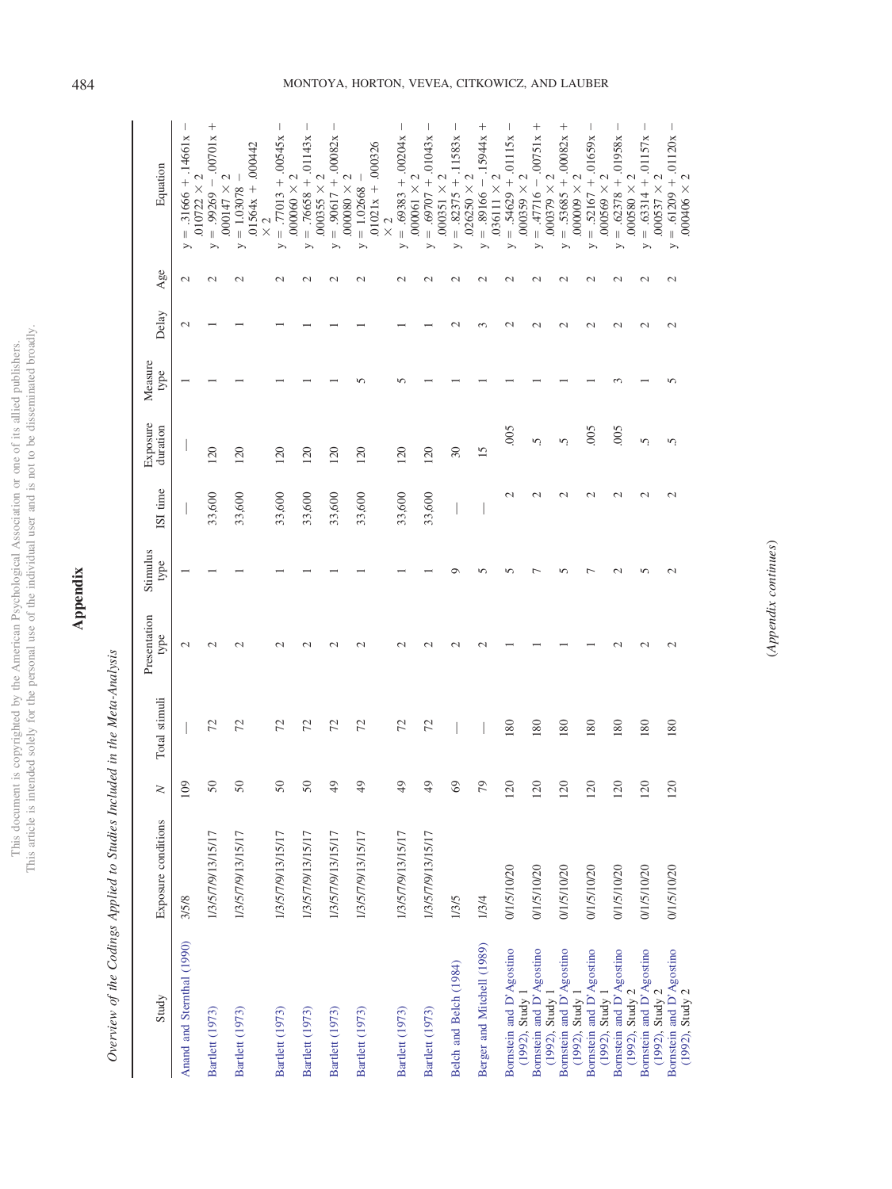This document is copyrighted by the American Psychological Association or one of its allied publishers.<br>This article is intended solely for the personal use of the individual user and is not to be disseminated broadly. This article is intended solely for the personal use of the individual user and is not to be disseminated broadly. This document is copyrighted by the American Psychological Association or one of its allied publishers.

# **Appendix**

<span id="page-25-0"></span>Overview of the Codings Applied to Studies Included in the Meta-Analysis *Overview of the Codings Applied to Studies Included in the Meta-Analysis*

| Study                                          | Exposure conditions | $\geq$          | Total stimuli | Presentation<br>type | Stimulus<br>type | ISI time              | Exposure<br>duration | Measure<br>type | Delay             | Age                   | Equation                                                                            |
|------------------------------------------------|---------------------|-----------------|---------------|----------------------|------------------|-----------------------|----------------------|-----------------|-------------------|-----------------------|-------------------------------------------------------------------------------------|
| Anand and Sternthal (1990)                     | 3/5/8               | $\sum$          |               | $\mathbf{\sim}$      |                  |                       |                      |                 | $\mathcal{L}$     | $\mathcal{L}$         | $= .31666 + .14661x$<br>$.010722 \times$<br>⋗                                       |
| Bartlett (1973)                                | 1/3/5/7/9/13/15/17  | ᢦ               | 72            |                      |                  | 33,600                | 120                  |                 |                   | $\mathcal{L}$         | .00701x<br>$000147 \times$<br>.99269<br>$\overline{\mathbf{u}}$<br>⋗                |
| Bartlett (1973)                                | 1/3/5/7/9/13/15/17  | ᢦ               | 72            |                      |                  | 33,600                | 120                  |                 |                   | $\mathcal{L}$         | $01564x + 000442$<br>$= 1.03078$<br>⋗                                               |
| Bartlett (1973)                                | 1/3/5/7/9/13/15/17  | ᢦ               | 72            |                      |                  | 33,600                | 120                  |                 |                   | $\sim$                | I<br>$.77013 + .00545x$<br>$000060 \times$<br>$\times$<br>⋗                         |
| Bartlett (1973)                                | 1/3/5/7/9/13/15/17  | ᢦ               | 72            |                      |                  | 33,600                | 120                  |                 |                   | $\mathcal{C}$         | $.76658 + .01143x$<br>$\overline{\mathbf{u}}$                                       |
| Bartlett (1973)                                | 1/3/5/7/9/13/15/17  | $\tilde{+}$     | 72            |                      |                  | 33,600                | 120                  |                 |                   | $\mathcal{L}$         | .00082x<br>$000355 \times 2$<br>$= .90617 +$<br>⋗                                   |
| Bartlett (1973)                                | 1/3/5/7/9/13/15/17  | $\breve{+}$     | 72            |                      |                  | 33,600                | 120                  |                 |                   | $\mathbf{C}$          | $.01021x + .000326$<br>$\mathcal{C}$<br>$000080 \times$<br>$= 1.02668$<br>⋗         |
| Bartlett (1973)                                | 1/3/5/7/9/13/15/17  | $\tilde{+}$     | 72            |                      |                  | 33,600                | 120                  |                 |                   | $\mathbf{C}$          | $.69383 + .00204x$<br>$\overline{\mathcal{C}}$<br>$\times$<br>$\geq$                |
| Bartlett (1973)                                | 1/3/5/7/9/13/15/17  | $\tilde{+}$     | 72            |                      |                  | 33,600                | 120                  |                 |                   | $\mathop{c}\nolimits$ | .01043x<br>$+ 10169$ .<br>000061 ×<br>$\overline{\mathbf{u}}$                       |
| Belch and Belch (1984)                         | 1/3/5               | ত               |               |                      |                  |                       | 30                   |                 |                   | $\mathbf{\sim}$       | $.82375 + .11583x$<br>$000351 \times$                                               |
| Berger and Mitchell (1989)                     | 1/3/4               | $\tilde{\tau}$  |               |                      |                  |                       | 15                   |                 |                   | $\mathcal{L}$         | $^{+}$<br>.15944x<br>$026250 \times 2$<br>$-89166 -$                                |
| Bornstein and D'Agostino<br>$(1992)$ , Study 1 | 0/1/5/10/20         | $\overline{12}$ | 80            |                      |                  | $\sim$                | 005                  |                 | $\sim$            | $\mathcal{L}$         | .01115x<br>$\mathfrak{g}$<br>$= .54629 +$<br>036111 ×<br>$000359 \times$            |
| Bornstein and D'Agostino<br>$(1992)$ , Study 1 | 0/1/5/10/20         | $\overline{2}$  | 180           |                      |                  | $\sim$                | N                    |                 | $\sim$            | $\mathbf{\sim}$       | .00751x<br>$000379 \times 2$<br>47716                                               |
| Bornstein and D'Agostino<br>$(1992)$ , Study 1 | 0/1/5/10/20         | $\overline{12}$ | 180           |                      |                  |                       | 5                    |                 | $\sim$            | $\mathcal{L}$         | $\overline{\phantom{a}}$<br>$.53685 + .00082x$<br>000009 ×                          |
| Bornstein and D'Agostino<br>$(1992)$ , Study 1 | 0/1/5/10/20         | 12(             | 180           |                      |                  | $\sim$                | .005                 |                 | $\sim$            | $\mathbf{C}$          | .01659x<br>$.52167 +$<br>$000569 \times$<br>$\overline{\mathbf{u}}$<br>$\mathbf{r}$ |
| Bornstein and D'Agostino<br>(1992), Study 2    | 0/1/5/10/20         | $\overline{2}$  | 180           |                      |                  | $\sim$                | 005                  |                 | $\sim$            | $\mathcal{L}$         | $.62378 + .01958x$<br>$000580 \times 2$<br>$\overline{\mathbf{I}}$                  |
| Bornstein and D'Agostino<br>(1992), Study 2    | 0/1/5/10/20         | $\overline{12}$ | 180           |                      |                  | $\mathop{c}\nolimits$ | Νj                   |                 | $\mathbf{\sim}$   | $\mathbf{C}$          | .01157x<br>$\mathfrak{g}$<br>$.63314 +$<br>000537 $\times$<br>>                     |
| Bornstein and D'Agostino<br>(1992), Study 2    | 0/1/5/10/20         | $\overline{12}$ | 180           |                      |                  | $\mathop{c}\nolimits$ | S.                   |                 | $\mathbf{\Omega}$ | $\mathcal{L}$         | .01120x<br>2<br>$61209 +$<br>.000406 $\times$<br>$\mathbf{I}$<br>⋗                  |

## 484 MONTOYA, HORTON, VEVEA, CITKOWICZ, AND LAUBER

(Appendix continues) (*Appendix continues*)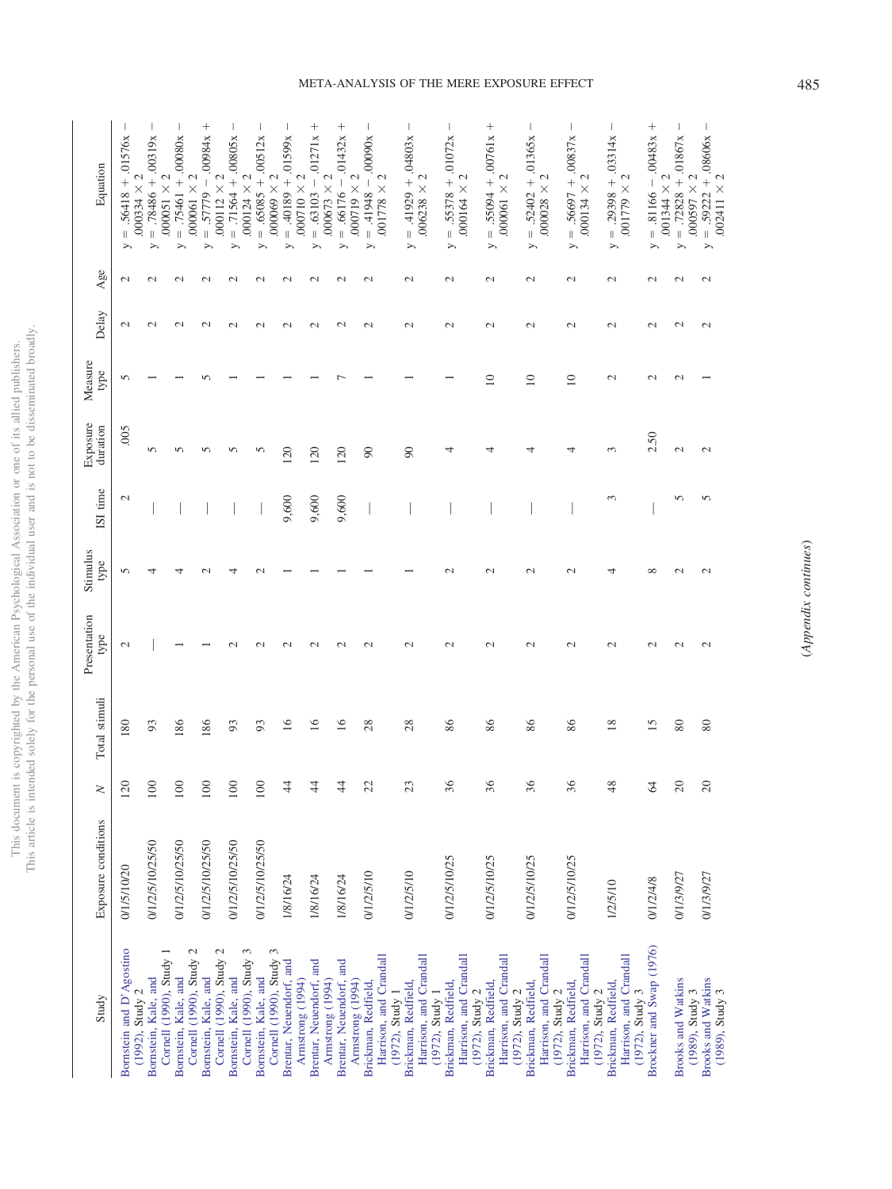| i<br>l        |                          |
|---------------|--------------------------|
| ś             |                          |
| Ī             |                          |
|               |                          |
| ı             |                          |
|               |                          |
|               |                          |
|               |                          |
|               |                          |
|               |                          |
|               |                          |
|               |                          |
|               |                          |
|               |                          |
|               |                          |
|               |                          |
|               |                          |
|               |                          |
|               |                          |
| ì             |                          |
|               |                          |
|               |                          |
|               |                          |
|               |                          |
|               |                          |
|               |                          |
|               |                          |
|               |                          |
|               |                          |
|               |                          |
|               |                          |
|               |                          |
|               |                          |
|               | ï                        |
|               |                          |
| ć             | l                        |
| č<br>ì        |                          |
| j<br>)        |                          |
| j             |                          |
| í             |                          |
|               |                          |
|               |                          |
|               |                          |
|               |                          |
|               |                          |
|               |                          |
| I             |                          |
|               |                          |
|               |                          |
| ì             |                          |
| $\frac{1}{2}$ | i                        |
|               |                          |
| i<br>I        |                          |
|               |                          |
|               | ׇ֘֒                      |
|               |                          |
|               |                          |
|               | l                        |
|               |                          |
|               |                          |
|               | $\overline{\phantom{a}}$ |
|               | ĵ                        |
|               | ł                        |
|               |                          |
| I             |                          |
| J             |                          |
|               |                          |
|               |                          |
| í             |                          |
|               |                          |
|               |                          |
|               |                          |
|               |                          |
|               |                          |
| ļ             |                          |
| Í             |                          |
| i<br>I        |                          |
|               |                          |
|               |                          |
|               |                          |
|               |                          |
|               | Ì                        |
|               |                          |
| hus           |                          |
| ì             |                          |
|               | $\frac{c}{1}$            |
|               | ĺ                        |

| Study                                                                                     | Exposure conditions | $\geq$        | Total stimuli   | Presentation<br>type | Stimulus<br>type | ISI time      | Exposure<br>duration | Measure<br>type | Delay           | Age                | Equation                                                                                    |
|-------------------------------------------------------------------------------------------|---------------------|---------------|-----------------|----------------------|------------------|---------------|----------------------|-----------------|-----------------|--------------------|---------------------------------------------------------------------------------------------|
| Bornstein and D'Agostino<br>$(1992)$ , Study 2                                            | 0/1/5/10/20         | 120           | 180             | $\mathcal{L}$        | 5                | $\mathcal{L}$ | 005                  | n               | $\mathcal{L}$   | $\mathbf{\sim}$    | .01576x<br>$\mathbf{\sim}$<br>$.56418 +$<br>$000334 \times$<br>$\overline{\mathbf{u}}$<br>⋋ |
| Cornell (1990), Study<br>Bornstein, Kale, and                                             | 0/1/2/5/10/25/50    | Զ<br>$\Xi$    | 93              |                      |                  |               | 5                    |                 | $\mathbf{\sim}$ | $\mathbf{\sim}$    | $= .78486 + .00319x$<br>.000051 $\times$ 2<br>≻                                             |
| $\mathcal{L}$<br>Cornell (1990), Study<br>Bornstein, Kale, and                            | 0/1/2/5/10/25/50    | 100           | 186             |                      |                  |               |                      |                 | $\sim$          | $\mathbf{\sim}$    | $= .75461 + .00080x$<br>$\mathcal{L}$<br>.000061 ×<br>≻                                     |
| Bornstein, Kale, and                                                                      | 0/1/2/5/10/25/50    | 100           | 186             |                      |                  |               |                      |                 | $\sim$          | $\sim$             | $^+$<br>$-00984x$<br>57779<br>$\geq$                                                        |
| $\mathcal{L}$<br>Cornell (1990), Study<br>Bornstein, Kale, and                            | 0/1/2/5/10/25/50    | 100           | 93              |                      |                  |               |                      |                 | $\mathbf{\sim}$ | $\sim$             | $.71564 + .00805x$<br>$000112 \times 2$                                                     |
| 3<br>Cornell (1990), Study                                                                |                     |               |                 |                      |                  |               |                      |                 |                 |                    | $.000124 \times 2$                                                                          |
| Cornell (1990), Study 3<br>Bornstein, Kale, and                                           | 0/1/2/5/10/25/50    | 100           | 93              | $\sim$               |                  |               | $\sqrt{ }$           |                 | $\mathbf{\sim}$ | $\sim$             | $.65085 + .00512x$<br>$000069 \times 2$<br>⋗                                                |
| Brentar, Neuendorf, and<br>Armstrong (1994)                                               | 1/8/16/24           | 4             | $\geq$          | $\sim$               |                  | 9,600         | 120                  |                 | $\sim$          | $\sim$             | $40189 + 01599x$<br>$.000710 \times 2$<br>⋗                                                 |
| Brentar, Neuendorf, and                                                                   | 1/8/16/24           | 4             | $\overline{16}$ | $\sim$               |                  | 9,600         | 120                  |                 | $\sim$          | $\scriptstyle\sim$ | $^+$<br>$-01271x$<br>$= .63103$<br>≻                                                        |
| Brentar, Neuendorf, and<br>Armstrong (1994)                                               | 1/8/16/24           | 4             | $\overline{16}$ | $\mathbf{\sim}$      |                  | 9,600         | 120                  |                 | $\mathbf{\sim}$ | $\mathbf{\sim}$    | $^+$<br>.01432x<br>$.000673 \times 2$<br>$= .66176 -$<br>≻                                  |
| Armstrong (1994)<br>Brickman, Redfield,                                                   | 0/1/2/5/10          | 23            | 28              | $\mathcal{L}$        |                  |               | $\otimes$            |                 | $\mathbf{\sim}$ | $\mathcal{L}$      | .00090x<br>$.000719 \times 2$<br>$= .41948$<br>≻                                            |
| Harrison, and Crandall<br>$(1972)$ , Study 1                                              |                     |               |                 |                      |                  |               |                      |                 |                 |                    | $.001778\times2$                                                                            |
| Harrison, and Crandall<br>Brickman, Redfield,                                             | 0/1/2/5/10          |               | 28              | $\mathbf{\sim}$      |                  |               | $\infty$             |                 | $\sim$          | $\mathcal{L}$      | $= .41929 + .04803x$<br>$.006238 \times 2$<br>$\geq$                                        |
| Harrison, and Crandall<br>Brickman, Redfield,<br>$(1972)$ , Study 1                       | 0/1/2/5/10/25       | 36            | 86              | $\mathcal{L}$        |                  |               |                      |                 | $\mathcal{L}$   | $\mathcal{L}$      | $= .55378 + .01072x$<br>$.000164 \times 2$<br>$\rightarrow$                                 |
| Harrison, and Crandall<br>Brickman, Redfield,<br>$(1972)$ , Study 2                       | 0/1/2/5/10/25       | 36            | 86              | $\sim$               | $\sim$           |               |                      | $\overline{10}$ | $\sim$          | $\sim$             | $^{+}$<br>$= .55094 + .00761x$<br>$\mathcal{L}$<br>.000061 $\times$<br>$\geq$               |
| Harrison, and Crandall<br>Brickman, Redfield,<br>$(1972)$ , Study 2                       | 0/1/2/5/10/25       | ڡۣ            | 86              | $\sim$               | $\mathbf{\sim}$  |               |                      | $\overline{10}$ | $\mathbf{\sim}$ | $\mathcal{L}$      | $= .52402 + .01365x$<br>$.000028 \times 2$<br>⋋                                             |
| Harrison, and Crandall<br>Brickman, Redfield,<br>$(1972)$ , Study 2                       | 0/1/2/5/10/25       | $\frac{6}{5}$ | 86              | $\mathcal{L}$        | $\mathbf{\sim}$  |               | 4                    | $\overline{10}$ | $\mathcal{L}$   | $\mathcal{L}$      | $= .56697 + .00837x$<br>$\mathcal{L}$<br>$000134 \times$<br>$\rightarrow$                   |
| Harrison, and Crandall<br>Brickman, Redfield,<br>$(1972)$ , Study 3<br>$(1972)$ , Study 2 | 1/2/5/10            | ∞             | 18              | $\sim$               | 4                | 3             | 3                    | $\mathcal{L}$   | $\sim$          | $\sim$             | $=$ .29398 + .03314x<br>$\mathcal{L}$<br>$001779 \times$<br>$\rightarrow$                   |
| Brockner and Swap (1976)                                                                  | 0/1/2/4/8           |               | 15              | $\sim$               | $\infty$         |               | 2.50                 |                 | $\sim$          | $\mathbf{\sim}$    | $^{+}$<br>.00483x<br>$.001344 \times 2$<br>$= .81166 -$<br>$\geq$                           |
| <b>Brooks and Watkins</b><br>$(1989)$ , Study 3                                           | 0/1/3/9/27          |               | 80              | $\mathbf{\sim}$      |                  | $\sqrt{2}$    | $\mathcal{L}$        |                 | $\sim$          | $\sim$             | $=$ .72828 + .01867x<br>$.000597 \times 2$<br>≻                                             |
| <b>Brooks and Watkins</b><br>$(1989)$ , Study 3                                           | 0/1/3/9/27          | $\approx$     | 80              | $\mathbf{C}$         | $\sim$           | S             | $\mathbf{\sim}$      |                 | $\mathbf{\sim}$ | $\mathbf{\sim}$    | $= .59222 + .08606x$<br>$.002411 \times 2$<br>$\rightarrow$                                 |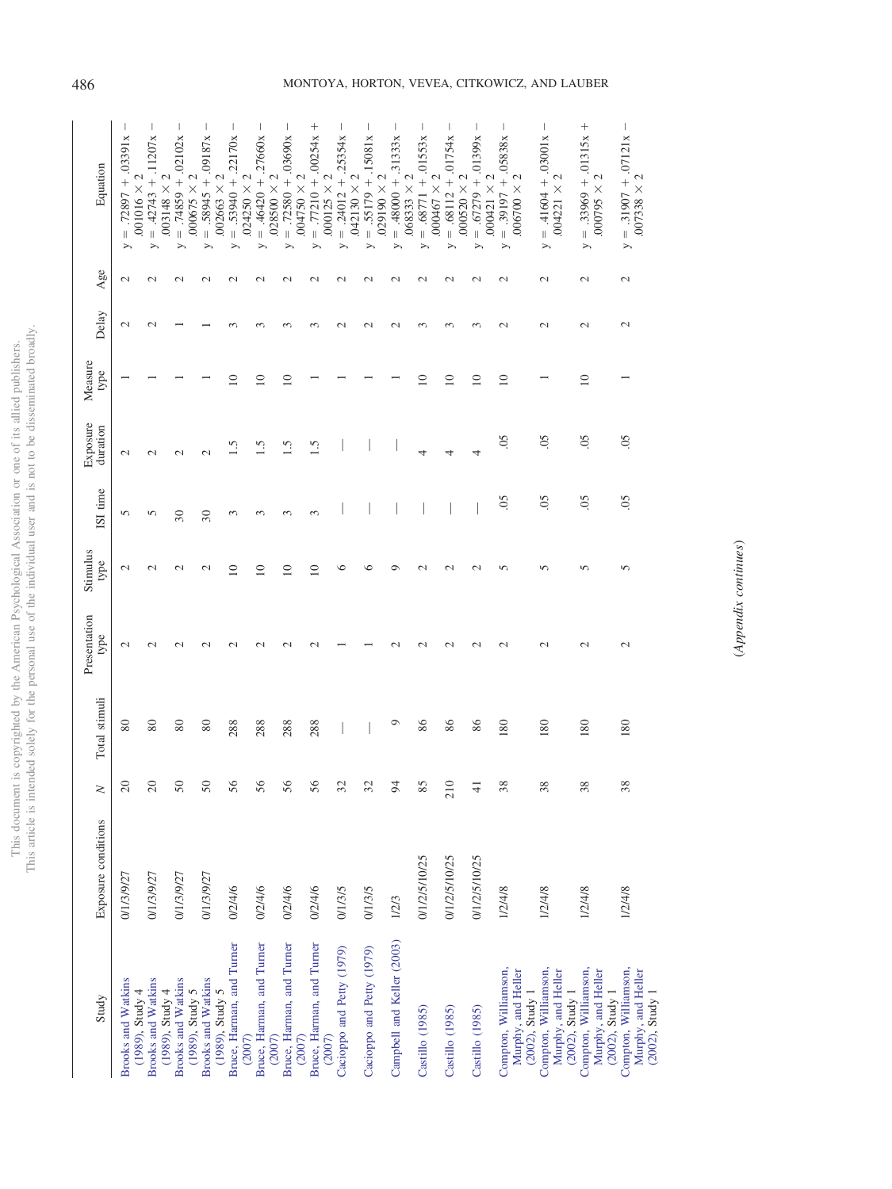|                  | ï                |
|------------------|------------------|
|                  |                  |
| j<br>í           | ¢<br>ł           |
| ä<br>j           |                  |
| ś<br>Ī           |                  |
|                  |                  |
| i                |                  |
|                  | í                |
|                  | j                |
|                  |                  |
| Í                |                  |
|                  | I                |
|                  |                  |
|                  |                  |
|                  |                  |
| í                |                  |
| ١                |                  |
|                  |                  |
|                  |                  |
| į                |                  |
| Č<br>J           |                  |
| i                |                  |
|                  |                  |
|                  |                  |
|                  | Ë                |
|                  |                  |
|                  |                  |
|                  |                  |
|                  | <b>LOCK</b><br>š |
|                  |                  |
|                  |                  |
|                  | ć                |
|                  |                  |
| ç<br>j           |                  |
| ü                | <b>CONTRACT</b>  |
| j<br>j           |                  |
| ì                |                  |
| í                |                  |
|                  |                  |
| $\frac{1}{2}$    | j                |
|                  |                  |
|                  |                  |
|                  |                  |
| COL              | Ï                |
| j                |                  |
| ij               |                  |
| ł                | ł                |
|                  |                  |
|                  | $\frac{1}{2}$    |
|                  |                  |
| ł                |                  |
| į                |                  |
| .<br>Silver<br>ł |                  |
| ì                | j                |
| Ś                |                  |
|                  |                  |
| ł<br>j           |                  |
| į                |                  |
| ł<br>I<br>j      |                  |
| any y y any      |                  |
|                  |                  |
| í                |                  |
| ļ                |                  |
|                  |                  |
|                  |                  |
|                  |                  |
| ļ                |                  |
| I<br>ì           |                  |
|                  |                  |
|                  |                  |
| í                |                  |
| ١                | j                |
|                  |                  |
| $\overline{1}$   | В                |
| į                |                  |
| į                |                  |
|                  | hic              |
|                  | i                |
|                  |                  |

| Study                                                         | Exposure conditions | z                         | Total stimuli | Presentation<br>type | Stimulus<br>type         | ISI time                  | Exposure<br>duration | Measure<br>type | Delay           | Age                | Equation                                                                |
|---------------------------------------------------------------|---------------------|---------------------------|---------------|----------------------|--------------------------|---------------------------|----------------------|-----------------|-----------------|--------------------|-------------------------------------------------------------------------|
| <b>Brooks and Watkins</b>                                     | 0/1/3/9/27          | $\overline{c}$            | 80            | $\mathbf{\Omega}$    | $\mathcal{L}$            | 5                         | $\mathbf{\Omega}$    |                 | $\mathcal{L}$   | $\mathbf{\Omega}$  | $+03391x$<br>$.001016 \times$<br>.72897<br>$\overline{\mathbf{u}}$      |
| <b>Brooks and Watkins</b><br>$(1989)$ , Study 4               | 0/1/3/9/27          | ন                         | 80            |                      | $\mathbf{\sim}$          |                           |                      |                 | $\sim$          | $\mathbf{\sim}$    | $.42743 + .11207x$<br>$\overline{\mathbf{u}}$                           |
| <b>Brooks and Watkins</b><br>$(1989)$ , Study 4               | 0/1/3/9/27          | ᢦ                         | 80            |                      | $\mathrel{\sim}$         | $30\,$                    | $\scriptstyle\sim$   |                 |                 | $\scriptstyle\sim$ | $.74859 + .02102x$<br>$003148 \times 2$<br>$000675 \times 2$<br>⋗       |
| <b>Brooks and Watkins</b><br>(1989), Study 5                  | 0/1/3/9/27          | ᢦ                         | 80            |                      | $\mathbf{\sim}$          | $\overline{30}$           |                      |                 |                 | $\scriptstyle\sim$ | $x18160 + 58945 =$<br>002663 $\times$                                   |
| Bruce, Harman, and Turner<br>(1989), Study 5<br>(2007)        | 0/2/4/6             | ᢦ                         | 288           |                      | $\overline{0}$           |                           | Ċ,                   | ≘               |                 | $\scriptstyle\sim$ | .22170x<br>$.53940 +$<br>$024250 \times$                                |
| Bruce, Harman, and Turner<br>(2007)                           | 0/2/4/6             | ᢦ                         | 288           |                      | $\overline{0}$           |                           | Č,                   | $\supseteq$     |                 | $\mathbf{\sim}$    | $.46420 + .27660x$<br>$028500 \times 2$<br>$\overline{\mathbf{u}}$      |
| Bruce, Harman, and Turner<br>(2007)                           | 0/2/4/6             | n                         | 288           |                      | $\overline{0}$           |                           | $\tilde{S}$          | $\supseteq$     |                 | $\scriptstyle\sim$ | $= .72580 + .03690x$<br>$.004750 \times 2$<br>⋗                         |
| Bruce, Harman, and Turner<br>(2007)                           | 0/2/4/6             | 5                         | 288           |                      | $\overline{\phantom{0}}$ | 3                         | $\tilde{\mathbf{S}}$ |                 |                 | $\mathbf{\sim}$    | $^+$<br>$= .77210 + .00254x$<br>$.000125 \times 2$                      |
| Cacioppo and Petty (1979)                                     | 0/1/3/5             | 3                         |               |                      | ⊂                        |                           |                      |                 | $\sim$          | $\mathbf{\sim}$    | $.24012 + .25354x$<br>$042130 \times 2$<br>⋗                            |
| Cacioppo and Petty (1979)                                     | 0/1/3/5             | 3                         |               |                      |                          |                           |                      |                 | $\mathbf{\sim}$ | $\mathbf{\sim}$    | $.55179 + .15081x$<br>$029190 \times 2$<br>$\overline{\mathbf{u}}$<br>⋋ |
| Campbell and Keller (2003)                                    | 1/2/3               | $\overline{5}$            | ⊝             |                      | o                        |                           |                      |                 | $\mathbf{\sim}$ | $\mathbf{C}$       | .31333x<br>$068333 \times 2$<br>$+0008t$ .<br>≻                         |
| Castillo (1985)                                               | 0/1/2/5/10/25       | 8 <sup>2</sup>            | 86            |                      |                          |                           |                      | ≘               |                 | $\mathbf{\sim}$    | $+0.01553x$<br>$000467 \times 2$<br>$= .68771$                          |
| Castillo (1985)                                               | 0/1/2/5/10/25       | $\frac{21}{2}$            | 86            |                      | $\sim$                   |                           |                      | $\supseteq$     |                 | $\mathcal{L}$      | $= .68112 + .01754x$<br>000520 $\times$<br>⋋                            |
| Castillo (1985)                                               | 0/1/2/5/10/25       | 4                         | 86            |                      | $\mathbf{\sim}$          |                           | 4                    | $\overline{10}$ | $\sim$          | $\mathbf{\sim}$    | $= .67279 + .01399x$<br>$.000421 \times 2$<br>$\geq$                    |
| Compton, Williamson,<br>Murphy, and Heller<br>(2002), Study 1 | 1/2/4/8             | $\widetilde{\mathcal{E}}$ | 180           |                      | 5                        | 0 <sup>5</sup>            | $\rm 05$             | $\overline{10}$ | $\mathbf{\sim}$ | $\mathcal{L}$      | $= .39197 + .05838x$<br>$006700 \times 2$<br>⋋                          |
| Compton, Williamson,<br>Murphy, and Heller<br>(2002), Study 1 | 1/2/4/8             | m                         | 180           | $\sim$               | 5                        | $\widetilde{\mathcal{L}}$ | $\overline{0}$       |                 | $\mathcal{L}$   | $\mathcal{L}$      | $= 41604 + 03001x$<br>$\mathcal{L}$<br>$.004221 \times$<br>$\geq$       |
| Compton, Williamson,<br>Murphy, and Heller<br>(2002), Study 1 | 1/2/4/8             | $\frac{8}{3}$             | 180           | $\scriptstyle\sim$   | 5                        | 0 <sup>5</sup>            | 65                   | $\supseteq$     | $\mathcal{L}$   | $\mathcal{L}$      | $^{+}$<br>$= .33969 + .01315x$<br>$2 \times 2000795$<br>$\geq$          |
| Compton, Williamson,<br>Murphy, and Heller<br>(2002), Study 1 | 1/2/4/8             | m                         | 180           | $\mathcal{L}$        | 5                        | 05                        | 05                   |                 | $\mathcal{L}$   | $\mathcal{L}$      | I<br>$y = .31907 + .07121x$<br>$\mathfrak{g}$<br>$.007338 \times$       |

(Appendix continues) (*Appendix continues*)

## 486 MONTOYA, HORTON, VEVEA, CITKOWICZ, AND LAUBER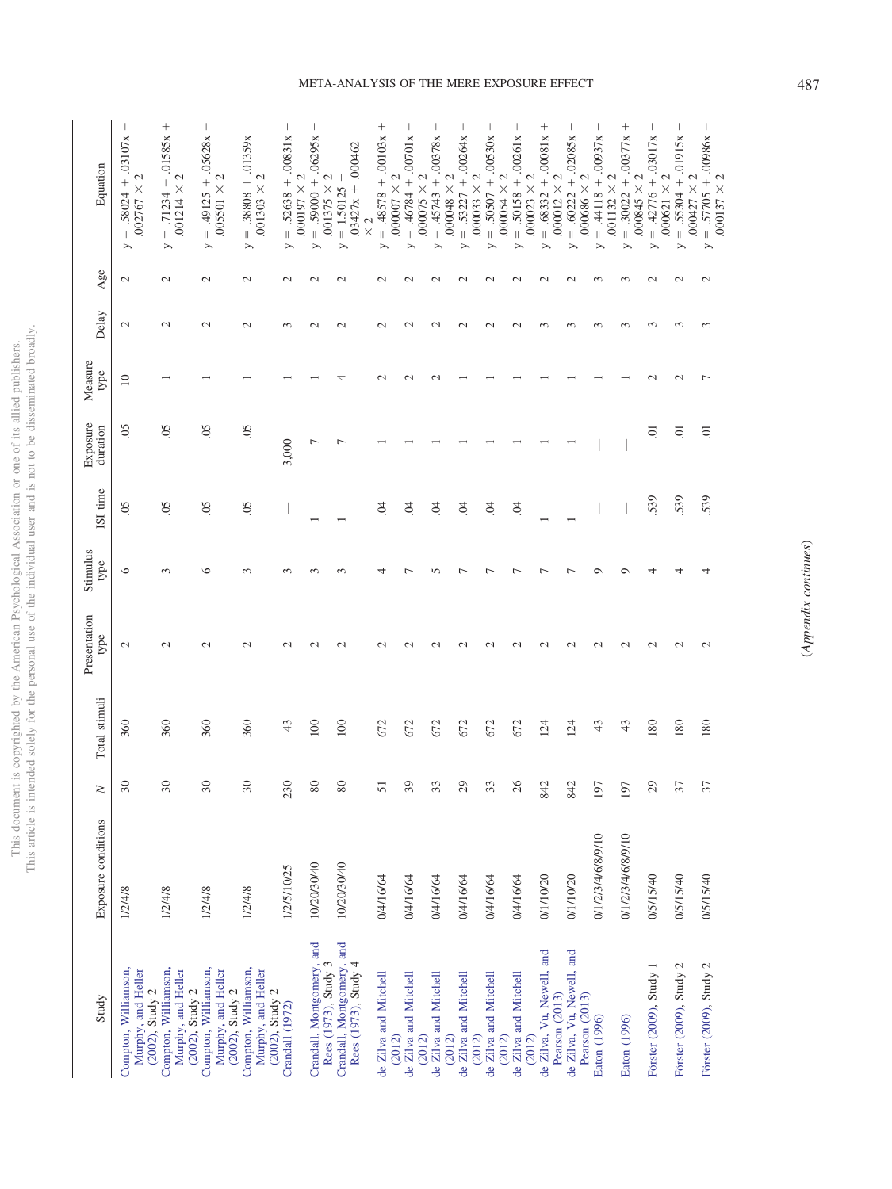| j                | ¢               |
|------------------|-----------------|
| i                | ł               |
| ò<br>Ś           |                 |
| Ī                |                 |
| i                |                 |
|                  | í               |
|                  |                 |
|                  |                 |
| j                |                 |
|                  |                 |
|                  |                 |
|                  |                 |
|                  |                 |
|                  |                 |
|                  |                 |
|                  |                 |
|                  |                 |
|                  |                 |
|                  |                 |
|                  |                 |
|                  |                 |
|                  |                 |
|                  |                 |
|                  |                 |
|                  | usei            |
|                  |                 |
|                  | ċ               |
|                  |                 |
| ł<br>ł           |                 |
|                  |                 |
| I<br>)<br>ł      |                 |
| ł                |                 |
| j                |                 |
| $\frac{1}{2}$    |                 |
|                  |                 |
|                  | í<br>č          |
|                  |                 |
| rd or            | 1C/2<br>ξ       |
| ł                |                 |
| ł                | ¢               |
|                  | j               |
|                  | į               |
|                  | <b>Contract</b> |
| Ę<br>ă           | )               |
|                  |                 |
|                  |                 |
|                  |                 |
|                  | ١               |
| l                | í               |
|                  |                 |
| I<br>ļ<br>)<br>ì | ١               |
| i                | ï               |
| ï                |                 |
| J                |                 |
|                  |                 |
|                  |                 |
|                  |                 |
| ļ<br>ĵ           |                 |
| Í                |                 |
|                  |                 |
|                  |                 |
|                  | j               |
|                  |                 |
| his              | ĵ<br>i          |
|                  | i               |
| j                | hıs             |
|                  | Ë               |
|                  | į<br>I          |

| Study                                                            | Exposure conditions | z              | Total stimuli | Presentation<br>type | Stimulus<br>type | ISI time       | Exposure<br>duration | Measure<br>type | Delay              | Age                | Equation                                                                      |
|------------------------------------------------------------------|---------------------|----------------|---------------|----------------------|------------------|----------------|----------------------|-----------------|--------------------|--------------------|-------------------------------------------------------------------------------|
| Compton, Williamson,<br>Murphy, and Heller<br>$(2002)$ , Study 2 | 1/2/4/8             | S              | 360           | $\mathbf{\Omega}$    | $\circ$          | SO.            | SO.                  | $\overline{10}$ | $\mathcal{L}$      | $\mathcal{L}$      | $.58024 + .03107x$<br>$.002767 \times 2$<br>$\mid \mid$<br>$\rightarrow$      |
| Compton, Williamson,<br>Murphy, and Heller<br>(2002), Study 2    | 1/2/4/8             |                | 360           | $\mathbf{\sim}$      | 3                | $\overline{0}$ | SO.                  |                 | $\mathcal{L}$      | $\mathcal{L}$      | $^+$<br>.01585x<br>$.001214 \times 2$<br>$= .71234$<br>$\rightarrow$          |
| Compton, Williamson,<br>Murphy, and Heller<br>(2002), Study 2    | 1/2/4/8             |                | 360           |                      | ٥                | 05             | $\overline{0}$       |                 |                    | $\mathrel{\sim}$   | $= .49125 + .05628x$<br>$.005501 \times 2$<br>⋋                               |
| Compton, Williamson,<br>Murphy, and Heller<br>(2002), Study 2    | 1/2/4/8             |                | 360           |                      |                  | $\overline{0}$ | $\overline{0}$       |                 | $\scriptstyle\sim$ | $\mathrel{\sim}$   | $= .38808 + .01359x$<br>$.001303 \times 2$<br>$\geq$                          |
| Crandall (1972)                                                  | 1/2/5/10/25         | $\mathfrak{Z}$ | 43            | $\mathbf{\sim}$      |                  |                | 3,000                |                 |                    | $\mathbf{\sim}$    | $= .52638 + .00831x$<br>$.000197 \times 2$<br>⋋                               |
| Crandall, Montgomery, and<br>Rees (1973), Study 3                | 10/20/30/40         |                | 100           |                      |                  |                |                      |                 |                    | $\mathbf{\sim}$    | $= .59000 + .06295x$<br>.001375 $\times$ 2<br>$\geq$                          |
| Crandall, Montgomery, and<br>Rees (1973), Study 4                | 10/20/30/40         |                | 100           |                      |                  |                |                      |                 | $\mathbf{\sim}$    | $\mathbf{\sim}$    | $.03427x + .000462$<br>$= 1.50125$<br>2<br>$\times$<br>$\rightarrow$          |
| de Zilva and Mitchell<br>(2012)                                  | 0/4/16/64           |                | 672           |                      |                  | Ŕ.             |                      |                 | $\mathbf{\sim}$    | $\mathbf{\sim}$    | $^+$<br>$.48578 + .00103x$<br>$.000007 \times 2$<br>⋋                         |
| de Zilva and Mitchell<br>(2012)                                  | 0/4/16/64           |                | 672           |                      |                  | Ŕ.             |                      |                 |                    | $\sim$             | $.46784 + .00701x$<br>$.000075\times2$<br>$\mathbf{I}$<br>⋋                   |
| de Zilva and Mitchell<br>(2012)                                  | 0/4/16/64           |                | 672           |                      |                  | S.             |                      |                 |                    |                    | $.45743 + .00378x$<br>$000048 \times 2$<br>$\overline{\mathbf{u}}$<br>≻       |
| de Zilva and Mitchell<br>(2012)                                  | 0/4/16/64           |                | 672           |                      |                  | Ŕ              |                      |                 |                    | $\scriptstyle\sim$ | $.53227 + .00264x$<br>$\mathcal{L}$<br>$0000033 \times$<br>$\mathbf{  }$      |
| de Zilva and Mitchell<br>(2012)                                  | 0/4/16/64           |                | 672           |                      |                  | S.             |                      |                 |                    |                    | $.50507 + .00530x$<br>$000054 \times 2$<br>⋋                                  |
| de Zilva and Mitchell<br>(2012)                                  | 0/4/16/64           |                | 672           |                      |                  | S.             |                      |                 |                    |                    | $.50158 + .00261x$<br>$000023 \times 2$<br>$\mathbf{  }$<br>⋋                 |
| de Zilva, Vu, Newell, and<br>Pearson (2013)                      | 0/1/10/20           | $\frac{8}{4}$  | 124           |                      |                  |                |                      |                 |                    |                    | ┿<br>$.68332 + .00081x$<br>$.000012 \times 2$<br>⋋                            |
| de Zilva, Vu, Newell, and<br>Pearson (2013)                      | 0/1/10/20           | Z,             | 124           |                      |                  |                |                      |                 |                    |                    | $.60222 + .02085x$<br>$.000686 \times 2$                                      |
| Eaton (1996)                                                     | 0/1/2/3/4/6/8/9/10  | $\Xi$          | 43            |                      |                  |                |                      |                 |                    |                    | $.44118 + .00937x$<br>$.001132 \times 2$<br>⋋                                 |
| Eaton (1996)                                                     | 0/1/2/3/4/6/8/9/10  | $\Xi$          | 43            |                      |                  |                |                      |                 |                    | $\mathfrak{m}$     | $^+$<br>$= .30022 + .00377x$<br>000845 $\times$ 2<br>⋋                        |
| Förster (2009), Study 1                                          | 0/5/15/40           |                | 180           |                      |                  | 539            | S.                   |                 |                    | $\mathbf{\sim}$    | $.42776 + .03017x$<br>$.000621 \times$<br>$\overline{\mathbf{u}}$<br>⋋        |
| Förster (2009), Study 2                                          | 0/5/15/40           |                | 180           |                      |                  | .539           | S.                   |                 |                    | $\mathbf{\sim}$    | $.55304 + .01915x$<br>$\mathcal{L}$<br>$.000427 \times$<br>$\mathbf{  }$<br>⋋ |
| Förster (2009), Study 2                                          | 0/5/15/40           |                | 180           |                      |                  | 539            | Ξ.                   |                 |                    |                    | $.57705 + .00986x$<br>$\mathcal{L}$<br>.000137 $\times$<br>$\mathbf{  }$<br>⋋ |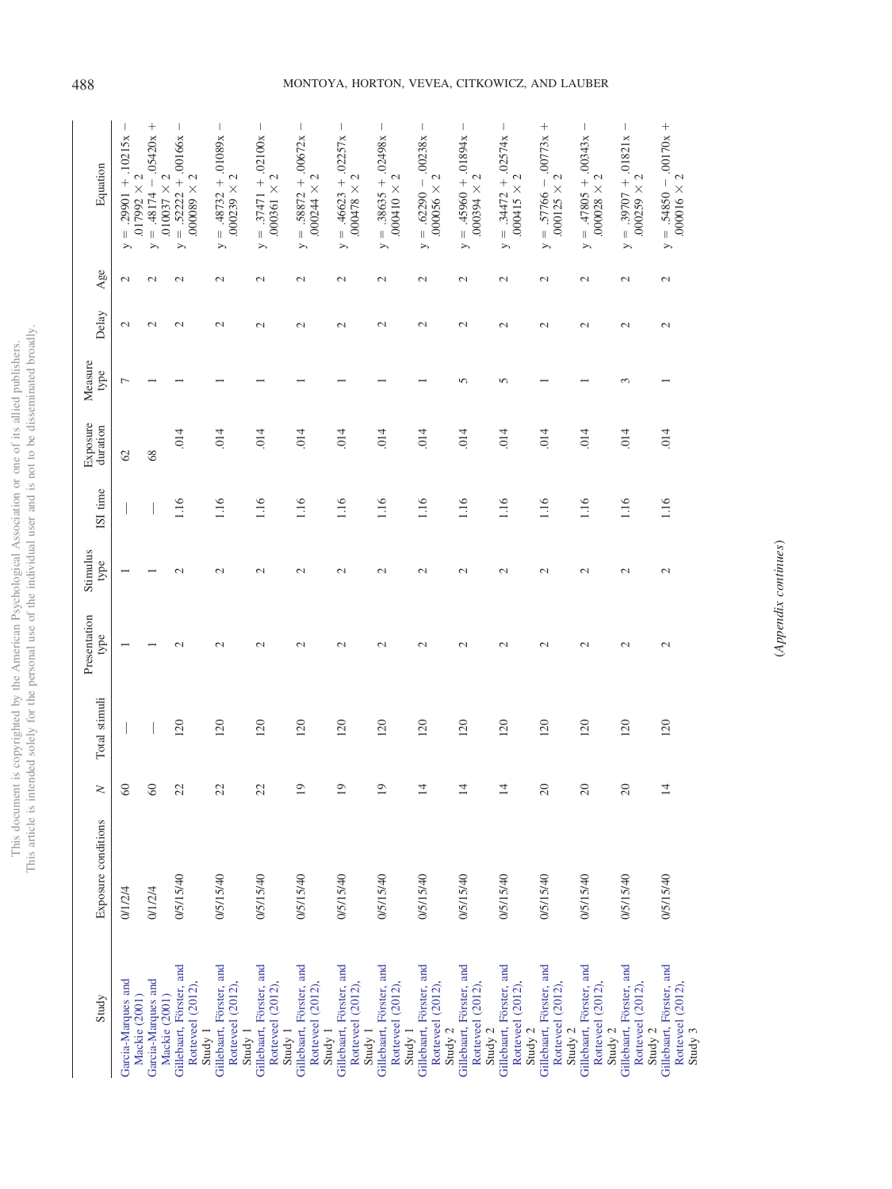|                    | i             |
|--------------------|---------------|
|                    |               |
| j                  | Ó             |
| i                  |               |
| I<br>ć             |               |
| ζ                  |               |
| ï                  |               |
|                    | j             |
|                    | í             |
|                    | j             |
|                    |               |
| J                  |               |
| ł                  | i             |
|                    | j             |
|                    | ţ             |
| Î                  |               |
|                    |               |
|                    |               |
|                    |               |
|                    |               |
|                    |               |
|                    |               |
|                    |               |
|                    |               |
|                    |               |
| Ċ                  |               |
| $\overline{a}$     |               |
|                    |               |
|                    | j             |
|                    | <b>TICAP</b>  |
|                    |               |
| į                  |               |
|                    |               |
| Ë<br>ś             |               |
| ز                  |               |
| l<br>J<br>Ĭ.       |               |
| ì                  |               |
| ١                  |               |
| j                  |               |
| $\frac{1}{2}$      | ś             |
|                    |               |
|                    |               |
|                    |               |
| can                | ă             |
| ï                  |               |
| é                  |               |
| ī<br>$\mathcal{L}$ | ¢             |
|                    |               |
|                    |               |
|                    | Control of    |
| d                  |               |
| ł                  |               |
|                    |               |
|                    |               |
|                    | ₫<br>į.       |
|                    |               |
| ł                  | ١             |
| ź<br>ì             | í             |
| l                  |               |
| ł<br>J<br>j        | ä<br>ï        |
|                    |               |
| PER 2 PT<br>í      |               |
| I                  |               |
|                    |               |
|                    |               |
|                    |               |
|                    | $\frac{1}{2}$ |
| Ś<br>č             |               |
|                    |               |
|                    |               |
| j                  |               |
|                    |               |
|                    |               |
|                    |               |
| ie.                |               |
| ₿<br>į             |               |
|                    | ТC<br>l<br>i  |

Š.

| Study                                                        | Exposure conditions | ⋜             | Total stimuli | Presentation<br>type | Stimulus<br>type | ISI time | Exposure<br>duration | Measure<br>type | Delay         | Age                         | Equation                                                                              |
|--------------------------------------------------------------|---------------------|---------------|---------------|----------------------|------------------|----------|----------------------|-----------------|---------------|-----------------------------|---------------------------------------------------------------------------------------|
| Garcia-Marques and<br>Mackie (2001)                          | 0/1/2/4             | ଌ             |               |                      |                  |          | $\mathcal{O}$        |                 | $\mathcal{L}$ | $\mathcal{L}$               | $+10215x$<br>$2 \times 2001$<br>.29901<br>$\mathbb{I}$<br>⋗                           |
| Garcia-Marques and<br>Mackie (2001)                          | 0/1/2/4             | $\delta$      |               |                      |                  |          | 68                   |                 | $\mathcal{C}$ | $\sim$                      | $^+$<br>.05420x<br>$.010037 \times 2$<br>.48174<br>$\parallel$<br>⋋                   |
| Gillebaart, Förster, and<br>Rotteveel (2012)<br>Study 1      | 0/5/15/40           | $\mathcal{C}$ | 120           | $\mathbf{\sim}$      | $\mathbf{\sim}$  | 1.16     | .014                 |                 | $\mathbf{C}$  | $\mathcal{L}$               | .00166x<br>.000089 $\times$ 2<br>$= .52222 +$<br>⋋                                    |
| Gillebaart, Förster, and<br>Rotteveel (2012)<br>Study 1      | 0/5/15/40           | $\mathcal{Z}$ | 120           | $\mathbf{\sim}$      | $\mathcal{L}$    | 1.16     | 014                  |                 | $\mathcal{L}$ | $\mathcal{L}$               | $\overline{1}$<br>$= .48732 + .01089x$<br>$\mathcal{L}$<br>.000239 $\times$<br>$\geq$ |
| Gillebaart, Förster, and<br>Rotteveel (2012),<br>Study 1     | 0/5/15/40           | $\mathbb{Z}$  | 120           | $\mathbf{C}$         | $\mathcal{L}$    | 1.16     | .014                 |                 | $\mathcal{L}$ | $\mathcal{L}$               | .02100x<br>$\mathbf{C}$<br>$= .37471 +$<br>$.000361 \times$<br>$\rightarrow$          |
| Gillebaart, Förster, and<br>Rotteveel (2012),<br>Study 1     | 0/5/15/40           |               | 120           | $\mathbf{\sim}$      | $\mathcal{L}$    | 1.16     | 014                  |                 | $\mathcal{L}$ | Z                           | J.<br>$= .58872 + .00672x$<br>$.000244 \times 2$<br>$\rightarrow$                     |
| Gillebaart, Förster, and<br>Rotteveel (2012),<br>Study 1     | 0/5/15/40           |               | 120           | $\sim$               | $\mathcal{L}$    | 1.16     | 014                  |                 | $\mathcal{L}$ | $\mathcal{L}_{\mathcal{A}}$ | .02257x<br>$.000478 \times 2$<br>$= .46623 +$<br>$\geq$                               |
| Gillebaart, Förster, and<br>Rotteveel (2012)<br>Study 1      | 0/5/15/40           |               | 120           | $\mathcal{C}$        | $\mathcal{L}$    | 1.16     | .014                 |                 | $\mathcal{L}$ | $\mathcal{L}$               | J.<br>.02498x<br>.000410 $\times$ 2<br>$= .38635 +$<br>$\rightarrow$                  |
| Gillebaart, Förster, and<br>Rotteveel (2012).<br>Study 2     | 0/5/15/40           |               | 120           | $\sim$               | $\sim$           | 1.16     | .014                 |                 | $\mathcal{L}$ | $\mathcal{L}$               | .00238x<br>$\mathbf{C}$<br>$= .62290 -$<br>.000056 ×<br>$\geq$                        |
| Gillebaart, Förster, and<br>Rotteveel (2012).<br>Study 2     | 0/5/15/40           |               | 120           | $\mathcal{L}$        | $\mathcal{L}$    | 1.16     | 014                  | 5               | $\mathcal{L}$ | $\mathcal{L}$               | J.<br>$x+6810 + 01894x =$<br>$\mathcal{L}$<br>$\times$ 166000.<br>$\rightarrow$       |
| Gillebaart, Förster, and<br>Rotteveel (2012),<br>Study 2     | 0/5/15/40           | ≚             | 120           | $\mathbf{\sim}$      | $\mathcal{L}$    | 1.16     | .014                 | 5               | $\mathcal{L}$ | $\mathcal{L}$               | $= .34472 + .02574x$<br>.000415 $\times$ 2<br>$\geq$                                  |
| Gillebaart, Förster, and<br>Rotteveel (2012).<br>Study 2     | 0/5/15/40           | $\approx$     | 120           | $\mathbf{\sim}$      | $\mathcal{L}$    | 1.16     | 014                  |                 | $\mathcal{L}$ | $\mathcal{L}$               | $^{+}$<br>.00773x<br>$.000125 \times 2$<br>$= .57766 -$<br>$\rightarrow$              |
| Gillebaart, Förster, and<br>Rotteveel (2012)<br>Study 2      | 0/5/15/40           | $\approx$     | 120           | $\sim$               | $\mathcal{L}$    | 1.16     | .014                 |                 | $\mathcal{L}$ | $\mathcal{L}$               | J.<br>$= .47805 + .00343x$<br>$.000028 \times 2$<br>$\rightarrow$                     |
| Gillebaart, Förster, and<br>Rotteveel (2012).<br>Study $2\,$ | 0/5/15/40           | $\approx$     | 120           | $\mathcal{L}$        | $\mathcal{L}$    | 1.16     | .014                 | 3               | $\mathcal{L}$ | $\mathcal{L}$               | $\mathbf{I}$<br>$= .39707 + .01821x$<br>$\mathbf{C}$<br>.000259 $\times$<br>$\geq$    |
| Gillebaart, Förster, and<br>Rotteveel (2012),<br>Study 3     | 0/5/15/40           |               | 120           | $\mathcal{L}$        | $\mathcal{L}$    | 1.16     | .014                 |                 | $\mathcal{L}$ | $\mathcal{L}$               | $.00170x +$<br>$\mathcal{L}$<br>.000016 $\times$<br>$= .54850$<br>$\geq$              |

(*Appendix continues*)

(Appendix continues)

## 488 MONTOYA, HORTON, VEVEA, CITKOWICZ, AND LAUBER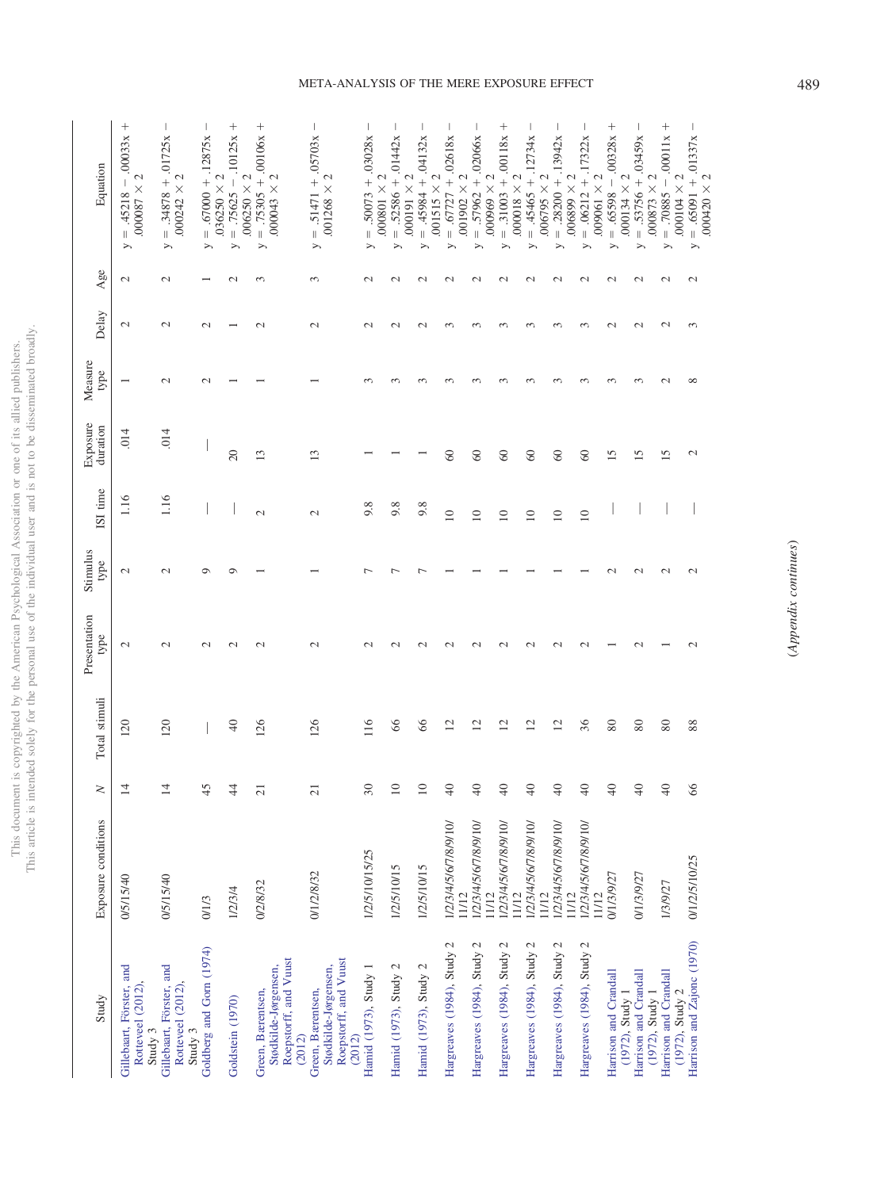|               | ¢           |
|---------------|-------------|
| i             |             |
| ¢<br>Ś        |             |
| Ī             |             |
|               |             |
|               | j<br>í      |
|               |             |
|               |             |
|               |             |
| i             |             |
|               | I           |
|               |             |
|               |             |
|               |             |
|               |             |
|               |             |
|               |             |
|               |             |
|               |             |
|               |             |
|               |             |
|               |             |
|               |             |
| Ó             |             |
| į             |             |
|               |             |
|               | š           |
| ł             |             |
|               |             |
| ł             |             |
|               |             |
| 3<br>ç        |             |
|               |             |
| I<br>)        |             |
| ł<br>١<br>ì   |             |
| ł             |             |
|               |             |
|               |             |
| i             |             |
|               |             |
|               |             |
|               | <b>TICA</b> |
| ë<br>ś        | JSC         |
| ì             |             |
|               |             |
|               |             |
|               |             |
|               |             |
|               |             |
|               | ł           |
|               |             |
|               | í.          |
|               |             |
|               | J           |
| Ċ<br>ì        | í           |
| l             |             |
| ē<br>I<br>)   | ł           |
| <b>CAST R</b> | ł           |
| ¢             |             |
| í<br>¢        |             |
|               |             |
|               |             |
| l             |             |
|               | j           |
| i<br>I        |             |
| l             |             |
| $\frac{1}{2}$ |             |
| j             |             |
|               |             |
|               | ī           |
|               | ĵ           |
| his           |             |
|               |             |
| į             | hic         |
|               |             |
|               | į<br>í      |

| Equation             | .00033x<br>$\mathbf{C}$<br>$\vert$<br>.000087 $\times$<br>.45218<br>$\lvert \rvert$<br>⋋ | $= .34878 + .01725x$<br>$.000242 \times 2$<br>$\rightarrow$ | $= .67000 + .12875x$<br>$.036250 \times 2$<br>$\rightarrow$ | $^+$<br>$= .75625 - .10125x$<br>$\mathcal{L}$<br>.006250 $\times$<br>$\geq$ | $^{+}$<br>$= .75305 + .00106x$<br>$.000043 \times 2$<br>$\geq$               | $= .51471 + .05703x$<br>$.001268 \times 2$<br>$\geq$                         | $.50073 + .03028x$<br>$000801 \times$<br>$\parallel$<br>$\rightarrow$ | $.52586 + .01442x$<br>$2 \times 10001$<br>$\mathbf{I}$<br>$\rightarrow$ | $= .45984 + .04132x$<br>⋋ | $= .67727 + .02618x$<br>$.001902 \times 2$<br>$.001515 \times 2$<br>> | $= .57962 + .02066x$<br>$\mathfrak{g}$<br>$000969 \times$<br>⋋ | $.31003 + .00118x$<br>$\mathcal{L}$<br>$000018 \times$<br>$\overline{\mathbf{u}}$<br>≻ | $.45465 + .12734x$<br>$.006795 \times 2$<br>$\overline{\mathbf{u}}$<br>$\rightarrow$ | $= .28200 + .13942x$<br>.006899 $\times$ 2<br>$\geq$ | $= .06212 + .17322x$<br>$.009061 \times 2$<br>⋋ | $.65598 - .00328x$<br>⋋ | $.53756 + .03459x$<br>$.000134 \times 2$<br>$\overline{\mathbf{u}}$<br>$\rightarrow$ | $^+$<br>$= .70885 - .00011x$<br>$.000873 \times 2$<br>⋋ | $.000104 \times 2$ |
|----------------------|------------------------------------------------------------------------------------------|-------------------------------------------------------------|-------------------------------------------------------------|-----------------------------------------------------------------------------|------------------------------------------------------------------------------|------------------------------------------------------------------------------|-----------------------------------------------------------------------|-------------------------------------------------------------------------|---------------------------|-----------------------------------------------------------------------|----------------------------------------------------------------|----------------------------------------------------------------------------------------|--------------------------------------------------------------------------------------|------------------------------------------------------|-------------------------------------------------|-------------------------|--------------------------------------------------------------------------------------|---------------------------------------------------------|--------------------|
| Age                  | $\mathbf{\sim}$                                                                          | $\mathcal{C}$                                               |                                                             |                                                                             |                                                                              | 3                                                                            | $\mathbf{\sim}$                                                       |                                                                         |                           |                                                                       |                                                                |                                                                                        |                                                                                      |                                                      |                                                 | $\scriptstyle\sim$      | $\scriptstyle\sim$                                                                   | $\sim$                                                  |                    |
| Delay                | $\mathcal{L}$                                                                            | $\mathbf{\sim}$                                             | $\mathbf{\sim}$                                             |                                                                             |                                                                              | $\mathcal{C}$                                                                | $\mathbf{\sim}$                                                       |                                                                         |                           |                                                                       |                                                                |                                                                                        |                                                                                      |                                                      |                                                 |                         | $\scriptstyle\sim$                                                                   | $\sim$                                                  |                    |
| Measure<br>type      |                                                                                          | $\mathbf{\sim}$                                             |                                                             |                                                                             |                                                                              |                                                                              |                                                                       |                                                                         |                           |                                                                       |                                                                |                                                                                        |                                                                                      |                                                      |                                                 |                         |                                                                                      |                                                         |                    |
| Exposure<br>duration | .014                                                                                     | .014                                                        |                                                             | 20                                                                          | ≌                                                                            | S                                                                            |                                                                       |                                                                         |                           | $\circ$                                                               | $\degree$                                                      | $\infty$                                                                               | $\infty$                                                                             | $\degree$                                            | $\infty$                                        | 5                       | 5                                                                                    | 5                                                       |                    |
| ISI time             | 1.16                                                                                     | 1.16                                                        |                                                             |                                                                             | $\mathcal{L}$                                                                | N                                                                            | 9.8                                                                   | 9.8                                                                     | 9.8                       | $\supseteq$                                                           | $\supseteq$                                                    | $\overline{10}$                                                                        | $\overline{10}$                                                                      | $\supseteq$                                          | $\supseteq$                                     |                         |                                                                                      |                                                         |                    |
| Stimulus<br>type     | $\mathcal{L}$                                                                            | $\sim$                                                      |                                                             |                                                                             |                                                                              |                                                                              |                                                                       |                                                                         |                           |                                                                       |                                                                |                                                                                        |                                                                                      |                                                      |                                                 |                         |                                                                                      |                                                         |                    |
| Presentation<br>type | $\mathcal{L}$                                                                            | $\mathbf{\sim}$                                             | $\sim$                                                      | $\mathbf{\sim}$                                                             | $\mathbf{\sim}$                                                              | $\sim$                                                                       | $\mathbf{\sim}$                                                       |                                                                         |                           |                                                                       | $\scriptstyle\sim$                                             | $\mathbf{\sim}$                                                                        |                                                                                      |                                                      |                                                 |                         |                                                                                      |                                                         |                    |
| Total stimuli        | 120                                                                                      | 120                                                         |                                                             | $\sqrt{4}$                                                                  | 126                                                                          | 126                                                                          | 116                                                                   | 66                                                                      | 66                        | $\bar{\omega}$                                                        | $\bar{\circ}$                                                  | $\overline{\mathcal{C}}$                                                               | $\overline{c}$                                                                       | $\overline{12}$                                      | 36                                              | 80                      | 80                                                                                   | $\rm 80$                                                |                    |
| $\geq$               |                                                                                          |                                                             |                                                             |                                                                             |                                                                              | N                                                                            |                                                                       |                                                                         |                           |                                                                       |                                                                |                                                                                        |                                                                                      |                                                      |                                                 |                         |                                                                                      |                                                         |                    |
| Exposure conditions  | 0/5/15/40                                                                                | 0/5/15/40                                                   | 0/1/3                                                       | 1/2/3/4                                                                     | 0/2/8/32                                                                     | 0/1/2/8/32                                                                   | 1/2/5/10/15/25                                                        | 1/2/5/10/15                                                             | 1/2/5/10/15               | 1/2/3/4/5/6/7/8/9/10/<br>11/12                                        | 12/3/4/5/6/7/8/9/10/<br>11/12                                  | /2/3/4/5/6/7/8/9/10/<br>1/12                                                           | /2/3/4/5/6/7/8/9/10/<br>11/12                                                        | /2/3/4/5/6/7/8/9/10/<br>1/12                         | /2/3/4/5/6/7/8/9/10/<br>11/12                   | 0/1/3/9/27              | 0/1/3/9/27                                                                           | 1/3/9/27                                                |                    |
| Study                | Gillebaart, Förster, and<br>Rotteveel (2012)<br>Study 3                                  | Gillebaart, Förster, and<br>Rotteveel (2012),<br>Study 3    | Goldberg and Gorn (1974)                                    | Goldstein (1970)                                                            | Roepstorff, and Vuust<br>Stødkilde-Jørgensen,<br>Green, Bærentsen,<br>(2012) | Roepstorff, and Vuust<br>Stødkilde-Jørgensen,<br>Green, Bærentsen,<br>(2012) | Hamid (1973), Study 1                                                 | Hamid (1973), Study 2                                                   | Hamid (1973), Study 2     | Hargreaves (1984), Study 2                                            | Hargreaves (1984), Study 2                                     | Hargreaves (1984), Study 2                                                             | Hargreaves (1984), Study 2                                                           | Hargreaves (1984), Study 2                           | Hargreaves (1984), Study 2                      | Harrison and Crandall   | Harrison and Crandall<br>$(1972)$ , Study 1                                          | Harrison and Crandall<br>$(1972)$ , Study 1             | $(1972)$ , Study 2 |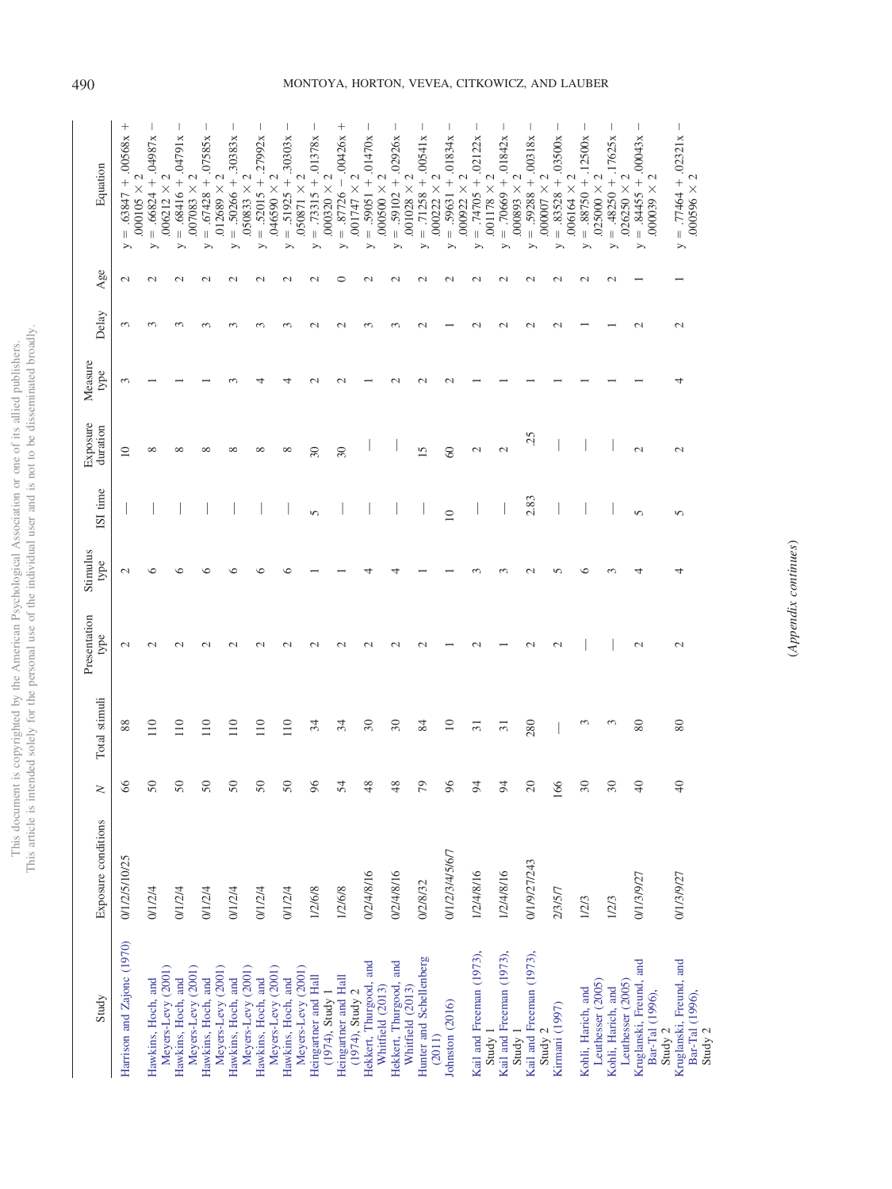|                      | Ó   |
|----------------------|-----|
| j<br>ú               | ł   |
| ä<br>$\overline{ }$  |     |
| ζ                    |     |
|                      |     |
|                      |     |
|                      |     |
|                      |     |
|                      |     |
| Í                    |     |
|                      | į   |
|                      |     |
|                      |     |
| í                    |     |
|                      |     |
|                      |     |
|                      |     |
|                      |     |
| ¢,                   |     |
| i                    |     |
|                      |     |
|                      |     |
|                      |     |
|                      |     |
|                      |     |
|                      | io, |
|                      |     |
|                      |     |
|                      | ļ   |
|                      |     |
| j                    |     |
| ü<br>j               |     |
| )                    |     |
| 2                    |     |
|                      |     |
|                      |     |
|                      |     |
|                      |     |
| $\frac{1}{\sqrt{2}}$ |     |
| ion                  |     |
|                      |     |
|                      |     |
|                      |     |
|                      |     |
|                      | ļ   |
|                      |     |
|                      |     |
| $\frac{1}{2}$        |     |
| ì                    |     |
| Ś                    |     |
|                      |     |
| j                    |     |
| j                    |     |
| j<br>I<br>j          |     |
|                      |     |
| the same of the same |     |
| ï                    |     |
|                      |     |
|                      |     |
|                      |     |
|                      |     |
| I                    |     |
|                      |     |
|                      |     |
|                      |     |
| j                    |     |
|                      |     |
|                      |     |
| ₿                    |     |
| ł                    |     |
|                      | hic |
|                      | Ĭ   |

| Study                                                          | Exposure conditions | $\geq$ | Total stimuli   | Presentation<br>type | Stimulus<br>type | ISI time        | Exposure<br>duration     | Measure<br>type | Delay           | Age             | Equation                                                                       |
|----------------------------------------------------------------|---------------------|--------|-----------------|----------------------|------------------|-----------------|--------------------------|-----------------|-----------------|-----------------|--------------------------------------------------------------------------------|
| Harrison and Zajonc (1970)                                     | 0/1/2/5/10/25       | ⊵      | 88              | $\mathbf{\sim}$      | $\mathcal{L}$    |                 | $\supseteq$              | 3               | 3               | $\mathbf{C}$    | $^+$<br>$.63847 + .00568x$<br>$.000105 \times$<br>$\overline{\mathbf{u}}$<br>⋋ |
| Meyers-Levy (2001)<br>Hawkins, Hoch, and                       | 0/1/2/4             |        | 110             | $\mathbf{\sim}$      | ℃                |                 | $\infty$                 |                 | ç               | $\mathbf{\sim}$ | $= .66824 + .04987x$<br>$\mathcal{C}$<br>$.006212 \times$<br>≻                 |
| Meyers-Levy (2001)<br>Hawkins, Hoch, and                       | 0/1/2/4             |        | 110             | $\sim$               |                  |                 |                          |                 | S               | $\mathbf{\sim}$ | $167916 + 04791x$<br>$.007083 \times$                                          |
| Meyers-Levy (2001)<br>Hawkins, Hoch, and                       | 0/1/2/4             |        | 110             |                      |                  |                 |                          |                 |                 |                 | $67428 + 07585x$<br>$012689 \times 2$                                          |
| Hawkins, Hoch, and                                             | 0/1/2/4             |        | 110             |                      |                  |                 |                          |                 |                 |                 | $.50266 + .30383x$<br>$050833 \times 2$<br>>                                   |
| Meyers-Levy (2001)<br>Meyers-Levy (2001)<br>Hawkins, Hoch, and | 0/1/2/4             |        | 110             |                      |                  |                 |                          |                 |                 |                 | .27992x<br>$\mathcal{L}$<br>$.52015 +$<br>$\times 046590$                      |
| Meyers-Levy (2001)<br>Hawkins, Hoch, and                       | 0/1/2/4             |        | 110             | $\sim$               |                  |                 | $\infty$                 |                 |                 | $\sim$          | $.51925 + .30303x$<br>$\mathfrak{g}$<br>050871 ×<br>≻                          |
| Heingartner and Hall<br>$(1974)$ , Study 1                     | 1/2/6/8             |        | 34              | $\sim$               |                  | 5               | $\mathcal{S}$            |                 |                 |                 | $.73315 + .01378x$<br>$\mathcal{L}$<br>$000320 \times$<br>$\geq$               |
| Heingartner and Hall<br>$(1974)$ , Study 2                     | 1/2/6/8             |        | 34              | $\sim$               |                  |                 | $\overline{\mathcal{E}}$ |                 |                 |                 | .00426x<br>$\mathcal{L}$<br>$-87726 -$<br>$001747 \times$<br>$\geq$            |
| Hekkert, Thurgood, and<br>Whitfield (2013)                     | 0/2/4/8/16          |        | $30\,$          |                      |                  |                 |                          |                 |                 |                 | $.59051 + .01470x$<br>$.000500 \times 2$<br>⋗                                  |
| Hekkert, Thurgood, and<br>Whitfield (2013)                     | 0/2/4/8/16          |        | $\sqrt{30}$     |                      |                  |                 |                          |                 |                 |                 | $.59102 + .02926x$<br>$001028 \times 2$<br>$\geq$                              |
| Hunter and Schellenberg<br>(2011)                              | 0/2/8/32            |        | 84              | $\sim$               |                  |                 | ٥                        |                 | $\sim$          |                 | $= .71258 + .00541x$<br>$.000222 \times 2$<br>≻                                |
| Johnston (2016)                                                | 0/1/2/3/4/5/6/7     |        | $\overline{10}$ |                      |                  | $\overline{10}$ | $\otimes$                |                 |                 |                 | $.59631 + .01834x$<br>$\mathbf{C}$<br>$.000922 \times$<br>≻                    |
| Kail and Freeman (1973),<br>Study 1                            | 1/2/4/8/16          |        | $\overline{31}$ |                      |                  |                 | $\mathcal{L}$            |                 |                 | $\sim$          | $74705 + 02122x$<br>$\mathcal{L}$<br>001178 ×<br>⋗                             |
| Kail and Freeman (1973),<br>Study 1                            | 1/2/4/8/16          |        | $\overline{5}$  |                      |                  |                 | $\mathbf{\sim}$          |                 |                 |                 | .01842x<br>$000893 \times 2$<br>$+ 00669 +$<br>⋗                               |
| Kail and Freeman (1973).<br>Study 2                            | 0/1/9/27/243        |        | 280             | $\sim$               |                  | 2.83            | 25                       |                 |                 |                 | $.59288 + .00318x$<br>$.000007 \times 2$<br>⋋                                  |
| Kirmani (1997)                                                 | 2/3/5/7             |        |                 | $\mathbf{C}$         | r                |                 |                          |                 | $\sim$          | $\sim$          | $.83528 + .03500x$<br>$.006164 \times 2$<br>⋗                                  |
| Leuthesser (2005)<br>Kohli, Harich, and                        | 1/2/3               |        | 3               |                      | ≏                |                 |                          |                 |                 |                 | $.88750 + .12500x$<br>$\mathbf 2$<br>025000 ×<br>≻                             |
| Leuthesser (2005)<br>Kohli, Harich, and                        | $1/2/3$             |        | 3               |                      |                  |                 |                          |                 |                 |                 | $= .48250 + .17625x$<br>$.026250 \times 2$<br>⋋                                |
| Kruglanski, Freund, and<br>Bar-Tal (1996),<br>Study 2          | 0/1/3/9/27          |        | $\rm 80$        | $\mathcal{L}$        |                  | S               | $\mathcal{L}$            |                 |                 |                 | .00043x<br>$\mathcal{L}$<br>84455 +<br>$000039 \times$<br>$\rightarrow$        |
| Kruglanski, Freund, and<br>Bar-Tal (1996).<br>Study $2\,$      | 0/1/3/9/27          | ₽      | $\rm 80$        | $\mathcal{L}$        |                  | 5               | $\mathcal{L}$            |                 | $\mathbf{\sim}$ |                 | $= 77464 + 02321x$<br>$.000596 \times 2$<br>$\rightarrow$                      |

(*Appendix continues*)

(Appendix continues)

## 490 MONTOYA, HORTON, VEVEA, CITKOWICZ, AND LAUBER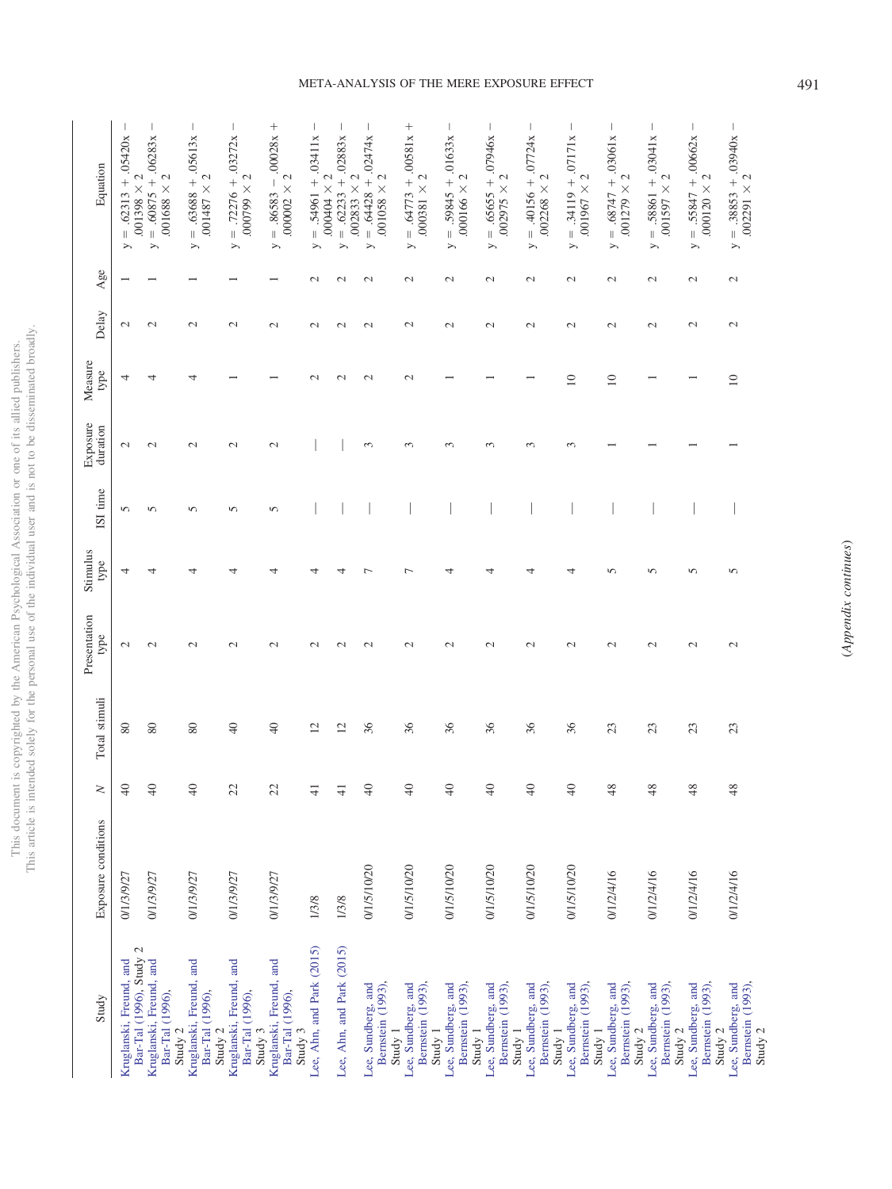| J<br>j<br>i                   |               |
|-------------------------------|---------------|
| ¢                             |               |
| ś                             |               |
| $\overline{\phantom{a}}$      |               |
| i                             |               |
|                               |               |
|                               | j             |
|                               |               |
| ţ                             |               |
| į<br>l                        | ï             |
|                               |               |
|                               | ļ             |
|                               |               |
| ì                             |               |
|                               |               |
|                               |               |
|                               |               |
|                               |               |
|                               |               |
|                               |               |
|                               |               |
|                               |               |
|                               |               |
|                               |               |
|                               |               |
|                               |               |
|                               | j             |
| ١                             |               |
|                               |               |
|                               |               |
|                               |               |
| ċ                             | í             |
|                               |               |
| )                             |               |
|                               |               |
|                               |               |
|                               |               |
|                               |               |
| $\frac{1}{1}$                 |               |
|                               |               |
|                               |               |
|                               | j             |
| COU                           |               |
|                               |               |
| í<br>$\overline{\phantom{a}}$ |               |
|                               |               |
|                               | į             |
|                               |               |
|                               | $\frac{1}{2}$ |
| l<br>j                        | j             |
|                               |               |
|                               |               |
|                               |               |
|                               |               |
| j<br>Í                        | Í<br>í        |
|                               |               |
| l<br>ļ<br>ℷ                   |               |
| i                             | J             |
|                               |               |
| ï                             |               |
| J                             |               |
|                               |               |
|                               |               |
|                               |               |
| j                             |               |
| ì<br>I                        |               |
|                               |               |
|                               |               |
| 一番 一番 一番 一番 一番                |               |
|                               |               |
|                               |               |
|                               | ĵ             |
| his                           |               |
| j                             |               |
|                               | $\frac{1}{2}$ |
|                               |               |
|                               | į             |

| Equation             | $= .62313 + .05420x$<br>$2 \times 2001398$<br>$\geq$              | $= .60875 + .06283x$<br>$.001688\times2$<br>$\geq$    | $= .63688 + .05613x$<br>$.001487 \times 2$<br>⋋       | $= .72276 + .03272x$<br>$2 \times 000799$<br>$\geq$   | $^+$<br>$-00028x$<br>$.000002 \times 2$<br>$=.86583$<br>$\geq$ | $.54961 + .03411x$<br>$.000404 \times 2$<br>$\parallel$<br>$\geq$ | $= .62233 + .02883x$<br>$.002833 \times 2$<br>$\geq$ | $+ .02474x$<br>.001058 $\times$ 2<br>$= .64428$<br>$\rightarrow$ | $^{+}$<br>$= .64773 + .00581x$<br>$2\times180003$<br>$\rightarrow$ | J.<br>$.59845 + .01633x$<br>.000166 $\times$ 2<br>$\bar{\mathbf{u}}$<br>⋋ | $= .65655 + .07946x$<br>$.002975 \times 2$<br>$\geq$ | $= .40156 + .07724x$<br>$\mathcal{C}$<br>$.002268 \times$<br>$\rightarrow$ | .07171x<br>$.001967 \times 2$<br>$= .34119 +$<br>$\geq$ | $= .68747 + .03061x$<br>$.001279 \times 2$<br>$\geq$ | $= .58861 + .03041x$<br>$.001597 \times 2$<br>$\geq$ | $= .55847 + .00662x$<br>$\mathbf{C}$<br>$.000120 \times$<br>$\rightarrow$ | $= .38853 + .03940x$<br>$.002291 \times 2$<br>$\geq$ |
|----------------------|-------------------------------------------------------------------|-------------------------------------------------------|-------------------------------------------------------|-------------------------------------------------------|----------------------------------------------------------------|-------------------------------------------------------------------|------------------------------------------------------|------------------------------------------------------------------|--------------------------------------------------------------------|---------------------------------------------------------------------------|------------------------------------------------------|----------------------------------------------------------------------------|---------------------------------------------------------|------------------------------------------------------|------------------------------------------------------|---------------------------------------------------------------------------|------------------------------------------------------|
| Age                  |                                                                   |                                                       |                                                       |                                                       |                                                                | $\mathbf{\sim}$                                                   | $\sim$                                               | $\mathcal{L}$                                                    | $\mathcal{L}$                                                      | $\mathcal{L}$                                                             | $\mathcal{L}$                                        | $\mathcal{L}$                                                              | $\mathcal{L}$                                           | $\mathcal{L}$                                        | $\mathcal{L}$                                        | $\mathcal{L}$                                                             | $\mathcal{L}_{\mathcal{A}}$                          |
| Delay                | $\mathcal{L}$                                                     | $\sim$                                                | $\mathbf{\sim}$                                       | $\mathcal{C}$                                         | $\mathbf{\Omega}$                                              | $\mathbf{\sim}$                                                   | $\sim$                                               | $\mathbf{\sim}$                                                  | $\mathcal{L}$                                                      | $\mathcal{C}$                                                             | $\mathcal{L}$                                        | $\mathbf{\sim}$                                                            | $\mathcal{L}$                                           | $\mathbf{C}$                                         | $\mathcal{C}$                                        | $\mathcal{L}$                                                             | $\mathcal{L}$                                        |
| Measure<br>type      | 4                                                                 |                                                       |                                                       |                                                       |                                                                | $\sim$                                                            | $\mathbf{\sim}$                                      | $\mathbf{\sim}$                                                  | $\mathcal{L}$                                                      |                                                                           |                                                      |                                                                            | $\overline{10}$                                         | $\overline{10}$                                      |                                                      |                                                                           | $\overline{10}$                                      |
| Exposure<br>duration | $\mathcal{L}$                                                     | $\mathbf{\sim}$                                       | $\sim$                                                | $\sim$                                                | $\mathbf{\sim}$                                                |                                                                   |                                                      | $\tilde{\phantom{0}}$                                            | 3                                                                  | 3                                                                         | 3                                                    | $\sim$                                                                     |                                                         |                                                      |                                                      |                                                                           |                                                      |
| ISI time             | 5                                                                 | $\Omega$                                              | n                                                     | S                                                     | 5                                                              |                                                                   |                                                      |                                                                  |                                                                    |                                                                           |                                                      |                                                                            |                                                         |                                                      |                                                      |                                                                           |                                                      |
| Stimulus<br>type     | 4                                                                 |                                                       |                                                       |                                                       |                                                                |                                                                   |                                                      |                                                                  |                                                                    |                                                                           |                                                      |                                                                            |                                                         | 5                                                    | 5                                                    | 5                                                                         | 5                                                    |
| Presentation<br>type | $\mathcal{C}$                                                     | $\mathbf{C}$                                          | $\mathbf{\sim}$                                       | $\sim$                                                | $\mathcal{C}$                                                  | $\mathbf{\sim}$                                                   | $\mathcal{C}$                                        | $\mathbf{\sim}$                                                  | $\mathcal{L}$                                                      | $\mathcal{C}$                                                             | $\mathcal{L}$                                        | $\mathcal{C}$                                                              | $\mathcal{L}$                                           | $\mathbf{C}$                                         | $\mathcal{C}$                                        | $\mathcal{L}$                                                             | $\mathcal{L}$                                        |
| Total stimuli        | $\rm 80$                                                          | 80                                                    | $\pmb{80}$                                            | $\Theta$                                              | $\Theta$                                                       | $\overline{c}$                                                    | $\overline{c}$                                       | 36                                                               | 36                                                                 | 36                                                                        | 36                                                   | 36                                                                         | 36                                                      | 23                                                   | 23                                                   | 23                                                                        | 23                                                   |
| $\geq$               | 4                                                                 |                                                       |                                                       | N                                                     | 2                                                              |                                                                   |                                                      |                                                                  |                                                                    |                                                                           |                                                      | Q                                                                          | Q                                                       | $\infty$                                             |                                                      | ∝                                                                         | $\infty$                                             |
| Exposure conditions  | 0/1/3/9/27                                                        | 0/1/3/9/27                                            | 0/1/3/9/27                                            | 0/1/3/9/27                                            | 0/1/3/9/27                                                     | 1/3/8                                                             | 1/3/8                                                | 0/1/5/10/20                                                      | 0/1/5/10/20                                                        | 0/1/5/10/20                                                               | 0/1/5/10/20                                          | 0/1/5/10/20                                                                | 0/1/5/10/20                                             | 0/1/2/4/16                                           | 0/1/2/4/16                                           | 0/1/2/4/16                                                                | 0/1/2/4/16                                           |
| Study                | $\mathcal{L}$<br>Bar-Tal (1996), Study<br>Kruglanski, Freund, and | Kruglanski, Freund, and<br>Bar-Tal (1996),<br>Study 2 | Kruglanski, Freund, and<br>Bar-Tal (1996),<br>Study 2 | Kruglanski, Freund, and<br>Bar-Tal (1996),<br>Study 3 | Kruglanski, Freund, and<br>Bar-Tal (1996),<br>Study 3          | Lee, Ahn, and Park (2015)                                         | Lee, Ahn, and Park (2015)                            | Lee, Sundberg, and<br>Bernstein (1993),<br>Study 1               | Bernstein (1993),<br>Lee, Sundberg, and<br>Study 1                 | Bernstein (1993),<br>Lee, Sundberg, and<br>Study 1                        | Lee, Sundberg, and<br>Bernstein (1993),<br>Study 1   | Lee, Sundberg, and<br>Bernstein (1993).<br>Study 1                         | Lee, Sundberg, and<br>Bernstein (1993).<br>Study $1\,$  | Lee, Sundberg, and<br>Bernstein (1993),<br>Study 2   | Lee, Sundberg, and<br>Bernstein (1993),<br>Study 2   | Lee, Sundberg, and<br>Bernstein (1993),<br>Study 2                        | Lee, Sundberg, and<br>Bernstein (1993),<br>Study 2   |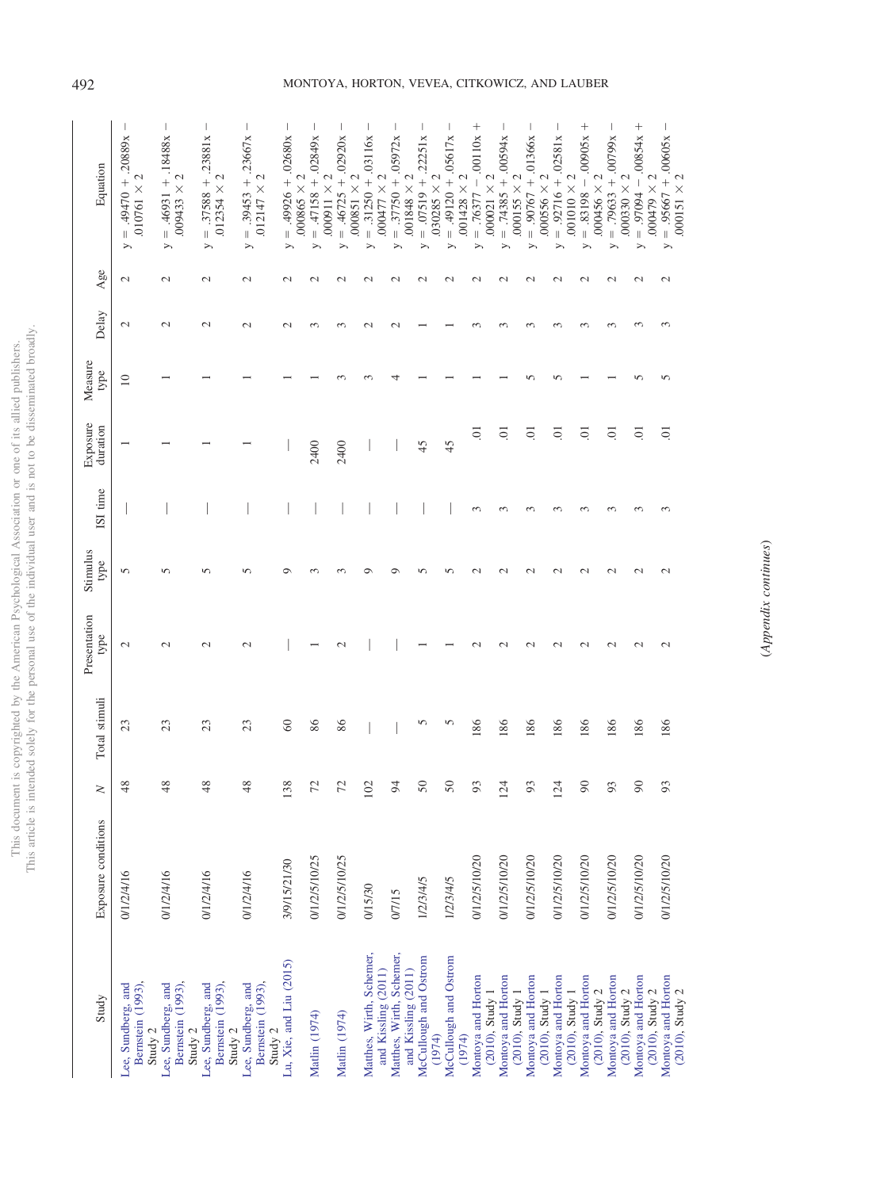|                         | ٠      |
|-------------------------|--------|
|                         |        |
|                         |        |
| i                       |        |
|                         |        |
| Ś<br>ζ                  |        |
|                         |        |
|                         |        |
|                         |        |
|                         |        |
|                         |        |
|                         |        |
|                         | i      |
|                         | j      |
|                         | ļ      |
| į                       |        |
|                         |        |
|                         |        |
|                         |        |
|                         |        |
|                         |        |
|                         |        |
|                         |        |
|                         |        |
|                         |        |
|                         |        |
| ł                       |        |
|                         |        |
|                         | j      |
|                         | in car |
|                         |        |
|                         |        |
|                         |        |
| č<br>3                  |        |
|                         |        |
| ).                      |        |
| ì                       |        |
|                         |        |
|                         |        |
|                         |        |
|                         |        |
| I                       |        |
|                         |        |
|                         |        |
| š                       |        |
| i                       |        |
| ţ,                      |        |
|                         |        |
|                         |        |
|                         |        |
| å                       |        |
|                         |        |
|                         |        |
|                         | ł      |
|                         |        |
| 5                       | )      |
| $\frac{1}{2}$           |        |
| č<br>J<br>J             |        |
|                         |        |
|                         |        |
| <b>CERTIFICATE</b><br>í |        |
| Í                       |        |
|                         |        |
|                         |        |
|                         |        |
|                         |        |
| ì                       |        |
|                         |        |
|                         |        |
| í                       |        |
|                         |        |
|                         |        |
|                         |        |
| ┋                       |        |
| j                       |        |
|                         | hic    |
|                         | Ĭ      |

Š.

| Study                                                                  | Exposure conditions | $\geq$        | Total stimuli       | Presentation<br>type | Stimulus<br>type | ISI time | Exposure<br>duration | Measure<br>type | Delay           | Age                | Equation                                                                     |
|------------------------------------------------------------------------|---------------------|---------------|---------------------|----------------------|------------------|----------|----------------------|-----------------|-----------------|--------------------|------------------------------------------------------------------------------|
| Lee, Sundberg, and<br>Bernstein (1993).<br>Study 2                     | 0/1/2/4/16          | 48            | 23                  | $\mathbf{C}$         | 5                |          |                      | $\approx$       | $\mathcal{L}$   | $\mathcal{L}$      | x68807: + 0470<br>$.010761 \times 2$<br>$\label{eq:1} \mid \mid$<br>⋋        |
| Lee, Sundberg, and<br>Bernstein (1993).<br>Study 2                     | 0/1/2/4/16          | ≆             | 23                  | $\sim$               | n                |          |                      |                 | $\mathbf{\sim}$ | $\mathcal{L}$      | $x888x$ + $x = 1800$ .<br>$.009433 \times$<br>$\rightarrow$                  |
| Lee, Sundberg, and<br>Bernstein (1993)<br>Study 2                      | 0/1/2/4/16          | ₹             | 23                  | $\sim$               | S                |          |                      |                 | $\mathbf{\sim}$ | $\mathcal{L}$      | $= .37588 + .23881x$<br>$.012354 \times 2$<br>$\geq$                         |
| Lee, Sundberg, and<br>Bernstein (1993),<br>Study 2                     | 0/1/2/4/16          | $\frac{8}{4}$ | 23                  | $\sim$               |                  |          |                      |                 | $\sim$          | $\mathcal{L}$      | $= .39453 + .23667x$<br>$\mathbf{\sim}$<br>$.012147 \times$<br>$\rightarrow$ |
| Lu, Xie, and Liu (2015)                                                | 3/9/15/21/30        | 138           | $\pmb{\mathcal{S}}$ |                      |                  |          |                      |                 | $\sim$          | $\mathcal{L}$      | $= .49926 + .02680x$<br>$.000865 \times$<br>⋋                                |
| Matlin (1974)                                                          | 0/1/2/5/10/25       | 72            | 86                  |                      |                  |          | 2400                 |                 |                 | $\sim$             | $x(820 + 158 + 171) =$<br>$000911 \times 2$<br>$\geq$                        |
| Matlin (1974)                                                          | 0/1/2/5/10/25       | ŗ,            | 86                  |                      |                  |          | 2400                 |                 |                 | $\sim$             | $= .46725 + .02920x$<br>$000851 \times 2$                                    |
| Matthes, Wirth, Schemer,                                               | 0/15/30             | $\Xi$         |                     |                      |                  |          |                      |                 |                 | $\mathbf{\sim}$    | $.31250 + .03116x$<br>$000477 \times 2$                                      |
| and Kissling (2011)<br>Matthes, Wirth, Schemer,<br>and Kissling (2011) | 0/7/15              | ò             |                     |                      |                  |          |                      |                 |                 | $\mathbf{C}$       | $.37750 + .05972x$<br>001848 ×<br>$\overline{\mathbf{u}}$                    |
| McCullough and Ostrom<br>(1974)                                        | 1/2/3/4/5           | ᢦ             |                     |                      |                  |          | 45                   |                 |                 | $\sim$             | .22251x<br>$030285 \times 2$<br>$= .07519 +$                                 |
| McCullough and Ostrom<br>(1974)                                        | 1/2/3/4/5           | 5             |                     |                      |                  |          | 45                   |                 |                 | $\mathbf{\sim}$    | $.49120 + .05617x$<br>$001428 \times 2$                                      |
| Montoya and Horton<br>$(2010)$ , Study 1                               | 0/1/2/5/10/20       | ö             | 186                 |                      |                  |          | $\Xi$                |                 |                 | $\mathbf{C}$       | $^+$<br>$-0.00110x$<br>$000021 \times 2$<br>$=.76377$                        |
| Montoya and Horton<br>(2010), Study 1                                  | 0/1/2/5/10/20       | 124           | 186                 |                      |                  |          | ā                    |                 |                 | $\scriptstyle\sim$ | $x+6500 + 585 + 74385 + 100594x$<br>$000155 \times 2$<br>⋗                   |
| Montoya and Horton<br>(2010), Study 1                                  | 0/1/2/5/10/20       | ö             | 186                 |                      |                  |          | ā                    |                 |                 | $\mathbf{\sim}$    | $.90767 + .01366x$<br>$000556 \times 2$                                      |
| Montoya and Horton<br>(2010), Study 1                                  | 0/1/2/5/10/20       | $\tilde{C}$   | 186                 |                      |                  |          | $\Xi$                |                 |                 | $\mathcal{L}$      | $.92716 + .02581x$<br>$.001010 \times 2$<br>$\overline{\mathbf{u}}$          |
| Montoya and Horton<br>(2010), Study 2                                  | 0/1/2/5/10/20       | ă             | 186                 |                      |                  |          | ā                    |                 |                 | $\mathbf{\sim}$    | .00905x<br>$.000456 \times 2$<br>$= .83198$<br>⋗                             |
| Montoya and Horton<br>(2010), Study 2                                  | 0/1/2/5/10/20       | ä             | 186                 |                      |                  |          | ā                    |                 |                 | $\mathcal{L}$      | $x66700 + 56367 =$<br>$000330 \times$<br>⋗                                   |
| Montoya and Horton<br>(2010), Study 2                                  | 0/1/2/5/10/20       | ఠ             | 186                 |                      |                  |          | ā                    |                 |                 | $\mathbf{C}$       | $^+$<br>.00854x<br>$2 \times 6000000$<br>$-97094 -$<br>⋗                     |
| Montoya and Horton<br>(2010), Study 2                                  | 0/1/2/5/10/20       | ö             | 186                 |                      |                  |          | ā                    |                 |                 | $\mathcal{L}$      | $= .95667 + .00605x$<br>$.000151 \times 2$<br>⋋                              |

(*Appendix continues*)

(Appendix continues)

## 492 MONTOYA, HORTON, VEVEA, CITKOWICZ, AND LAUBER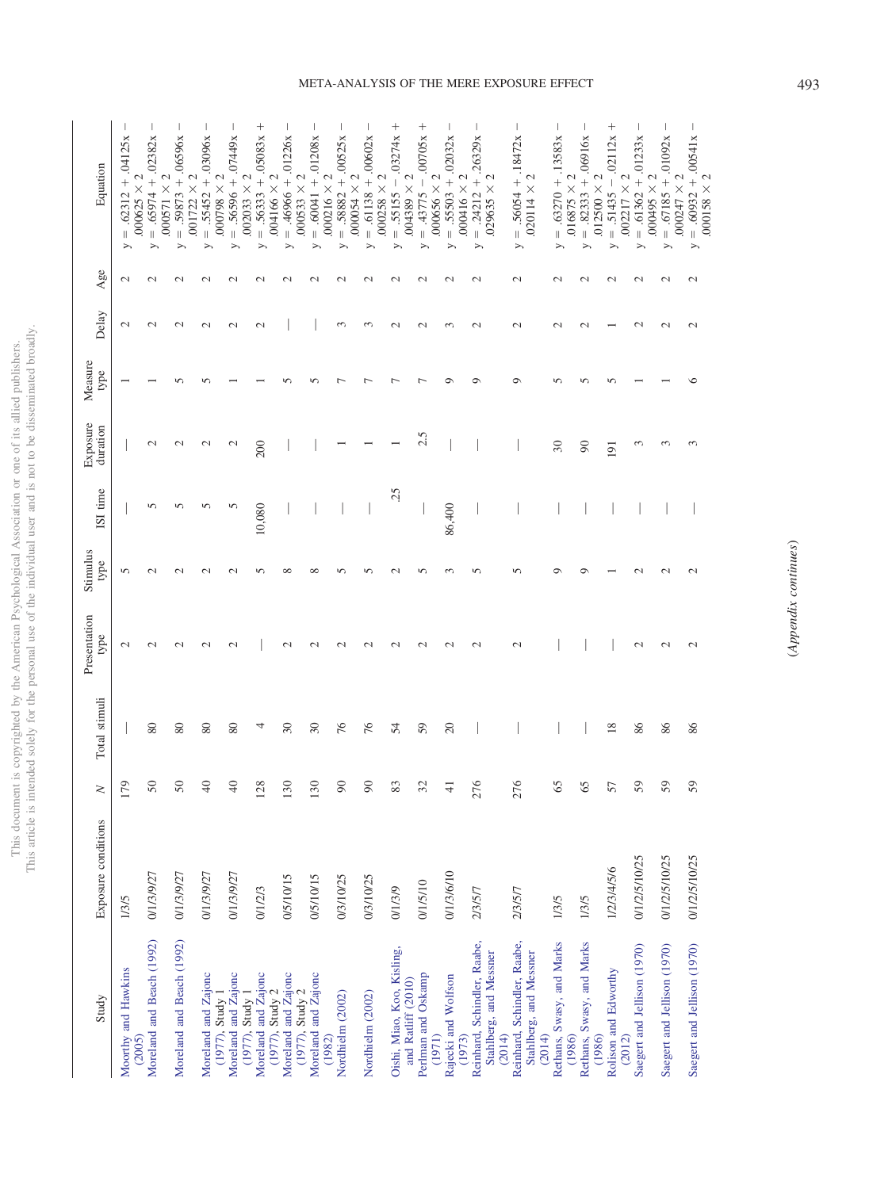|                  | ï                |
|------------------|------------------|
|                  |                  |
| j<br>í           | ¢<br>ł           |
| ä<br>j           |                  |
| ś<br>Ī           |                  |
|                  |                  |
| i                |                  |
|                  | í                |
|                  | j                |
|                  |                  |
| Í                |                  |
|                  | I                |
|                  |                  |
|                  |                  |
|                  |                  |
| í                |                  |
|                  |                  |
|                  |                  |
|                  |                  |
| į                |                  |
| Č<br>J           |                  |
| i                |                  |
|                  |                  |
|                  |                  |
|                  | Ë                |
|                  |                  |
|                  |                  |
|                  |                  |
|                  | <b>LOCK</b><br>š |
|                  |                  |
|                  |                  |
|                  | ć                |
|                  |                  |
| ç<br>j           |                  |
| ü                | <b>CAN AT A</b>  |
| j<br>j           |                  |
| ì                |                  |
| í                |                  |
|                  |                  |
| $\frac{1}{2}$    | j                |
|                  |                  |
|                  |                  |
|                  |                  |
| COL              | Ï                |
| j                |                  |
| ij               |                  |
| ł                | ł                |
|                  |                  |
|                  | $\frac{1}{2}$    |
|                  |                  |
| ł                |                  |
| į                |                  |
| .<br>Silver<br>ł |                  |
| ì                | j                |
| Ś                |                  |
|                  |                  |
| ł<br>j           |                  |
| į                |                  |
| ł<br>I<br>j      |                  |
| any y y any      |                  |
|                  |                  |
| í                |                  |
| ļ                |                  |
|                  |                  |
|                  |                  |
|                  |                  |
| ļ                |                  |
| I<br>ì           |                  |
|                  |                  |
|                  |                  |
| í                |                  |
| ١                | j                |
|                  |                  |
| $\frac{1}{2}$    | В                |
| į                |                  |
| į                |                  |
|                  | hic              |
|                  | i                |
|                  |                  |

| Study                                                           | Exposure conditions | $\geq$                   | Total stimuli | Presentation<br>type | Stimulus<br>type | ISI time   | Exposure<br>duration | Measure<br>type | Delay           | Age             | Equation                                                                                    |
|-----------------------------------------------------------------|---------------------|--------------------------|---------------|----------------------|------------------|------------|----------------------|-----------------|-----------------|-----------------|---------------------------------------------------------------------------------------------|
| Moorthy and Hawkins<br>(2005)                                   | 1/3/5               | 2                        |               | $\mathbf{\sim}$      | 5                |            |                      |                 | $\mathbf{\sim}$ | $\mathbf{\sim}$ | $+ .04125x$<br>$000625 \times$<br>.62312<br>$\mathbf{I}$<br>⋗                               |
| Moreland and Beach (1992)                                       | 0/1/3/9/27          | 50                       | 80            | $\mathbf{\sim}$      | $\mathbf{\sim}$  | $\sqrt{2}$ | $\mathbf{\sim}$      |                 | $\mathbf{\sim}$ | $\sim$          | .02382x<br>$\mathcal{C}$<br>$+ 165974 +$<br>$000571 \times$<br>⋗                            |
| Moreland and Beach (1992)                                       | 0/1/3/9/27          | ສ                        | $\pmb{80}$    |                      |                  | n          | $\sim$               |                 |                 |                 | .06596x<br>$001722 \times 2$<br>$^{+}$<br>.59873                                            |
| Moreland and Zajonc<br>$(1977)$ , Study 1                       | 0/1/3/9/27          |                          | $\rm 80$      |                      |                  |            |                      |                 |                 |                 | $+03096x$<br>$000798 \times 2$<br>.55452                                                    |
| Moreland and Zajonc                                             | 0/1/3/9/27          | ş                        | $\rm 80$      |                      |                  | 5          | $\sim$               |                 |                 |                 | $x6596 + 07449x$<br>$002033 \times 2$                                                       |
| $(1977)$ , Study 1<br>Moreland and Zajonc<br>(1977), Study 2    | 0/1/2/3             | ౖ                        | 4             |                      |                  | 10,080     | 200                  |                 |                 |                 | .05083x<br>$004166 \times 2$<br>$^{+}$<br>.56333                                            |
| Moreland and Zajonc                                             | 0/5/10/15           | $30\,$                   | $\mathcal{S}$ |                      |                  |            |                      |                 |                 |                 | $46966 + 01226x$<br>$000533 \times 2$<br>⋗                                                  |
| Moreland and Zajonc<br>(1977), Study 2<br>(1982)                | 0/5/10/15           | $\overline{\mathcal{E}}$ | $\mathcal{S}$ |                      |                  |            |                      |                 |                 |                 | .01208x<br>$\mathcal{L}$<br>$^{+}$<br>$.000216 \times$<br>.60041<br>ь                       |
| Nordhielm (2002)                                                | 0/3/10/25           | $\infty$                 | 97            |                      |                  |            |                      |                 |                 |                 | $+00525x$<br>$000054 \times 2$<br>.58882<br>⋗                                               |
| Nordhielm (2002)                                                | 0/3/10/25           | $\infty$                 | 76            |                      |                  |            |                      |                 |                 |                 | $.61138 + .00602x$<br>$000258 \times 2$<br>⋗                                                |
| Oishi, Miao, Koo, Kisling,<br>and Ratliff (2010)                | 0/1/3/9             | 83                       | 54            |                      |                  | 25         |                      |                 |                 |                 | .03274x<br>$004389 \times 2$<br>.55155<br>⋗                                                 |
| Perlman and Oskamp<br>(1971)                                    | 0/1/5/10            | 32                       | 59            |                      |                  |            | 2.5                  |                 |                 |                 | .00705x<br>$000656 \times 2$<br>.43775<br>⋗                                                 |
| Rajecki and Wolfson<br>(1973)                                   | 0/1/3/6/10          |                          | $\approx$     |                      |                  | 86,400     |                      |                 |                 |                 | .02032x<br>$\mathcal{L}$<br>$.55503 +$<br>$000416 \times$<br>$\geq$                         |
| Reinhard, Schindler, Raabe,<br>Stahlberg, and Messner<br>(2014) | 2/3/5/7             | 2<br>S.                  |               |                      |                  |            |                      |                 |                 | $\sim$          | .26329x<br>$\mathcal{L}$<br>$^{+}$<br>$029635 \times$<br>.24212<br>⋗                        |
| Reinhard, Schindler, Raabe,<br>Stahlberg, and Messner<br>(2014) | 2/3/5/7             | 276                      |               |                      |                  |            |                      |                 |                 | $\mathbf{\sim}$ | $= .56054 + .18472x$<br>$.020114 \times 2$<br>$\geq$                                        |
| Rethans, Swasy, and Marks<br>(1986)                             | 1/3/5               | 65                       |               |                      |                  |            | $30\,$               |                 |                 | $\sim$          | $= .63270 + .13583x$<br>$.016875 \times 2$<br>$\rightarrow$                                 |
| Rethans, Swasy, and Marks<br>(1986)                             | 1/3/5               | 65                       |               |                      |                  |            | $\infty$             |                 |                 |                 | $.82333 + .06916x$<br>$\mathcal{L}$<br>012500 $\times$<br>$\overline{\mathbf{u}}$<br>$\geq$ |
| Rolison and Edworthy<br>(2012)                                  | 1/2/3/4/5/6         | 57                       | $^{18}$       |                      |                  |            | 191                  |                 |                 |                 | .02112x<br>$\mathcal{L}$<br>$002217 \times$<br>51435                                        |
| Saegert and Jellison (1970)                                     | 0/1/2/5/10/25       | 59                       | 86            | $\mathbf{\sim}$      |                  |            | $\sim$               |                 |                 |                 | $+$ .01233x<br>$000495 \times 2$<br>.61362<br>۵                                             |
| Saegert and Jellison (1970)                                     | 0/1/2/5/10/25       |                          | 86            | $\sim$               |                  |            |                      |                 |                 |                 | .01092x<br>$000247 \times 2$<br>$.67185 +$<br>$\triangleright$                              |
| Saegert and Jellison (1970)                                     | 0/1/2/5/10/25       | 59                       | 86            | $\mathbf{\sim}$      |                  |            |                      |                 | $\mathbf{\sim}$ | $\mathcal{C}$   | $+ .00541x$<br>$\overline{\mathcal{C}}$<br>$.000158 \times$<br>$= .60932$                   |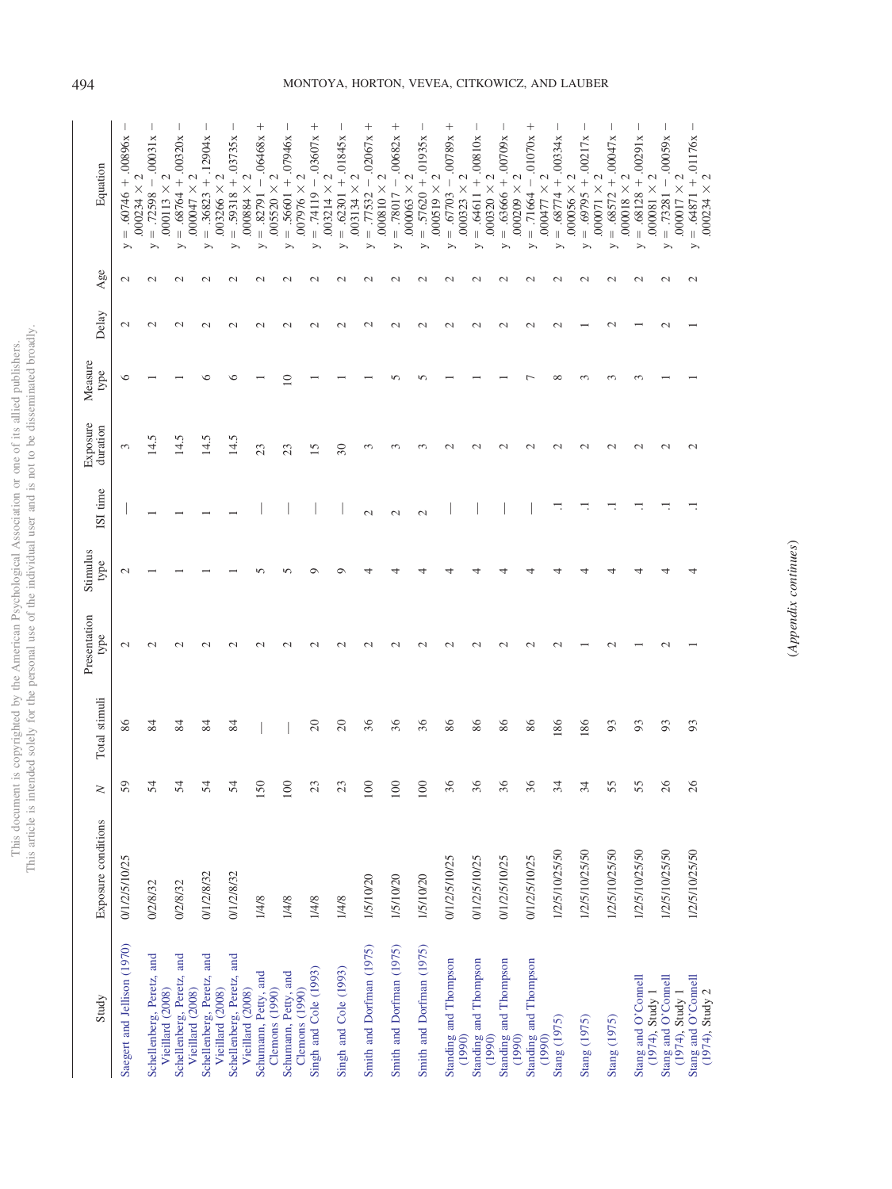| j                        | Ó             |
|--------------------------|---------------|
| ú                        | ł             |
| ä<br>j                   |               |
| Ī                        |               |
|                          |               |
|                          | í             |
|                          |               |
|                          |               |
| í                        |               |
|                          | į             |
|                          |               |
|                          |               |
|                          |               |
|                          |               |
|                          |               |
|                          |               |
|                          |               |
| Č<br>J                   |               |
| i                        |               |
|                          |               |
|                          |               |
|                          |               |
|                          |               |
|                          |               |
|                          | š             |
|                          |               |
|                          |               |
|                          |               |
|                          |               |
| 5<br>ü                   |               |
| j<br>)                   |               |
| ì                        |               |
|                          |               |
|                          |               |
|                          | j             |
|                          |               |
|                          |               |
|                          |               |
| COL<br>3                 |               |
| í<br>i                   |               |
| ł                        |               |
|                          |               |
|                          | $\frac{1}{2}$ |
| ł                        |               |
| is all a<br>į            |               |
|                          |               |
| į                        |               |
|                          |               |
| j<br>j                   |               |
|                          |               |
| j<br>ł<br>I<br>j         |               |
|                          |               |
| any y y any<br>i         |               |
| í                        |               |
| $\overline{\phantom{a}}$ |               |
|                          |               |
|                          |               |
|                          |               |
| I                        |               |
|                          |               |
|                          |               |
| í                        |               |
| ١                        |               |
|                          | З             |
| ç<br>1                   |               |
|                          |               |
| i                        | iic           |
|                          |               |
|                          | i             |

| Study                                            | Exposure conditions | ≳               | Total stimuli  | Presentation<br>type | Stimulus<br>type | ISI time | Exposure<br>duration | Measure<br>type | Delay  | Age                | Equation                                                                               |
|--------------------------------------------------|---------------------|-----------------|----------------|----------------------|------------------|----------|----------------------|-----------------|--------|--------------------|----------------------------------------------------------------------------------------|
| Saegert and Jellison (1970)                      | 0/1/2/5/10/25       |                 | 86             | $\sim$               |                  |          | 3                    | ∘               | $\sim$ | $\mathbf{\sim}$    | $.60746 + .00896x$<br>$000234 \times$<br>$\vert\vert$<br>⋋                             |
| Schellenberg, Peretz, and<br>Vieillard (2008)    | 0/2/8/32            |                 | 84             |                      |                  |          | 14.5                 |                 | $\sim$ |                    | .00031x<br>$000113 \times$<br>.72598<br>$\overline{\mathbf{I}}$<br>➢                   |
| and<br>Schellenberg, Peretz,<br>Vieillard (2008) | 0/2/8/32            |                 | 84             |                      |                  |          | 14.5                 |                 |        |                    | .00320x<br>$^{+}$<br>$0000047 \times$<br>68764<br>⋋                                    |
| Schellenberg, Peretz, and<br>Vieillard (2008)    | 0/1/2/8/32          |                 | 84             |                      |                  |          | 14.5                 |                 |        |                    | .12904x<br>$003266 \times$<br>36823                                                    |
| Schellenberg, Peretz, and<br>Vieillard (2008)    | 0/1/2/8/32          |                 | 84             |                      |                  |          | 14.5                 |                 |        |                    | .03735x<br>$^{+}$<br>$000884 \times$<br>.59318<br>$\mathbf{  }$<br>⋗                   |
| Schumann, Petty, and<br>Clemons (1990)           | 1/4/8               | 15              |                |                      |                  |          | 23                   |                 |        |                    | Ť<br>.06468x<br>$005520 \times 2$<br>.82791<br>➢                                       |
| Schumann, Petty, and<br>Clemons (1990)           | $1/4/8$             | $\Xi$           |                |                      |                  |          | 23                   |                 |        |                    | .07946x<br>$.56601 +$<br>$007976 \times$<br>➢                                          |
| Singh and Cole (1993)                            | 1/4/8               |                 | $\Omega$       |                      |                  |          | S                    |                 |        |                    | Ť<br>.03607x<br>$\mathcal{C}$<br>$003214 \times$<br>.74119<br>$\parallel$<br>➢         |
| Singh and Cole (1993)                            | 1/4/8               |                 | $\overline{c}$ |                      |                  |          | 30                   |                 | $\sim$ | $\sim$             | .01845x<br>$62301 +$<br>$003134 \times$<br>$\mathbf{I}$<br>$\geq$                      |
| Smith and Dorfman (1975)                         | 1/5/10/20           | $\Xi$           | 36             |                      |                  |          |                      |                 |        |                    | .02067x<br>$000810 \times$<br>.77532<br>⋗                                              |
| Smith and Dorfman (1975)                         | 1/5/10/20           | $\Xi$           | 36             |                      |                  |          |                      |                 |        |                    | .00682x<br>$000063 \times 2$<br>.78017<br>≻                                            |
| Smith and Dorfman (1975)                         | 1/5/10/20           | $\overline{10}$ | 36             |                      |                  |          |                      |                 |        |                    | .01935x<br>$.57620 +$<br>$000519 \times$<br>$\mathbf{I}$<br>➢                          |
| Standing and Thompson<br>(1990)                  | 0/1/2/5/10/25       |                 | 86             |                      |                  |          |                      |                 |        |                    | +<br>.00789x<br>$\mathbf{C}$<br>000323 $\times$<br>67703<br>≻                          |
| Standing and Thompson<br>(1990)                  | 0/1/2/5/10/25       |                 | 86             |                      |                  |          |                      |                 |        |                    | $+00810x$<br>$\mathcal{L}$<br>$000320 \times$<br>64611<br>$\overline{\mathbf{u}}$<br>≻ |
| Standing and Thompson<br>(1990)                  | 0/1/2/5/10/25       |                 | 86             |                      |                  |          |                      |                 |        |                    | .00709x<br>$.63666 +$<br>$000209 \times$<br>⋗                                          |
| Standing and Thompson<br>(1990)                  | 0/1/2/5/10/25       |                 | 86             |                      |                  |          |                      |                 |        |                    | .01070x<br>$000477 \times 2$<br>.71664<br>$\overline{\mathbf{I}}$<br>⋋                 |
| Stang (1975)                                     | 1/2/5/10/25/50      |                 | 186            |                      |                  |          |                      |                 |        |                    | .00334x<br>$+ 168774 +$<br>$000056 \times$<br>➢                                        |
| Stang (1975)                                     | 1/2/5/10/25/50      |                 | 186            |                      |                  |          |                      |                 |        |                    | .00217x<br>$^{+}$<br>000071 $\times$<br>69795<br>≻                                     |
| Stang (1975)                                     | 1/2/5/10/25/50      |                 | 93             |                      |                  |          |                      |                 |        | $\mathbf{\sim}$    | $.68572 + .00047x$<br>$\mathcal{L}$<br>$000018 \times$<br>$\overline{\mathbf{I}}$<br>⋋ |
| Stang and O'Connell<br>$(1974)$ , Study 1        | 1/2/5/10/25/50      |                 | 93             |                      |                  |          |                      |                 |        | $\scriptstyle\sim$ | .00291x<br>$^{+}$<br>$000081 \times$<br>.68128<br>$\mathbf{I}$<br>➢                    |
| Stang and O'Connell<br>(1974), Study 1           | 1/2/5/10/25/50      |                 | 93             |                      |                  |          |                      |                 |        |                    | .00059x<br>$000017 \times 2$<br>.73281<br>≻                                            |
| Stang and O'Connell<br>$(1974)$ , Study 2        | 1/2/5/10/25/50      |                 | 93             |                      |                  |          |                      |                 |        |                    | .01176x<br>$\mathbf{C}$<br>$.000234 \times$<br>$= .64871$<br>≻                         |

(*Appendix continues*)

(Appendix continues)

## 494 MONTOYA, HORTON, VEVEA, CITKOWICZ, AND LAUBER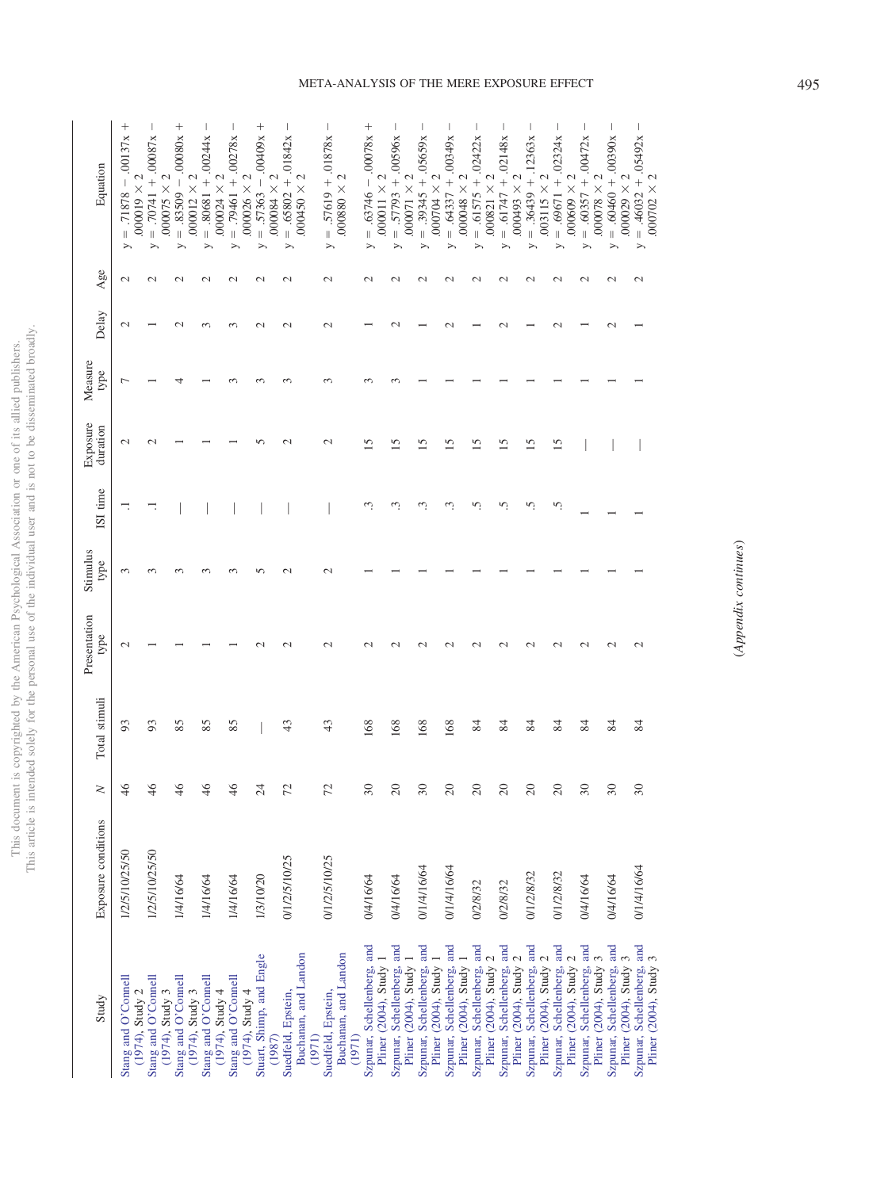| i                       |                  |
|-------------------------|------------------|
| ò                       |                  |
| ś                       |                  |
| Ī                       |                  |
|                         | j                |
|                         | í                |
|                         |                  |
|                         |                  |
|                         |                  |
| Í                       |                  |
|                         | I                |
|                         |                  |
|                         |                  |
|                         |                  |
|                         |                  |
|                         |                  |
|                         |                  |
| $\frac{1}{2}$           |                  |
|                         |                  |
|                         |                  |
|                         |                  |
|                         |                  |
|                         |                  |
| Ó                       |                  |
| į                       | ł                |
|                         |                  |
|                         |                  |
|                         | į                |
| ł                       |                  |
|                         |                  |
|                         |                  |
|                         |                  |
| 3<br>ç                  |                  |
|                         |                  |
| I<br>)                  |                  |
| ł<br>١                  |                  |
| ì<br>ł                  |                  |
|                         |                  |
|                         |                  |
|                         |                  |
|                         |                  |
|                         |                  |
|                         |                  |
| ë                       | <b>ADIL</b><br>š |
|                         |                  |
|                         |                  |
|                         |                  |
|                         |                  |
|                         |                  |
|                         |                  |
|                         |                  |
|                         | j                |
|                         |                  |
|                         |                  |
|                         |                  |
|                         |                  |
|                         |                  |
| Ċ                       | J                |
| ì                       |                  |
| l<br>ē<br>I             |                  |
| )                       | ł                |
|                         | ł                |
| <b>CALLAS</b><br>¢<br>í |                  |
| ¢                       |                  |
|                         |                  |
|                         |                  |
| ï                       |                  |
|                         |                  |
|                         | $\frac{1}{2}$    |
| i<br>I<br>j             |                  |
|                         |                  |
| $-1.1$<br>ì             |                  |
|                         |                  |
|                         | ī                |
|                         |                  |
|                         |                  |
| his                     |                  |
| į                       |                  |
|                         | ç<br>į           |

| Study                                                           | Exposure conditions | $\geq$          | Total stimuli | Presentation<br>type | Stimulus<br>type | ISI time | Exposure<br>duration | Measure<br>type | Delay  | Age                | Equation                                                         |
|-----------------------------------------------------------------|---------------------|-----------------|---------------|----------------------|------------------|----------|----------------------|-----------------|--------|--------------------|------------------------------------------------------------------|
| Stang and O'Connell<br>(1974), Study 2                          | 1/2/5/10/25/50      | ڢ               | 93            | $\mathbf{\sim}$      |                  |          |                      |                 | $\sim$ | $\mathcal{C}$      | $^+$<br>.00137x<br>$000019 \times$<br>.71878<br>$\mathbf{I}$     |
| Stang and O'Connell<br>(1974), Study 3                          | 1/2/5/10/25/50      |                 | 93            |                      |                  |          |                      |                 |        |                    | $+0.00087x$<br>$000075 \times 2$<br>.70741                       |
| Stang and O'Connell<br>(1974), Study 3                          | 1/4/16/64           | Չ               | 85            |                      |                  |          |                      |                 |        | $\sim$             | $^{+}$<br>.00080x<br>$000012 \times$<br>.83509                   |
| Stang and O'Connell                                             | 1/4/16/64           | ♀               | 85            |                      |                  |          |                      |                 |        |                    | .00244x<br>$000024 \times$<br>.80681                             |
| Stang and O'Connell<br>$(1974)$ , Study 4<br>$(1974)$ , Study 4 | 1/4/16/64           | $\frac{9}{4}$   | 85            |                      |                  |          |                      |                 |        |                    | $.79461 + .00278x$<br>$000026 \times$                            |
| Stuart, Shimp, and Engle<br>(1987)                              | 1/3/10/20           | 24              |               |                      |                  |          |                      |                 | $\sim$ | $\scriptstyle\sim$ | $^{+}$<br>.00409x<br>$000084 \times$<br>.57363                   |
| Buchanan, and Landon<br>Suedfeld, Epstein,<br>(1971)            | 0/1/2/5/10/25       | Ļ٦              | 43            |                      |                  |          |                      |                 |        | $\scriptstyle\sim$ | $= .65802 + .01842x$<br>$000450\times$                           |
| Buchanan, and Landon<br>Suedfeld, Epstein,<br>(1971)            | 0/1/2/5/10/25       | 51              | 43            |                      |                  |          |                      |                 |        |                    | $= .57619 + .01878x$<br>$2000880 \times 2$<br>$\geq$             |
| Szpunar, Schellenberg, and<br>Pliner (2004), Study 1            | 0/4/16/64           | 30              | 168           |                      |                  |          | 5                    |                 |        |                    | $^+$<br>.00078x<br>$000011 \times$<br>.63746<br>$\vert\vert$     |
| Szpunar, Schellenberg, and<br>Pliner (2004), Study 1            | 0/4/16/64           | $\overline{c}$  | 168           |                      |                  | w        | 5                    |                 |        | $\scriptstyle\sim$ | $.57793 + .00596x$<br>$000071 \times$<br>$\overline{\mathbf{u}}$ |
| Szpunar, Schellenberg, and<br>Pliner (2004), Study              | 0/1/4/16/64         | 30              | 168           |                      |                  | W        | 5                    |                 |        |                    | .05659x<br>$000704 \times 2$<br>.39345                           |
| Szpunar, Schellenberg, and<br>Pliner (2004), Study              | 0/1/4/16/64         | $\overline{c}$  | 168           |                      |                  | W        | 5                    |                 |        |                    | $.64337 + .00349x$<br>$0000048 \times$                           |
| Szpunar, Schellenberg, and<br>Pliner (2004), Study              | 0/2/8/32            | $\overline{c}$  | 84            |                      |                  | N        | 5                    |                 |        |                    | .02422x<br>$000821 \times 2$<br>$.61575 +$                       |
| and<br>Szpunar, Schellenberg,<br>Pliner (2004), Study           | 0/2/8/32            | $\overline{c}$  | 84            |                      |                  | N.       | n                    |                 |        |                    | $+ 02148x$<br>$000493 \times$<br>.61747                          |
| and<br>Szpunar, Schellenberg,<br>Pliner (2004), Study           | 0/1/2/8/32          | $\overline{c}$  | 84            |                      |                  | N.       | S                    |                 |        |                    | .12363x<br>003115 $\times$<br>.36439                             |
| and<br>Szpunar, Schellenberg,<br>Pliner (2004), Study           | 0/1/2/8/32          | $\overline{c}$  | 84            |                      |                  | r.       | <u>ی</u>             |                 |        |                    | $.69671 + .02324x$<br>000609 $\times$                            |
| Szpunar, Schellenberg, and<br>Pliner (2004), Study              | 0/4/16/64           | 30              | 84            |                      |                  |          |                      |                 |        |                    | $+ .00472x$<br>$000078 \times 2$<br>.60357                       |
| Szpunar, Schellenberg, and<br>Pliner (2004), Study              | 0/4/16/64           | $\overline{50}$ | 84            |                      |                  |          |                      |                 |        | $\scriptstyle\sim$ | $.60460 + .00390x$<br>$0000029 \times$                           |
| Szpunar, Schellenberg, and<br>Pliner (2004), Study              | 0/1/4/16/64         | 30              | 84            |                      |                  |          |                      |                 |        |                    | .05492x<br>$\mathbf 2$<br>.000702 $\times$<br>.46032             |

(Appendix continues) (*Appendix continues*)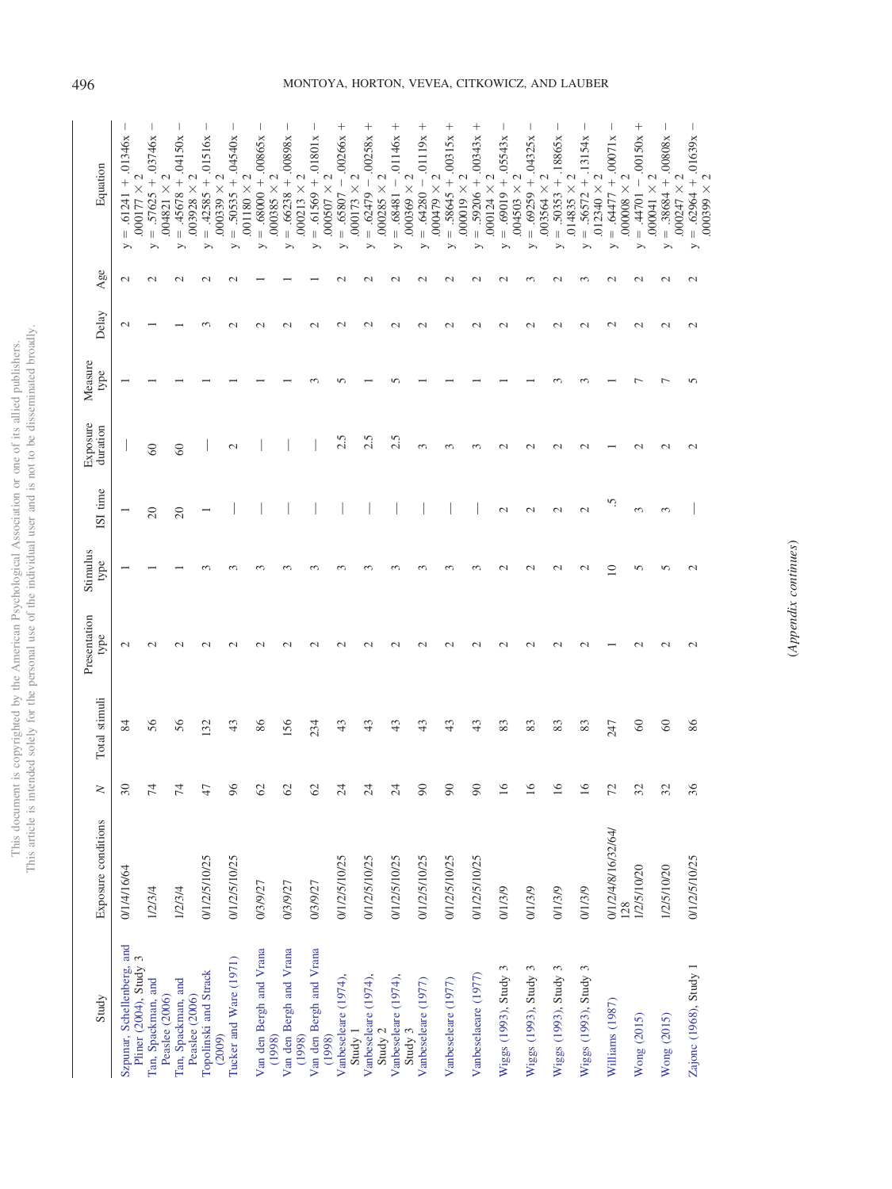| j<br>í                        | ¢<br>ł |
|-------------------------------|--------|
| ä<br>J                        |        |
| ċ<br>Ī                        |        |
| ï<br>į                        |        |
|                               | í      |
|                               |        |
|                               |        |
|                               |        |
| í                             |        |
|                               | į      |
|                               |        |
|                               | ļ      |
| í                             |        |
|                               |        |
|                               |        |
|                               |        |
|                               |        |
| Č<br>l                        |        |
| i                             |        |
|                               |        |
|                               |        |
|                               |        |
|                               |        |
|                               |        |
|                               |        |
|                               | j      |
|                               |        |
|                               | ļ      |
|                               |        |
|                               |        |
| j<br>ì                        |        |
| j<br>)                        |        |
| ì                             |        |
|                               |        |
|                               |        |
|                               |        |
|                               |        |
| ¢                             |        |
|                               |        |
| ion                           | j      |
| ١                             |        |
| i                             |        |
|                               |        |
|                               |        |
|                               | l,     |
|                               |        |
|                               |        |
| $\frac{1}{2}$                 |        |
| i                             |        |
|                               |        |
|                               |        |
| ł<br>j                        |        |
| j                             |        |
| I<br>I<br>ℷ                   |        |
|                               |        |
|                               |        |
| ï                             |        |
|                               |        |
|                               |        |
|                               |        |
|                               |        |
| $\overline{\phantom{a}}$<br>Ì |        |
|                               |        |
|                               |        |
|                               |        |
| ١                             |        |
|                               | j      |
| i i c                         | ĵ      |
| į                             |        |
| j                             |        |
|                               | hic    |
|                               | i      |

| Study                                                | Exposure conditions        | ≍                        | Total stimuli | Presentation<br>type | Stimulus<br>type | ISI time        | Exposure<br>duration | Measure<br>type | Delay           | Age    | Equation                                                                                                   |
|------------------------------------------------------|----------------------------|--------------------------|---------------|----------------------|------------------|-----------------|----------------------|-----------------|-----------------|--------|------------------------------------------------------------------------------------------------------------|
| Szpunar, Schellenberg, and<br>Pliner (2004), Study 3 | 0/1/4/16/64                | $\overline{\mathcal{E}}$ | 84            |                      |                  |                 |                      |                 | $\mathbf{\sim}$ | $\sim$ | .01346x<br>$^{+}$<br>$.000177 \times$<br>61241                                                             |
| Tan, Spackman, and<br>Peaslee (2006)                 | 1/2/3/4                    | ド                        | 56            |                      |                  | $\overline{c}$  | $\infty$             |                 |                 |        | .03746x<br>$= .57625 +$<br>004821 ×<br>⋗                                                                   |
| Tan, Spackman, and<br>Peaslee (2006)                 | 1/2/3/4                    | Ļ                        | 56            |                      |                  | $\Omega$        | $\infty$             |                 |                 |        | .04150x<br>$\mathcal{C}$<br>$45678 +$<br>$\times$ 826500                                                   |
| Topolinski and Strack<br>(2009)                      | 0/1/2/5/10/25              | 4                        | 132           |                      |                  |                 |                      |                 |                 |        | $42585 + 01516x$<br>$\sim$<br>$000339 \times$<br>⋗                                                         |
| Tucker and Ware (1971)                               | 0/1/2/5/10/25              | Ō                        | 43            |                      |                  |                 | $\mathcal{C}$        |                 |                 |        | .04540x<br>$50535 +$<br>$001180\times$                                                                     |
| Van den Bergh and Vrana<br>(1998)                    | 0/3/9/27                   | $^{\circ}$               | 86            |                      |                  |                 |                      |                 |                 |        | $68000 + 00865x$<br>$000385 \times 2$<br>⋗                                                                 |
| Van den Bergh and Vrana<br>(1998)                    | 0/3/9/27                   | $^{\circ}$               | 156           |                      |                  |                 |                      |                 |                 |        | .00898x<br>$\mathcal{C}$<br>$= .66238 +$<br>$.000213 \times$<br>⋗                                          |
| Van den Bergh and Vrana<br>(1998)                    | 0/3/9/27                   | 8                        | 234           |                      |                  |                 |                      |                 |                 |        | .01801x<br>$\mathcal{C}$<br>$61569 +$<br>000507 $\times$<br>⋗                                              |
| Vanbeseleare (1974),<br>Study 1                      | 0/1/2/5/10/25              | $\overline{c}$           | 43            |                      |                  |                 | 2.5                  |                 |                 |        | $^+$<br>.00266x<br>$\mathcal{L}$<br>$000173 \times$<br>.65807<br>$\overline{\mathbf{u}}$<br>⋗              |
| Vanbeseleare (1974),<br>Study 2                      | 0/1/2/5/10/25              | $\overline{c}$           | 43            |                      |                  |                 | 2.5                  |                 |                 |        | .00258x<br>$\mathcal{L}$<br>000285 $\times$<br>62479<br>⋗                                                  |
| Vanbeseleare (1974),<br>Study 3                      | 0/1/2/5/10/25              | Ń                        | $\frac{1}{4}$ |                      |                  |                 | 2.5                  |                 |                 |        | .01146x<br>$000369 \times 2$<br>.68481<br>➢                                                                |
| Vanbeseleare (1977)                                  | 0/1/2/5/10/25              | $\infty$                 | ₩             |                      |                  |                 | 3                    |                 |                 |        | .01119x<br>$\mathcal{L}$<br>$\times$ 644000<br>.64280<br>≻                                                 |
| Vanbeseleare (1977)                                  | 0/1/2/5/10/25              | ō                        | 43            |                      |                  |                 |                      |                 |                 |        | $^+$<br>$.58645 + .00315x$<br>$\times 610000$<br>➢                                                         |
| Vanbeselaeare (1977)                                 | 0/1/2/5/10/25              | S                        | 43            |                      |                  |                 |                      |                 |                 |        | $^+$<br>$.59206 + .00343x$<br>$\mathcal{L}$<br>$000124 \times$<br>$\overline{\mathbf{u}}$<br>$\rightarrow$ |
| Wiggs (1993), Study 3                                | 0/1/3/9                    |                          | 83            |                      |                  |                 |                      |                 |                 |        | .05543x<br>$+ 01060$<br>$.004503 \times$<br>⋗                                                              |
| Wiggs (1993), Study 3                                | 0/1/3/9                    |                          | 83            |                      |                  |                 |                      |                 |                 |        | $69259 + 04325x$<br>$003564 \times 2$<br>⋗                                                                 |
| Wiggs (1993), Study 3                                | 0/1/3/9                    |                          | 83            |                      |                  | $\mathbf{\sim}$ |                      |                 |                 |        | $.50353 + .18865x$<br>$.014835 \times$<br>➢                                                                |
| Wiggs (1993), Study 3                                | 0/1/3/9                    |                          | 83            |                      |                  | $\mathcal{L}$   |                      |                 |                 |        | $.56572 + .13154x$<br>$\mathbf 2$<br>$012340 \times$<br>➢                                                  |
| Williams (1987)                                      | 0/1/2/4/8/16/32/64/<br>128 | 72                       | 247           |                      | 0                |                 |                      |                 |                 |        | .00071x<br>$\mathcal{L}$<br>64477 +<br>$000008 \times$<br>$\overline{\mathbf{u}}$<br>⋗                     |
| Wong (2015)                                          | 1/2/5/10/20                | 32                       | $\odot$       |                      |                  |                 |                      |                 |                 |        | .00150x<br>$000041 \times$<br>44701<br>$\overline{\mathbf{u}}$<br>⋗                                        |
| Wong (2015)                                          | 1/2/5/10/20                | ç,                       | $\infty$      |                      |                  |                 |                      |                 |                 |        | .00808x<br>$000247 \times 2$<br>$38684 +$<br>⋗                                                             |
| Zajonc (1968), Study 1                               | 0/1/2/5/10/25              | 36                       | 86            |                      |                  |                 |                      |                 |                 |        | $= .62964 + .01639x$<br>$\mathbf{C}$<br>000399 $\times$<br>➢                                               |

(*Appendix continues*)

(Appendix continues)

## 496 MONTOYA, HORTON, VEVEA, CITKOWICZ, AND LAUBER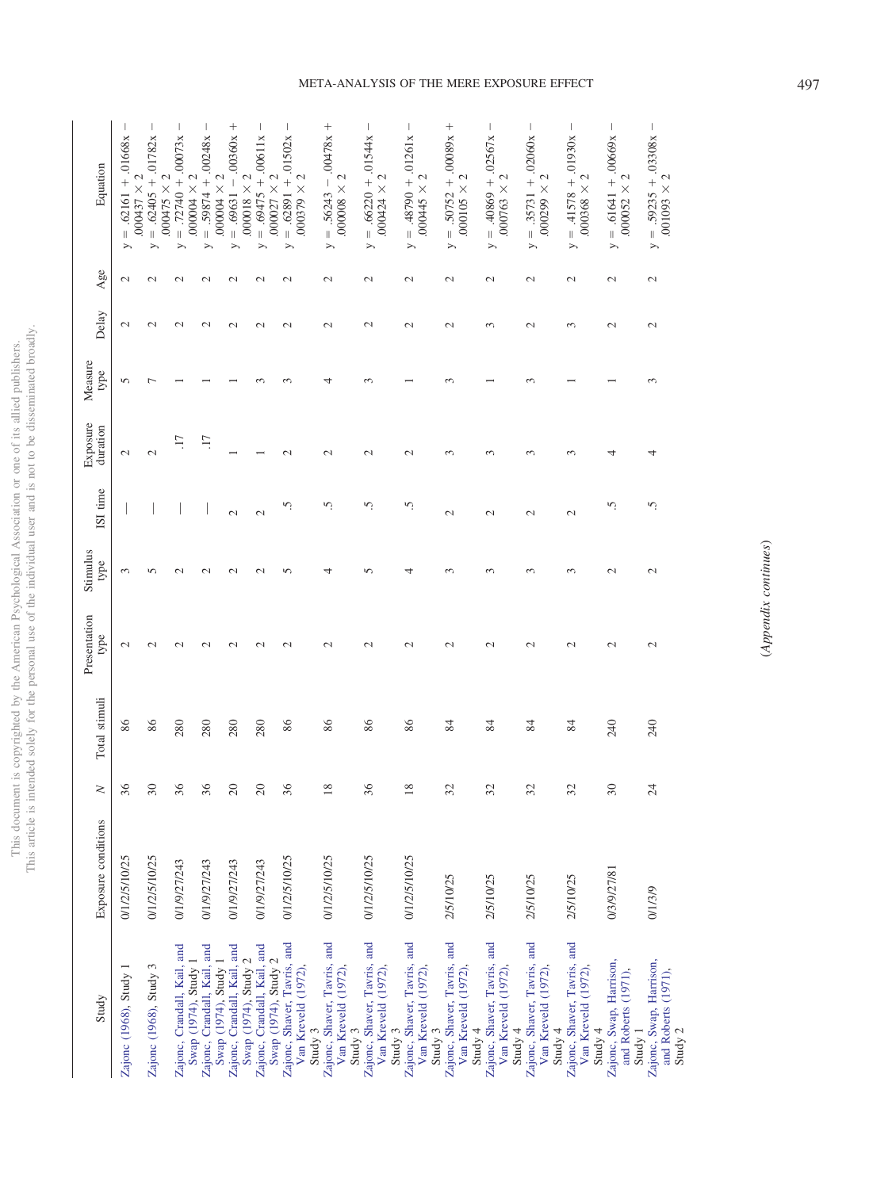| ĵ<br>i             | ¢<br>ł |
|--------------------|--------|
| ò                  |        |
| ś                  |        |
| Ī                  |        |
| ì                  |        |
|                    | í      |
|                    |        |
|                    |        |
| Í                  |        |
|                    |        |
|                    |        |
|                    | ;      |
|                    |        |
|                    |        |
|                    |        |
| ١                  |        |
|                    |        |
|                    |        |
|                    |        |
|                    |        |
|                    |        |
|                    |        |
|                    |        |
|                    |        |
|                    |        |
|                    |        |
|                    | usei   |
|                    |        |
|                    |        |
|                    |        |
|                    |        |
|                    |        |
|                    |        |
| I<br>)             |        |
|                    |        |
|                    |        |
|                    |        |
|                    |        |
| i                  |        |
|                    |        |
| ļ,                 | l      |
|                    |        |
| <b>SOLU</b>        |        |
|                    |        |
| i                  |        |
|                    |        |
|                    | j      |
|                    |        |
|                    |        |
| $\frac{1}{2}$<br>å |        |
|                    |        |
|                    |        |
|                    |        |
|                    |        |
| í                  | ĵ      |
|                    | í      |
|                    |        |
| ℷ<br>I<br>ì        | j      |
| i                  |        |
|                    |        |
| ï<br>١             |        |
|                    |        |
|                    |        |
|                    |        |
|                    |        |
|                    |        |
| ׇ֘֝֡               |        |
|                    |        |
| こうしん かんこう          |        |
|                    |        |
|                    | j      |
|                    | ĵ      |
| hus                |        |
| i                  | i      |
| j                  | his    |
|                    |        |
|                    | į<br>i |
|                    |        |

| Study                                                                          | Exposure conditions | $\geq$          | Total stimuli | Presentation<br>type | Stimulus<br>type | ISI time        | Exposure<br>duration | Measure<br>type | Delay         | Age               | Equation                                                                                            |
|--------------------------------------------------------------------------------|---------------------|-----------------|---------------|----------------------|------------------|-----------------|----------------------|-----------------|---------------|-------------------|-----------------------------------------------------------------------------------------------------|
| Zajonc (1968), Study                                                           | 0/1/2/5/10/25       | $\circ$         | 86            | $\sim$               |                  |                 | $\mathbf{C}$         |                 | $\mathcal{L}$ | $\mathbf{\Omega}$ | $+0.1668x$<br>$.000437 \times 2$<br>.62161                                                          |
| Zajonc (1968), Study 3                                                         | 0/1/2/5/10/25       |                 | 86            | $\mathbf{\sim}$      | n                |                 | $\mathcal{C}$        |                 | $\mathcal{L}$ | $\mathcal{L}$     | $= .62405 + .01782x$<br>$.000475 \times 2$<br>$\rightarrow$                                         |
| Zajonc, Crandall, Kail, and<br>Swap (1974), Study 1                            | 0/1/9/27/243        | ٯ               | 280           | $\sim$               | $\sim$           |                 | $\overline{17}$      |                 | $\mathbf{C}$  | $\mathbf{C}$      | $= .72740 + .00073x$<br>$0000004 \times 2$<br>$\rightarrow$                                         |
| Zajonc, Crandall, Kail, and                                                    | 0/1/9/27/243        | 36              | 280           | $\sim$               |                  |                 | $\overline{17}$      |                 | $\mathcal{L}$ | $\mathbf{C}$      | $= .59874 + .00248x$<br>$0000004 \times 2$<br>≻                                                     |
| Swap $(1974)$ , Study 1<br>Zajonc, Crandall, Kail, and<br>Swap (1974), Study 2 | 0/1/9/27/243        | $\overline{0}$  | 280           | $\mathbf{\sim}$      | $\sim$           | $\mathcal{L}$   |                      |                 | $\mathbf{C}$  | $\mathcal{L}$     | $^{+}$<br>.00360x<br>$000018 \times 2$<br>$= .69631$<br>⋋                                           |
| Zajonc, Crandall, Kail, and<br>Swap (1974), Study 2                            | 0/1/9/27/243        | $\approx$       | 280           | $\mathbf{\sim}$      |                  | $\mathcal{L}$   |                      |                 | $\sim$        | $\mathcal{L}$     | $.69475 + .00611x$<br>$\mathcal{L}$<br>$.000027 \times$<br>$\overline{\mathbf{u}}$<br>$\rightarrow$ |
| Zajonc, Shaver, Tavris, and<br>Van Kreveld (1972),<br>Study 3                  | 0/1/2/5/10/25       | $\frac{36}{5}$  | 86            | $\mathbf{\sim}$      |                  | Ċ,              | $\mathbf{\Omega}$    |                 | $\mathbf{C}$  | $\mathbf{C}$      | $= .62891 + .01502x$<br>$000379 \times 2$<br>$\geq$                                                 |
| Zajonc, Shaver, Tavris, and<br>Van Kreveld (1972),<br>Study 3                  | 0/1/2/5/10/25       | $\infty$        | 86            | $\mathbf{\sim}$      |                  | Ν,              | $\mathbf{\sim}$      |                 | $\mathcal{L}$ | $\mathcal{L}$     | $-00478x +$<br>$\mathcal{L}$<br>.000008 $\times$<br>$=.56243$<br>$\rightarrow$                      |
| Zajonc, Shaver, Tavris, and<br>Van Kreveld (1972),<br>Study 3                  | 0/1/2/5/10/25       | $\frac{6}{5}$   | 86            | $\mathcal{L}$        | ∽                | Ċ,              | $\scriptstyle\sim$   |                 | $\mathcal{L}$ | $\mathcal{L}$     | $= .66220 + .01544x$<br>$.000424 \times 2$<br>$\geq$                                                |
| Zajonc, Shaver, Tavris, and<br>Van Kreveld (1972),<br>Study 3                  | 0/1/2/5/10/25       | ∞               | 86            | $\scriptstyle\sim$   |                  | Č,              |                      |                 | $\mathcal{L}$ | $\mathcal{L}$     | $\mid$<br>$= .48790 + .01261x$<br>$\mathbf{C}$<br>$000445 \times$<br>$\geq$                         |
| Zajonc, Shaver, Tavris, and<br>Van Kreveld (1972),<br>Study 4                  | 2/5/10/25           | ŭ,              | 84            | $\mathcal{L}$        | $\sim$           | $\mathcal{L}$   | 3                    |                 | $\mathbf{C}$  | $\mathcal{L}$     | $^{+}$<br>$= .50752 + .00089x$<br>$.000105 \times 2$<br>$\rightarrow$                               |
| Zajonc, Shaver, Tavris, and<br>Van Kreveld (1972),<br>Study 4                  | 2/5/10/25           | Ù,              | 84            | $\mathbf{\sim}$      |                  | $\mathbf{\sim}$ |                      |                 | 3             | $\mathcal{L}$     | $\mid$<br>$y = .40869 + .02567x$<br>$\mathbf 2$<br>$.000763$ $\times$                               |
| Zajonc, Shaver, Tavris, and<br>Van Kreveld (1972),<br>Study 4                  | 2/5/10/25           | 52              | 84            | $\mathcal{L}$        | S                | $\mathcal{C}$   | 3                    |                 | $\mathcal{L}$ | $\mathcal{L}$     | $= .35731 + .02060x$<br>$2 \times 000299$<br>$\geq$                                                 |
| Zajonc, Shaver, Tavris, and<br>Van Kreveld (1972),<br>Study 4                  | 2/5/10/25           | N               | 84            | $\sim$               | S                | $\mathcal{L}$   |                      |                 | 3             | $\mathcal{L}$     | $y = .41578 + .01930x$<br>$\mathcal{C}$<br>$000368 \times$                                          |
| Zajonc, Swap, Harrison,<br>and Roberts (1971),<br>Study 1                      | 0/3/9/27/81         | $\overline{50}$ | 240           | $\mathcal{L}$        | $\mathcal{L}$    | r.              |                      |                 | $\mathcal{L}$ | $\mathcal{L}$     | $+00669x$<br>$.000052 \times 2$<br>$= .61641$<br>$\geq$                                             |
| Zajonc, Swap, Harrison,<br>and Roberts (1971),<br>Study 2                      | 0/1/3/9             |                 | 240           | $\mathcal{L}$        | $\mathcal{L}$    | Ċ,              |                      |                 | $\mathcal{L}$ | $\mathcal{L}$     | $y = .59235 + .03308x$<br>2<br>$.001093 \times$                                                     |